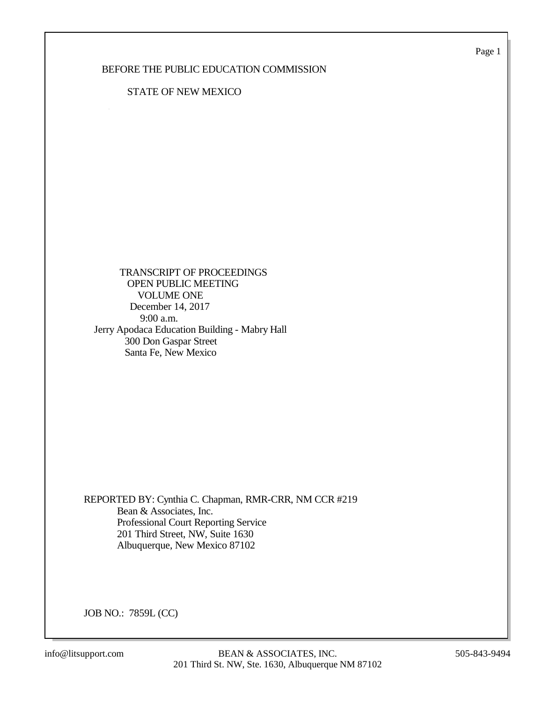Page 1

### BEFORE THE PUBLIC EDUCATION COMMISSION

#### STATE OF NEW MEXICO

 TRANSCRIPT OF PROCEEDINGS OPEN PUBLIC MEETING VOLUME ONE December 14, 2017 9:00 a.m. Jerry Apodaca Education Building - Mabry Hall 300 Don Gaspar Street Santa Fe, New Mexico

REPORTED BY: Cynthia C. Chapman, RMR-CRR, NM CCR #219 Bean & Associates, Inc. Professional Court Reporting Service 201 Third Street, NW, Suite 1630 Albuquerque, New Mexico 87102

JOB NO.: 7859L (CC)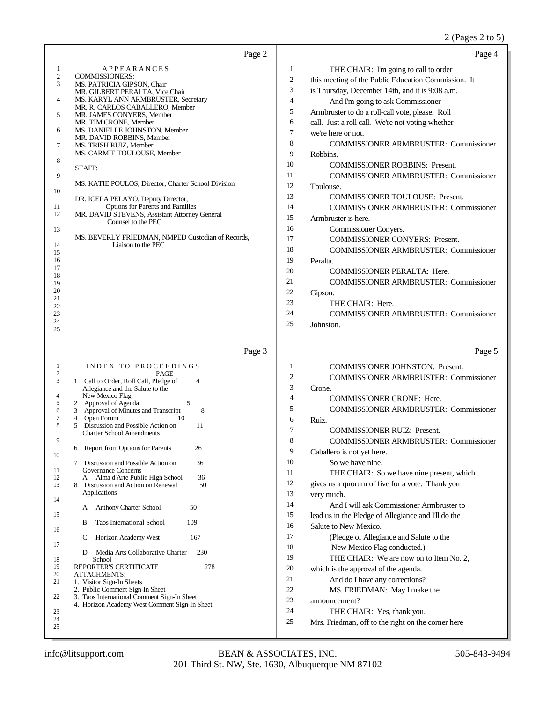### 2 (Pages 2 to 5)

| Page 2                                                                                                                                                                                                                                                                                                                                                                                                                                                                                                                                                                                                                                                                                                                                                                                                                                                                                                                                                                                                                                                                                                                          | Page 4                                                                                                                                                                                                                                                                                                                                                                                                                                                                                                                                                                                                                                                                                                                                                                                                                                                                                                                                                                                                                                                                     |
|---------------------------------------------------------------------------------------------------------------------------------------------------------------------------------------------------------------------------------------------------------------------------------------------------------------------------------------------------------------------------------------------------------------------------------------------------------------------------------------------------------------------------------------------------------------------------------------------------------------------------------------------------------------------------------------------------------------------------------------------------------------------------------------------------------------------------------------------------------------------------------------------------------------------------------------------------------------------------------------------------------------------------------------------------------------------------------------------------------------------------------|----------------------------------------------------------------------------------------------------------------------------------------------------------------------------------------------------------------------------------------------------------------------------------------------------------------------------------------------------------------------------------------------------------------------------------------------------------------------------------------------------------------------------------------------------------------------------------------------------------------------------------------------------------------------------------------------------------------------------------------------------------------------------------------------------------------------------------------------------------------------------------------------------------------------------------------------------------------------------------------------------------------------------------------------------------------------------|
| APPEARANCES<br>1<br>$\sqrt{2}$<br><b>COMMISSIONERS:</b><br>MS. PATRICIA GIPSON, Chair<br>3<br>MR. GILBERT PERALTA, Vice Chair<br>MS. KARYL ANN ARMBRUSTER, Secretary<br>4<br>MR. R. CARLOS CABALLERO, Member<br>5<br>MR. JAMES CONYERS, Member<br>MR. TIM CRONE, Member<br>MS. DANIELLE JOHNSTON, Member<br>6<br>MR. DAVID ROBBINS, Member<br>MS. TRISH RUIZ, Member<br>7<br>MS. CARMIE TOULOUSE, Member<br>8<br>STAFF:<br>9<br>MS. KATIE POULOS, Director, Charter School Division<br>10<br>DR. ICELA PELAYO, Deputy Director,<br>Options for Parents and Families<br>11<br>MR. DAVID STEVENS, Assistant Attorney General<br>12<br>Counsel to the PEC<br>13<br>MS. BEVERLY FRIEDMAN, NMPED Custodian of Records,<br>Liaison to the PEC<br>14<br>15<br>16<br>17<br>18<br>19<br>20<br>21<br>22<br>23<br>24<br>25                                                                                                                                                                                                                                                                                                                 | 1<br>THE CHAIR: I'm going to call to order<br>2<br>this meeting of the Public Education Commission. It<br>3<br>is Thursday, December 14th, and it is 9:08 a.m.<br>$\overline{4}$<br>And I'm going to ask Commissioner<br>5<br>Armbruster to do a roll-call vote, please. Roll<br>6<br>call. Just a roll call. We're not voting whether<br>7<br>we're here or not.<br>8<br><b>COMMISSIONER ARMBRUSTER: Commissioner</b><br>9<br>Robbins.<br>10<br><b>COMMISSIONER ROBBINS: Present.</b><br>11<br><b>COMMISSIONER ARMBRUSTER: Commissioner</b><br>12<br>Toulouse.<br>13<br><b>COMMISSIONER TOULOUSE: Present.</b><br>14<br><b>COMMISSIONER ARMBRUSTER: Commissioner</b><br>15<br>Armbruster is here.<br>16<br>Commissioner Conyers.<br>17<br>COMMISSIONER CONYERS: Present.<br>18<br>COMMISSIONER ARMBRUSTER: Commissioner<br>19<br>Peralta.<br>20<br>COMMISSIONER PERALTA: Here.<br>21<br><b>COMMISSIONER ARMBRUSTER: Commissioner</b><br>22<br>Gipson.<br>23<br>THE CHAIR: Here.<br>24<br><b>COMMISSIONER ARMBRUSTER: Commissioner</b><br>25<br>Johnston.                  |
| Page 3<br>INDEX TO PROCEEDINGS<br>1<br>2<br>PAGE<br>3<br>1 Call to Order, Roll Call, Pledge of<br>$\overline{4}$<br>Allegiance and the Salute to the<br>New Mexico Flag<br>4<br>2 Approval of Agenda<br>5<br>5<br>3 Approval of Minutes and Transcript<br>8<br>6<br>4 Open Forum<br>7<br>10<br>Discussion and Possible Action on<br>8<br>5<br>11<br><b>Charter School Amendments</b><br>9<br>6 Report from Options for Parents<br>26<br>10<br>Discussion and Possible Action on<br>36<br>7<br>11<br>Governance Concerns<br>36<br>12<br>Alma d'Arte Public High School<br>A<br>13<br>8 Discussion and Action on Renewal<br>50<br>Applications<br>14<br>Anthony Charter School<br>50<br>A<br>15<br>B<br><b>Taos International School</b><br>109<br>16<br>167<br>C<br>Horizon Academy West<br>17<br>Media Arts Collaborative Charter<br>230<br>D<br>18<br>School<br>278<br>19<br>REPORTER'S CERTIFICATE<br>20<br><b>ATTACHMENTS:</b><br>21<br>1. Visitor Sign-In Sheets<br>2. Public Comment Sign-In Sheet<br>22<br>3. Taos International Comment Sign-In Sheet<br>4. Horizon Academy West Comment Sign-In Sheet<br>23<br>24<br>25 | Page 5<br>1<br><b>COMMISSIONER JOHNSTON: Present.</b><br>$\mathfrak{2}$<br><b>COMMISSIONER ARMBRUSTER: Commissioner</b><br>3<br>Crone.<br>4<br>COMMISSIONER CRONE: Here.<br>5<br><b>COMMISSIONER ARMBRUSTER: Commissioner</b><br>6<br>Ruiz.<br>7<br>COMMISSIONER RUIZ: Present.<br>8<br><b>COMMISSIONER ARMBRUSTER: Commissioner</b><br>9<br>Caballero is not yet here.<br>10<br>So we have nine.<br>11<br>THE CHAIR: So we have nine present, which<br>12<br>gives us a quorum of five for a vote. Thank you<br>13<br>very much.<br>14<br>And I will ask Commissioner Armbruster to<br>15<br>lead us in the Pledge of Allegiance and I'll do the<br>16<br>Salute to New Mexico.<br>17<br>(Pledge of Allegiance and Salute to the<br>18<br>New Mexico Flag conducted.)<br>19<br>THE CHAIR: We are now on to Item No. 2,<br>20<br>which is the approval of the agenda.<br>21<br>And do I have any corrections?<br>22<br>MS. FRIEDMAN: May I make the<br>23<br>announcement?<br>24<br>THE CHAIR: Yes, thank you.<br>25<br>Mrs. Friedman, off to the right on the corner here |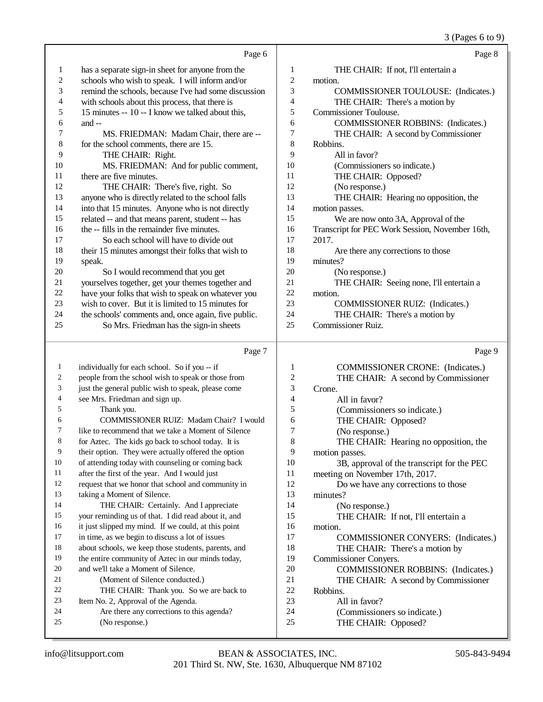### (Pages 6 to 9)

|                                    |                                                                                                            |                          | $3$ (Pages 6 to 9)                                                          |
|------------------------------------|------------------------------------------------------------------------------------------------------------|--------------------------|-----------------------------------------------------------------------------|
|                                    | Page 6                                                                                                     |                          | Page 8                                                                      |
| $\mathbf{1}$                       | has a separate sign-in sheet for anyone from the                                                           | 1                        | THE CHAIR: If not, I'll entertain a                                         |
| $\overline{c}$                     | schools who wish to speak. I will inform and/or                                                            | $\overline{c}$           | motion.                                                                     |
| 3                                  | remind the schools, because I've had some discussion                                                       | 3                        | COMMISSIONER TOULOUSE: (Indicates.)                                         |
| 4                                  | with schools about this process, that there is                                                             | $\overline{\mathcal{L}}$ | THE CHAIR: There's a motion by                                              |
| 5                                  | 15 minutes -- 10 -- I know we talked about this,                                                           | 5                        | <b>Commissioner Toulouse.</b>                                               |
| 6                                  | and $-$                                                                                                    | 6                        | <b>COMMISSIONER ROBBINS: (Indicates.)</b>                                   |
| 7                                  | MS. FRIEDMAN: Madam Chair, there are --                                                                    | 7                        | THE CHAIR: A second by Commissioner                                         |
| 8                                  | for the school comments, there are 15.                                                                     | $\,8\,$                  | Robbins.                                                                    |
| 9                                  | THE CHAIR: Right.                                                                                          | 9                        | All in favor?                                                               |
| 10                                 | MS. FRIEDMAN: And for public comment,                                                                      | 10                       | (Commissioners so indicate.)                                                |
| 11                                 | there are five minutes.                                                                                    | 11                       | THE CHAIR: Opposed?                                                         |
| 12                                 | THE CHAIR: There's five, right. So                                                                         | 12                       | (No response.)                                                              |
| 13                                 | anyone who is directly related to the school falls                                                         | 13                       | THE CHAIR: Hearing no opposition, the                                       |
| 14                                 | into that 15 minutes. Anyone who is not directly                                                           | 14                       | motion passes.                                                              |
| 15                                 | related -- and that means parent, student -- has                                                           | 15                       | We are now onto 3A, Approval of the                                         |
| 16                                 | the -- fills in the remainder five minutes.                                                                | 16                       | Transcript for PEC Work Session, November 16th,                             |
| 17                                 | So each school will have to divide out                                                                     | 17                       | 2017.                                                                       |
| 18                                 | their 15 minutes amongst their folks that wish to                                                          | 18                       | Are there any corrections to those                                          |
| 19                                 | speak.                                                                                                     | 19                       | minutes?                                                                    |
| 20                                 | So I would recommend that you get                                                                          | 20                       | (No response.)                                                              |
| 21                                 | yourselves together, get your themes together and                                                          | 21                       | THE CHAIR: Seeing none, I'll entertain a                                    |
| 22                                 | have your folks that wish to speak on whatever you                                                         | 22                       | motion.                                                                     |
| 23                                 | wish to cover. But it is limited to 15 minutes for                                                         | 23                       | <b>COMMISSIONER RUIZ:</b> (Indicates.)                                      |
| 24                                 | the schools' comments and, once again, five public.                                                        | 24                       | THE CHAIR: There's a motion by                                              |
| 25                                 | So Mrs. Friedman has the sign-in sheets                                                                    | 25                       | <b>Commissioner Ruiz.</b>                                                   |
|                                    |                                                                                                            |                          |                                                                             |
|                                    |                                                                                                            |                          |                                                                             |
|                                    | Page 7                                                                                                     |                          | Page 9                                                                      |
| $\mathbf{1}$                       |                                                                                                            |                          |                                                                             |
|                                    | individually for each school. So if you -- if                                                              | 1                        | <b>COMMISSIONER CRONE:</b> (Indicates.)                                     |
| $\boldsymbol{2}$<br>$\mathfrak{Z}$ | people from the school wish to speak or those from                                                         | $\overline{c}$           | THE CHAIR: A second by Commissioner                                         |
| $\overline{4}$                     | just the general public wish to speak, please come                                                         | 3<br>$\overline{4}$      | Crone.                                                                      |
| 5                                  | see Mrs. Friedman and sign up.                                                                             | 5                        | All in favor?                                                               |
| 6                                  | Thank you.<br>COMMISSIONER RUIZ: Madam Chair? I would                                                      |                          | (Commissioners so indicate.)                                                |
| 7                                  | like to recommend that we take a Moment of Silence                                                         | 6<br>7                   | THE CHAIR: Opposed?                                                         |
| 8                                  |                                                                                                            |                          | (No response.)                                                              |
| 9                                  | for Aztec. The kids go back to school today. It is<br>their option. They were actually offered the option  | 8<br>9                   | THE CHAIR: Hearing no opposition, the                                       |
| 10                                 | of attending today with counseling or coming back                                                          | 10                       | motion passes.                                                              |
| 11                                 |                                                                                                            | 11                       | 3B, approval of the transcript for the PEC                                  |
| 12                                 | after the first of the year. And I would just<br>request that we honor that school and community in        | 12                       | meeting on November 17th, 2017.                                             |
| 13                                 | taking a Moment of Silence.                                                                                | 13                       | Do we have any corrections to those                                         |
| 14                                 | THE CHAIR: Certainly. And I appreciate                                                                     | 14                       | minutes?                                                                    |
| 15                                 |                                                                                                            | 15                       | (No response.)                                                              |
| 16                                 | your reminding us of that. I did read about it, and<br>it just slipped my mind. If we could, at this point | 16                       | THE CHAIR: If not, I'll entertain a                                         |
| $17\,$                             | in time, as we begin to discuss a lot of issues                                                            | 17                       | motion.                                                                     |
| 18                                 | about schools, we keep those students, parents, and                                                        | 18                       | <b>COMMISSIONER CONYERS:</b> (Indicates.)<br>THE CHAIR: There's a motion by |
| 19                                 | the entire community of Aztec in our minds today,                                                          | 19                       | Commissioner Conyers.                                                       |
| 20                                 | and we'll take a Moment of Silence.                                                                        | $20\,$                   | <b>COMMISSIONER ROBBINS:</b> (Indicates.)                                   |
| 21                                 | (Moment of Silence conducted.)                                                                             | 21                       |                                                                             |
| 22                                 | THE CHAIR: Thank you. So we are back to                                                                    | 22                       | THE CHAIR: A second by Commissioner<br>Robbins.                             |
| 23                                 | Item No. 2, Approval of the Agenda.                                                                        | 23                       | All in favor?                                                               |
| 24                                 | Are there any corrections to this agenda?                                                                  | 24                       | (Commissioners so indicate.)                                                |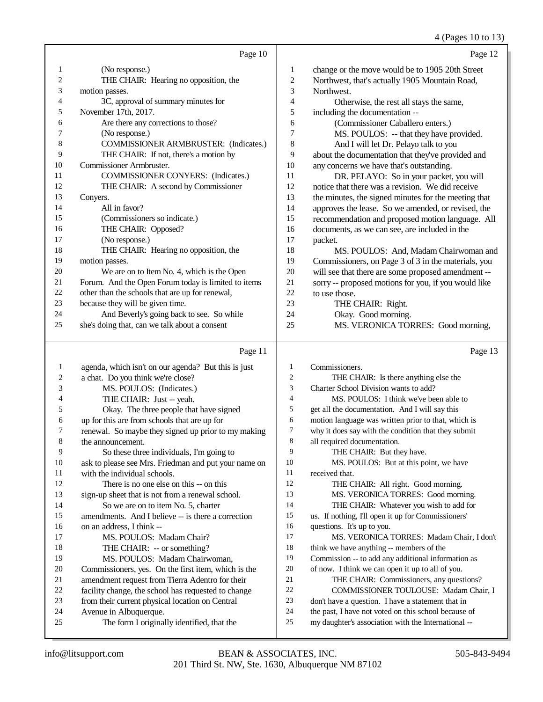(Pages 10 to 13)

|                |                                                     |                | 4 (Pages 10 to 15                                    |
|----------------|-----------------------------------------------------|----------------|------------------------------------------------------|
|                | Page 10                                             |                | Page 12                                              |
| 1              | (No response.)                                      | 1              | change or the move would be to 1905 20th Street      |
| $\overline{c}$ | THE CHAIR: Hearing no opposition, the               | $\mathfrak{2}$ | Northwest, that's actually 1905 Mountain Road,       |
| 3              | motion passes.                                      | 3              | Northwest.                                           |
| 4              | 3C, approval of summary minutes for                 | 4              | Otherwise, the rest all stays the same,              |
| 5              | November 17th, 2017.                                | 5              | including the documentation --                       |
| 6              | Are there any corrections to those?                 | 6              | (Commissioner Caballero enters.)                     |
| 7              | (No response.)                                      | 7              | MS. POULOS: -- that they have provided.              |
| 8              | <b>COMMISSIONER ARMBRUSTER:</b> (Indicates.)        | 8              | And I will let Dr. Pelayo talk to you                |
| 9              | THE CHAIR: If not, there's a motion by              | 9              | about the documentation that they've provided and    |
| 10             | Commissioner Armbruster.                            | 10             | any concerns we have that's outstanding.             |
| 11             | COMMISSIONER CONYERS: (Indicates.)                  | 11             | DR. PELAYO: So in your packet, you will              |
| 12             | THE CHAIR: A second by Commissioner                 | 12             | notice that there was a revision. We did receive     |
| 13             | Convers.                                            | 13             | the minutes, the signed minutes for the meeting that |
| 14             | All in favor?                                       | 14             | approves the lease. So we amended, or revised, the   |
| 15             | (Commissioners so indicate.)                        | 15             | recommendation and proposed motion language. All     |
| 16             | THE CHAIR: Opposed?                                 | 16             | documents, as we can see, are included in the        |
| 17             | (No response.)                                      | 17             | packet.                                              |
| 18             | THE CHAIR: Hearing no opposition, the               | 18             | MS. POULOS: And, Madam Chairwoman and                |
| 19             | motion passes.                                      | 19             | Commissioners, on Page 3 of 3 in the materials, you  |
| 20             | We are on to Item No. 4, which is the Open          | 20             | will see that there are some proposed amendment --   |
| 21             | Forum. And the Open Forum today is limited to items | 21             | sorry -- proposed motions for you, if you would like |
| 22             | other than the schools that are up for renewal,     | 22             | to use those.                                        |
| 23             | because they will be given time.                    | 23             | THE CHAIR: Right.                                    |
| 24             | And Beverly's going back to see. So while           | 24             | Okay. Good morning.                                  |
| 25             | she's doing that, can we talk about a consent       | 25             | MS. VERONICA TORRES: Good morning,                   |
|                |                                                     |                |                                                      |
|                |                                                     |                |                                                      |

|    | Page 11                                              |                | Page 13                                              |
|----|------------------------------------------------------|----------------|------------------------------------------------------|
| 1  | agenda, which isn't on our agenda? But this is just  | 1              | Commissioners.                                       |
| 2  | a chat. Do you think we're close?                    | $\overline{2}$ | THE CHAIR: Is there anything else the                |
| 3  | MS. POULOS: (Indicates.)                             | 3              | Charter School Division wants to add?                |
| 4  | THE CHAIR: Just -- yeah.                             | $\overline{4}$ | MS. POULOS: I think we've been able to               |
| 5  | Okay. The three people that have signed              | 5              | get all the documentation. And I will say this       |
| 6  | up for this are from schools that are up for         | 6              | motion language was written prior to that, which is  |
| 7  | renewal. So maybe they signed up prior to my making  | 7              | why it does say with the condition that they submit  |
| 8  | the announcement.                                    | 8              | all required documentation.                          |
| 9  | So these three individuals, I'm going to             | 9              | THE CHAIR: But they have.                            |
| 10 | ask to please see Mrs. Friedman and put your name on | 10             | MS. POULOS: But at this point, we have               |
| 11 | with the individual schools.                         | 11             | received that.                                       |
| 12 | There is no one else on this -- on this              | 12             | THE CHAIR: All right. Good morning.                  |
| 13 | sign-up sheet that is not from a renewal school.     | 13             | MS. VERONICA TORRES: Good morning.                   |
| 14 | So we are on to item No. 5, charter                  | 14             | THE CHAIR: Whatever you wish to add for              |
| 15 | amendments. And I believe -- is there a correction   | 15             | us. If nothing, I'll open it up for Commissioners'   |
| 16 | on an address, I think --                            | 16             | questions. It's up to you.                           |
| 17 | MS. POULOS: Madam Chair?                             | 17             | MS. VERONICA TORRES: Madam Chair, I don't            |
| 18 | THE CHAIR: -- or something?                          | 18             | think we have anything -- members of the             |
| 19 | MS. POULOS: Madam Chairwoman,                        | 19             | Commission -- to add any additional information as   |
| 20 | Commissioners, yes. On the first item, which is the  | 20             | of now. I think we can open it up to all of you.     |
| 21 | amendment request from Tierra Adentro for their      | 21             | THE CHAIR: Commissioners, any questions?             |
| 22 | facility change, the school has requested to change  | 22             | <b>COMMISSIONER TOULOUSE: Madam Chair, I</b>         |
| 23 | from their current physical location on Central      | 23             | don't have a question. I have a statement that in    |
| 24 | Avenue in Albuquerque.                               | 24             | the past, I have not voted on this school because of |
| 25 | The form I originally identified, that the           | 25             | my daughter's association with the International --  |
|    |                                                      |                |                                                      |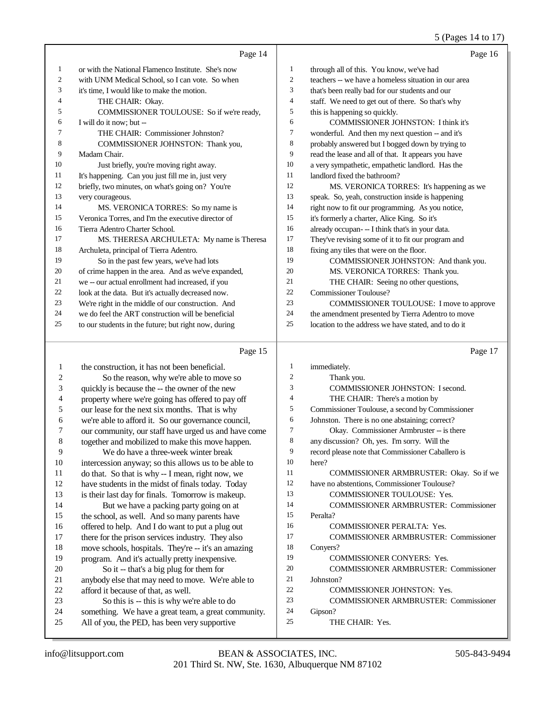### 5 (Pages 14 to 17)

|    | Page 14                                              |                | Page 16                                              |
|----|------------------------------------------------------|----------------|------------------------------------------------------|
| 1  | or with the National Flamenco Institute. She's now   | 1              | through all of this. You know, we've had             |
| 2  | with UNM Medical School, so I can vote. So when      | $\overline{2}$ | teachers -- we have a homeless situation in our area |
| 3  | it's time, I would like to make the motion.          | 3              | that's been really bad for our students and our      |
| 4  | THE CHAIR: Okay.                                     | $\overline{4}$ | staff. We need to get out of there. So that's why    |
| 5  | COMMISSIONER TOULOUSE: So if we're ready,            | 5              | this is happening so quickly.                        |
| 6  | I will do it now; but --                             | 6              | <b>COMMISSIONER JOHNSTON: I think it's</b>           |
| 7  | THE CHAIR: Commissioner Johnston?                    | 7              | wonderful. And then my next question -- and it's     |
| 8  | COMMISSIONER JOHNSTON: Thank you,                    | 8              | probably answered but I bogged down by trying to     |
| 9  | Madam Chair.                                         | 9              | read the lease and all of that. It appears you have  |
| 10 | Just briefly, you're moving right away.              | 10             | a very sympathetic, empathetic landlord. Has the     |
| 11 | It's happening. Can you just fill me in, just very   | 11             | landlord fixed the bathroom?                         |
| 12 | briefly, two minutes, on what's going on? You're     | 12             | MS. VERONICA TORRES: It's happening as we            |
| 13 | very courageous.                                     | 13             | speak. So, yeah, construction inside is happening    |
| 14 | MS. VERONICA TORRES: So my name is                   | 14             | right now to fit our programming. As you notice,     |
| 15 | Veronica Torres, and I'm the executive director of   | 15             | it's formerly a charter, Alice King. So it's         |
| 16 | Tierra Adentro Charter School.                       | 16             | already occupan --- I think that's in your data.     |
| 17 | MS. THERESA ARCHULETA: My name is Theresa            | 17             | They've revising some of it to fit our program and   |
| 18 | Archuleta, principal of Tierra Adentro.              | 18             | fixing any tiles that were on the floor.             |
| 19 | So in the past few years, we've had lots             | 19             | COMMISSIONER JOHNSTON: And thank you.                |
| 20 | of crime happen in the area. And as we've expanded,  | 20             | MS. VERONICA TORRES: Thank you.                      |
| 21 | we -- our actual enrollment had increased, if you    | 21             | THE CHAIR: Seeing no other questions,                |
| 22 | look at the data. But it's actually decreased now.   | 22             | Commissioner Toulouse?                               |
| 23 | We're right in the middle of our construction. And   | 23             | <b>COMMISSIONER TOULOUSE:</b> I move to approve      |
| 24 | we do feel the ART construction will be beneficial   | 24             | the amendment presented by Tierra Adentro to move    |
| 25 | to our students in the future; but right now, during | 25             | location to the address we have stated, and to do it |
|    |                                                      |                |                                                      |

### Page 15

| -1             | the construction, it has not been beneficial.        | 1              | immediately.                                      |
|----------------|------------------------------------------------------|----------------|---------------------------------------------------|
| 2              | So the reason, why we're able to move so             | $\overline{c}$ | Thank you.                                        |
| 3              | quickly is because the -- the owner of the new       | 3              | <b>COMMISSIONER JOHNSTON: I second.</b>           |
| $\overline{4}$ | property where we're going has offered to pay off    | 4              | THE CHAIR: There's a motion by                    |
| 5              | our lease for the next six months. That is why       | 5              | Commissioner Toulouse, a second by Commissioner   |
| 6              | we're able to afford it. So our governance council,  | 6              | Johnston. There is no one abstaining; correct?    |
| 7              | our community, our staff have urged us and have come | 7              | Okay. Commissioner Armbruster -- is there         |
| 8              | together and mobilized to make this move happen.     | 8              | any discussion? Oh, yes. I'm sorry. Will the      |
| 9              | We do have a three-week winter break                 | 9              | record please note that Commissioner Caballero is |
| 10             | intercession anyway; so this allows us to be able to | 10             | here?                                             |
| 11             | do that. So that is why -- I mean, right now, we     | 11             | COMMISSIONER ARMBRUSTER: Okay. So if we           |
| 12             | have students in the midst of finals today. Today    | 12             | have no abstentions, Commissioner Toulouse?       |
| 13             | is their last day for finals. Tomorrow is makeup.    | 13             | <b>COMMISSIONER TOULOUSE: Yes.</b>                |
| 14             | But we have a packing party going on at              | 14             | <b>COMMISSIONER ARMBRUSTER: Commissioner</b>      |
| 15             | the school, as well. And so many parents have        | 15             | Peralta?                                          |
| 16             | offered to help. And I do want to put a plug out     | 16             | <b>COMMISSIONER PERALTA: Yes.</b>                 |
| 17             | there for the prison services industry. They also    | 17             | <b>COMMISSIONER ARMBRUSTER: Commissioner</b>      |
| 18             | move schools, hospitals. They're -- it's an amazing  | 18             | Conyers?                                          |
| 19             | program. And it's actually pretty inexpensive.       | 19             | <b>COMMISSIONER CONYERS: Yes.</b>                 |
| 20             | So it -- that's a big plug for them for              | 20             | <b>COMMISSIONER ARMBRUSTER: Commissioner</b>      |
| 21             | anybody else that may need to move. We're able to    | 21             | Johnston?                                         |
| 22             | afford it because of that, as well.                  | 22             | <b>COMMISSIONER JOHNSTON: Yes.</b>                |
| 23             | So this is -- this is why we're able to do           | 23             | <b>COMMISSIONER ARMBRUSTER: Commissioner</b>      |
| 24             | something. We have a great team, a great community.  | 24             | Gipson?                                           |
| 25             | All of you, the PED, has been very supportive        | 25             | THE CHAIR: Yes.                                   |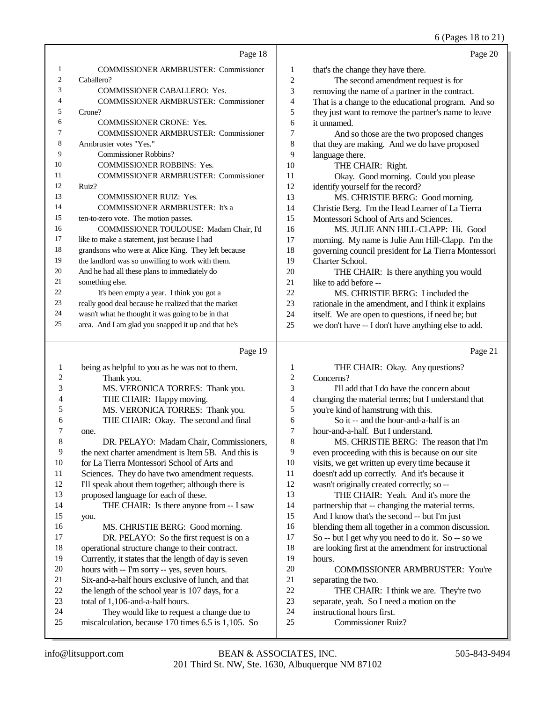6 (Pages 18 to 21)

|    |                                                      |                | $\sigma$ (1 ages 10 to $\omega$ 21                   |
|----|------------------------------------------------------|----------------|------------------------------------------------------|
|    | Page 18                                              |                | Page 20                                              |
| 1  | <b>COMMISSIONER ARMBRUSTER: Commissioner</b>         | 1              | that's the change they have there.                   |
| 2  | Caballero?                                           | $\overline{2}$ | The second amendment request is for                  |
| 3  | <b>COMMISSIONER CABALLERO: Yes.</b>                  | 3              | removing the name of a partner in the contract.      |
| 4  | <b>COMMISSIONER ARMBRUSTER: Commissioner</b>         | 4              | That is a change to the educational program. And so  |
| 5  | Crone?                                               | 5              | they just want to remove the partner's name to leave |
| 6  | <b>COMMISSIONER CRONE: Yes.</b>                      | 6              | it unnamed.                                          |
| 7  | <b>COMMISSIONER ARMBRUSTER: Commissioner</b>         | 7              | And so those are the two proposed changes            |
| 8  | Armbruster votes "Yes."                              | 8              | that they are making. And we do have proposed        |
| 9  | <b>Commissioner Robbins?</b>                         | 9              | language there.                                      |
| 10 | <b>COMMISSIONER ROBBINS: Yes.</b>                    | 10             | THE CHAIR: Right.                                    |
| 11 | <b>COMMISSIONER ARMBRUSTER: Commissioner</b>         | 11             | Okay. Good morning. Could you please                 |
| 12 | Ruiz?                                                | 12             | identify yourself for the record?                    |
| 13 | <b>COMMISSIONER RUIZ: Yes.</b>                       | 13             | MS. CHRISTIE BERG: Good morning.                     |
| 14 | <b>COMMISSIONER ARMBRUSTER:</b> It's a               | 14             | Christie Berg. I'm the Head Learner of La Tierra     |
| 15 | ten-to-zero vote. The motion passes.                 | 15             | Montessori School of Arts and Sciences.              |
| 16 | COMMISSIONER TOULOUSE: Madam Chair, I'd              | 16             | MS. JULIE ANN HILL-CLAPP: Hi. Good                   |
| 17 | like to make a statement, just because I had         | 17             | morning. My name is Julie Ann Hill-Clapp. I'm the    |
| 18 | grandsons who were at Alice King. They left because  | 18             | governing council president for La Tierra Montessori |
| 19 | the landlord was so unwilling to work with them.     | 19             | Charter School.                                      |
| 20 | And he had all these plans to immediately do         | 20             | THE CHAIR: Is there anything you would               |
| 21 | something else.                                      | 21             | like to add before --                                |
| 22 | It's been empty a year. I think you got a            | 22             | MS. CHRISTIE BERG: I included the                    |
| 23 | really good deal because he realized that the market | 23             | rationale in the amendment, and I think it explains  |
| 24 | wasn't what he thought it was going to be in that    | 24             | itself. We are open to questions, if need be; but    |
| 25 | area. And I am glad you snapped it up and that he's  | 25             | we don't have -- I don't have anything else to add.  |
|    | Page 19                                              |                | Page 21                                              |

| 1  | being as helpful to you as he was not to them.       |                | THE CHAIR: Okay. Any questions?                      |
|----|------------------------------------------------------|----------------|------------------------------------------------------|
| 2  | Thank you.                                           | 2              | Concerns?                                            |
| 3  | MS. VERONICA TORRES: Thank you.                      | 3              | I'll add that I do have the concern about            |
| 4  | THE CHAIR: Happy moving.                             | $\overline{4}$ | changing the material terms; but I understand that   |
| 5  | MS. VERONICA TORRES: Thank you.                      | 5              | you're kind of hamstrung with this.                  |
| 6  | THE CHAIR: Okay. The second and final                | 6              | So it -- and the hour-and-a-half is an               |
|    | one.                                                 | 7              | hour-and-a-half. But I understand.                   |
| 8  | DR. PELAYO: Madam Chair, Commissioners,              | 8              | MS. CHRISTIE BERG: The reason that I'm               |
| 9  | the next charter amendment is Item 5B. And this is   | 9              | even proceeding with this is because on our site     |
| 10 | for La Tierra Montessori School of Arts and          | 10             | visits, we get written up every time because it      |
| 11 | Sciences. They do have two amendment requests.       | 11             | doesn't add up correctly. And it's because it        |
| 12 | I'll speak about them together; although there is    | 12             | wasn't originally created correctly; so --           |
| 13 | proposed language for each of these.                 | 13             | THE CHAIR: Yeah. And it's more the                   |
| 14 | THE CHAIR: Is there anyone from -- I saw             | 14             | partnership that -- changing the material terms.     |
| 15 | you.                                                 | 15             | And I know that's the second -- but I'm just         |
| 16 | MS. CHRISTIE BERG: Good morning.                     | 16             | blending them all together in a common discussion.   |
| 17 | DR. PELAYO: So the first request is on a             | 17             | So -- but I get why you need to do it. So -- so we   |
| 18 | operational structure change to their contract.      | 18             | are looking first at the amendment for instructional |
| 19 | Currently, it states that the length of day is seven | 19             | hours.                                               |
| 20 | hours with -- I'm sorry -- yes, seven hours.         | 20             | <b>COMMISSIONER ARMBRUSTER: You're</b>               |
| 21 | Six-and-a-half hours exclusive of lunch, and that    | 21             | separating the two.                                  |
| 22 | the length of the school year is 107 days, for a     | 22             | THE CHAIR: I think we are. They're two               |
| 23 | total of 1,106-and-a-half hours.                     | 23             | separate, yeah. So I need a motion on the            |
| 24 | They would like to request a change due to           | 24             | instructional hours first.                           |
| 25 | miscalculation, because 170 times 6.5 is 1,105. So   | 25             | <b>Commissioner Ruiz?</b>                            |
|    |                                                      |                |                                                      |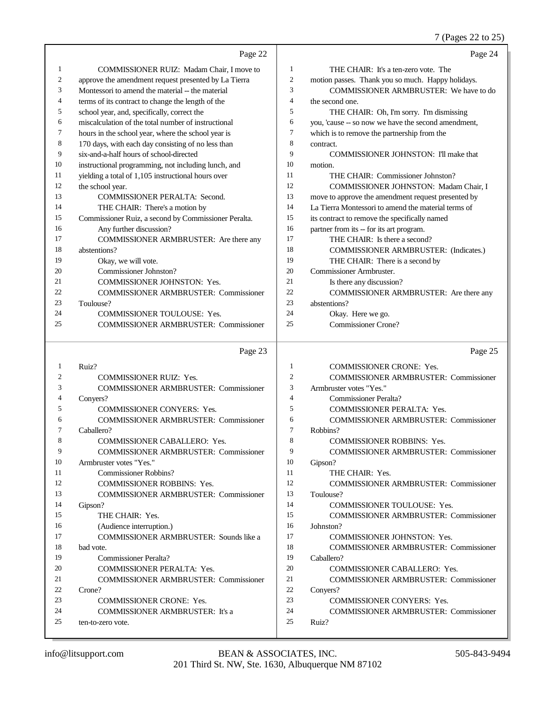### 7 (Pages 22 to 25)

|    | Page 22                                              |                | Page 24                                             |
|----|------------------------------------------------------|----------------|-----------------------------------------------------|
|    | COMMISSIONER RUIZ: Madam Chair, I move to            | 1              | THE CHAIR: It's a ten-zero vote. The                |
| 2  | approve the amendment request presented by La Tierra | 2              | motion passes. Thank you so much. Happy holidays.   |
| 3  | Montessori to amend the material -- the material     | 3              | COMMISSIONER ARMBRUSTER: We have to do              |
| 4  | terms of its contract to change the length of the    | 4              | the second one.                                     |
| 5  | school year, and, specifically, correct the          | 5              | THE CHAIR: Oh, I'm sorry. I'm dismissing            |
| 6  | miscalculation of the total number of instructional  | 6              | you, 'cause -- so now we have the second amendment, |
| 7  | hours in the school year, where the school year is   | $\overline{7}$ | which is to remove the partnership from the         |
| 8  | 170 days, with each day consisting of no less than   | 8              | contract.                                           |
| 9  | six-and-a-half hours of school-directed              | $\mathbf Q$    | COMMISSIONER JOHNSTON: I'll make that               |
| 10 | instructional programming, not including lunch, and  | 10             | motion.                                             |
| 11 | yielding a total of 1,105 instructional hours over   | 11             | THE CHAIR: Commissioner Johnston?                   |
| 12 | the school year.                                     | 12             | COMMISSIONER JOHNSTON: Madam Chair, I               |
| 13 | COMMISSIONER PERALTA: Second.                        | 13             | move to approve the amendment request presented by  |
| 14 | THE CHAIR: There's a motion by                       | 14             | La Tierra Montessori to amend the material terms of |
| 15 | Commissioner Ruiz, a second by Commissioner Peralta. | 15             | its contract to remove the specifically named       |
| 16 | Any further discussion?                              | 16             | partner from its -- for its art program.            |
| 17 | COMMISSIONER ARMBRUSTER: Are there any               | 17             | THE CHAIR: Is there a second?                       |
| 18 | abstentions?                                         | 18             | <b>COMMISSIONER ARMBRUSTER: (Indicates.)</b>        |
| 19 | Okay, we will vote.                                  | 19             | THE CHAIR: There is a second by                     |
| 20 | Commissioner Johnston?                               | 20             | Commissioner Armbruster.                            |
| 21 | <b>COMMISSIONER JOHNSTON: Yes.</b>                   | 21             | Is there any discussion?                            |
| 22 | <b>COMMISSIONER ARMBRUSTER: Commissioner</b>         | 22             | COMMISSIONER ARMBRUSTER: Are there any              |
| 23 | Toulouse?                                            | 23             | abstentions?                                        |
| 24 | <b>COMMISSIONER TOULOUSE: Yes.</b>                   | 24             | Okay. Here we go.                                   |
| 25 | <b>COMMISSIONER ARMBRUSTER: Commissioner</b>         | 25             | Commissioner Crone?                                 |
|    |                                                      |                |                                                     |
|    | Page 23                                              |                | Page 25                                             |

| 21 V I<br>÷<br>۰. |  |
|-------------------|--|
|                   |  |

|    | Ruiz?                                        |                | <b>COMMISSIONER CRONE: Yes.</b>              |
|----|----------------------------------------------|----------------|----------------------------------------------|
| 2  | <b>COMMISSIONER RUIZ: Yes.</b>               | 2              | <b>COMMISSIONER ARMBRUSTER: Commissioner</b> |
| 3  | <b>COMMISSIONER ARMBRUSTER: Commissioner</b> | 3              | Armbruster votes "Yes."                      |
| 4  | Convers?                                     | $\overline{4}$ | Commissioner Peralta?                        |
| 5  | <b>COMMISSIONER CONYERS: Yes.</b>            | 5              | <b>COMMISSIONER PERALTA: Yes.</b>            |
| 6  | <b>COMMISSIONER ARMBRUSTER: Commissioner</b> | 6              | <b>COMMISSIONER ARMBRUSTER: Commissioner</b> |
| 7  | Caballero?                                   | 7              | Robbins?                                     |
| 8  | <b>COMMISSIONER CABALLERO: Yes.</b>          | 8              | <b>COMMISSIONER ROBBINS: Yes.</b>            |
| 9  | <b>COMMISSIONER ARMBRUSTER: Commissioner</b> | 9              | <b>COMMISSIONER ARMBRUSTER: Commissioner</b> |
| 10 | Armbruster votes "Yes."                      | 10             | Gipson?                                      |
| 11 | Commissioner Robbins?                        | 11             | THE CHAIR: Yes.                              |
| 12 | <b>COMMISSIONER ROBBINS: Yes.</b>            | 12             | <b>COMMISSIONER ARMBRUSTER: Commissioner</b> |
| 13 | <b>COMMISSIONER ARMBRUSTER: Commissioner</b> | 13             | Toulouse?                                    |
| 14 | Gipson?                                      | 14             | <b>COMMISSIONER TOULOUSE: Yes.</b>           |
| 15 | THE CHAIR: Yes.                              | 15             | <b>COMMISSIONER ARMBRUSTER: Commissioner</b> |
| 16 | (Audience interruption.)                     | 16             | Johnston?                                    |
| 17 | COMMISSIONER ARMBRUSTER: Sounds like a       | 17             | <b>COMMISSIONER JOHNSTON: Yes.</b>           |
| 18 | bad vote.                                    | 18             | <b>COMMISSIONER ARMBRUSTER: Commissioner</b> |
| 19 | Commissioner Peralta?                        | 19             | Caballero?                                   |
| 20 | <b>COMMISSIONER PERALTA: Yes.</b>            | 20             | <b>COMMISSIONER CABALLERO: Yes.</b>          |
| 21 | <b>COMMISSIONER ARMBRUSTER: Commissioner</b> | 21             | <b>COMMISSIONER ARMBRUSTER: Commissioner</b> |
| 22 | Crone?                                       | 22             | Convers?                                     |
| 23 | <b>COMMISSIONER CRONE: Yes.</b>              | 23             | <b>COMMISSIONER CONYERS: Yes.</b>            |
| 24 | <b>COMMISSIONER ARMBRUSTER:</b> It's a       | 24             | <b>COMMISSIONER ARMBRUSTER: Commissioner</b> |
| 25 | ten-to-zero vote.                            | 25             | Ruiz?                                        |
|    |                                              |                |                                              |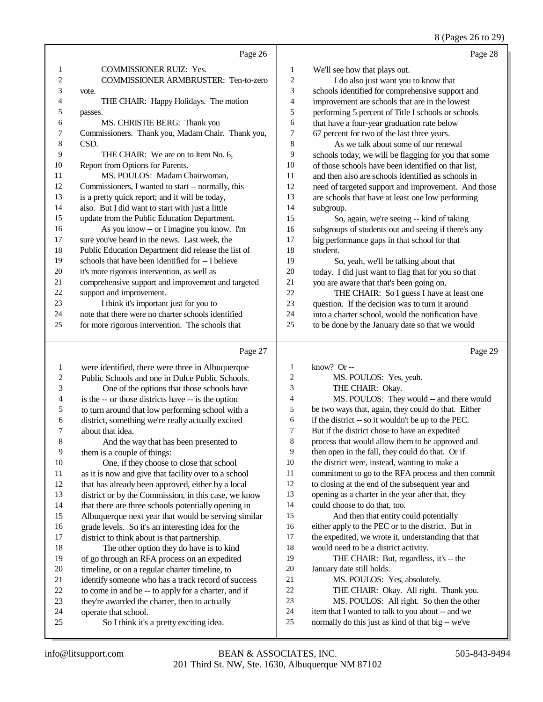#### 8 (Pages 26 to 29)

|                  | Page 26                                              |                  | Page 28                                              |
|------------------|------------------------------------------------------|------------------|------------------------------------------------------|
| 1                | COMMISSIONER RUIZ: Yes.                              | 1                | We'll see how that plays out.                        |
| 2                | COMMISSIONER ARMBRUSTER: Ten-to-zero                 | $\boldsymbol{2}$ | I do also just want you to know that                 |
| 3                | vote.                                                | 3                | schools identified for comprehensive support and     |
| 4                | THE CHAIR: Happy Holidays. The motion                | $\overline{4}$   | improvement are schools that are in the lowest       |
| 5                | passes.                                              | 5                | performing 5 percent of Title I schools or schools   |
| 6                | MS. CHRISTIE BERG: Thank you                         | 6                | that have a four-year graduation rate below          |
| 7                | Commissioners. Thank you, Madam Chair. Thank you,    | 7                | 67 percent for two of the last three years.          |
| 8                | CSD.                                                 | $\,$ 8 $\,$      | As we talk about some of our renewal                 |
| 9                | THE CHAIR: We are on to Item No. 6,                  | 9                | schools today, we will be flagging for you that some |
| 10               | Report from Options for Parents.                     | 10               | of those schools have been identified on that list,  |
| 11               | MS. POULOS: Madam Chairwoman,                        | 11               | and then also are schools identified as schools in   |
| 12               | Commissioners, I wanted to start -- normally, this   | 12               | need of targeted support and improvement. And those  |
| 13               | is a pretty quick report; and it will be today,      | 13               | are schools that have at least one low performing    |
| 14               | also. But I did want to start with just a little     | 14               | subgroup.                                            |
| 15               | update from the Public Education Department.         | 15               | So, again, we're seeing -- kind of taking            |
| 16               | As you know -- or I imagine you know. I'm            | 16               | subgroups of students out and seeing if there's any  |
| 17               | sure you've heard in the news. Last week, the        | 17               | big performance gaps in that school for that         |
| 18               | Public Education Department did release the list of  | 18               | student.                                             |
| 19               | schools that have been identified for -- I believe   | 19               | So, yeah, we'll be talking about that                |
| 20               | it's more rigorous intervention, as well as          | 20               | today. I did just want to flag that for you so that  |
| 21               | comprehensive support and improvement and targeted   | 21               | you are aware that that's been going on.             |
| 22               | support and improvement.                             | 22               | THE CHAIR: So I guess I have at least one            |
| 23               | I think it's important just for you to               | 23               | question. If the decision was to turn it around      |
| 24               | note that there were no charter schools identified   | 24               | into a charter school, would the notification have   |
| 25               | for more rigorous intervention. The schools that     | 25               | to be done by the January date so that we would      |
|                  |                                                      |                  |                                                      |
|                  | Page 27                                              |                  | Page 29                                              |
| $\mathbf{1}$     | were identified, there were three in Albuquerque     | 1                | know? Or --                                          |
| $\boldsymbol{2}$ | Public Schools and one in Dulce Public Schools.      | $\overline{c}$   | MS. POULOS: Yes, yeah.                               |
| 3                | One of the options that those schools have           | 3                | THE CHAIR: Okay.                                     |
| 4                | is the -- or those districts have -- is the option   | 4                | MS. POULOS: They would -- and there would            |
| 5                | to turn around that low performing school with a     | 5                | be two ways that, again, they could do that. Either  |
| 6                | district, something we're really actually excited    | 6                | if the district -- so it wouldn't be up to the PEC.  |
| 7                | about that idea.                                     | $\boldsymbol{7}$ | But if the district chose to have an expedited       |
| $\,8\,$          | And the way that has been presented to               | $\,$ 8 $\,$      | process that would allow them to be approved and     |
| 9                | them is a couple of things:                          | 9                | then open in the fall, they could do that. Or if     |
| 10               | One, if they choose to close that school             | 10               | the district were, instead, wanting to make a        |
| 11               | as it is now and give that facility over to a school | 11               | commitment to go to the RFA process and then commit  |
| 12               | that has already been approved, either by a local    | 12               | to closing at the end of the subsequent year and     |
| 13               | district or by the Commission, in this case, we know | 13               | opening as a charter in the year after that, they    |
| 14               | that there are three schools potentially opening in  | 14               | could choose to do that, too.                        |
| 15               | Albuquerque next year that would be serving similar  | 15               | And then that entity could potentially               |
| 16               | grade levels. So it's an interesting idea for the    | 16               | either apply to the PEC or to the district. But in   |
| 17               | district to think about is that partnership.         | 17               | the expedited, we wrote it, understanding that that  |
| 18               | The other option they do have is to kind             | 18               | would need to be a district activity.                |
| 19               | of go through an RFA process on an expedited         | 19               | THE CHAIR: But, regardless, it's -- the              |
| 20               | timeline, or on a regular charter timeline, to       | $20\,$           | January date still holds.                            |
|                  |                                                      |                  |                                                      |

- January date still holds. MS. POULOS: Yes, absolutely.
- THE CHAIR: Okay. All right. Thank you.
- MS. POULOS: All right. So then the other
- item that I wanted to talk to you about -- and we
- normally do this just as kind of that big -- we've

24 operate that school.<br>25 So I think it's

21 identify someone who has a track record of success<br>22 to come in and be -- to apply for a charter, and if 22 to come in and be -- to apply for a charter, and if<br>
23 the v're awarded the charter, then to actually 23 they're awarded the charter, then to actually<br>24 operate that school.

So I think it's a pretty exciting idea.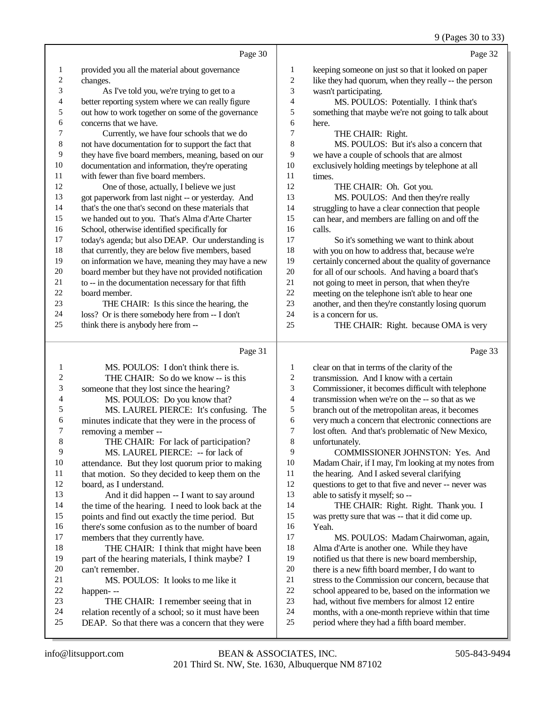### 9 (Pages 30 to 33)

|                         |                                                                                              |                          | $\frac{1}{2}$ (1 ages 50 to 55                                                                     |
|-------------------------|----------------------------------------------------------------------------------------------|--------------------------|----------------------------------------------------------------------------------------------------|
|                         | Page 30                                                                                      |                          | Page 32                                                                                            |
| 1                       | provided you all the material about governance                                               | $\mathbf{1}$             | keeping someone on just so that it looked on paper                                                 |
| $\overline{\mathbf{c}}$ | changes.                                                                                     | $\overline{c}$           | like they had quorum, when they really -- the person                                               |
| 3                       | As I've told you, we're trying to get to a                                                   | 3                        | wasn't participating.                                                                              |
| 4                       | better reporting system where we can really figure                                           | $\overline{\mathcal{L}}$ | MS. POULOS: Potentially. I think that's                                                            |
| 5                       | out how to work together on some of the governance                                           | 5                        | something that maybe we're not going to talk about                                                 |
| 6                       | concerns that we have.                                                                       | 6                        | here.                                                                                              |
| 7                       | Currently, we have four schools that we do                                                   | 7                        | THE CHAIR: Right.                                                                                  |
| $\,$ 8 $\,$             | not have documentation for to support the fact that                                          | 8                        | MS. POULOS: But it's also a concern that                                                           |
| 9                       | they have five board members, meaning, based on our                                          | 9                        | we have a couple of schools that are almost                                                        |
| 10                      | documentation and information, they're operating                                             | 10                       | exclusively holding meetings by telephone at all                                                   |
| 11                      | with fewer than five board members.                                                          | 11                       | times.                                                                                             |
| 12                      | One of those, actually, I believe we just                                                    | 12                       | THE CHAIR: Oh. Got you.                                                                            |
| 13                      | got paperwork from last night -- or yesterday. And                                           | 13                       | MS. POULOS: And then they're really                                                                |
| 14                      | that's the one that's second on these materials that                                         | 14                       | struggling to have a clear connection that people                                                  |
| 15                      | we handed out to you. That's Alma d'Arte Charter                                             | 15                       | can hear, and members are falling on and off the                                                   |
| 16                      | School, otherwise identified specifically for                                                | 16                       | calls.                                                                                             |
| 17                      | today's agenda; but also DEAP. Our understanding is                                          | 17                       | So it's something we want to think about                                                           |
| 18                      | that currently, they are below five members, based                                           | 18                       | with you on how to address that, because we're                                                     |
| 19                      | on information we have, meaning they may have a new                                          | 19                       | certainly concerned about the quality of governance                                                |
| 20                      | board member but they have not provided notification                                         | $20\,$                   | for all of our schools. And having a board that's                                                  |
| 21<br>22                | to -- in the documentation necessary for that fifth                                          | 21                       | not going to meet in person, that when they're                                                     |
| 23                      | board member.                                                                                | 22<br>23                 | meeting on the telephone isn't able to hear one                                                    |
| 24                      | THE CHAIR: Is this since the hearing, the<br>loss? Or is there somebody here from -- I don't | 24                       | another, and then they're constantly losing quorum<br>is a concern for us.                         |
| 25                      | think there is anybody here from --                                                          | 25                       | THE CHAIR: Right. because OMA is very                                                              |
|                         |                                                                                              |                          |                                                                                                    |
|                         | Page 31                                                                                      |                          | Page 33                                                                                            |
| 1                       | MS. POULOS: I don't think there is.                                                          | 1                        | clear on that in terms of the clarity of the                                                       |
| $\overline{c}$          | THE CHAIR: So do we know -- is this                                                          | 2                        | transmission. And I know with a certain                                                            |
| 3                       | someone that they lost since the hearing?                                                    | 3                        | Commissioner, it becomes difficult with telephone                                                  |
| 4                       | MS. POULOS: Do you know that?                                                                | 4                        | transmission when we're on the -- so that as we                                                    |
| 5                       | MS. LAUREL PIERCE: It's confusing. The                                                       | 5                        | branch out of the metropolitan areas, it becomes                                                   |
| 6                       | minutes indicate that they were in the process of                                            | 6                        | very much a concern that electronic connections are                                                |
| 7                       | removing a member --                                                                         | $\tau$                   | lost often. And that's problematic of New Mexico,                                                  |
| 8                       | THE CHAIR: For lack of participation?                                                        | 8                        | unfortunately.                                                                                     |
| 9                       | MS. LAUREL PIERCE: -- for lack of                                                            | 9                        | COMMISSIONER JOHNSTON: Yes. And                                                                    |
| 10                      | attendance. But they lost quorum prior to making                                             | 10                       | Madam Chair, if I may, I'm looking at my notes from                                                |
| 11                      | that motion. So they decided to keep them on the                                             | 11                       | the hearing. And I asked several clarifying                                                        |
| 12                      | board, as I understand.                                                                      | 12                       | questions to get to that five and never -- never was                                               |
| 13                      | And it did happen -- I want to say around                                                    | 13                       | able to satisfy it myself; so --                                                                   |
| 14                      | the time of the hearing. I need to look back at the                                          | 14                       | THE CHAIR: Right. Right. Thank you. I                                                              |
| 15                      | points and find out exactly the time period. But                                             | 15                       | was pretty sure that was -- that it did come up.                                                   |
| 16<br>17                | there's some confusion as to the number of board                                             | 16<br>17                 | Yeah.                                                                                              |
| 18                      | members that they currently have.                                                            | 18                       | MS. POULOS: Madam Chairwoman, again,                                                               |
| 19                      | THE CHAIR: I think that might have been                                                      | 19                       | Alma d'Arte is another one. While they have                                                        |
| 20                      | part of the hearing materials, I think maybe? I<br>can't remember.                           | $20\,$                   | notified us that there is new board membership,<br>there is a new fifth board member, I do want to |
| 21                      | MS. POULOS: It looks to me like it                                                           | 21                       | stress to the Commission our concern, because that                                                 |
| 22                      | happen---                                                                                    | $22\,$                   | school appeared to be, based on the information we                                                 |
| 23                      | THE CHAIR: I remember seeing that in                                                         | $23\,$                   | had, without five members for almost 12 entire                                                     |
| 24                      | relation recently of a school; so it must have been                                          | $24\,$                   | months, with a one-month reprieve within that time                                                 |
| 25                      | DEAP. So that there was a concern that they were                                             | $25\,$                   | period where they had a fifth board member.                                                        |
|                         |                                                                                              |                          |                                                                                                    |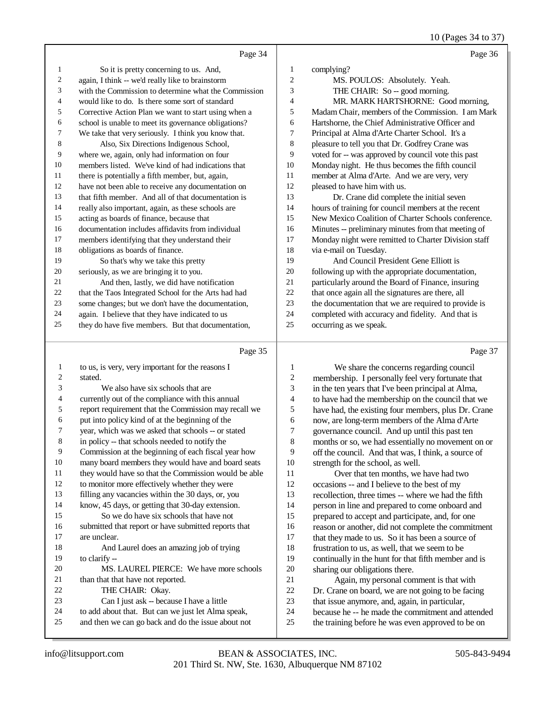#### 10 (Pages 34 to 37)

|    | Page 34                                              |    | Page 36                                              |
|----|------------------------------------------------------|----|------------------------------------------------------|
| 1  | So it is pretty concerning to us. And,               | 1  | complying?                                           |
| 2  | again, I think -- we'd really like to brainstorm     | 2  | MS. POULOS: Absolutely. Yeah.                        |
| 3  | with the Commission to determine what the Commission | 3  | THE CHAIR: So -- good morning.                       |
| 4  | would like to do. Is there some sort of standard     | 4  | MR. MARK HARTSHORNE: Good morning,                   |
| 5  | Corrective Action Plan we want to start using when a | 5  | Madam Chair, members of the Commission. I am Mark    |
| 6  | school is unable to meet its governance obligations? | 6  | Hartshorne, the Chief Administrative Officer and     |
| 7  | We take that very seriously. I think you know that.  | 7  | Principal at Alma d'Arte Charter School. It's a      |
| 8  | Also, Six Directions Indigenous School,              | 8  | pleasure to tell you that Dr. Godfrey Crane was      |
| 9  | where we, again, only had information on four        | 9  | voted for -- was approved by council vote this past  |
| 10 | members listed. We've kind of had indications that   | 10 | Monday night. He thus becomes the fifth council      |
| 11 | there is potentially a fifth member, but, again,     | 11 | member at Alma d'Arte. And we are very, very         |
| 12 | have not been able to receive any documentation on   | 12 | pleased to have him with us.                         |
| 13 | that fifth member. And all of that documentation is  | 13 | Dr. Crane did complete the initial seven             |
| 14 | really also important, again, as these schools are   | 14 | hours of training for council members at the recent  |
| 15 | acting as boards of finance, because that            | 15 | New Mexico Coalition of Charter Schools conference.  |
| 16 | documentation includes affidavits from individual    | 16 | Minutes -- preliminary minutes from that meeting of  |
| 17 | members identifying that they understand their       | 17 | Monday night were remitted to Charter Division staff |
| 18 | obligations as boards of finance.                    | 18 | via e-mail on Tuesday.                               |
| 19 | So that's why we take this pretty                    | 19 | And Council President Gene Elliott is                |
| 20 | seriously, as we are bringing it to you.             | 20 | following up with the appropriate documentation,     |
| 21 | And then, lastly, we did have notification           | 21 | particularly around the Board of Finance, insuring   |
| 22 | that the Taos Integrated School for the Arts had had | 22 | that once again all the signatures are there, all    |
| 23 | some changes; but we don't have the documentation,   | 23 | the documentation that we are required to provide is |
| 24 | again. I believe that they have indicated to us      | 24 | completed with accuracy and fidelity. And that is    |
| 25 | they do have five members. But that documentation,   | 25 | occurring as we speak.                               |
|    |                                                      |    |                                                      |

#### Page 35

| $\mathbf{1}$   | to us, is very, very important for the reasons I     | 1              | We share the            |
|----------------|------------------------------------------------------|----------------|-------------------------|
| 2              | stated.                                              | $\overline{2}$ | membership. I pers      |
| 3              | We also have six schools that are                    | 3              | in the ten years that   |
| $\overline{4}$ | currently out of the compliance with this annual     | $\overline{4}$ | to have had the mem     |
| 5              | report requirement that the Commission may recall we | 5              | have had, the existin   |
| 6              | put into policy kind of at the beginning of the      | 6              | now, are long-term in   |
| 7              | year, which was we asked that schools -- or stated   | 7              | governance council.     |
| $\,8\,$        | in policy -- that schools needed to notify the       | 8              | months or so, we ha     |
| 9              | Commission at the beginning of each fiscal year how  | 9              | off the council. And    |
| 10             | many board members they would have and board seats   | 10             | strength for the scho   |
| 11             | they would have so that the Commission would be able | 11             | Over that ten           |
| 12             | to monitor more effectively whether they were        | 12             | occasions -- and I be   |
| 13             | filling any vacancies within the 30 days, or, you    | 13             | recollection, three tir |
| 14             | know, 45 days, or getting that 30-day extension.     | 14             | person in line and pr   |
| 15             | So we do have six schools that have not              | 15             | prepared to accept a    |
| 16             | submitted that report or have submitted reports that | 16             | reason or another, di   |
| 17             | are unclear.                                         | 17             | that they made to us.   |
| 18             | And Laurel does an amazing job of trying             | 18             | frustration to us, as v |
| 19             | to clarify --                                        | 19             | continually in the hu   |
| 20             | MS. LAUREL PIERCE: We have more schools              | 20             | sharing our obligation  |
| 21             | than that that have not reported.                    | 21             | Again, my per           |
| 22             | THE CHAIR: Okay.                                     | 22             | Dr. Crane on board,     |
| 23             | Can I just ask -- because I have a little            | 23             | that issue anymore,     |
| 24             | to add about that. But can we just let Alma speak,   | 24             | because he -- he ma     |
| 25             | and then we can go back and do the issue about not   | 25             | the training before h   |
|                |                                                      |                |                         |

concerns regarding council onally feel very fortunate that I've been principal at Alma, hed that we had the council that we g four members, plus Dr. Crane members of the Alma d'Arte And up until this past ten d essentially no movement on or that was, I think, a source of ool, as well. months, we have had two elieve to the best of my mes -- where we had the fifth repared to come onboard and and participate, and, for one id not complete the commitment So it has been a source of

well, that we seem to be int for that fifth member and is ons there. rsonal comment is that with

we are not going to be facing

- and, again, in particular,
- de the commitment and attended
- e was even approved to be on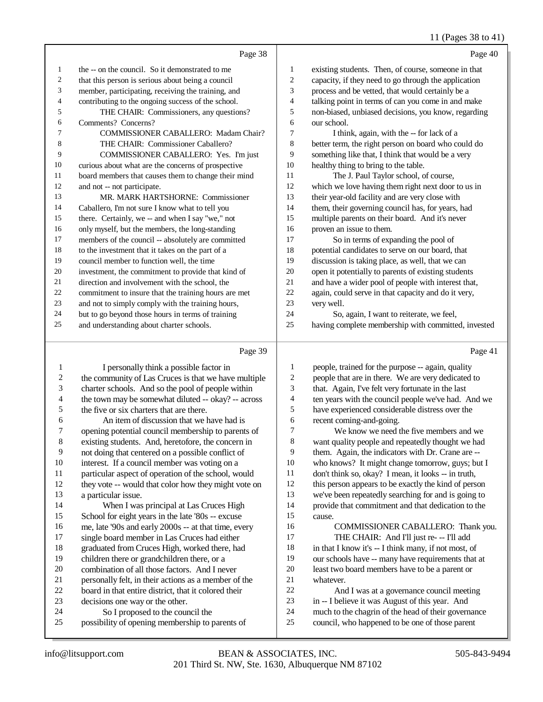### 11 (Pages 38 to 41)

|    | Page 38                                              |    | Page 40                                              |
|----|------------------------------------------------------|----|------------------------------------------------------|
| 1  | the -- on the council. So it demonstrated to me      | 1  | existing students. Then, of course, someone in that  |
| 2  | that this person is serious about being a council    | 2  | capacity, if they need to go through the application |
| 3  | member, participating, receiving the training, and   | 3  | process and be vetted, that would certainly be a     |
| 4  | contributing to the ongoing success of the school.   | 4  | talking point in terms of can you come in and make   |
| 5  | THE CHAIR: Commissioners, any questions?             | 5  | non-biased, unbiased decisions, you know, regarding  |
| 6  | Comments? Concerns?                                  | 6  | our school.                                          |
| 7  | <b>COMMISSIONER CABALLERO: Madam Chair?</b>          | 7  | I think, again, with the -- for lack of a            |
| 8  | THE CHAIR: Commissioner Caballero?                   | 8  | better term, the right person on board who could do  |
| 9  | COMMISSIONER CABALLERO: Yes. I'm just                | 9  | something like that, I think that would be a very    |
| 10 | curious about what are the concerns of prospective   | 10 | healthy thing to bring to the table.                 |
| 11 | board members that causes them to change their mind  | 11 | The J. Paul Taylor school, of course,                |
| 12 | and not -- not participate.                          | 12 | which we love having them right next door to us in   |
| 13 | MR. MARK HARTSHORNE: Commissioner                    | 13 | their year-old facility and are very close with      |
| 14 | Caballero, I'm not sure I know what to tell you      | 14 | them, their governing council has, for years, had    |
| 15 | there. Certainly, we -- and when I say "we," not     | 15 | multiple parents on their board. And it's never      |
| 16 | only myself, but the members, the long-standing      | 16 | proven an issue to them.                             |
| 17 | members of the council -- absolutely are committed   | 17 | So in terms of expanding the pool of                 |
| 18 | to the investment that it takes on the part of a     | 18 | potential candidates to serve on our board, that     |
| 19 | council member to function well, the time            | 19 | discussion is taking place, as well, that we can     |
| 20 | investment, the commitment to provide that kind of   | 20 | open it potentially to parents of existing students  |
| 21 | direction and involvement with the school, the       | 21 | and have a wider pool of people with interest that,  |
| 22 | commitment to insure that the training hours are met | 22 | again, could serve in that capacity and do it very,  |
| 23 | and not to simply comply with the training hours,    | 23 | very well.                                           |
| 24 | but to go beyond those hours in terms of training    | 24 | So, again, I want to reiterate, we feel,             |
| 25 | and understanding about charter schools.             | 25 | having complete membership with committed, invested  |

|    | Page 39                                              |    | Page 41                                              |
|----|------------------------------------------------------|----|------------------------------------------------------|
| 1  | I personally think a possible factor in              | 1  | people, trained for the purpose -- again, quality    |
| 2  | the community of Las Cruces is that we have multiple | 2  | people that are in there. We are very dedicated to   |
| 3  | charter schools. And so the pool of people within    | 3  | that. Again, I've felt very fortunate in the last    |
| 4  | the town may be somewhat diluted -- okay? -- across  | 4  | ten years with the council people we've had. And we  |
| 5  | the five or six charters that are there.             | 5  | have experienced considerable distress over the      |
| 6  | An item of discussion that we have had is            | 6  | recent coming-and-going.                             |
| 7  | opening potential council membership to parents of   | 7  | We know we need the five members and we              |
| 8  | existing students. And, heretofore, the concern in   | 8  | want quality people and repeatedly thought we had    |
| 9  | not doing that centered on a possible conflict of    | 9  | them. Again, the indicators with Dr. Crane are --    |
| 10 | interest. If a council member was voting on a        | 10 | who knows? It might change tomorrow, guys; but I     |
| 11 | particular aspect of operation of the school, would  | 11 | don't think so, okay? I mean, it looks -- in truth,  |
| 12 | they vote -- would that color how they might vote on | 12 | this person appears to be exactly the kind of person |
| 13 | a particular issue.                                  | 13 | we've been repeatedly searching for and is going to  |
| 14 | When I was principal at Las Cruces High              | 14 | provide that commitment and that dedication to the   |
| 15 | School for eight years in the late '80s -- excuse    | 15 | cause.                                               |
| 16 | me, late '90s and early 2000s -- at that time, every | 16 | COMMISSIONER CABALLERO: Thank you.                   |
| 17 | single board member in Las Cruces had either         | 17 | THE CHAIR: And I'll just re- -- I'll add             |
| 18 | graduated from Cruces High, worked there, had        | 18 | in that I know it's -- I think many, if not most, of |
| 19 | children there or grandchildren there, or a          | 19 | our schools have -- many have requirements that at   |
| 20 | combination of all those factors. And I never        | 20 | least two board members have to be a parent or       |
| 21 | personally felt, in their actions as a member of the | 21 | whatever.                                            |
| 22 | board in that entire district, that it colored their | 22 | And I was at a governance council meeting            |
| 23 | decisions one way or the other.                      | 23 | in -- I believe it was August of this year. And      |
| 24 | So I proposed to the council the                     | 24 | much to the chagrin of the head of their governance  |
| 25 | possibility of opening membership to parents of      | 25 | council, who happened to be one of those parent      |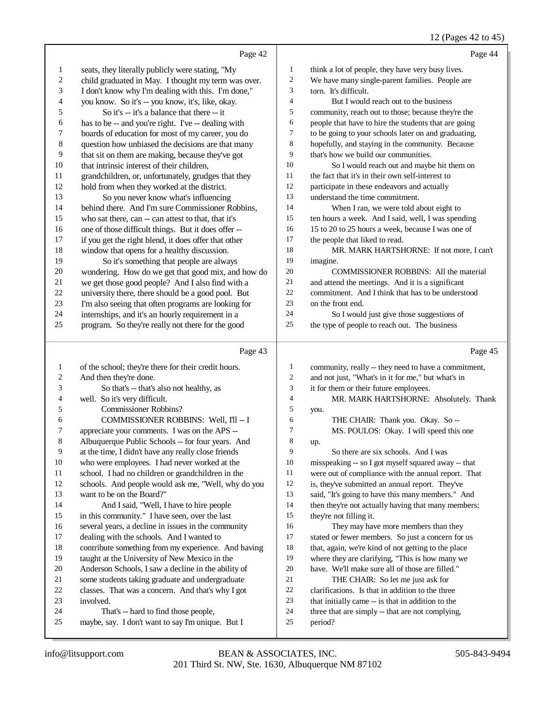### 12 (Pages 42 to 45)

|                  | Page 42                                                                                   |                          | Page 44                                                                                                    |
|------------------|-------------------------------------------------------------------------------------------|--------------------------|------------------------------------------------------------------------------------------------------------|
| 1                | seats, they literally publicly were stating, "My                                          | $\mathbf{1}$             | think a lot of people, they have very busy lives.                                                          |
| $\boldsymbol{2}$ | child graduated in May. I thought my term was over.                                       | $\overline{c}$           | We have many single-parent families. People are                                                            |
| 3                | I don't know why I'm dealing with this. I'm done,"                                        | 3                        | torn. It's difficult.                                                                                      |
| 4                | you know. So it's -- you know, it's, like, okay.                                          | $\overline{\mathcal{L}}$ | But I would reach out to the business                                                                      |
| 5                | So it's -- it's a balance that there -- it                                                | 5                        | community, reach out to those; because they're the                                                         |
| 6                | has to be -- and you're right. I've -- dealing with                                       | 6                        | people that have to hire the students that are going                                                       |
| 7                | boards of education for most of my career, you do                                         | 7                        | to be going to your schools later on and graduating,                                                       |
| $\,8\,$          | question how unbiased the decisions are that many                                         | 8                        | hopefully, and staying in the community. Because                                                           |
| 9                | that sit on them are making, because they've got                                          | 9                        | that's how we build our communities.                                                                       |
| 10               | that intrinsic interest of their children,                                                | 10                       | So I would reach out and maybe hit them on                                                                 |
| 11               | grandchildren, or, unfortunately, grudges that they                                       | 11                       | the fact that it's in their own self-interest to                                                           |
| $12\,$           | hold from when they worked at the district.                                               | 12                       | participate in these endeavors and actually                                                                |
| 13               | So you never know what's influencing                                                      | 13                       | understand the time commitment.                                                                            |
| 14               | behind there. And I'm sure Commissioner Robbins,                                          | 14                       | When I ran, we were told about eight to                                                                    |
| 15               | who sat there, can -- can attest to that, that it's                                       | 15                       | ten hours a week. And I said, well, I was spending                                                         |
| 16               | one of those difficult things. But it does offer --                                       | 16                       | 15 to 20 to 25 hours a week, because I was one of                                                          |
| 17               | if you get the right blend, it does offer that other                                      | 17                       | the people that liked to read.                                                                             |
| 18               | window that opens for a healthy discussion.                                               | 18                       | MR. MARK HARTSHORNE: If not more, I can't                                                                  |
| 19               | So it's something that people are always                                                  | 19                       | imagine.                                                                                                   |
| 20               | wondering. How do we get that good mix, and how do                                        | $20\,$                   | COMMISSIONER ROBBINS: All the material                                                                     |
| 21               | we get those good people? And I also find with a                                          | 21                       | and attend the meetings. And it is a significant                                                           |
| $22\,$           | university there, there should be a good pool. But                                        | 22                       | commitment. And I think that has to be understood                                                          |
| 23               | I'm also seeing that often programs are looking for                                       | 23                       | on the front end.                                                                                          |
| 24               | internships, and it's an hourly requirement in a                                          | 24                       | So I would just give those suggestions of                                                                  |
| 25               | program. So they're really not there for the good                                         | 25                       | the type of people to reach out. The business                                                              |
|                  |                                                                                           |                          |                                                                                                            |
|                  | Page 43                                                                                   |                          | Page 45                                                                                                    |
| 1                |                                                                                           | $\mathbf{1}$             |                                                                                                            |
| 2                | of the school; they're there for their credit hours.<br>And then they're done.            | $\boldsymbol{2}$         | community, really -- they need to have a commitment,<br>and not just, "What's in it for me," but what's in |
| 3                | So that's -- that's also not healthy, as                                                  | $\mathfrak{Z}$           | it for them or their future employees.                                                                     |
| 4                | well. So it's very difficult.                                                             | $\overline{\mathcal{L}}$ | MR. MARK HARTSHORNE: Absolutely. Thank                                                                     |
| 5                | <b>Commissioner Robbins?</b>                                                              | 5                        | you.                                                                                                       |
| 6                | COMMISSIONER ROBBINS: Well, I'll -- I                                                     | 6                        | THE CHAIR: Thank you. Okay. So --                                                                          |
| 7                | appreciate your comments. I was on the APS --                                             | 7                        | MS. POULOS: Okay. I will speed this one                                                                    |
| 8                | Albuquerque Public Schools -- for four years. And                                         | 8                        | up.                                                                                                        |
| 9                | at the time, I didn't have any really close friends                                       | 9                        | So there are six schools. And I was                                                                        |
| 10               | who were employees. I had never worked at the                                             | 10                       | misspeaking -- so I got myself squared away -- that                                                        |
| 11               | school. I had no children or grandchildren in the                                         | 11                       | were out of compliance with the annual report. That                                                        |
| 12               | schools. And people would ask me, "Well, why do you                                       | 12                       | is, they've submitted an annual report. They've                                                            |
| 13               | want to be on the Board?"                                                                 | 13                       | said, "It's going to have this many members." And                                                          |
| 14               | And I said, "Well, I have to hire people                                                  | 14                       | then they're not actually having that many members;                                                        |
| 15               | in this community." I have seen, over the last                                            | 15                       | they're not filling it.                                                                                    |
| 16               | several years, a decline in issues in the community                                       | 16                       | They may have more members than they                                                                       |
| 17               | dealing with the schools. And I wanted to                                                 | 17                       | stated or fewer members. So just a concern for us                                                          |
| 18               | contribute something from my experience. And having                                       | 18                       | that, again, we're kind of not getting to the place                                                        |
| 19               | taught at the University of New Mexico in the                                             | 19                       | where they are clarifying, "This is how many we                                                            |
| 20               | Anderson Schools, I saw a decline in the ability of                                       | 20                       | have. We'll make sure all of those are filled."                                                            |
| 21               | some students taking graduate and undergraduate                                           | 21                       | THE CHAIR: So let me just ask for                                                                          |
| 22               | classes. That was a concern. And that's why I got                                         | 22                       | clarifications. Is that in addition to the three                                                           |
| 23               | involved.                                                                                 | 23                       | that initially came -- is that in addition to the                                                          |
| 24<br>25         | That's -- hard to find those people,<br>maybe, say. I don't want to say I'm unique. But I | 24<br>25                 | three that are simply -- that are not complying,<br>period?                                                |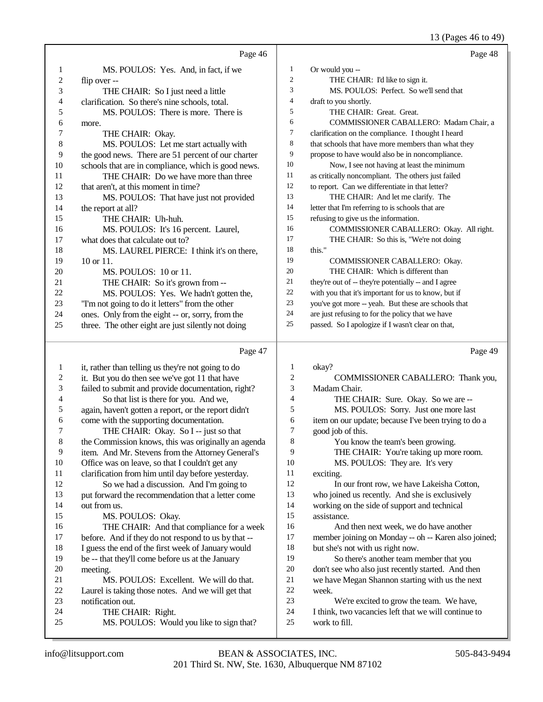13 (Pages 46 to 49)

|                | Page 46                                             |                | Page 48                                              |
|----------------|-----------------------------------------------------|----------------|------------------------------------------------------|
| 1              | MS. POULOS: Yes. And, in fact, if we                | 1              | Or would you --                                      |
| 2              | flip over --                                        | $\overline{c}$ | THE CHAIR: I'd like to sign it.                      |
| 3              | THE CHAIR: So I just need a little                  | 3              | MS. POULOS: Perfect. So we'll send that              |
| $\overline{4}$ | clarification. So there's nine schools, total.      | 4              | draft to you shortly.                                |
| 5              | MS. POULOS: There is more. There is                 | 5              | THE CHAIR: Great. Great.                             |
| 6              | more.                                               | 6              | COMMISSIONER CABALLERO: Madam Chair, a               |
| 7              | THE CHAIR: Okay.                                    | $\tau$         | clarification on the compliance. I thought I heard   |
| $\,8\,$        | MS. POULOS: Let me start actually with              | 8              | that schools that have more members than what they   |
| 9              | the good news. There are 51 percent of our charter  | 9              | propose to have would also be in noncompliance.      |
| 10             | schools that are in compliance, which is good news. | 10             | Now, I see not having at least the minimum           |
| 11             | THE CHAIR: Do we have more than three               | 11             | as critically noncompliant. The others just failed   |
| 12             | that aren't, at this moment in time?                | 12             | to report. Can we differentiate in that letter?      |
| 13             | MS. POULOS: That have just not provided             | 13             | THE CHAIR: And let me clarify. The                   |
| 14             | the report at all?                                  | 14             | letter that I'm referring to is schools that are     |
| 15             | THE CHAIR: Uh-huh.                                  | 15             | refusing to give us the information.                 |
| 16             | MS. POULOS: It's 16 percent. Laurel,                | 16             | COMMISSIONER CABALLERO: Okay. All right.             |
| 17             | what does that calculate out to?                    | 17             | THE CHAIR: So this is, "We're not doing              |
| 18             | MS. LAUREL PIERCE: I think it's on there,           | 18             | this."                                               |
| 19             | $10$ or $11$ .                                      | 19             | COMMISSIONER CABALLERO: Okay.                        |
| 20             | MS. POULOS: 10 or 11.                               | 20             | THE CHAIR: Which is different than                   |
| 21             | THE CHAIR: So it's grown from --                    | 21             | they're out of -- they're potentially -- and I agree |
| 22             | MS. POULOS: Yes. We hadn't gotten the,              | 22             | with you that it's important for us to know, but if  |
| 23             | "I'm not going to do it letters" from the other     | 23             | you've got more -- yeah. But these are schools that  |
| 24             | ones. Only from the eight -- or, sorry, from the    | 24             | are just refusing to for the policy that we have     |
| 25             | three. The other eight are just silently not doing  | 25             | passed. So I apologize if I wasn't clear on that,    |
|                | Page 47                                             |                | Page 49                                              |
| 1              | it, rather than telling us they're not going to do  | 1              | okay?                                                |
| $\overline{c}$ | it. But you do then see we've got 11 that have      | $\overline{c}$ | COMMISSIONER CABALLERO: Thank you,                   |
|                |                                                     |                |                                                      |

| 2  | it. But you do then see we've got 11 that have       | 2  | COMMISSIONER CABALLERO: Thank you,                   |
|----|------------------------------------------------------|----|------------------------------------------------------|
| 3  | failed to submit and provide documentation, right?   | 3  | Madam Chair.                                         |
| 4  | So that list is there for you. And we,               | 4  | THE CHAIR: Sure. Okay. So we are --                  |
| 5  | again, haven't gotten a report, or the report didn't | 5  | MS. POULOS: Sorry. Just one more last                |
| 6  | come with the supporting documentation.              | 6  | item on our update; because I've been trying to do a |
| 7  | THE CHAIR: Okay. So I -- just so that                | 7  | good job of this.                                    |
| 8  | the Commission knows, this was originally an agenda  | 8  | You know the team's been growing.                    |
| 9  | item. And Mr. Stevens from the Attorney General's    | 9  | THE CHAIR: You're taking up more room.               |
| 10 | Office was on leave, so that I couldn't get any      | 10 | MS. POULOS: They are. It's very                      |
| 11 | clarification from him until day before yesterday.   | 11 | exciting.                                            |
| 12 | So we had a discussion. And I'm going to             | 12 | In our front row, we have Lakeisha Cotton,           |
| 13 | put forward the recommendation that a letter come    | 13 | who joined us recently. And she is exclusively       |
| 14 | out from us.                                         | 14 | working on the side of support and technical         |
| 15 | MS. POULOS: Okay.                                    | 15 | assistance.                                          |
| 16 | THE CHAIR: And that compliance for a week            | 16 | And then next week, we do have another               |
| 17 | before. And if they do not respond to us by that --  | 17 | member joining on Monday -- oh -- Karen also joined; |
| 18 | I guess the end of the first week of January would   | 18 | but she's not with us right now.                     |
| 19 | be -- that they'll come before us at the January     | 19 | So there's another team member that you              |
| 20 | meeting.                                             | 20 | don't see who also just recently started. And then   |
| 21 | MS. POULOS: Excellent. We will do that.              | 21 | we have Megan Shannon starting with us the next      |
| 22 | Laurel is taking those notes. And we will get that   | 22 | week.                                                |
| 23 | notification out.                                    | 23 | We're excited to grow the team. We have,             |
| 24 | THE CHAIR: Right.                                    | 24 | I think, two vacancies left that we will continue to |
| 25 | MS. POULOS: Would you like to sign that?             | 25 | work to fill.                                        |
|    |                                                      |    |                                                      |
|    |                                                      |    |                                                      |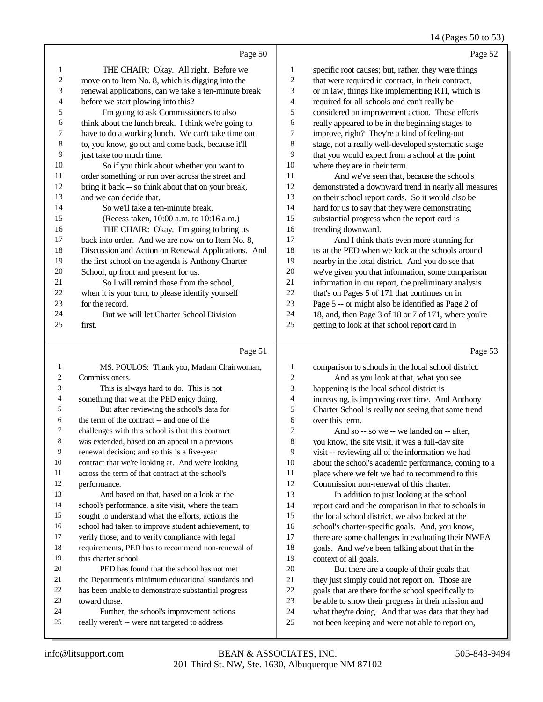#### 14 (Pages 50 to 53)

|                |                                                      |                | .                                                    |
|----------------|------------------------------------------------------|----------------|------------------------------------------------------|
|                | Page 50                                              |                | Page 52                                              |
| 1              | THE CHAIR: Okay. All right. Before we                | 1              | specific root causes; but, rather, they were things  |
| $\overline{c}$ | move on to Item No. 8, which is digging into the     | $\overline{c}$ | that were required in contract, in their contract,   |
| 3              | renewal applications, can we take a ten-minute break | 3              | or in law, things like implementing RTI, which is    |
| 4              | before we start plowing into this?                   | $\overline{4}$ | required for all schools and can't really be         |
| 5              | I'm going to ask Commissioners to also               | 5              | considered an improvement action. Those efforts      |
| 6              | think about the lunch break. I think we're going to  | 6              | really appeared to be in the beginning stages to     |
| 7              | have to do a working lunch. We can't take time out   | 7              | improve, right? They're a kind of feeling-out        |
| 8              | to, you know, go out and come back, because it'll    | 8              | stage, not a really well-developed systematic stage  |
| 9              | just take too much time.                             | 9              | that you would expect from a school at the point     |
| 10             | So if you think about whether you want to            | 10             | where they are in their term.                        |
| 11             | order something or run over across the street and    | 11             | And we've seen that, because the school's            |
| 12             | bring it back -- so think about that on your break,  | 12             | demonstrated a downward trend in nearly all measures |
| 13             | and we can decide that.                              | 13             | on their school report cards. So it would also be    |
| 14             | So we'll take a ten-minute break.                    | 14             | hard for us to say that they were demonstrating      |
| 15             | (Recess taken, 10:00 a.m. to 10:16 a.m.)             | 15             | substantial progress when the report card is         |
| 16             | THE CHAIR: Okay. I'm going to bring us               | 16             | trending downward.                                   |
| 17             | back into order. And we are now on to Item No. 8,    | 17             | And I think that's even more stunning for            |
| 18             | Discussion and Action on Renewal Applications. And   | 18             | us at the PED when we look at the schools around     |
| 19             | the first school on the agenda is Anthony Charter    | 19             | nearby in the local district. And you do see that    |
| 20             | School, up front and present for us.                 | 20             | we've given you that information, some comparison    |
| 21             | So I will remind those from the school,              | 21             | information in our report, the preliminary analysis  |
| $22\,$         | when it is your turn, to please identify yourself    | 22             | that's on Pages 5 of 171 that continues on in        |
| 23             | for the record.                                      | 23             | Page 5 -- or might also be identified as Page 2 of   |
| 24             | But we will let Charter School Division              | 24             | 18, and, then Page 3 of 18 or 7 of 171, where you're |
| 25             | first.                                               | 25             | getting to look at that school report card in        |
|                | Page 51                                              |                | Page 53                                              |

#### Page 51 |

| 1  | MS. POULOS: Thank you, Madam Chairwoman,            | 1              | comparison to schools in the local school district.  |
|----|-----------------------------------------------------|----------------|------------------------------------------------------|
| 2  | Commissioners.                                      | $\overline{c}$ | And as you look at that, what you see                |
| 3  | This is always hard to do. This is not              | 3              | happening is the local school district is            |
| 4  | something that we at the PED enjoy doing.           | $\overline{4}$ | increasing, is improving over time. And Anthony      |
| 5  | But after reviewing the school's data for           | 5              | Charter School is really not seeing that same trend  |
| 6  | the term of the contract -- and one of the          | 6              | over this term.                                      |
| 7  | challenges with this school is that this contract   | $\overline{7}$ | And so -- so we -- we landed on -- after,            |
| 8  | was extended, based on an appeal in a previous      | 8              | you know, the site visit, it was a full-day site     |
| 9  | renewal decision; and so this is a five-year        | 9              | visit -- reviewing all of the information we had     |
| 10 | contract that we're looking at. And we're looking   | 10             | about the school's academic performance, coming to a |
| 11 | across the term of that contract at the school's    | 11             | place where we felt we had to recommend to this      |
| 12 | performance.                                        | 12             | Commission non-renewal of this charter.              |
| 13 | And based on that, based on a look at the           | 13             | In addition to just looking at the school            |
| 14 | school's performance, a site visit, where the team  | 14             | report card and the comparison in that to schools in |
| 15 | sought to understand what the efforts, actions the  | 15             | the local school district, we also looked at the     |
| 16 | school had taken to improve student achievement, to | 16             | school's charter-specific goals. And, you know,      |
| 17 | verify those, and to verify compliance with legal   | 17             | there are some challenges in evaluating their NWEA   |
| 18 | requirements, PED has to recommend non-renewal of   | 18             | goals. And we've been talking about that in the      |
| 19 | this charter school.                                | 19             | context of all goals.                                |
| 20 | PED has found that the school has not met           | 20             | But there are a couple of their goals that           |
| 21 | the Department's minimum educational standards and  | 21             | they just simply could not report on. Those are      |
| 22 | has been unable to demonstrate substantial progress | 22             | goals that are there for the school specifically to  |
| 23 | toward those.                                       | 23             | be able to show their progress in their mission and  |
| 24 | Further, the school's improvement actions           | 24             | what they're doing. And that was data that they had  |
| 25 | really weren't -- were not targeted to address      | 25             | not been keeping and were not able to report on,     |
|    |                                                     |                |                                                      |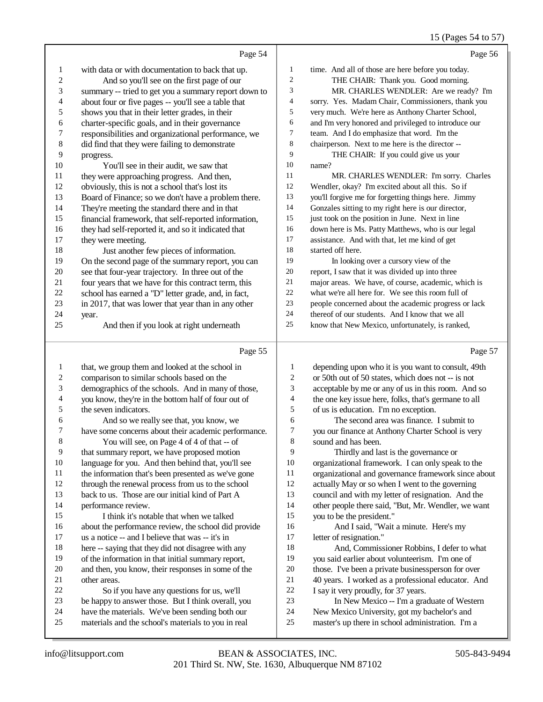### 15 (Pages 54 to 57)

|                         | Page 54                                                                                                |                  | Page 56                                                                                           |
|-------------------------|--------------------------------------------------------------------------------------------------------|------------------|---------------------------------------------------------------------------------------------------|
| $\mathbf{1}$            | with data or with documentation to back that up.                                                       | $\mathbf{1}$     | time. And all of those are here before you today.                                                 |
| $\overline{\mathbf{c}}$ | And so you'll see on the first page of our                                                             | $\overline{c}$   | THE CHAIR: Thank you. Good morning.                                                               |
| 3                       | summary -- tried to get you a summary report down to                                                   | 3                | MR. CHARLES WENDLER: Are we ready? I'm                                                            |
| 4                       | about four or five pages -- you'll see a table that                                                    | 4                | sorry. Yes. Madam Chair, Commissioners, thank you                                                 |
| 5                       | shows you that in their letter grades, in their                                                        | 5                | very much. We're here as Anthony Charter School,                                                  |
| 6                       | charter-specific goals, and in their governance                                                        | 6                | and I'm very honored and privileged to introduce our                                              |
| 7                       | responsibilities and organizational performance, we                                                    | 7                | team. And I do emphasize that word. I'm the                                                       |
| 8                       | did find that they were failing to demonstrate                                                         | 8                | chairperson. Next to me here is the director --                                                   |
| 9                       | progress.                                                                                              | 9                | THE CHAIR: If you could give us your                                                              |
| 10                      | You'll see in their audit, we saw that                                                                 | 10               | name?                                                                                             |
| 11                      | they were approaching progress. And then,                                                              | 11               | MR. CHARLES WENDLER: I'm sorry. Charles                                                           |
| 12                      | obviously, this is not a school that's lost its                                                        | 12               | Wendler, okay? I'm excited about all this. So if                                                  |
| 13                      | Board of Finance; so we don't have a problem there.                                                    | 13               | you'll forgive me for forgetting things here. Jimmy                                               |
| 14                      | They're meeting the standard there and in that                                                         | 14               | Gonzales sitting to my right here is our director,                                                |
| 15                      | financial framework, that self-reported information,                                                   | 15               | just took on the position in June. Next in line                                                   |
| 16                      | they had self-reported it, and so it indicated that                                                    | 16               | down here is Ms. Patty Matthews, who is our legal                                                 |
| 17                      | they were meeting.                                                                                     | 17               | assistance. And with that, let me kind of get                                                     |
| 18                      | Just another few pieces of information.                                                                | 18               | started off here.                                                                                 |
| 19                      | On the second page of the summary report, you can                                                      | 19               | In looking over a cursory view of the                                                             |
| 20                      | see that four-year trajectory. In three out of the                                                     | 20               | report, I saw that it was divided up into three                                                   |
| 21                      | four years that we have for this contract term, this                                                   | 21               | major areas. We have, of course, academic, which is                                               |
| $22\,$                  | school has earned a "D" letter grade, and, in fact,                                                    | $22\,$           | what we're all here for. We see this room full of                                                 |
| 23                      | in 2017, that was lower that year than in any other                                                    | 23<br>24         | people concerned about the academic progress or lack                                              |
| 24<br>25                | year.                                                                                                  | 25               | thereof of our students. And I know that we all                                                   |
|                         | And then if you look at right underneath                                                               |                  | know that New Mexico, unfortunately, is ranked,                                                   |
|                         |                                                                                                        |                  |                                                                                                   |
|                         | Page 55                                                                                                |                  | Page 57                                                                                           |
| $\mathbf{1}$            | that, we group them and looked at the school in                                                        | $\mathbf{1}$     | depending upon who it is you want to consult, 49th                                                |
| $\overline{\mathbf{c}}$ | comparison to similar schools based on the                                                             | $\boldsymbol{2}$ | or 50th out of 50 states, which does not -- is not                                                |
| 3                       | demographics of the schools. And in many of those,                                                     | 3                | acceptable by me or any of us in this room. And so                                                |
| 4                       | you know, they're in the bottom half of four out of                                                    | 4                | the one key issue here, folks, that's germane to all                                              |
| 5                       | the seven indicators.                                                                                  | 5                | of us is education. I'm no exception.                                                             |
| 6                       | And so we really see that, you know, we                                                                | 6                | The second area was finance. I submit to                                                          |
| 7                       | have some concerns about their academic performance.                                                   | 7                | you our finance at Anthony Charter School is very                                                 |
| 8                       | You will see, on Page 4 of 4 of that -- of                                                             | $\,$ 8 $\,$      | sound and has been.                                                                               |
| 9                       | that summary report, we have proposed motion                                                           | 9                | Thirdly and last is the governance or                                                             |
| 10                      | language for you. And then behind that, you'll see                                                     | 10               | organizational framework. I can only speak to the                                                 |
| 11                      | the information that's been presented as we've gone                                                    | 11               | organizational and governance framework since about                                               |
| 12                      | through the renewal process from us to the school                                                      | 12               | actually May or so when I went to the governing                                                   |
| 13                      | back to us. Those are our initial kind of Part A                                                       | 13               | council and with my letter of resignation. And the                                                |
| 14                      | performance review.                                                                                    | 14               | other people there said, "But, Mr. Wendler, we want                                               |
| 15                      | I think it's notable that when we talked                                                               | 15               | you to be the president."                                                                         |
| 16                      | about the performance review, the school did provide                                                   | 16               | And I said, "Wait a minute. Here's my                                                             |
| 17                      | us a notice -- and I believe that was -- it's in                                                       | $17\,$           | letter of resignation."                                                                           |
| 18                      | here -- saying that they did not disagree with any                                                     | 18               | And, Commissioner Robbins, I defer to what                                                        |
| 19                      | of the information in that initial summary report,                                                     | 19               | you said earlier about volunteerism. I'm one of                                                   |
| 20                      | and then, you know, their responses in some of the                                                     | $20\,$           | those. I've been a private businessperson for over                                                |
| 21                      | other areas.                                                                                           | $21\,$           | 40 years. I worked as a professional educator. And                                                |
| $22\,$                  | So if you have any questions for us, we'll                                                             | $22\,$           | I say it very proudly, for 37 years.                                                              |
| 23                      | be happy to answer those. But I think overall, you                                                     | 23               | In New Mexico -- I'm a graduate of Western                                                        |
| 24<br>25                | have the materials. We've been sending both our<br>materials and the school's materials to you in real | 24<br>25         | New Mexico University, got my bachelor's and<br>master's up there in school administration. I'm a |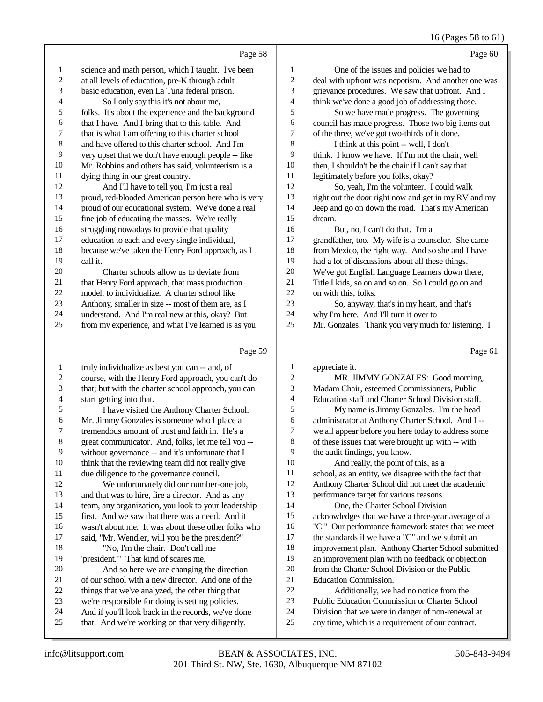#### 16 (Pages 58 to 61)

Page 58 science and math person, which I taught. I've been at all levels of education, pre-K through adult basic education, even La Tuna federal prison. 4 So I only say this it's not about me,<br>5 folks. It's about the experience and the ba folks. It's about the experience and the background 6 that I have. And I bring that to this table. And<br>
7 that is what I am offering to this charter school that is what I am offering to this charter school and have offered to this charter school. And I'm very upset that we don't have enough people -- like Mr. Robbins and others has said, volunteerism is a 11 dying thing in our great country.<br>12 And I'll have to tell you I'll And I'll have to tell you, I'm just a real proud, red-blooded American person here who is very proud of our educational system. We've done a real 15 fine job of educating the masses. We're really<br>16 struggling nowadays to provide that quality 16 struggling nowadays to provide that quality<br>17 education to each and every single individual 17 education to each and every single individual,<br>18 because we've taken the Henry Ford approach. because we've taken the Henry Ford approach, as I call it.<br>20 Charter schools allow us to deviate from 21 that Henry Ford approach, that mass production<br>22 model to individualize A charter school like 22 model, to individualize. A charter school like<br>23 Anthony smaller in size -- most of them are a Anthony, smaller in size -- most of them are, as I 24 understand. And I'm real new at this, okay? But<br>25 from my experience and what I've learned is as we from my experience, and what I've learned is as you  $D_{\alpha\alpha\alpha}$  50 Page 60 One of the issues and policies we had to 2 deal with upfront was nepotism. And another one was<br>3 orievance procedures We saw that upfront And I grievance procedures. We saw that upfront. And I 4 think we've done a good job of addressing those.<br>5 So we have made progress. The governing So we have made progress. The governing 6 council has made progress. Those two big items out  $\sigma$  of the three we've got two-thirds of it done of the three, we've got two-thirds of it done. I think at this point -- well, I don't think. I know we have. If I'm not the chair, well then, I shouldn't be the chair if I can't say that 11 legitimately before you folks, okay?<br>12 So yeah I'm the volunteer I So, yeah, I'm the volunteer. I could walk right out the door right now and get in my RV and my Jeep and go on down the road. That's my American 15 dream.<br>16 F 16 But, no, I can't do that. I'm a<br>17 orandfather too My wife is a count grandfather, too. My wife is a counselor. She came from Mexico, the right way. And so she and I have 19 had a lot of discussions about all these things.<br>20 We've got English Language Learners down the We've got English Language Learners down there, Title I kids, so on and so on. So I could go on and 22 on with this, folks.<br>23 So anyway So, anyway, that's in my heart, and that's why I'm here. And I'll turn it over to Mr. Gonzales. Thank you very much for listening. I  $D_{0}$ go 61

|    | $I$ age $JZ$                                        |                | r age ui                                             |
|----|-----------------------------------------------------|----------------|------------------------------------------------------|
| 1  | truly individualize as best you can -- and, of      | 1              | appreciate it.                                       |
| 2  | course, with the Henry Ford approach, you can't do  | $\mathfrak{2}$ | MR. JIMMY GONZALES: Good morning,                    |
| 3  | that; but with the charter school approach, you can | 3              | Madam Chair, esteemed Commissioners, Public          |
| 4  | start getting into that.                            | $\overline{4}$ | Education staff and Charter School Division staff.   |
| 5  | I have visited the Anthony Charter School.          | 5              | My name is Jimmy Gonzales. I'm the head              |
| 6  | Mr. Jimmy Gonzales is someone who I place a         | 6              | administrator at Anthony Charter School. And I --    |
| 7  | tremendous amount of trust and faith in. He's a     | 7              | we all appear before you here today to address some  |
| 8  | great communicator. And, folks, let me tell you --  | 8              | of these issues that were brought up with -- with    |
| 9  | without governance -- and it's unfortunate that I   | 9              | the audit findings, you know.                        |
| 10 | think that the reviewing team did not really give   | 10             | And really, the point of this, as a                  |
| 11 | due diligence to the governance council.            | 11             | school, as an entity, we disagree with the fact that |
| 12 | We unfortunately did our number-one job,            | 12             | Anthony Charter School did not meet the academic     |
| 13 | and that was to hire, fire a director. And as any   | 13             | performance target for various reasons.              |
| 14 | team, any organization, you look to your leadership | 14             | One, the Charter School Division                     |
| 15 | first. And we saw that there was a need. And it     | 15             | acknowledges that we have a three-year average of a  |
| 16 | wasn't about me. It was about these other folks who | 16             | "C." Our performance framework states that we meet   |
| 17 | said, "Mr. Wendler, will you be the president?"     | 17             | the standards if we have a "C" and we submit an      |
| 18 | "No, I'm the chair. Don't call me                   | 18             | improvement plan. Anthony Charter School submitted   |
| 19 | 'president." That kind of scares me.                | 19             | an improvement plan with no feedback or objection    |
| 20 | And so here we are changing the direction           | 20             | from the Charter School Division or the Public       |
| 21 | of our school with a new director. And one of the   | 21             | <b>Education Commission.</b>                         |
| 22 | things that we've analyzed, the other thing that    | 22             | Additionally, we had no notice from the              |
| 23 | we're responsible for doing is setting policies.    | 23             | Public Education Commission or Charter School        |
| 24 | And if you'll look back in the records, we've done  | 24             | Division that we were in danger of non-renewal at    |
| 25 | that. And we're working on that very diligently.    | 25             | any time, which is a requirement of our contract.    |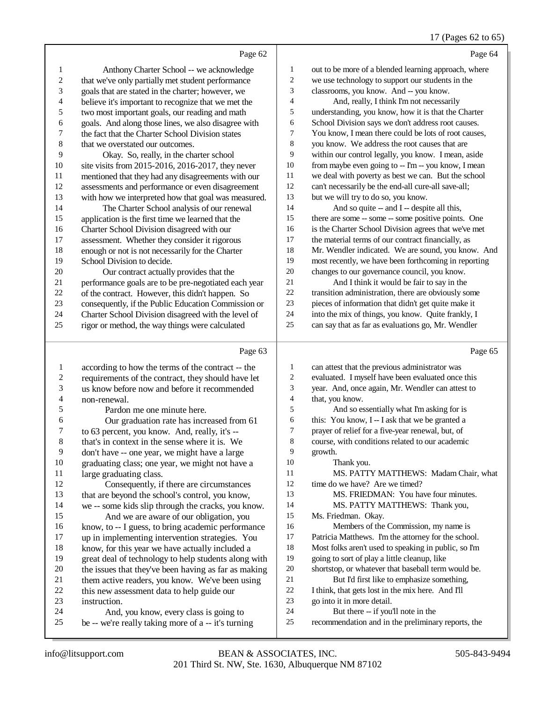### 17 (Pages 62 to 65)

|                          | Page 62                                                                                                 |              | Page 64                                                                                                  |
|--------------------------|---------------------------------------------------------------------------------------------------------|--------------|----------------------------------------------------------------------------------------------------------|
| 1                        | Anthony Charter School -- we acknowledge                                                                | 1            | out to be more of a blended learning approach, where                                                     |
| $\sqrt{2}$               | that we've only partially met student performance                                                       | 2            | we use technology to support our students in the                                                         |
| 3                        | goals that are stated in the charter; however, we                                                       | 3            | classrooms, you know. And -- you know.                                                                   |
| $\overline{4}$           | believe it's important to recognize that we met the                                                     | 4            | And, really, I think I'm not necessarily                                                                 |
| 5                        | two most important goals, our reading and math                                                          | 5            | understanding, you know, how it is that the Charter                                                      |
| 6                        | goals. And along those lines, we also disagree with                                                     | 6            | School Division says we don't address root causes.                                                       |
| $\tau$                   | the fact that the Charter School Division states                                                        | 7            | You know, I mean there could be lots of root causes,                                                     |
| $\,$ 8 $\,$              | that we overstated our outcomes.                                                                        | $\,8\,$      | you know. We address the root causes that are                                                            |
| 9                        | Okay. So, really, in the charter school                                                                 | 9            | within our control legally, you know. I mean, aside                                                      |
| $10\,$                   | site visits from 2015-2016, 2016-2017, they never                                                       | 10           | from maybe even going to -- I'm -- you know, I mean                                                      |
| 11                       | mentioned that they had any disagreements with our                                                      | 11           | we deal with poverty as best we can. But the school                                                      |
| 12                       | assessments and performance or even disagreement                                                        | 12           | can't necessarily be the end-all cure-all save-all;                                                      |
| 13                       | with how we interpreted how that goal was measured.                                                     | 13           | but we will try to do so, you know.                                                                      |
| 14                       | The Charter School analysis of our renewal                                                              | 14           | And so quite -- and I -- despite all this,                                                               |
| 15                       | application is the first time we learned that the                                                       | 15           | there are some -- some -- some positive points. One                                                      |
| 16                       | Charter School Division disagreed with our                                                              | 16           | is the Charter School Division agrees that we've met                                                     |
| 17                       | assessment. Whether they consider it rigorous                                                           | 17           | the material terms of our contract financially, as                                                       |
| 18                       | enough or not is not necessarily for the Charter                                                        | 18           | Mr. Wendler indicated. We are sound, you know. And                                                       |
| 19                       | School Division to decide.                                                                              | 19           | most recently, we have been forthcoming in reporting                                                     |
| $20\,$                   | Our contract actually provides that the                                                                 | 20           | changes to our governance council, you know.                                                             |
| 21                       | performance goals are to be pre-negotiated each year                                                    | $21\,$       | And I think it would be fair to say in the                                                               |
| $22\,$                   | of the contract. However, this didn't happen. So                                                        | $22\,$       | transition administration, there are obviously some                                                      |
| 23                       | consequently, if the Public Education Commission or                                                     | $23\,$<br>24 | pieces of information that didn't get quite make it                                                      |
| 24<br>25                 | Charter School Division disagreed with the level of                                                     | 25           | into the mix of things, you know. Quite frankly, I<br>can say that as far as evaluations go, Mr. Wendler |
|                          | rigor or method, the way things were calculated                                                         |              |                                                                                                          |
|                          |                                                                                                         |              |                                                                                                          |
|                          | Page 63                                                                                                 |              | Page 65                                                                                                  |
| $\mathbf{1}$             |                                                                                                         | 1            | can attest that the previous administrator was                                                           |
| $\boldsymbol{2}$         | according to how the terms of the contract -- the<br>requirements of the contract, they should have let | 2            | evaluated. I myself have been evaluated once this                                                        |
| $\mathfrak{Z}$           | us know before now and before it recommended                                                            | 3            | year. And, once again, Mr. Wendler can attest to                                                         |
| $\overline{\mathcal{A}}$ | non-renewal.                                                                                            | 4            | that, you know.                                                                                          |
| 5                        | Pardon me one minute here.                                                                              | 5            | And so essentially what I'm asking for is                                                                |
| 6                        | Our graduation rate has increased from 61                                                               | 6            | this: You know, I -- I ask that we be granted a                                                          |
| 7                        | to 63 percent, you know. And, really, it's --                                                           | 7            | prayer of relief for a five-year renewal, but, of                                                        |
| 8                        | that's in context in the sense where it is. We                                                          | 8            | course, with conditions related to our academic                                                          |
| 9                        | don't have -- one year, we might have a large                                                           | 9            | growth.                                                                                                  |
| 10                       | graduating class; one year, we might not have a                                                         | 10           | Thank you.                                                                                               |
| 11                       | large graduating class.                                                                                 | 11           | MS. PATTY MATTHEWS: Madam Chair, what                                                                    |
| 12                       | Consequently, if there are circumstances                                                                | 12           | time do we have? Are we timed?                                                                           |
| 13                       | that are beyond the school's control, you know,                                                         | 13           | MS. FRIEDMAN: You have four minutes.                                                                     |
| 14                       | we -- some kids slip through the cracks, you know.                                                      | 14           | MS. PATTY MATTHEWS: Thank you,                                                                           |
| 15                       | And we are aware of our obligation, you                                                                 | 15           | Ms. Friedman. Okay.                                                                                      |
| 16                       | know, to -- I guess, to bring academic performance                                                      | 16           | Members of the Commission, my name is                                                                    |
| 17                       | up in implementing intervention strategies. You                                                         | 17           | Patricia Matthews. I'm the attorney for the school.                                                      |
| 18                       | know, for this year we have actually included a                                                         | 18           | Most folks aren't used to speaking in public, so I'm                                                     |
| 19                       | great deal of technology to help students along with                                                    | 19           | going to sort of play a little cleanup, like                                                             |
| 20                       | the issues that they've been having as far as making                                                    | 20<br>21     | shortstop, or whatever that baseball term would be.                                                      |
| 21<br>22                 | them active readers, you know. We've been using                                                         | 22           | But I'd first like to emphasize something,                                                               |
| 23                       | this new assessment data to help guide our                                                              | 23           | I think, that gets lost in the mix here. And I'll<br>go into it in more detail.                          |
| 24                       | instruction.<br>And, you know, every class is going to                                                  | 24           | But there -- if you'll note in the                                                                       |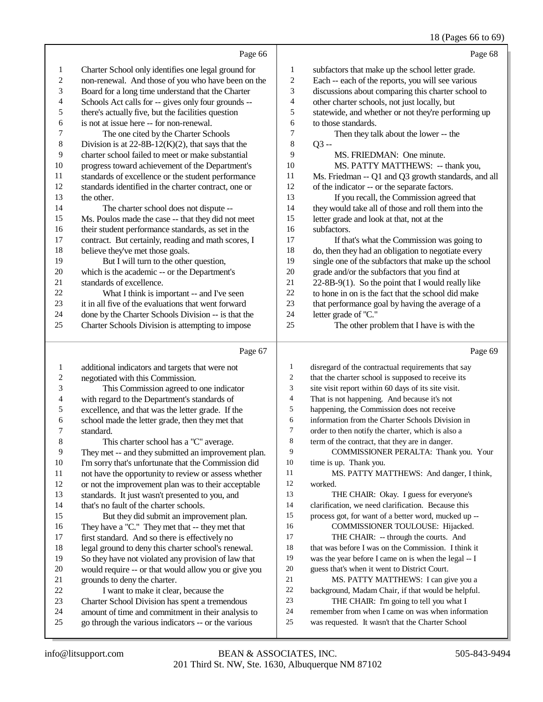### 18 (Pages 66 to 69)

|                         |                                                                                                      |                | $10^{11}$ $(10^{10}$ $10^{10}$ $10^{10}$                                                                 |
|-------------------------|------------------------------------------------------------------------------------------------------|----------------|----------------------------------------------------------------------------------------------------------|
|                         | Page 66                                                                                              |                | Page 68                                                                                                  |
| 1                       | Charter School only identifies one legal ground for                                                  | 1              | subfactors that make up the school letter grade.                                                         |
| 2                       | non-renewal. And those of you who have been on the                                                   | $\overline{c}$ | Each -- each of the reports, you will see various                                                        |
| 3                       | Board for a long time understand that the Charter                                                    | 3              | discussions about comparing this charter school to                                                       |
| 4                       | Schools Act calls for -- gives only four grounds --                                                  | 4              | other charter schools, not just locally, but                                                             |
| 5                       | there's actually five, but the facilities question                                                   | 5              | statewide, and whether or not they're performing up                                                      |
| 6                       | is not at issue here -- for non-renewal.                                                             | 6              | to those standards.                                                                                      |
| 7                       | The one cited by the Charter Schools                                                                 | 7              | Then they talk about the lower -- the                                                                    |
| 8                       | Division is at $22-8B-12(K)(2)$ , that says that the                                                 | 8              | $Q3 -$                                                                                                   |
| 9                       | charter school failed to meet or make substantial                                                    | 9              | MS. FRIEDMAN: One minute.                                                                                |
| 10                      | progress toward achievement of the Department's                                                      | 10             | MS. PATTY MATTHEWS: -- thank you,                                                                        |
| 11                      | standards of excellence or the student performance                                                   | 11             | Ms. Friedman -- Q1 and Q3 growth standards, and all                                                      |
| 12                      | standards identified in the charter contract, one or                                                 | 12             | of the indicator -- or the separate factors.                                                             |
| 13                      | the other.                                                                                           | 13             | If you recall, the Commission agreed that                                                                |
| 14                      | The charter school does not dispute --                                                               | 14             | they would take all of those and roll them into the                                                      |
| 15                      | Ms. Poulos made the case -- that they did not meet                                                   | 15             | letter grade and look at that, not at the                                                                |
| 16                      | their student performance standards, as set in the                                                   | 16             | subfactors.                                                                                              |
| 17                      | contract. But certainly, reading and math scores, I                                                  | 17             | If that's what the Commission was going to                                                               |
| 18                      | believe they've met those goals.                                                                     | 18             | do, then they had an obligation to negotiate every                                                       |
| 19                      | But I will turn to the other question,                                                               | 19             | single one of the subfactors that make up the school                                                     |
| 20                      | which is the academic -- or the Department's                                                         | 20             | grade and/or the subfactors that you find at                                                             |
| 21                      | standards of excellence.                                                                             | 21             | 22-8B-9(1). So the point that I would really like                                                        |
| 22                      | What I think is important -- and I've seen                                                           | 22             | to hone in on is the fact that the school did make                                                       |
| 23                      | it in all five of the evaluations that went forward                                                  | 23             | that performance goal by having the average of a                                                         |
| 24                      | done by the Charter Schools Division -- is that the                                                  | 24             | letter grade of "C."                                                                                     |
| 25                      | Charter Schools Division is attempting to impose                                                     | 25             | The other problem that I have is with the                                                                |
|                         |                                                                                                      |                |                                                                                                          |
|                         | Page 67                                                                                              |                | Page 69                                                                                                  |
| 1                       |                                                                                                      | 1              |                                                                                                          |
| $\overline{\mathbf{c}}$ | additional indicators and targets that were not<br>negotiated with this Commission.                  | $\overline{c}$ | disregard of the contractual requirements that say<br>that the charter school is supposed to receive its |
| 3                       | This Commission agreed to one indicator                                                              | 3              | site visit report within 60 days of its site visit.                                                      |
| 4                       | with regard to the Department's standards of                                                         | $\overline{4}$ | That is not happening. And because it's not                                                              |
| 5                       | excellence, and that was the letter grade. If the                                                    | 5              | happening, the Commission does not receive                                                               |
| 6                       | school made the letter grade, then they met that                                                     | 6              | information from the Charter Schools Division in                                                         |
| 7                       | standard.                                                                                            | 7              | order to then notify the charter, which is also a                                                        |
| $\bf 8$                 | This charter school has a "C" average.                                                               | 8              | term of the contract, that they are in danger.                                                           |
| $\overline{9}$          | They met -- and they submitted an improvement plan.                                                  | 9              | COMMISSIONER PERALTA: Thank you. Your                                                                    |
| 10                      | I'm sorry that's unfortunate that the Commission did                                                 | 10             | time is up. Thank you.                                                                                   |
| 11                      | not have the opportunity to review or assess whether                                                 | 11             | MS. PATTY MATTHEWS: And danger, I think,                                                                 |
| 12                      | or not the improvement plan was to their acceptable                                                  | 12             | worked.                                                                                                  |
| 13                      | standards. It just wasn't presented to you, and                                                      | 13             | THE CHAIR: Okay. I guess for everyone's                                                                  |
| 14                      | that's no fault of the charter schools.                                                              | 14             | clarification, we need clarification. Because this                                                       |
| 15                      | But they did submit an improvement plan.                                                             | 15             | process got, for want of a better word, mucked up --                                                     |
| 16                      | They have a "C." They met that -- they met that                                                      | 16             | COMMISSIONER TOULOUSE: Hijacked.                                                                         |
| 17                      | first standard. And so there is effectively no                                                       | 17             | THE CHAIR: -- through the courts. And                                                                    |
| 18                      | legal ground to deny this charter school's renewal.                                                  | 18             | that was before I was on the Commission. I think it                                                      |
| 19                      | So they have not violated any provision of law that                                                  | 19             | was the year before I came on is when the legal -- I                                                     |
| 20                      | would require -- or that would allow you or give you                                                 | $20\,$         | guess that's when it went to District Court.                                                             |
| 21                      | grounds to deny the charter.                                                                         | 21             | MS. PATTY MATTHEWS: I can give you a                                                                     |
| 22                      | I want to make it clear, because the                                                                 | 22<br>23       | background, Madam Chair, if that would be helpful.                                                       |
| 23<br>24                | Charter School Division has spent a tremendous<br>amount of time and commitment in their analysis to | 24             | THE CHAIR: I'm going to tell you what I<br>remember from when I came on was when information             |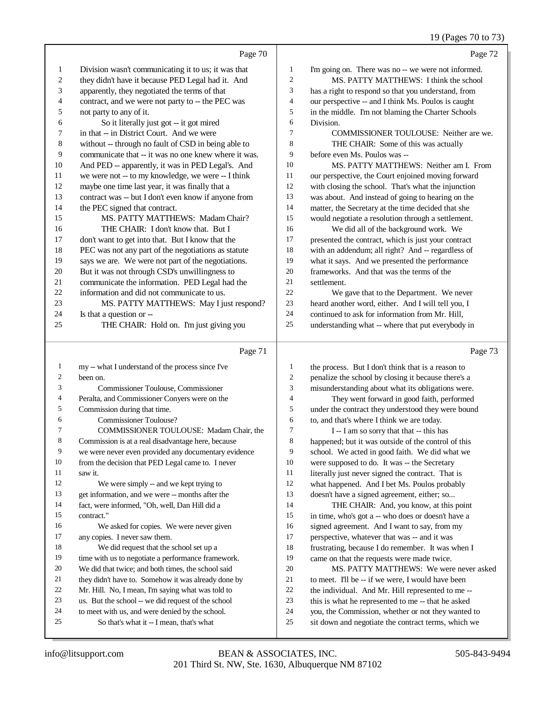|                |                                                                          |                          | 19 (Pages 70 to 73)                                                                                   |
|----------------|--------------------------------------------------------------------------|--------------------------|-------------------------------------------------------------------------------------------------------|
|                | Page 70                                                                  |                          | Page 72                                                                                               |
| 1              | Division wasn't communicating it to us; it was that                      | $\mathbf{1}$             | I'm going on. There was no -- we were not informed.                                                   |
| 2              | they didn't have it because PED Legal had it. And                        | $\overline{c}$           | MS. PATTY MATTHEWS: I think the school                                                                |
| 3              | apparently, they negotiated the terms of that                            | 3                        | has a right to respond so that you understand, from                                                   |
| 4              | contract, and we were not party to -- the PEC was                        | $\overline{\mathcal{L}}$ | our perspective -- and I think Ms. Poulos is caught                                                   |
| 5              | not party to any of it.                                                  | 5                        | in the middle. I'm not blaming the Charter Schools                                                    |
| 6              | So it literally just got -- it got mired                                 | 6                        | Division.                                                                                             |
| 7              | in that -- in District Court. And we were                                | 7                        | COMMISSIONER TOULOUSE: Neither are we.                                                                |
| $\,8\,$        | without -- through no fault of CSD in being able to                      | 8                        | THE CHAIR: Some of this was actually                                                                  |
| 9              | communicate that -- it was no one knew where it was.                     | 9                        | before even Ms. Poulos was --                                                                         |
| 10             | And PED -- apparently, it was in PED Legal's. And                        | 10                       | MS. PATTY MATTHEWS: Neither am I. From                                                                |
| 11             | we were not -- to my knowledge, we were -- I think                       | 11                       | our perspective, the Court enjoined moving forward                                                    |
| 12             | maybe one time last year, it was finally that a                          | 12                       | with closing the school. That's what the injunction                                                   |
| 13             | contract was -- but I don't even know if anyone from                     | 13                       | was about. And instead of going to hearing on the                                                     |
| 14             | the PEC signed that contract.                                            | 14                       | matter, the Secretary at the time decided that she                                                    |
| 15             | MS. PATTY MATTHEWS: Madam Chair?                                         | 15                       | would negotiate a resolution through a settlement.                                                    |
| 16             | THE CHAIR: I don't know that. But I                                      | 16                       | We did all of the background work. We                                                                 |
| 17             | don't want to get into that. But I know that the                         | 17                       | presented the contract, which is just your contract                                                   |
| 18             | PEC was not any part of the negotiations as statute                      | 18                       | with an addendum; all right? And -- regardless of                                                     |
| 19             | says we are. We were not part of the negotiations.                       | 19                       | what it says. And we presented the performance                                                        |
| 20             | But it was not through CSD's unwillingness to                            | 20                       | frameworks. And that was the terms of the                                                             |
| 21             | communicate the information. PED Legal had the                           | 21<br>22                 | settlement.                                                                                           |
| 22<br>23       | information and did not communicate to us.                               | 23                       | We gave that to the Department. We never                                                              |
| 24             | MS. PATTY MATTHEWS: May I just respond?                                  | 24                       | heard another word, either. And I will tell you, I<br>continued to ask for information from Mr. Hill, |
| 25             | Is that a question or --                                                 | 25                       | understanding what -- where that put everybody in                                                     |
|                | THE CHAIR: Hold on. I'm just giving you                                  |                          |                                                                                                       |
|                | Page 71                                                                  |                          | Page 73                                                                                               |
| 1              | my -- what I understand of the process since I've                        | $\mathbf{1}$             | the process. But I don't think that is a reason to                                                    |
| $\overline{2}$ | been on.                                                                 | $\overline{c}$           | penalize the school by closing it because there's a                                                   |
| 3              | Commissioner Toulouse, Commissioner                                      | 3                        | misunderstanding about what its obligations were.                                                     |
| 4              | Peralta, and Commissioner Conyers were on the                            | $\overline{\mathcal{L}}$ | They went forward in good faith, performed                                                            |
| 5              | Commission during that time.                                             | 5                        | under the contract they understood they were bound                                                    |
| 6              | Commissioner Toulouse?                                                   | 6                        | to, and that's where I think we are today.                                                            |
| 7              | COMMISSIONER TOULOUSE: Madam Chair, the                                  | $\boldsymbol{7}$         | I -- I am so sorry that that -- this has                                                              |
| 8              | Commission is at a real disadvantage here, because                       | 8                        | happened; but it was outside of the control of this                                                   |
| 9              | we were never even provided any documentary evidence                     | 9                        | school. We acted in good faith. We did what we                                                        |
| 10             | from the decision that PED Legal came to. I never                        | 10                       | were supposed to do. It was -- the Secretary                                                          |
| 11             | saw it.                                                                  | 11                       | literally just never signed the contract. That is                                                     |
| 12             | We were simply -- and we kept trying to                                  | 12                       | what happened. And I bet Ms. Poulos probably                                                          |
| 13             | get information, and we were -- months after the                         | 13                       | doesn't have a signed agreement, either; so                                                           |
| 14<br>15       | fact, were informed, "Oh, well, Dan Hill did a                           | 14<br>15                 | THE CHAIR: And, you know, at this point                                                               |
| 16             | contract."                                                               | 16                       | in time, who's got a -- who does or doesn't have a                                                    |
| 17             | We asked for copies. We were never given                                 | 17                       | signed agreement. And I want to say, from my<br>perspective, whatever that was -- and it was          |
| 18             | any copies. I never saw them.<br>We did request that the school set up a | 18                       | frustrating, because I do remember. It was when I                                                     |
| 19             | time with us to negotiate a performance framework.                       | 19                       | came on that the requests were made twice.                                                            |
|                |                                                                          |                          |                                                                                                       |

- time with us to negotiate a performance framework.
- We did that twice; and both times, the school said
- they didn't have to. Somehow it was already done by
- 22 Mr. Hill. No, I mean, I'm saying what was told to<br>23 us. But the school -- we did request of the school
- us. But the school -- we did request of the school
- to meet with us, and were denied by the school.
- So that's what it -- I mean, that's what

MS. PATTY MATTHEWS: We were never asked

21 to meet. I'll be  $-$  if we were, I would have been<br>22 the individual. And Mr. Hill represented to me 22 the individual. And Mr. Hill represented to me  $-23$  this is what he represented to me  $-$  that he asked this is what he represented to me -- that he asked 24 you, the Commission, whether or not they wanted to<br>25 sit down and negotiate the contract terms, which we sit down and negotiate the contract terms, which we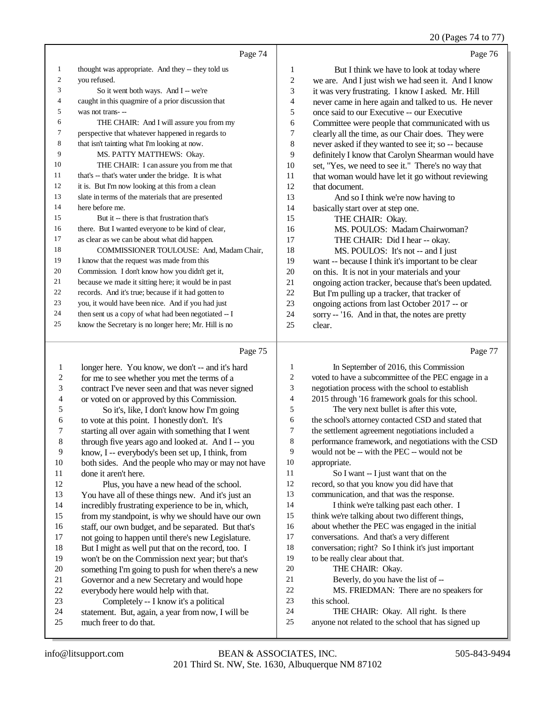#### 20 (Pages 74 to 77)

|    | Page 74                                              |    | Page 76                                              |
|----|------------------------------------------------------|----|------------------------------------------------------|
| 1  | thought was appropriate. And they -- they told us    | 1  | But I think we have to look at today where           |
| 2  | vou refused.                                         | 2  | we are. And I just wish we had seen it. And I know   |
| 3  | So it went both ways. And I -- we're                 | 3  | it was very frustrating. I know I asked. Mr. Hill    |
| 4  | caught in this quagmire of a prior discussion that   | 4  | never came in here again and talked to us. He never  |
| 5  | was not trans---                                     | 5  | once said to our Executive -- our Executive          |
| 6  | THE CHAIR: And I will assure you from my             | 6  | Committee were people that communicated with us      |
| 7  | perspective that whatever happened in regards to     | 7  | clearly all the time, as our Chair does. They were   |
| 8  | that isn't tainting what I'm looking at now.         | 8  | never asked if they wanted to see it; so -- because  |
| 9  | MS. PATTY MATTHEWS: Okay.                            | 9  | definitely I know that Carolyn Shearman would have   |
| 10 | THE CHAIR: I can assure you from me that             | 10 | set, "Yes, we need to see it." There's no way that   |
| 11 | that's -- that's water under the bridge. It is what  | 11 | that woman would have let it go without reviewing    |
| 12 | it is. But I'm now looking at this from a clean      | 12 | that document.                                       |
| 13 | slate in terms of the materials that are presented   | 13 | And so I think we're now having to                   |
| 14 | here before me.                                      | 14 | basically start over at step one.                    |
| 15 | But it -- there is that frustration that's           | 15 | THE CHAIR: Okay.                                     |
| 16 | there. But I wanted everyone to be kind of clear,    | 16 | MS. POULOS: Madam Chairwoman?                        |
| 17 | as clear as we can be about what did happen.         | 17 | THE CHAIR: Did I hear -- okay.                       |
| 18 | COMMISSIONER TOULOUSE: And, Madam Chair,             | 18 | MS. POULOS: It's not -- and I just                   |
| 19 | I know that the request was made from this           | 19 | want -- because I think it's important to be clear   |
| 20 | Commission. I don't know how you didn't get it,      | 20 | on this. It is not in your materials and your        |
| 21 | because we made it sitting here; it would be in past | 21 | ongoing action tracker, because that's been updated. |
| 22 | records. And it's true; because if it had gotten to  | 22 | But I'm pulling up a tracker, that tracker of        |
| 23 | you, it would have been nice. And if you had just    | 23 | ongoing actions from last October 2017 -- or         |
| 24 | then sent us a copy of what had been negotiated -- I | 24 | sorry -- '16. And in that, the notes are pretty      |
| 25 | know the Secretary is no longer here; Mr. Hill is no | 25 | clear.                                               |

#### Page 75

 longer here. You know, we don't -- and it's hard 2 for me to see whether you met the terms of a<br>3 contract I've never seen and that was never s contract I've never seen and that was never signed or voted on or approved by this Commission. 5 So it's, like, I don't know how I'm going<br>6 to vote at this point. I honestly don't. It's to vote at this point. I honestly don't. It's starting all over again with something that I went through five years ago and looked at. And I -- you know, I -- everybody's been set up, I think, from 10 both sides. And the people who may or may not have 11 done it aren't here. done it aren't here. Plus, you have a new head of the school. You have all of these things new. And it's just an incredibly frustrating experience to be in, which, from my standpoint, is why we should have our own 16 staff, our own budget, and be separated. But that's 17 not going to happen until there's new Legislature. not going to happen until there's new Legislature. 18 But I might as well put that on the record, too. I<br>19 won't be on the Commission next year: but that's won't be on the Commission next year; but that's 20 something I'm going to push for when there's a new<br>21 Governor and a new Secretary and would hope 21 Governor and a new Secretary and would hope<br>22 everybody here would help with that. 22 everybody here would help with that.<br>23 Completely -- I know it's a poli 23 Completely -- I know it's a political<br>24 statement. But again a year from now I 24 statement. But, again, a year from now, I will be much free to do that much freer to do that. Page 77 1 In September of 2016, this Commission voted to have a subcommittee of the PEC engage in a negotiation process with the school to establish 2015 through '16 framework goals for this school. The very next bullet is after this vote, the school's attorney contacted CSD and stated that the settlement agreement negotiations included a performance framework, and negotiations with the CSD would not be -- with the PEC -- would not be appropriate. So I want -- I just want that on the record, so that you know you did have that communication, and that was the response. 14 I think we're talking past each other. I think we're talking about two different things, about whether the PEC was engaged in the initial conversations. And that's a very different conversation; right? So I think it's just important to be really clear about that. 20 THE CHAIR: Okay. Beverly, do you have the list of -- MS. FRIEDMAN: There are no speakers for this school. THE CHAIR: Okay. All right. Is there anyone not related to the school that has signed up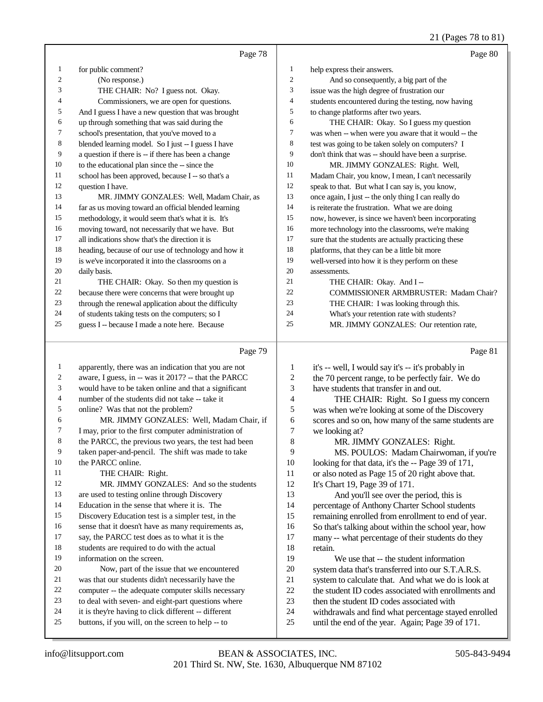### 21 (Pages 78 to 81)

|    | Page 78                                              |    | Page 80                                              |
|----|------------------------------------------------------|----|------------------------------------------------------|
| 1  | for public comment?                                  | 1  | help express their answers.                          |
| 2  | (No response.)                                       | 2  | And so consequently, a big part of the               |
| 3  | THE CHAIR: No? I guess not. Okay.                    | 3  | issue was the high degree of frustration our         |
| 4  | Commissioners, we are open for questions.            | 4  | students encountered during the testing, now having  |
| 5  | And I guess I have a new question that was brought   | 5  | to change platforms after two years.                 |
| 6  | up through something that was said during the        | 6  | THE CHAIR: Okay. So I guess my question              |
| 7  | school's presentation, that you've moved to a        | 7  | was when -- when were you aware that it would -- the |
| 8  | blended learning model. So I just -- I guess I have  | 8  | test was going to be taken solely on computers? I    |
| 9  | a question if there is -- if there has been a change | 9  | don't think that was -- should have been a surprise. |
| 10 | to the educational plan since the -- since the       | 10 | MR. JIMMY GONZALES: Right. Well,                     |
| 11 | school has been approved, because I -- so that's a   | 11 | Madam Chair, you know, I mean, I can't necessarily   |
| 12 | question I have.                                     | 12 | speak to that. But what I can say is, you know,      |
| 13 | MR. JIMMY GONZALES: Well, Madam Chair, as            | 13 | once again, I just -- the only thing I can really do |
| 14 | far as us moving toward an official blended learning | 14 | is reiterate the frustration. What we are doing      |
| 15 | methodology, it would seem that's what it is. It's   | 15 | now, however, is since we haven't been incorporating |
| 16 | moving toward, not necessarily that we have. But     | 16 | more technology into the classrooms, we're making    |
| 17 | all indications show that's the direction it is      | 17 | sure that the students are actually practicing these |
| 18 | heading, because of our use of technology and how it | 18 | platforms, that they can be a little bit more        |
| 19 | is we've incorporated it into the classrooms on a    | 19 | well-versed into how it is they perform on these     |
| 20 | daily basis.                                         | 20 | assessments.                                         |
| 21 | THE CHAIR: Okay. So then my question is              | 21 | THE CHAIR: Okay. And I-                              |
| 22 | because there were concerns that were brought up     | 22 | <b>COMMISSIONER ARMBRUSTER: Madam Chair?</b>         |
| 23 | through the renewal application about the difficulty | 23 | THE CHAIR: I was looking through this.               |
| 24 | of students taking tests on the computers; so I      | 24 | What's your retention rate with students?            |
| 25 | guess I -- because I made a note here. Because       | 25 | MR. JIMMY GONZALES: Our retention rate,              |
|    | Page 79                                              |    | Page 81                                              |

|                | rage 19                                              |    | rage of                                              |
|----------------|------------------------------------------------------|----|------------------------------------------------------|
| 1              | apparently, there was an indication that you are not | 1  | it's -- well, I would say it's -- it's probably in   |
| $\overline{c}$ | aware, I guess, in -- was it 2017? -- that the PARCC | 2  | the 70 percent range, to be perfectly fair. We do    |
| 3              | would have to be taken online and that a significant | 3  | have students that transfer in and out.              |
| 4              | number of the students did not take -- take it       | 4  | THE CHAIR: Right. So I guess my concern              |
| 5              | online? Was that not the problem?                    | 5  | was when we're looking at some of the Discovery      |
| 6              | MR. JIMMY GONZALES: Well, Madam Chair, if            | 6  | scores and so on, how many of the same students are  |
| 7              | I may, prior to the first computer administration of | 7  | we looking at?                                       |
| 8              | the PARCC, the previous two years, the test had been | 8  | MR. JIMMY GONZALES: Right.                           |
| 9              | taken paper-and-pencil. The shift was made to take   | 9  | MS. POULOS: Madam Chairwoman, if you're              |
| 10             | the PARCC online.                                    | 10 | looking for that data, it's the -- Page 39 of 171,   |
| 11             | THE CHAIR: Right.                                    | 11 | or also noted as Page 15 of 20 right above that.     |
| 12             | MR. JIMMY GONZALES: And so the students              | 12 | It's Chart 19, Page 39 of 171.                       |
| 13             | are used to testing online through Discovery         | 13 | And you'll see over the period, this is              |
| 14             | Education in the sense that where it is. The         | 14 | percentage of Anthony Charter School students        |
| 15             | Discovery Education test is a simpler test, in the   | 15 | remaining enrolled from enrollment to end of year.   |
| 16             | sense that it doesn't have as many requirements as,  | 16 | So that's talking about within the school year, how  |
| 17             | say, the PARCC test does as to what it is the        | 17 | many -- what percentage of their students do they    |
| 18             | students are required to do with the actual          | 18 | retain.                                              |
| 19             | information on the screen.                           | 19 | We use that -- the student information               |
| 20             | Now, part of the issue that we encountered           | 20 | system data that's transferred into our S.T.A.R.S.   |
| 21             | was that our students didn't necessarily have the    | 21 | system to calculate that. And what we do is look at  |
| 22             | computer -- the adequate computer skills necessary   | 22 | the student ID codes associated with enrollments and |
| 23             | to deal with seven- and eight-part questions where   | 23 | then the student ID codes associated with            |
| 24             | it is they're having to click different -- different | 24 | withdrawals and find what percentage stayed enrolled |
| 25             | buttons, if you will, on the screen to help -- to    | 25 | until the end of the year. Again; Page 39 of 171.    |
|                |                                                      |    |                                                      |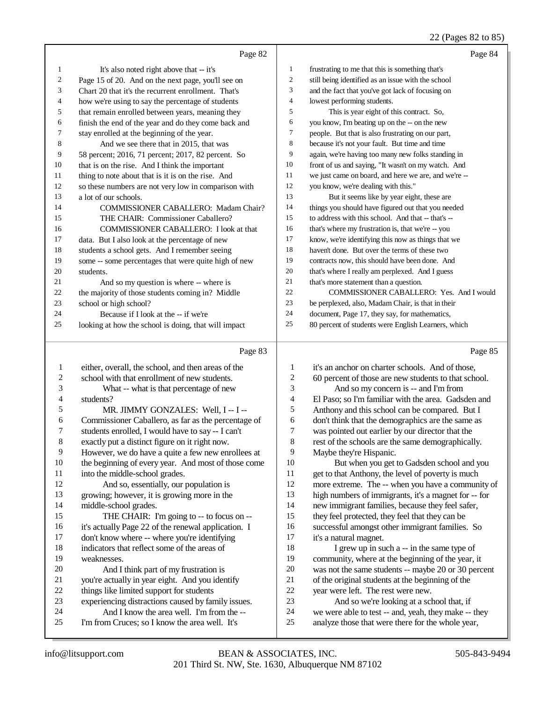### 22 (Pages 82 to 85)

|              |                                                      |                | $22$ (1 ages 02 to 09)                               |
|--------------|------------------------------------------------------|----------------|------------------------------------------------------|
|              | Page 82                                              |                | Page 84                                              |
| 1            | It's also noted right above that -- it's             | $\mathbf{1}$   | frustrating to me that this is something that's      |
| 2            | Page 15 of 20. And on the next page, you'll see on   | $\mathfrak{2}$ | still being identified as an issue with the school   |
| 3            | Chart 20 that it's the recurrent enrollment. That's  | 3              | and the fact that you've got lack of focusing on     |
| 4            | how we're using to say the percentage of students    | $\overline{4}$ | lowest performing students.                          |
| 5            | that remain enrolled between years, meaning they     | 5              | This is year eight of this contract. So,             |
| 6            | finish the end of the year and do they come back and | 6              | you know, I'm beating up on the -- on the new        |
| 7            | stay enrolled at the beginning of the year.          | 7              | people. But that is also frustrating on our part,    |
| 8            | And we see there that in 2015, that was              | 8              | because it's not your fault. But time and time       |
| 9            | 58 percent; 2016, 71 percent; 2017, 82 percent. So   | 9              | again, we're having too many new folks standing in   |
| 10           | that is on the rise. And I think the important       | 10             | front of us and saying, "It wasn't on my watch. And  |
| 11           | thing to note about that is it is on the rise. And   | 11             | we just came on board, and here we are, and we're -- |
| 12           | so these numbers are not very low in comparison with | 12             | you know, we're dealing with this."                  |
| 13           | a lot of our schools.                                | 13             | But it seems like by year eight, these are           |
| 14           | COMMISSIONER CABALLERO: Madam Chair?                 | 14             | things you should have figured out that you needed   |
| 15           | THE CHAIR: Commissioner Caballero?                   | 15             | to address with this school. And that -- that's --   |
| 16           | COMMISSIONER CABALLERO: I look at that               | 16             | that's where my frustration is, that we're -- you    |
| 17           | data. But I also look at the percentage of new       | 17             | know, we're identifying this now as things that we   |
| 18           | students a school gets. And I remember seeing        | 18             | haven't done. But over the terms of these two        |
| 19           | some -- some percentages that were quite high of new | 19             | contracts now, this should have been done. And       |
| 20           | students.                                            | 20             | that's where I really am perplexed. And I guess      |
| 21           | And so my question is where -- where is              | 21             | that's more statement than a question.               |
| 22           | the majority of those students coming in? Middle     | $22\,$         | COMMISSIONER CABALLERO: Yes. And I would             |
| 23           | school or high school?                               | 23             | be perplexed, also, Madam Chair, is that in their    |
| 24           | Because if I look at the -- if we're                 | 24             | document, Page 17, they say, for mathematics,        |
| 25           | looking at how the school is doing, that will impact | 25             | 80 percent of students were English Learners, which  |
|              |                                                      |                |                                                      |
|              | Page 83                                              |                | Page 85                                              |
| $\mathbf{1}$ | either, overall, the school, and then areas of the   | 1              | it's an anchor on charter schools. And of those,     |
| 2            | school with that enrollment of new students.         | $\sqrt{2}$     | 60 percent of those are new students to that school. |
| 3            | What -- what is that percentage of new               | 3              | And so my concern is -- and I'm from                 |
| 4            | students?                                            | $\overline{4}$ | El Paso; so I'm familiar with the area. Gadsden and  |
| 5            | MR. JIMMY GONZALES: Well, I -- I --                  | 5              | Anthony and this school can be compared. But I       |
| 6            | Commissioner Caballero, as far as the percentage of  | 6              | don't think that the demographics are the same as    |
| 7            | students enrolled, I would have to say -- I can't    | 7              | was pointed out earlier by our director that the     |
| 8            | exactly put a distinct figure on it right now.       | $\,8\,$        | rest of the schools are the same demographically.    |
| 9            | However, we do have a quite a few new enrollees at   | $\overline{9}$ | Maybe they're Hispanic.                              |
| $10\,$       | the beginning of every year. And most of those come  | $10\,$         | But when you get to Gadsden school and you           |
| 11           | into the middle-school grades.                       | 11             | get to that Anthony, the level of poverty is much    |
| 12           | And so, essentially, our population is               | 12             | more extreme. The -- when you have a community of    |
| 13           | growing; however, it is growing more in the          | 13             | high numbers of immigrants, it's a magnet for -- for |
| 14           | middle-school grades.                                | 14             | new immigrant families, because they feel safer,     |
| 15           | THE CHAIR: I'm going to -- to focus on --            | 15             | they feel protected, they feel that they can be      |
| 16           | it's actually Page 22 of the renewal application. I  | 16             | successful amongst other immigrant families. So      |
| $17\,$       | don't know where -- where you're identifying         | 17             | it's a natural magnet.                               |
| 18           | indicators that reflect some of the areas of         | $18\,$         | I grew up in such a -- in the same type of           |
| 19           | weaknesses.                                          | 19             | community, where at the beginning of the year, it    |
| $20\,$       | And I think part of my frustration is                | $20\,$         | was not the same students -- maybe 20 or 30 percent  |
| 21           | you're actually in year eight. And you identify      | 21             | of the original students at the beginning of the     |
| $22\,$       | things like limited support for students             | $22\,$         | year were left. The rest were new.                   |
| 23           | experiencing distractions caused by family issues.   | 23             | And so we're looking at a school that, if            |
| 24           | And I know the area well. I'm from the --            | 24             | we were able to test -- and, yeah, they make -- they |

23 experiencing distractions caused by family issues.<br>24 And I know the area well. I'm from the --24 And I know the area well. I'm from the --<br>25 I'm from Cruces: so I know the area well. It's 24 we were able to test -- and, yeah, they make -- they<br>25 analyze those that were there for the whole year.

I'm from Cruces; so I know the area well. It's

analyze those that were there for the whole year,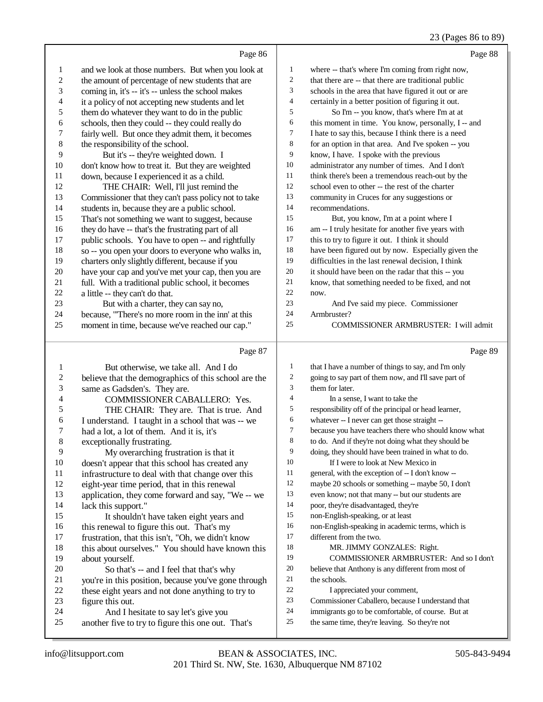### 23 (Pages 86 to 89)

|                  | Page 86                                                                                    |                          | $23$ (1 ages 60 to 62)<br>Page 88                    |
|------------------|--------------------------------------------------------------------------------------------|--------------------------|------------------------------------------------------|
| 1                | and we look at those numbers. But when you look at                                         | 1                        | where -- that's where I'm coming from right now,     |
| $\sqrt{2}$       | the amount of percentage of new students that are                                          | $\boldsymbol{2}$         | that there are -- that there are traditional public  |
| 3                | coming in, it's -- it's -- unless the school makes                                         | 3                        | schools in the area that have figured it out or are  |
| $\overline{4}$   | it a policy of not accepting new students and let                                          | $\overline{\mathcal{L}}$ | certainly in a better position of figuring it out.   |
| 5                | them do whatever they want to do in the public                                             | 5                        | So I'm -- you know, that's where I'm at at           |
| 6                | schools, then they could -- they could really do                                           | 6                        | this moment in time. You know, personally, I -- and  |
| $\sqrt{ }$       | fairly well. But once they admit them, it becomes                                          | $\tau$                   | I hate to say this, because I think there is a need  |
| $\,$ 8 $\,$      | the responsibility of the school.                                                          | $\,8$                    | for an option in that area. And I've spoken -- you   |
| 9                | But it's -- they're weighted down. I                                                       | 9                        | know, I have. I spoke with the previous              |
| $10\,$           | don't know how to treat it. But they are weighted                                          | 10                       | administrator any number of times. And I don't       |
| 11               | down, because I experienced it as a child.                                                 | 11                       | think there's been a tremendous reach-out by the     |
| 12               | THE CHAIR: Well, I'll just remind the                                                      | $12\,$                   | school even to other -- the rest of the charter      |
| 13               | Commissioner that they can't pass policy not to take                                       | 13                       | community in Cruces for any suggestions or           |
| 14               | students in, because they are a public school.                                             | 14                       | recommendations.                                     |
| 15               | That's not something we want to suggest, because                                           | 15                       | But, you know, I'm at a point where I                |
| 16               | they do have -- that's the frustrating part of all                                         | 16                       | am -- I truly hesitate for another five years with   |
| 17               | public schools. You have to open -- and rightfully                                         | $17\,$                   | this to try to figure it out. I think it should      |
| 18               | so -- you open your doors to everyone who walks in,                                        | 18                       | have been figured out by now. Especially given the   |
| 19               | charters only slightly different, because if you                                           | 19                       | difficulties in the last renewal decision, I think   |
| $20\,$           | have your cap and you've met your cap, then you are                                        | $20\,$                   | it should have been on the radar that this -- you    |
| 21               | full. With a traditional public school, it becomes                                         | 21                       | know, that something needed to be fixed, and not     |
| $22\,$           |                                                                                            | 22                       | now.                                                 |
| 23               | a little -- they can't do that.                                                            | $23\,$                   | And I've said my piece. Commissioner                 |
| 24               | But with a charter, they can say no,<br>because, "There's no more room in the inn' at this | 24                       | Armbruster?                                          |
| 25               | moment in time, because we've reached our cap."                                            | $25\,$                   | COMMISSIONER ARMBRUSTER: I will admit                |
|                  |                                                                                            |                          |                                                      |
|                  | Page 87                                                                                    |                          | Page 89                                              |
| $\mathbf{1}$     | But otherwise, we take all. And I do                                                       | $\mathbf{1}$             | that I have a number of things to say, and I'm only  |
| $\boldsymbol{2}$ | believe that the demographics of this school are the                                       | $\sqrt{2}$               | going to say part of them now, and I'll save part of |
| $\mathfrak{Z}$   | same as Gadsden's. They are.                                                               | 3                        | them for later.                                      |
| 4                | COMMISSIONER CABALLERO: Yes.                                                               | 4                        | In a sense, I want to take the                       |
| 5                | THE CHAIR: They are. That is true. And                                                     | 5                        | responsibility off of the principal or head learner, |
| 6                | I understand. I taught in a school that was -- we                                          | 6                        | whatever -- I never can get those straight --        |
| 7                | had a lot, a lot of them. And it is, it's                                                  | $\tau$                   | because you have teachers there who should know what |
| 8                | exceptionally frustrating.                                                                 | 8                        | to do. And if they're not doing what they should be  |
| 9                | My overarching frustration is that it                                                      | 9                        | doing, they should have been trained in what to do.  |
| 10               | doesn't appear that this school has created any                                            | $10\,$                   | If I were to look at New Mexico in                   |
| 11               | infrastructure to deal with that change over this                                          | 11                       | general, with the exception of -- I don't know --    |
| 12               | eight-year time period, that in this renewal                                               | 12                       | maybe 20 schools or something -- maybe 50, I don't   |
| 13               | application, they come forward and say, "We -- we                                          | 13                       | even know; not that many -- but our students are     |
| 14               | lack this support."                                                                        | 14                       | poor, they're disadvantaged, they're                 |
| 15               | It shouldn't have taken eight years and                                                    | 15                       | non-English-speaking, or at least                    |
| 16               | this renewal to figure this out. That's my                                                 | 16                       | non-English-speaking in academic terms, which is     |
| 17               | frustration, that this isn't, "Oh, we didn't know                                          | $17\,$                   | different from the two.                              |
| 18               | this about ourselves." You should have known this                                          | 18                       | MR. JIMMY GONZALES: Right.                           |

about yourself.

23 figure this out.<br>24 And I he

20 So that's -- and I feel that that's why<br>21 vou're in this position, because you've gone

24 And I hesitate to say let's give you<br>25 another five to try to figure this one out.

21 you're in this position, because you've gone through<br>22 these eight vears and not done anything to try to 22 these eight years and not done anything to try to<br>23 figure this out.

another five to try to figure this one out. That's

the schools.

COMMISSIONER ARMBRUSTER: And so I don't

believe that Anthony is any different from most of

 Commissioner Caballero, because I understand that immigrants go to be comfortable, of course. But at the same time, they're leaving. So they're not

I appreciated your comment,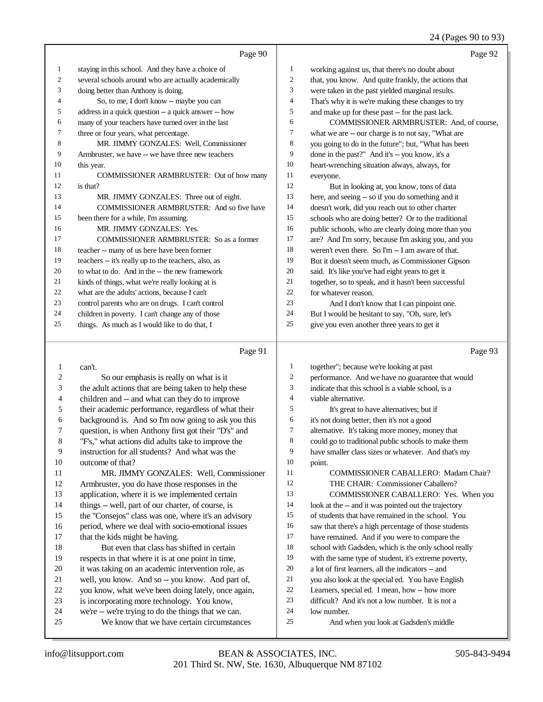### 24 (Pages 90 to 93)

|    | Page 90                                              |                | Page 92                                              |
|----|------------------------------------------------------|----------------|------------------------------------------------------|
| 1  | staying in this school. And they have a choice of    | 1              | working against us, that there's no doubt about      |
| 2  | several schools around who are actually academically | $\overline{c}$ | that, you know. And quite frankly, the actions that  |
| 3  | doing better than Anthony is doing.                  | 3              | were taken in the past yielded marginal results.     |
| 4  | So, to me, I don't know -- maybe you can             | $\overline{4}$ | That's why it is we're making these changes to try   |
| 5  | address in a quick question -- a quick answer -- how | 5              | and make up for these past -- for the past lack.     |
| 6  | many of your teachers have turned over in the last   | 6              | COMMISSIONER ARMBRUSTER: And, of course,             |
| 7  | three or four years, what percentage.                | 7              | what we are -- our charge is to not say, "What are   |
| 8  | MR. JIMMY GONZALES: Well, Commissioner               | 8              | you going to do in the future"; but, "What has been  |
| 9  | Armbruster, we have -- we have three new teachers    | 9              | done in the past?" And it's -- you know, it's a      |
| 10 | this year.                                           | 10             | heart-wrenching situation always, always, for        |
| 11 | <b>COMMISSIONER ARMBRUSTER:</b> Out of how many      | 11             | everyone.                                            |
| 12 | is that?                                             | 12             | But in looking at, you know, tons of data            |
| 13 | MR. JIMMY GONZALES: Three out of eight.              | 13             | here, and seeing -- so if you do something and it    |
| 14 | <b>COMMISSIONER ARMBRUSTER:</b> And so five have     | 14             | doesn't work, did you reach out to other charter     |
| 15 | been there for a while, I'm assuming.                | 15             | schools who are doing better? Or to the traditional  |
| 16 | MR. JIMMY GONZALES: Yes.                             | 16             | public schools, who are clearly doing more than you  |
| 17 | COMMISSIONER ARMBRUSTER: So as a former              | 17             | are? And I'm sorry, because I'm asking you, and you  |
| 18 | teacher -- many of us here have been former          | 18             | weren't even there. So I'm -- I am aware of that.    |
| 19 | teachers -- it's really up to the teachers, also, as | 19             | But it doesn't seem much, as Commissioner Gipson     |
| 20 | to what to do. And in the -- the new framework       | 20             | said. It's like you've had eight years to get it     |
| 21 | kinds of things, what we're really looking at is     | 21             | together, so to speak, and it hasn't been successful |
| 22 | what are the adults' actions, because I can't        | 22             | for whatever reason.                                 |
| 23 | control parents who are on drugs. I can't control    | 23             | And I don't know that I can pinpoint one.            |
| 24 | children in poverty. I can't change any of those     | 24             | But I would be hesitant to say, "Oh, sure, let's     |
| 25 | things. As much as I would like to do that, I        | 25             | give you even another three years to get it          |
|    |                                                      |                |                                                      |

### Page 91  $\vert$

| 1  | can't.                                               | 1  | together"; because we're looking at past             |
|----|------------------------------------------------------|----|------------------------------------------------------|
| 2  | So our emphasis is really on what is it              | 2  | performance. And we have no guarantee that would     |
| 3  | the adult actions that are being taken to help these | 3  | indicate that this school is a viable school, is a   |
| 4  | children and -- and what can they do to improve      | 4  | viable alternative.                                  |
| 5  | their academic performance, regardless of what their | 5  | It's great to have alternatives; but if              |
| 6  | background is. And so I'm now going to ask you this  | 6  | it's not doing better, then it's not a good          |
| 7  | question, is when Anthony first got their "D's" and  | 7  | alternative. It's taking more money, money that      |
| 8  | "F's," what actions did adults take to improve the   | 8  | could go to traditional public schools to make them  |
| 9  | instruction for all students? And what was the       | 9  | have smaller class sizes or whatever. And that's my  |
| 10 | outcome of that?                                     | 10 | point.                                               |
| 11 | MR. JIMMY GONZALES: Well, Commissioner               | 11 | COMMISSIONER CABALLERO: Madam Chair?                 |
| 12 | Armbruster, you do have those responses in the       | 12 | THE CHAIR: Commissioner Caballero?                   |
| 13 | application, where it is we implemented certain      | 13 | COMMISSIONER CABALLERO: Yes. When you                |
| 14 | things -- well, part of our charter, of course, is   | 14 | look at the -- and it was pointed out the trajectory |
| 15 | the "Consejos" class was one, where it's an advisory | 15 | of students that have remained in the school. You    |
| 16 | period, where we deal with socio-emotional issues    | 16 | saw that there's a high percentage of those students |
| 17 | that the kids might be having.                       | 17 | have remained. And if you were to compare the        |
| 18 | But even that class has shifted in certain           | 18 | school with Gadsden, which is the only school really |
| 19 | respects in that where it is at one point in time,   | 19 | with the same type of student, it's extreme poverty, |
| 20 | it was taking on an academic intervention role, as   | 20 | a lot of first learners, all the indicators -- and   |
| 21 | well, you know. And so -- you know. And part of,     | 21 | you also look at the special ed. You have English    |
| 22 | you know, what we've been doing lately, once again,  | 22 | Learners, special ed. I mean, how -- how more        |
| 23 | is incorporating more technology. You know,          | 23 | difficult? And it's not a low number. It is not a    |
| 24 | we're -- we're trying to do the things that we can.  | 24 | low number.                                          |
| 25 | We know that we have certain circumstances           | 25 | And when you look at Gadsden's middle                |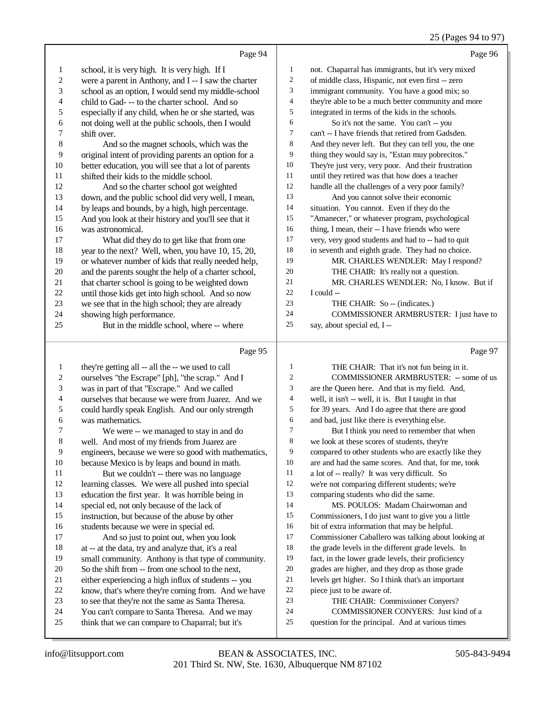### 25 (Pages 94 to 97)

|                          | Page 94                                                                                            |                | Page 96                                                                                  |
|--------------------------|----------------------------------------------------------------------------------------------------|----------------|------------------------------------------------------------------------------------------|
| $\mathbf{1}$             | school, it is very high. It is very high. If I                                                     | 1              | not. Chaparral has immigrants, but it's very mixed                                       |
| $\overline{\mathbf{c}}$  | were a parent in Anthony, and I -- I saw the charter                                               | 2              | of middle class, Hispanic, not even first -- zero                                        |
| 3                        | school as an option, I would send my middle-school                                                 | 3              | immigrant community. You have a good mix; so                                             |
| $\overline{\mathcal{L}}$ | child to Gad--- to the charter school. And so                                                      | 4              | they're able to be a much better community and more                                      |
| 5                        | especially if any child, when he or she started, was                                               | 5              | integrated in terms of the kids in the schools.                                          |
| 6                        | not doing well at the public schools, then I would                                                 | 6              | So it's not the same. You can't -- you                                                   |
| 7                        | shift over.                                                                                        | 7              | can't -- I have friends that retired from Gadsden.                                       |
| $\,$ 8 $\,$              | And so the magnet schools, which was the                                                           | 8              | And they never left. But they can tell you, the one                                      |
| 9                        | original intent of providing parents an option for a                                               | 9              | thing they would say is, "Estan muy pobrecitos."                                         |
| 10                       | better education, you will see that a lot of parents                                               | 10             | They're just very, very poor. And their frustration                                      |
| 11                       | shifted their kids to the middle school.                                                           | 11             | until they retired was that how does a teacher                                           |
| 12                       | And so the charter school got weighted                                                             | 12             | handle all the challenges of a very poor family?                                         |
| 13                       | down, and the public school did very well, I mean,                                                 | 13             | And you cannot solve their economic                                                      |
| 14                       | by leaps and bounds, by a high, high percentage.                                                   | 14             | situation. You cannot. Even if they do the                                               |
| 15                       | And you look at their history and you'll see that it                                               | 15             | "Amanecer," or whatever program, psychological                                           |
| 16                       | was astronomical.                                                                                  | 16             | thing, I mean, their -- I have friends who were                                          |
| 17                       | What did they do to get like that from one                                                         | 17             | very, very good students and had to -- had to quit                                       |
| 18                       | year to the next? Well, when, you have 10, 15, 20,                                                 | 18             | in seventh and eighth grade. They had no choice.                                         |
| 19                       | or whatever number of kids that really needed help,                                                | 19             | MR. CHARLES WENDLER: May I respond?                                                      |
| $20\,$                   | and the parents sought the help of a charter school,                                               | $20\,$         | THE CHAIR: It's really not a question.                                                   |
| 21                       | that charter school is going to be weighted down                                                   | 21             | MR. CHARLES WENDLER: No, I know. But if                                                  |
| $22\,$                   | until those kids get into high school. And so now                                                  | $22\,$         | I could --                                                                               |
| $23\,$                   | we see that in the high school; they are already                                                   | 23             | THE CHAIR: So -- (indicates.)                                                            |
| 24                       | showing high performance.                                                                          | 24             | COMMISSIONER ARMBRUSTER: I just have to                                                  |
| 25                       | But in the middle school, where -- where                                                           | 25             | say, about special ed, I --                                                              |
|                          |                                                                                                    |                |                                                                                          |
|                          | Page 95                                                                                            |                | Page 97                                                                                  |
| $\mathbf{1}$             | they're getting all -- all the -- we used to call                                                  | 1              | THE CHAIR: That it's not fun being in it.                                                |
| $\sqrt{2}$               | ourselves "the Escrape" [ph], "the scrap." And I                                                   | $\overline{c}$ | COMMISSIONER ARMBRUSTER: -- some of us                                                   |
| 3                        | was in part of that "Escrape." And we called                                                       | 3              | are the Queen here. And that is my field. And,                                           |
| 4                        | ourselves that because we were from Juarez. And we                                                 | 4              | well, it isn't -- well, it is. But I taught in that                                      |
| 5                        | could hardly speak English. And our only strength                                                  | 5              | for 39 years. And I do agree that there are good                                         |
| 6                        | was mathematics.                                                                                   | 6              | and bad, just like there is everything else.                                             |
| 7                        | We were -- we managed to stay in and do                                                            | 7              | But I think you need to remember that when                                               |
| $\,$ 8 $\,$              | well. And most of my friends from Juarez are                                                       | 8              | we look at these scores of students, they're                                             |
| 9                        | engineers, because we were so good with mathematics,                                               | 9              | compared to other students who are exactly like they                                     |
| $10\,$                   | because Mexico is by leaps and bound in math.                                                      | 10             | are and had the same scores. And that, for me, took                                      |
| 11                       | But we couldn't -- there was no language                                                           | 11             | a lot of -- really? It was very difficult. So                                            |
| 12                       | learning classes. We were all pushed into special                                                  | 12             | we're not comparing different students; we're                                            |
| 13                       | education the first year. It was horrible being in                                                 | 13             | comparing students who did the same.                                                     |
| 14                       | special ed, not only because of the lack of                                                        | 14             | MS. POULOS: Madam Chairwoman and                                                         |
| 15                       | instruction, but because of the abuse by other                                                     | 15             | Commissioners, I do just want to give you a little                                       |
| 16                       | students because we were in special ed.                                                            | 16             | bit of extra information that may be helpful.                                            |
| 17                       | And so just to point out, when you look                                                            | 17             | Commissioner Caballero was talking about looking at                                      |
| 18                       | at -- at the data, try and analyze that, it's a real                                               | 18             | the grade levels in the different grade levels. In                                       |
| 19                       | small community. Anthony is that type of community.                                                | 19             | fact, in the lower grade levels, their proficiency                                       |
| $20\,$                   | So the shift from -- from one school to the next,                                                  | $20\,$         | grades are higher, and they drop as those grade                                          |
| 21                       | either experiencing a high influx of students -- you                                               | 21             | levels get higher. So I think that's an important                                        |
| $22\,$                   | know, that's where they're coming from. And we have                                                | $22\,$         | piece just to be aware of.                                                               |
| 23                       | to see that they're not the same as Santa Theresa.                                                 | 23             | THE CHAIR: Commissioner Conyers?                                                         |
| 24<br>25                 | You can't compare to Santa Theresa. And we may<br>think that we can compare to Chaparral; but it's | 24<br>$25\,$   | COMMISSIONER CONYERS: Just kind of a<br>question for the principal. And at various times |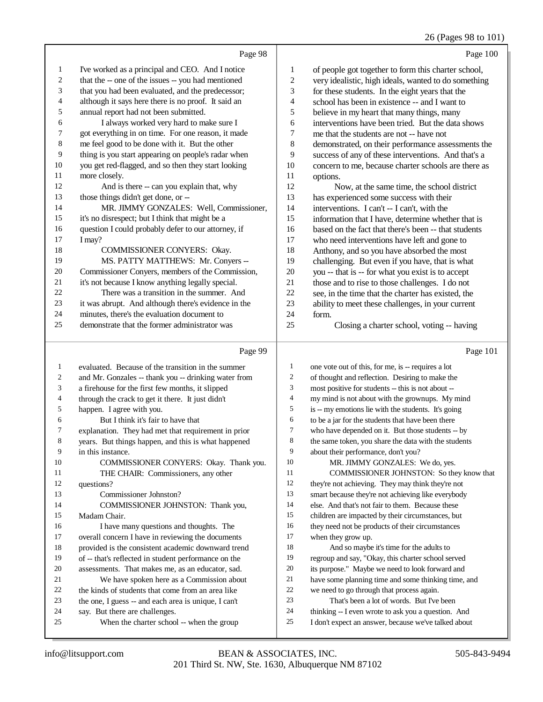### 26 (Pages 98 to 101)

|    | Page 98                                             |                | Page 100                                             |
|----|-----------------------------------------------------|----------------|------------------------------------------------------|
| 1  | I've worked as a principal and CEO. And I notice    | 1              | of people got together to form this charter school,  |
| 2  | that the -- one of the issues -- you had mentioned  | $\overline{2}$ | very idealistic, high ideals, wanted to do something |
| 3  | that you had been evaluated, and the predecessor;   | 3              | for these students. In the eight years that the      |
| 4  | although it says here there is no proof. It said an | 4              | school has been in existence -- and I want to        |
| 5  | annual report had not been submitted.               | 5              | believe in my heart that many things, many           |
| 6  | I always worked very hard to make sure I            | 6              | interventions have been tried. But the data shows    |
| 7  | got everything in on time. For one reason, it made  | 7              | me that the students are not -- have not             |
| 8  | me feel good to be done with it. But the other      | 8              | demonstrated, on their performance assessments the   |
| 9  | thing is you start appearing on people's radar when | 9              | success of any of these interventions. And that's a  |
| 10 | you get red-flagged, and so then they start looking | 10             | concern to me, because charter schools are there as  |
| 11 | more closely.                                       | 11             | options.                                             |
| 12 | And is there -- can you explain that, why           | 12             | Now, at the same time, the school district           |
| 13 | those things didn't get done, or --                 | 13             | has experienced some success with their              |
| 14 | MR. JIMMY GONZALES: Well, Commissioner,             | 14             | interventions. I can't -- I can't, with the          |
| 15 | it's no disrespect; but I think that might be a     | 15             | information that I have, determine whether that is   |
| 16 | question I could probably defer to our attorney, if | 16             | based on the fact that there's been -- that students |
| 17 | I may?                                              | 17             | who need interventions have left and gone to         |
| 18 | COMMISSIONER CONYERS: Okay.                         | 18             | Anthony, and so you have absorbed the most           |
| 19 | MS. PATTY MATTHEWS: Mr. Conyers --                  | 19             | challenging. But even if you have, that is what      |
| 20 | Commissioner Conyers, members of the Commission,    | 20             | you -- that is -- for what you exist is to accept    |
| 21 | it's not because I know anything legally special.   | 21             | those and to rise to those challenges. I do not      |
| 22 | There was a transition in the summer. And           | 22             | see, in the time that the charter has existed, the   |
| 23 | it was abrupt. And although there's evidence in the | 23             | ability to meet these challenges, in your current    |
| 24 | minutes, there's the evaluation document to         | 24             | form.                                                |
| 25 | demonstrate that the former administrator was       | 25             | Closing a charter school, voting -- having           |
|    |                                                     |                |                                                      |

|    | Page 99                                              |                | Page 101                                             |
|----|------------------------------------------------------|----------------|------------------------------------------------------|
| 1  | evaluated. Because of the transition in the summer   | 1              | one vote out of this, for me, is -- requires a lot   |
| 2  | and Mr. Gonzales -- thank you -- drinking water from | 2              | of thought and reflection. Desiring to make the      |
| 3  | a firehouse for the first few months, it slipped     | 3              | most positive for students -- this is not about --   |
| 4  | through the crack to get it there. It just didn't    | 4              | my mind is not about with the grownups. My mind      |
| 5  | happen. I agree with you.                            | 5              | is -- my emotions lie with the students. It's going  |
| 6  | But I think it's fair to have that                   | 6              | to be a jar for the students that have been there    |
| 7  | explanation. They had met that requirement in prior  | $\overline{7}$ | who have depended on it. But those students -- by    |
| 8  | years. But things happen, and this is what happened  | 8              | the same token, you share the data with the students |
| 9  | in this instance.                                    | 9              | about their performance, don't you?                  |
| 10 | COMMISSIONER CONYERS: Okay. Thank you.               | 10             | MR. JIMMY GONZALES: We do, yes.                      |
| 11 | THE CHAIR: Commissioners, any other                  | 11             | COMMISSIONER JOHNSTON: So they know that             |
| 12 | questions?                                           | 12             | they're not achieving. They may think they're not    |
| 13 | Commissioner Johnston?                               | 13             | smart because they're not achieving like everybody   |
| 14 | COMMISSIONER JOHNSTON: Thank you,                    | 14             | else. And that's not fair to them. Because these     |
| 15 | Madam Chair.                                         | 15             | children are impacted by their circumstances, but    |
| 16 | I have many questions and thoughts. The              | 16             | they need not be products of their circumstances     |
| 17 | overall concern I have in reviewing the documents    | 17             | when they grow up.                                   |
| 18 | provided is the consistent academic downward trend   | 18             | And so maybe it's time for the adults to             |
| 19 | of -- that's reflected in student performance on the | 19             | regroup and say, "Okay, this charter school served   |
| 20 | assessments. That makes me, as an educator, sad.     | 20             | its purpose." Maybe we need to look forward and      |
| 21 | We have spoken here as a Commission about            | 21             | have some planning time and some thinking time, and  |
| 22 | the kinds of students that come from an area like    | 22             | we need to go through that process again.            |
| 23 | the one, I guess -- and each area is unique, I can't | 23             | That's been a lot of words. But I've been            |
| 24 | say. But there are challenges.                       | 24             | thinking -- I even wrote to ask you a question. And  |
| 25 | When the charter school -- when the group            | 25             | I don't expect an answer, because we've talked about |
|    |                                                      |                |                                                      |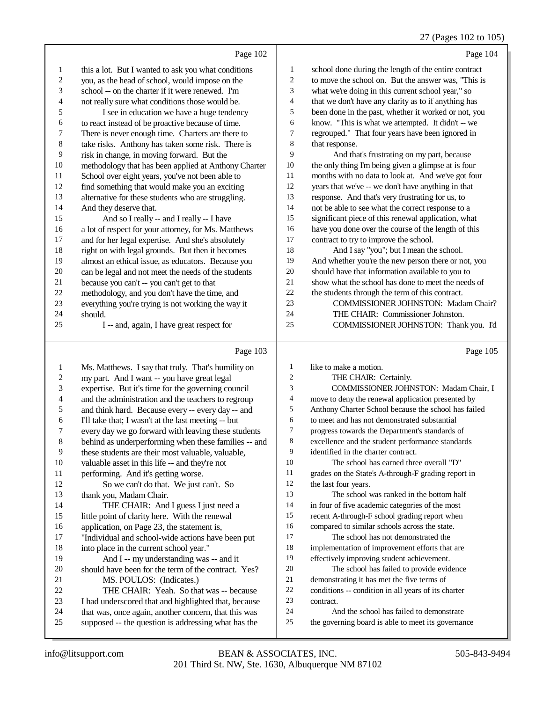### 27 (Pages 102 to 105)

|    | Page 102                                             |                | Page 104                                             |
|----|------------------------------------------------------|----------------|------------------------------------------------------|
| 1  | this a lot. But I wanted to ask you what conditions  | 1              | school done during the length of the entire contract |
| 2  | you, as the head of school, would impose on the      | $\overline{c}$ | to move the school on. But the answer was, "This is  |
| 3  | school -- on the charter if it were renewed. I'm     | 3              | what we're doing in this current school year," so    |
| 4  | not really sure what conditions those would be.      | 4              | that we don't have any clarity as to if anything has |
| 5  | I see in education we have a huge tendency           | 5              | been done in the past, whether it worked or not, you |
| 6  | to react instead of be proactive because of time.    | 6              | know. "This is what we attempted. It didn't -- we    |
| 7  | There is never enough time. Charters are there to    | 7              | regrouped." That four years have been ignored in     |
| 8  | take risks. Anthony has taken some risk. There is    | 8              | that response.                                       |
| 9  | risk in change, in moving forward. But the           | 9              | And that's frustrating on my part, because           |
| 10 | methodology that has been applied at Anthony Charter | 10             | the only thing I'm being given a glimpse at is four  |
| 11 | School over eight years, you've not been able to     | 11             | months with no data to look at. And we've got four   |
| 12 | find something that would make you an exciting       | 12             | years that we've -- we don't have anything in that   |
| 13 | alternative for these students who are struggling.   | 13             | response. And that's very frustrating for us, to     |
| 14 | And they deserve that.                               | 14             | not be able to see what the correct response to a    |
| 15 | And so I really -- and I really -- I have            | 15             | significant piece of this renewal application, what  |
| 16 | a lot of respect for your attorney, for Ms. Matthews | 16             | have you done over the course of the length of this  |
| 17 | and for her legal expertise. And she's absolutely    | 17             | contract to try to improve the school.               |
| 18 | right on with legal grounds. But then it becomes     | 18             | And I say "you"; but I mean the school.              |
| 19 | almost an ethical issue, as educators. Because you   | 19             | And whether you're the new person there or not, you  |
| 20 | can be legal and not meet the needs of the students  | 20             | should have that information available to you to     |
| 21 | because you can't -- you can't get to that           | 21             | show what the school has done to meet the needs of   |
| 22 | methodology, and you don't have the time, and        | 22             | the students through the term of this contract.      |
| 23 | everything you're trying is not working the way it   | 23             | <b>COMMISSIONER JOHNSTON: Madam Chair?</b>           |
| 24 | should.                                              | 24             | THE CHAIR: Commissioner Johnston.                    |
| 25 | I -- and, again, I have great respect for            | 25             | COMMISSIONER JOHNSTON: Thank you. I'd                |
|    | Page 103                                             |                | Page 105                                             |
|    |                                                      |                |                                                      |

| 1              | Ms. Matthews. I say that truly. That's humility on   | 1              | like to make a r      |
|----------------|------------------------------------------------------|----------------|-----------------------|
| 2              | my part. And I want -- you have great legal          | 2              | <b>THE CH</b>         |
| 3              | expertise. But it's time for the governing council   | 3              | <b>COMMI</b>          |
| $\overline{4}$ | and the administration and the teachers to regroup   | $\overline{4}$ | move to deny th       |
| 5              | and think hard. Because every -- every day -- and    | 5              | <b>Anthony Charte</b> |
| 6              | I'll take that; I wasn't at the last meeting -- but  | 6              | to meet and has       |
| 7              | every day we go forward with leaving these students  | $\tau$         | progress toward       |
| $\,$ 8 $\,$    | behind as underperforming when these families -- and | 8              | excellence and        |
| 9              | these students are their most valuable, valuable,    | 9              | identified in the     |
| 10             | valuable asset in this life -- and they're not       | 10             | The scho              |
| 11             | performing. And it's getting worse.                  | 11             | grades on the S       |
| 12             | So we can't do that. We just can't. So               | 12             | the last four yea     |
| 13             | thank you, Madam Chair.                              | 13             | The scho              |
| 14             | THE CHAIR: And I guess I just need a                 | 14             | in four of five a     |
| 15             | little point of clarity here. With the renewal       | 15             | recent A-throug       |
| 16             | application, on Page 23, the statement is,           | 16             | compared to sir       |
| 17             | "Individual and school-wide actions have been put    | 17             | The scho              |
| 18             | into place in the current school year."              | 18             | implementation        |
| 19             | And I -- my understanding was -- and it              | 19             | effectively impr      |
| 20             | should have been for the term of the contract. Yes?  | 20             | The scho              |
| 21             | MS. POULOS: (Indicates.)                             | 21             | demonstrating i       |
| 22             | THE CHAIR: Yeah. So that was -- because              | 22             | conditions -- co      |
| 23             | I had underscored that and highlighted that, because | 23             | contract.             |
| 24             | that was, once again, another concern, that this was | 24             | And the               |
| 25             | supposed -- the question is addressing what has the  | 25             | the governing b       |
|                |                                                      |                |                       |

| 1              | like to make a motion.                               |
|----------------|------------------------------------------------------|
| $\overline{2}$ | THE CHAIR: Certainly.                                |
| 3              | COMMISSIONER JOHNSTON: Madam Chair, I                |
| $\overline{4}$ | move to deny the renewal application presented by    |
| 5              | Anthony Charter School because the school has failed |
| 6              | to meet and has not demonstrated substantial         |
| 7              | progress towards the Department's standards of       |
| 8              | excellence and the student performance standards     |
| 9              | identified in the charter contract.                  |
| 10             | The school has earned three overall "D"              |
| 11             | grades on the State's A-through-F grading report in  |
| 12             | the last four years.                                 |
| 13             | The school was ranked in the bottom half             |
| 14             | in four of five academic categories of the most      |
| 15             | recent A-through-F school grading report when        |
| 16             | compared to similar schools across the state.        |
| 17             | The school has not demonstrated the                  |
| 18             | implementation of improvement efforts that are       |
| 19             | effectively improving student achievement.           |
| 20             | The school has failed to provide evidence            |
| 21             | demonstrating it has met the five terms of           |
| 22             | conditions -- condition in all years of its charter  |
| 23             | contract.                                            |
| 24             | And the school has failed to demonstrate             |
| 25             | the governing board is able to meet its governance   |
|                |                                                      |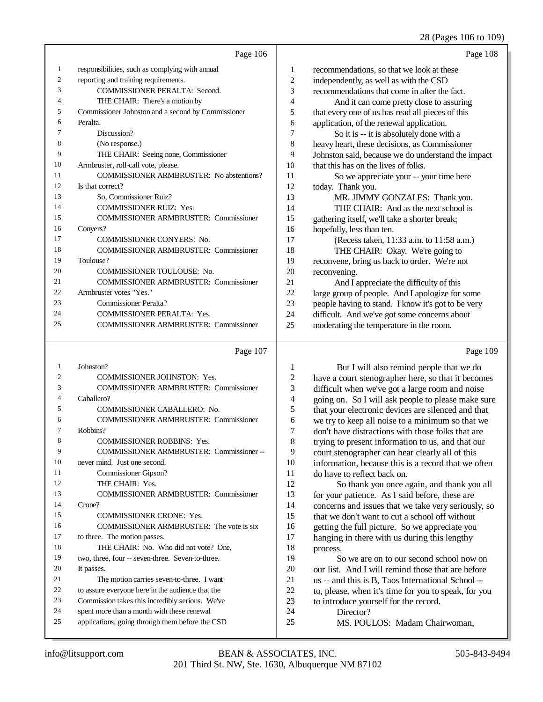#### 06 to 109)

|                |                                                    |                | 28 (Pages 106 to 109                               |
|----------------|----------------------------------------------------|----------------|----------------------------------------------------|
|                | Page 106                                           |                | Page 108                                           |
| 1              | responsibilities, such as complying with annual    | 1              | recommendations, so that we look at these          |
| $\mathfrak{2}$ | reporting and training requirements.               | $\overline{c}$ | independently, as well as with the CSD             |
| 3              | <b>COMMISSIONER PERALTA: Second.</b>               | 3              | recommendations that come in after the fact.       |
| 4              | THE CHAIR: There's a motion by                     | 4              | And it can come pretty close to assuring           |
| 5              | Commissioner Johnston and a second by Commissioner | 5              | that every one of us has read all pieces of this   |
| 6              | Peralta.                                           | 6              | application, of the renewal application.           |
| 7              | Discussion?                                        | 7              | So it is -- it is absolutely done with a           |
| 8              | (No response.)                                     | 8              | heavy heart, these decisions, as Commissioner      |
| 9              | THE CHAIR: Seeing none, Commissioner               | 9              | Johnston said, because we do understand the impact |
| 10             | Armbruster, roll-call vote, please.                | 10             | that this has on the lives of folks.               |
| 11             | <b>COMMISSIONER ARMBRUSTER:</b> No abstentions?    | 11             | So we appreciate your -- your time here            |
| 12             | Is that correct?                                   | 12             | today. Thank you.                                  |
| 13             | So, Commissioner Ruiz?                             | 13             | MR. JIMMY GONZALES: Thank you.                     |
| 14             | <b>COMMISSIONER RUIZ: Yes.</b>                     | 14             | THE CHAIR: And as the next school is               |
| 15             | <b>COMMISSIONER ARMBRUSTER: Commissioner</b>       | 15             | gathering itself, we'll take a shorter break;      |
| 16             | Conyers?                                           | 16             | hopefully, less than ten.                          |
| 17             | <b>COMMISSIONER CONYERS: No.</b>                   | 17             | (Recess taken, 11:33 a.m. to 11:58 a.m.)           |
| 18             | <b>COMMISSIONER ARMBRUSTER: Commissioner</b>       | 18             | THE CHAIR: Okay. We're going to                    |
| 19             | Toulouse?                                          | 19             | reconvene, bring us back to order. We're not       |
| 20             | <b>COMMISSIONER TOULOUSE: No.</b>                  | 20             | reconvening.                                       |
| 21             | <b>COMMISSIONER ARMBRUSTER: Commissioner</b>       | 21             | And I appreciate the difficulty of this            |
| 22             | Armbruster votes "Yes."                            | 22             | large group of people. And I apologize for some    |
| 23             | <b>Commissioner Peralta?</b>                       | 23             | people having to stand. I know it's got to be very |
| 24             | <b>COMMISSIONER PERALTA: Yes.</b>                  | 24             | difficult. And we've got some concerns about       |
| 25             | <b>COMMISSIONER ARMBRUSTER: Commissioner</b>       | 25             | moderating the temperature in the room.            |
|                | Page 107                                           |                | Page 109                                           |
|                |                                                    |                |                                                    |

#### Page 109

| 1   | Johnston?                                        |  |
|-----|--------------------------------------------------|--|
| 2   | <b>COMMISSIONER JOHNSTON: Yes.</b>               |  |
| 3   | <b>COMMISSIONER ARMBRUSTER: Commissioner</b>     |  |
| 4   | Caballero?                                       |  |
| 5   | COMMISSIONER CABALLERO: No.                      |  |
| 6   | <b>COMMISSIONER ARMBRUSTER: Commissioner</b>     |  |
| 7   | Robbins?                                         |  |
| 8   | <b>COMMISSIONER ROBBINS: Yes.</b>                |  |
| 9   | COMMISSIONER ARMBRUSTER: Commissioner--          |  |
| 10  | never mind. Just one second.                     |  |
| 11  | Commissioner Gipson?                             |  |
| 12. | THE CHAIR: Yes.                                  |  |
| 13  | <b>COMMISSIONER ARMBRUSTER: Commissioner</b>     |  |
| 14  | $C$ rone?                                        |  |
| 15  | <b>COMMISSIONER CRONE: Yes.</b>                  |  |
| 16  | COMMISSIONER ARMBRUSTER: The vote is six         |  |
| 17  | to three. The motion passes.                     |  |
| 18  | THE CHAIR: No. Who did not vote? One.            |  |
| 19  | two, three, four -- seven-three. Seven-to-three. |  |
| 20  | It passes.                                       |  |
| 2.1 | The motion carries seven-to-three. I want        |  |
| 22  | to assure everyone here in the audience that the |  |
| 23  | Commission takes this incredibly serious. We've  |  |
| 24  | spent more than a month with these renewal       |  |
| 25  | applications, going through them before the CSD  |  |
|     |                                                  |  |

1 But I will also remind people that we do<br>2 have a court stenographer here, so that it become 2 have a court stenographer here, so that it becomes<br>3 difficult when we've got a large room and noise difficult when we've got a large room and noise 4 going on. So I will ask people to please make sure<br>5 that your electronic devices are silenced and that 5 that your electronic devices are silenced and that<br>6 we try to keep all noise to a minimum so that we 6 we try to keep all noise to a minimum so that we  $\frac{7}{100}$  don't have distractions with those folks that are 7 don't have distractions with those folks that are<br>8 trying to present information to us and that our 8 trying to present information to us, and that our<br>9 court stenographer can bear clearly all of this 9 court stenographer can hear clearly all of this<br>10 information because this is a record that we of 10 information, because this is a record that we often<br>11 do have to reflect back on 11 do have to reflect back on.<br>12 So thank you once a 12 So thank you once again, and thank you all<br>13 for your patience As I said before these are 13 for your patience. As I said before, these are<br>14 concerns and issues that we take very serious 14 concerns and issues that we take very seriously, so<br>15 that we don't want to cut a school off without

that we don't want to cut a school off without 16 getting the full picture. So we appreciate you<br>17 hanging in there with us during this lengthy 17 hanging in there with us during this lengthy<br>18 mocess  $\frac{18}{19}$  process.

So we are on to our second school now on 20 our list. And I will remind those that are before<br>21 us -- and this is B. Taos International School --21 us -- and this is B, Taos International School --<br>22 to please when it's time for you to speak for you 22 to, please, when it's time for you to speak, for you<br>23 to introduce vourself for the record. 23 to introduce yourself for the record.<br>24 Director?

24 Director?<br>25 MS POU

MS. POULOS: Madam Chairwoman,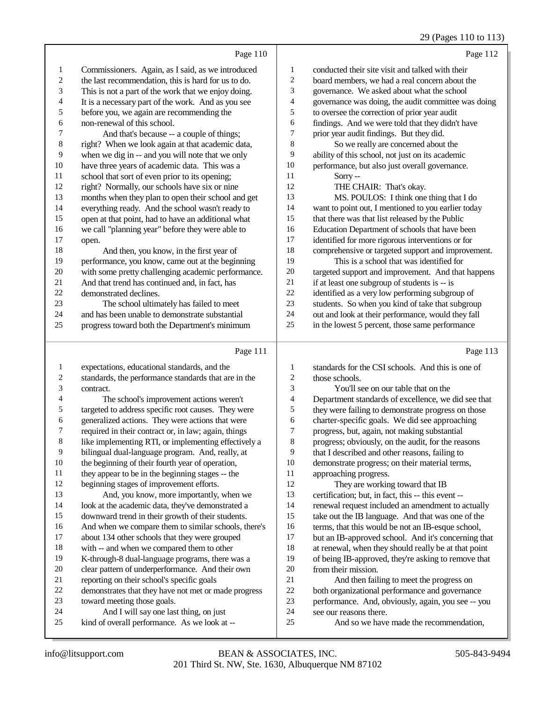#### 29 (Pages 110 to 113)

|                         |                                                      |                          | 27 (Fages 110 to 115)                                                                             |
|-------------------------|------------------------------------------------------|--------------------------|---------------------------------------------------------------------------------------------------|
|                         | Page 110                                             |                          | Page 112                                                                                          |
| $\mathbf{1}$            | Commissioners. Again, as I said, as we introduced    | 1                        | conducted their site visit and talked with their                                                  |
| $\sqrt{2}$              | the last recommendation, this is hard for us to do.  | $\boldsymbol{2}$         | board members, we had a real concern about the                                                    |
| 3                       | This is not a part of the work that we enjoy doing.  | 3                        | governance. We asked about what the school                                                        |
| $\overline{4}$          | It is a necessary part of the work. And as you see   | $\overline{\mathcal{L}}$ | governance was doing, the audit committee was doing                                               |
| $\sqrt{5}$              | before you, we again are recommending the            | 5                        | to oversee the correction of prior year audit                                                     |
| 6                       | non-renewal of this school.                          | 6                        | findings. And we were told that they didn't have                                                  |
| $\boldsymbol{7}$        | And that's because -- a couple of things;            | 7                        | prior year audit findings. But they did.                                                          |
| $\,$ 8 $\,$             | right? When we look again at that academic data,     | 8                        | So we really are concerned about the                                                              |
| 9                       | when we dig in -- and you will note that we only     | 9                        | ability of this school, not just on its academic                                                  |
| 10                      | have three years of academic data. This was a        | $10\,$                   | performance, but also just overall governance.                                                    |
| 11                      | school that sort of even prior to its opening;       | 11                       | Sorry--                                                                                           |
| 12                      | right? Normally, our schools have six or nine        | 12                       | THE CHAIR: That's okay.                                                                           |
| 13                      | months when they plan to open their school and get   | 13                       | MS. POULOS: I think one thing that I do                                                           |
| 14                      |                                                      | 14                       |                                                                                                   |
| 15                      | everything ready. And the school wasn't ready to     | 15                       | want to point out, I mentioned to you earlier today                                               |
| 16                      | open at that point, had to have an additional what   | 16                       | that there was that list released by the Public<br>Education Department of schools that have been |
| $17\,$                  | we call "planning year" before they were able to     | 17                       |                                                                                                   |
| 18                      | open.                                                | 18                       | identified for more rigorous interventions or for                                                 |
|                         | And then, you know, in the first year of             | 19                       | comprehensive or targeted support and improvement.                                                |
| 19                      | performance, you know, came out at the beginning     |                          | This is a school that was identified for                                                          |
| $20\,$                  | with some pretty challenging academic performance.   | $20\,$                   | targeted support and improvement. And that happens                                                |
| 21                      | And that trend has continued and, in fact, has       | 21<br>$22\,$             | if at least one subgroup of students is -- is                                                     |
| $22\,$                  | demonstrated declines.                               |                          | identified as a very low performing subgroup of                                                   |
| 23                      | The school ultimately has failed to meet             | 23                       | students. So when you kind of take that subgroup                                                  |
| 24                      | and has been unable to demonstrate substantial       | 24                       | out and look at their performance, would they fall                                                |
| 25                      | progress toward both the Department's minimum        | 25                       | in the lowest 5 percent, those same performance                                                   |
|                         | Page 111                                             |                          | Page 113                                                                                          |
| $\mathbf{1}$            | expectations, educational standards, and the         | 1                        | standards for the CSI schools. And this is one of                                                 |
| $\overline{\mathbf{c}}$ | standards, the performance standards that are in the | $\overline{\mathbf{c}}$  | those schools.                                                                                    |
| 3                       | contract.                                            | 3                        | You'll see on our table that on the                                                               |
| 4                       | The school's improvement actions weren't             | $\overline{\mathcal{A}}$ | Department standards of excellence, we did see that                                               |
| 5                       | targeted to address specific root causes. They were  | 5                        | they were failing to demonstrate progress on those                                                |
| 6                       | generalized actions. They were actions that were     | 6                        | charter-specific goals. We did see approaching                                                    |
| 7                       | required in their contract or, in law; again, things | $\tau$                   | progress, but, again, not making substantial                                                      |
| $\,8\,$                 | like implementing RTI, or implementing effectively a | $\,$ 8 $\,$              | progress; obviously, on the audit, for the reasons                                                |
| 9                       | bilingual dual-language program. And, really, at     | 9                        | that I described and other reasons, failing to                                                    |
| $10\,$                  | the beginning of their fourth year of operation,     | 10                       | demonstrate progress; on their material terms,                                                    |
| $11\,$                  | they appear to be in the beginning stages -- the     | 11                       | approaching progress.                                                                             |
| $12\,$                  | beginning stages of improvement efforts.             | 12                       | They are working toward that IB                                                                   |
| 13                      | And, you know, more importantly, when we             | 13                       | certification; but, in fact, this -- this event --                                                |
| 14                      | look at the academic data, they've demonstrated a    | 14                       | renewal request included an amendment to actually                                                 |
| 15                      | downward trend in their growth of their students.    | 15                       | take out the IB language. And that was one of the                                                 |
|                         |                                                      |                          |                                                                                                   |

And when we compare them to similar schools, there's

- about 134 other schools that they were grouped
- with -- and when we compared them to other
- K-through-8 dual-language programs, there was a
- clear pattern of underperformance. And their own reporting on their school's specific goals
- demonstrates that they have not met or made progress
- toward meeting those goals.
- And I will say one last thing, on just
- kind of overall performance. As we look at --
- And so we have made the recommendation,

but an IB-approved school. And it's concerning that

16 terms, that this would be not an IB-esque school,<br>17 but an IB-approved school. And it's concerning t

18 at renewal, when they should really be at that point<br>19 of being IB-approved, they're asking to remove that of being IB-approved, they're asking to remove that

21 And then failing to meet the progress on<br>22 both organizational performance and governance 22 both organizational performance and governance<br>23 performance. And, obviously, again, you see -- you 23 performance. And, obviously, again, you see -- you<br>24 see our reasons there.

20 from their mission.<br>21 And then fail

see our reasons there.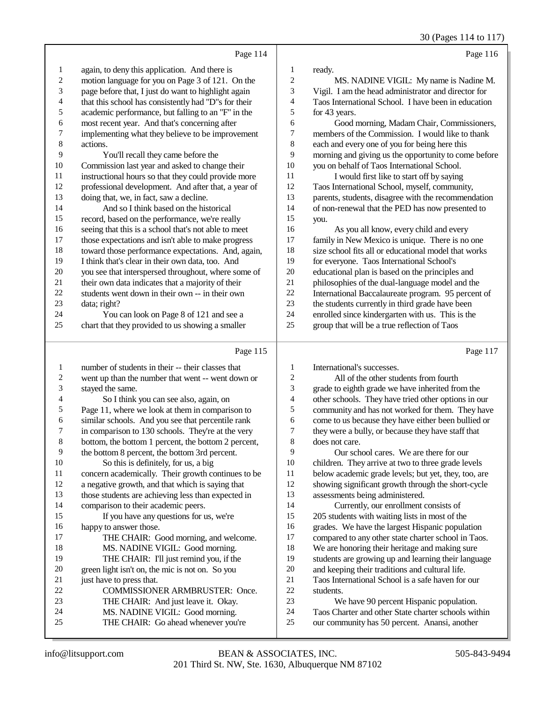30 (Pages 114 to 117)

|                          | Page 114                                             |                  | Page 116                                             |
|--------------------------|------------------------------------------------------|------------------|------------------------------------------------------|
| $\mathbf{1}$             | again, to deny this application. And there is        | 1                | ready.                                               |
| $\overline{c}$           | motion language for you on Page 3 of 121. On the     | $\overline{c}$   | MS. NADINE VIGIL: My name is Nadine M.               |
| 3                        | page before that, I just do want to highlight again  | 3                | Vigil. I am the head administrator and director for  |
| $\overline{\mathcal{L}}$ | that this school has consistently had "D"s for their | $\overline{4}$   | Taos International School. I have been in education  |
| 5                        | academic performance, but falling to an "F" in the   | 5                | for 43 years.                                        |
| 6                        | most recent year. And that's concerning after        | 6                | Good morning, Madam Chair, Commissioners,            |
| 7                        | implementing what they believe to be improvement     | $\boldsymbol{7}$ | members of the Commission. I would like to thank     |
| 8                        | actions.                                             | 8                | each and every one of you for being here this        |
| 9                        | You'll recall they came before the                   | 9                | morning and giving us the opportunity to come before |
| 10                       | Commission last year and asked to change their       | 10               | you on behalf of Taos International School.          |
| 11                       | instructional hours so that they could provide more  | 11               | I would first like to start off by saying            |
| 12                       | professional development. And after that, a year of  | 12               | Taos International School, myself, community,        |
| 13                       | doing that, we, in fact, saw a decline.              | 13               | parents, students, disagree with the recommendation  |
| 14                       | And so I think based on the historical               | 14               | of non-renewal that the PED has now presented to     |
| 15                       | record, based on the performance, we're really       | 15               | you.                                                 |
| 16                       | seeing that this is a school that's not able to meet | 16               | As you all know, every child and every               |
| 17                       | those expectations and isn't able to make progress   | 17               | family in New Mexico is unique. There is no one      |
| 18                       | toward those performance expectations. And, again,   | 18               | size school fits all or educational model that works |
| 19                       | I think that's clear in their own data, too. And     | 19               | for everyone. Taos International School's            |
| 20                       | you see that interspersed throughout, where some of  | 20               | educational plan is based on the principles and      |
| $21\,$                   | their own data indicates that a majority of their    | 21               | philosophies of the dual-language model and the      |
| 22                       | students went down in their own -- in their own      | 22               | International Baccalaureate program. 95 percent of   |
| 23                       | data; right?                                         | 23               | the students currently in third grade have been      |
| 24                       | You can look on Page 8 of 121 and see a              | 24               | enrolled since kindergarten with us. This is the     |
| 25                       | chart that they provided to us showing a smaller     | 25               | group that will be a true reflection of Taos         |
|                          | Page 115                                             |                  | Page 117                                             |
| $\mathbf{1}$             | number of students in their -- their classes that    | 1                | International's successes.                           |
| $\overline{c}$           | went up than the number that went -- went down or    | $\overline{c}$   | All of the other students from fourth                |
| 3                        | stayed the same.                                     | 3                | grade to eighth grade we have inherited from the     |
| 4                        | So I think you can see also, again, on               | $\overline{4}$   | other schools. They have tried other options in our  |
| 5                        | Page 11, where we look at them in comparison to      | 5                | community and has not worked for them. They have     |
| 6                        | similar schools. And you see that percentile rank    | 6                | come to us because they have either been bullied or  |
|                          | in comparison to 130 schools. They're at the very    | 7                | they were a bully or because they have staff that    |

- 7 in comparison to 130 schools. They're at the very<br>8 bottom. the bottom 1 percent, the bottom 2 percent bottom, the bottom 1 percent, the bottom 2 percent,
- 9 the bottom 8 percent, the bottom 3rd percent.<br>10 So this is definitely, for us, a high-
- 10 So this is definitely, for us, a big<br>11 concern academically. Their growth co
- 11 concern academically. Their growth continues to be 12 a negative growth, and that which is saving that a negative growth, and that which is saying that
- those students are achieving less than expected in comparison to their academic peers.

 If you have any questions for us, we're 16 happy to answer those.<br>17 THE CHAIR: G

- THE CHAIR: Good morning, and welcome. 18 MS. NADINE VIGIL: Good morning.<br>19 THE CHAIR: I'll just remind you if the THE CHAIR: I'll just remind you, if the 20 green light isn't on, the mic is not on. So you<br>21 iust have to press that.
- 21 just have to press that.<br>22 COMMISSION 22 COMMISSIONER ARMBRUSTER: Once.<br>23 THE CHAIR: And just leave it. Okav.
- THE CHAIR: And just leave it. Okay.
- MS. NADINE VIGIL: Good morning. THE CHAIR: Go ahead whenever you're
- 24 Taos Charter and other State charter schools within<br>25 our community has 50 percent. Anansi, another our community has 50 percent. Anansi, another

7 they were a bully, or because they have staff that  $\frac{8}{100}$ 

9 Our school cares. We are there for our 10 children. They arrive at two to three grade lev 10 children. They arrive at two to three grade levels<br>11 below academic grade levels: but yet, they, too, and 11 below academic grade levels; but yet, they, too, are<br>12 showing significant growth through the short-cycle showing significant growth through the short-cycle

 Currently, our enrollment consists of 205 students with waiting lists in most of the 16 grades. We have the largest Hispanic population<br>17 compared to any other state charter school in Taos compared to any other state charter school in Taos.

18 We are honoring their heritage and making sure<br>19 students are growing up and learning their langu

20 and keeping their traditions and cultural life.<br>21 Taos International School is a safe haven for 21 Taos International School is a safe haven for our students.

students are growing up and learning their language

We have 90 percent Hispanic population.

does not care.

assessments being administered.

22 students.<br>23 We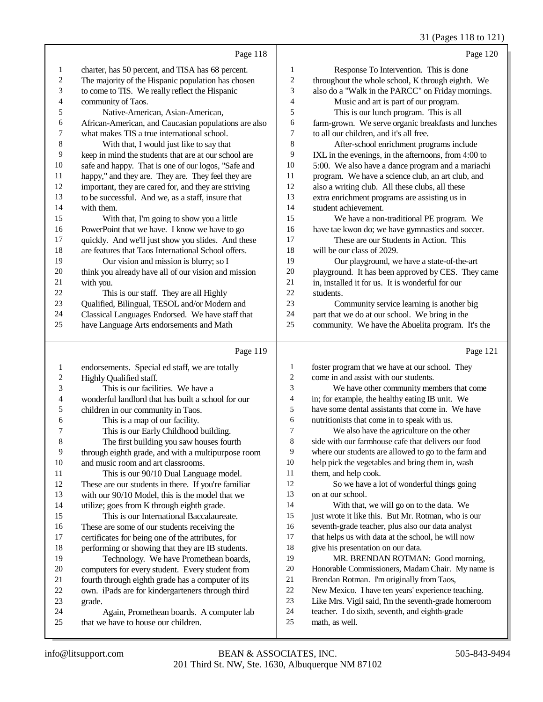#### 31 (Pages 118 to 121)

|                         | Page 118                                             |                | Page 120                                                                                             |
|-------------------------|------------------------------------------------------|----------------|------------------------------------------------------------------------------------------------------|
| 1                       | charter, has 50 percent, and TISA has 68 percent.    | 1              | Response To Intervention. This is done                                                               |
| $\boldsymbol{2}$        | The majority of the Hispanic population has chosen   | $\sqrt{2}$     | throughout the whole school, K through eighth. We                                                    |
| 3                       | to come to TIS. We really reflect the Hispanic       | 3              | also do a "Walk in the PARCC" on Friday mornings.                                                    |
| 4                       | community of Taos.                                   | $\overline{4}$ | Music and art is part of our program.                                                                |
| 5                       | Native-American, Asian-American,                     | 5              | This is our lunch program. This is all                                                               |
| 6                       | African-American, and Caucasian populations are also | 6              | farm-grown. We serve organic breakfasts and lunches                                                  |
| 7                       | what makes TIS a true international school.          | $\tau$         | to all our children, and it's all free.                                                              |
| $\,$ 8 $\,$             | With that, I would just like to say that             | 8              | After-school enrichment programs include                                                             |
| 9                       | keep in mind the students that are at our school are | 9              | IXL in the evenings, in the afternoons, from 4:00 to                                                 |
| 10                      | safe and happy. That is one of our logos, "Safe and  | 10             | 5:00. We also have a dance program and a mariachi                                                    |
| 11                      | happy," and they are. They are. They feel they are   | 11             | program. We have a science club, an art club, and                                                    |
| 12                      | important, they are cared for, and they are striving | 12             | also a writing club. All these clubs, all these                                                      |
| 13                      | to be successful. And we, as a staff, insure that    | 13             | extra enrichment programs are assisting us in                                                        |
| 14                      | with them.                                           | 14             | student achievement.                                                                                 |
| 15                      | With that, I'm going to show you a little            | 15             | We have a non-traditional PE program. We                                                             |
| 16                      | PowerPoint that we have. I know we have to go        | 16             | have tae kwon do; we have gymnastics and soccer.                                                     |
| 17                      | quickly. And we'll just show you slides. And these   | 17             | These are our Students in Action. This                                                               |
| 18                      | are features that Taos International School offers.  | 18             | will be our class of 2029.                                                                           |
| 19                      | Our vision and mission is blurry; so I               | 19             | Our playground, we have a state-of-the-art                                                           |
| 20                      | think you already have all of our vision and mission | 20             | playground. It has been approved by CES. They came                                                   |
| 21                      | with you.                                            | 21             | in, installed it for us. It is wonderful for our                                                     |
| 22                      | This is our staff. They are all Highly               | 22             | students.                                                                                            |
| 23                      | Qualified, Bilingual, TESOL and/or Modern and        | 23             | Community service learning is another big                                                            |
| 24                      | Classical Languages Endorsed. We have staff that     | 24             | part that we do at our school. We bring in the                                                       |
| 25                      | have Language Arts endorsements and Math             | 25             | community. We have the Abuelita program. It's the                                                    |
|                         | Page 119                                             |                | Page 121                                                                                             |
|                         |                                                      |                |                                                                                                      |
| 1                       | endorsements. Special ed staff, we are totally       | 1              | foster program that we have at our school. They<br>come in and assist with our students.             |
| $\overline{\mathbf{c}}$ | Highly Qualified staff.                              | 2<br>3         |                                                                                                      |
| 3                       | This is our facilities. We have a                    | 4              | We have other community members that come                                                            |
| 4                       | wonderful landlord that has built a school for our   | 5              | in; for example, the healthy eating IB unit. We<br>have some dental assistants that come in. We have |
| 5                       | children in our community in Taos.                   | 6              | nutritionists that come in to speak with us.                                                         |
| 6                       | This is a map of our facility.                       |                |                                                                                                      |

6 This is a map of our facility.<br>
7 This is our Early Childhood 7 This is our Early Childhood building.<br>8 The first building you saw houses fou The first building you saw houses fourth

9 through eighth grade, and with a multipurpose room<br>10 and music room and art classrooms. 10 and music room and art classrooms.<br>11 This is our 90/10 Dual Langua This is our 90/10 Dual Language model.

 These are our students in there. If you're familiar with our 90/10 Model, this is the model that we

 utilize; goes from K through eighth grade. This is our International Baccalaureate.

- 16 These are some of our students receiving the<br>17 certificates for being one of the attributes, for certificates for being one of the attributes, for
- 18 performing or showing that they are IB students.<br>19 Technology We have Promethean boards
- Technology. We have Promethean boards, 20 computers for every student. Every student from<br>21 fourth through eighth grade has a computer of its
- 21 fourth through eighth grade has a computer of its<br>22 own. iPads are for kindergarteners through third 22 own. iPads are for kindergarteners through third<br>23 grade. grade.
- 24 Again, Promethean boards. A computer lab 25 that we have to house our children.
- that we have to house our children.
- We also have the agriculture on the other side with our farmhouse cafe that delivers our food where our students are allowed to go to the farm and help pick the vegetables and bring them in, wash them, and help cook.
- So we have a lot of wonderful things going on at our school.

 With that, we will go on to the data. We 15 just wrote it like this. But Mr. Rotman, who is our seventh-grade teacher, plus also our data analyst that helps us with data at the school, he will now give his presentation on our data.

 MR. BRENDAN ROTMAN: Good morning, Honorable Commissioners, Madam Chair. My name is Brendan Rotman. I'm originally from Taos,

- New Mexico. I have ten years' experience teaching.
- Like Mrs. Vigil said, I'm the seventh-grade homeroom
- teacher. I do sixth, seventh, and eighth-grade
- math, as well.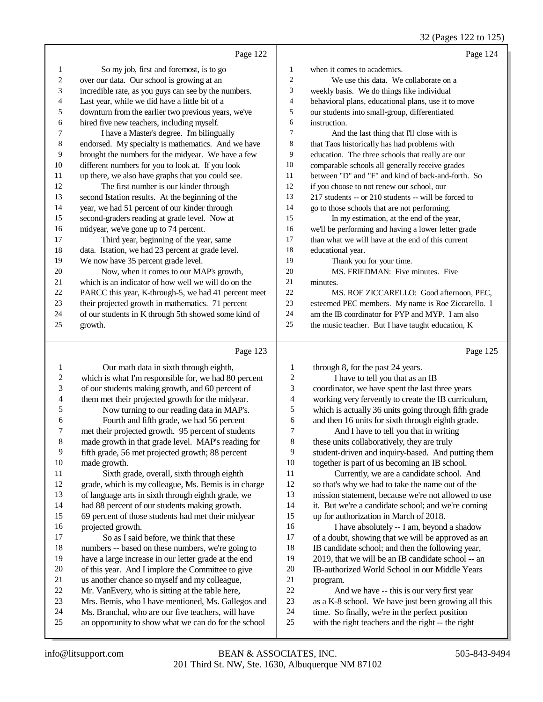32 (Pages 122 to 125)

|                       | Page 122                                                                                            |                       | Page 124                                                                                          |
|-----------------------|-----------------------------------------------------------------------------------------------------|-----------------------|---------------------------------------------------------------------------------------------------|
| $\mathbf{1}$          | So my job, first and foremost, is to go                                                             | $\mathbf{1}$          | when it comes to academics.                                                                       |
| $\boldsymbol{2}$      | over our data. Our school is growing at an                                                          | $\sqrt{2}$            | We use this data. We collaborate on a                                                             |
| 3                     | incredible rate, as you guys can see by the numbers.                                                | $\mathfrak{Z}$        | weekly basis. We do things like individual                                                        |
| 4                     | Last year, while we did have a little bit of a                                                      | $\overline{4}$        | behavioral plans, educational plans, use it to move                                               |
| 5                     | downturn from the earlier two previous years, we've                                                 | 5                     | our students into small-group, differentiated                                                     |
| 6                     | hired five new teachers, including myself.                                                          | 6                     | instruction.                                                                                      |
| 7                     | I have a Master's degree. I'm bilingually                                                           | 7                     | And the last thing that I'll close with is                                                        |
| 8                     | endorsed. My specialty is mathematics. And we have                                                  | 8                     | that Taos historically has had problems with                                                      |
| 9                     | brought the numbers for the midyear. We have a few                                                  | 9                     | education. The three schools that really are our                                                  |
| 10                    | different numbers for you to look at. If you look                                                   | 10                    | comparable schools all generally receive grades                                                   |
| 11                    | up there, we also have graphs that you could see.                                                   | 11                    | between "D" and "F" and kind of back-and-forth. So                                                |
| 12                    | The first number is our kinder through                                                              | 12                    | if you choose to not renew our school, our                                                        |
| 13                    | second Istation results. At the beginning of the                                                    | 13                    | 217 students -- or 210 students -- will be forced to                                              |
| 14                    | year, we had 51 percent of our kinder through                                                       | 14                    | go to those schools that are not performing.                                                      |
| 15                    | second-graders reading at grade level. Now at                                                       | 15                    | In my estimation, at the end of the year,                                                         |
| 16                    | midyear, we've gone up to 74 percent.                                                               | 16                    | we'll be performing and having a lower letter grade                                               |
| $17\,$                | Third year, beginning of the year, same                                                             | 17                    | than what we will have at the end of this current                                                 |
| 18                    | data. Istation, we had 23 percent at grade level.                                                   | 18                    | educational year.                                                                                 |
| 19                    | We now have 35 percent grade level.                                                                 | 19                    | Thank you for your time.                                                                          |
| 20                    | Now, when it comes to our MAP's growth,                                                             | $20\,$                | MS. FRIEDMAN: Five minutes. Five                                                                  |
| 21                    | which is an indicator of how well we will do on the                                                 | 21                    | minutes.                                                                                          |
| $22\,$                | PARCC this year, K-through-5, we had 41 percent meet                                                | 22                    | MS. ROE ZICCARELLO: Good afternoon, PEC,                                                          |
| $23\,$                | their projected growth in mathematics. 71 percent                                                   | 23                    | esteemed PEC members. My name is Roe Ziccarello. I                                                |
| 24                    | of our students in K through 5th showed some kind of                                                | 24                    | am the IB coordinator for PYP and MYP. I am also                                                  |
| 25                    | growth.                                                                                             | 25                    | the music teacher. But I have taught education, K                                                 |
|                       | Page 123                                                                                            |                       | Page 125                                                                                          |
|                       |                                                                                                     |                       |                                                                                                   |
| 1                     | Our math data in sixth through eighth,                                                              | 1                     | through 8, for the past 24 years.                                                                 |
| $\boldsymbol{2}$<br>3 | which is what I'm responsible for, we had 80 percent                                                | $\boldsymbol{2}$<br>3 | I have to tell you that as an IB                                                                  |
|                       | of our students making growth, and 60 percent of                                                    | 4                     | coordinator, we have spent the last three years                                                   |
| 4<br>5                | them met their projected growth for the midyear.                                                    | 5                     | working very fervently to create the IB curriculum,                                               |
|                       | Now turning to our reading data in MAP's.                                                           |                       | which is actually 36 units going through fifth grade                                              |
| 6<br>7                | Fourth and fifth grade, we had 56 percent<br>met their projected growth. 95 percent of students     | 6<br>7                | and then 16 units for sixth through eighth grade.                                                 |
|                       | made growth in that grade level. MAP's reading for                                                  | $\,$ 8 $\,$           | And I have to tell you that in writing                                                            |
| 8<br>9                |                                                                                                     | 9                     | these units collaboratively, they are truly<br>student-driven and inquiry-based. And putting them |
| $10\,$                | fifth grade, 56 met projected growth; 88 percent                                                    | 10                    |                                                                                                   |
| 11                    | made growth.<br>Sixth grade, overall, sixth through eighth                                          | 11                    | together is part of us becoming an IB school.                                                     |
| 12                    | grade, which is my colleague, Ms. Bemis is in charge                                                | 12                    | Currently, we are a candidate school. And<br>so that's why we had to take the name out of the     |
| 13                    |                                                                                                     | 13                    | mission statement, because we're not allowed to use                                               |
| 14                    | of language arts in sixth through eighth grade, we                                                  | 14                    |                                                                                                   |
| 15                    | had 88 percent of our students making growth.<br>69 percent of those students had met their midyear | 15                    | it. But we're a candidate school; and we're coming<br>up for authorization in March of 2018.      |
| 16                    | projected growth.                                                                                   | 16                    | I have absolutely -- I am, beyond a shadow                                                        |
| 17                    | So as I said before, we think that these                                                            | 17                    | of a doubt, showing that we will be approved as an                                                |
|                       |                                                                                                     |                       |                                                                                                   |

of a doubt, showing that we will be approved as an

- 18 IB candidate school; and then the following year,<br>19 2019, that we will be an IB candidate school -- an 2019, that we will be an IB candidate school -- an
- 20 IB-authorized World School in our Middle Years<br>21 orogram. 21 program.<br>22 And
- 22 And we have -- this is our very first year<br>23 as a K-8 school. We have just been growing a
- 23 as a K-8 school. We have just been growing all this 24 time. So finally, we're in the perfect position
- 24 time. So finally, we're in the perfect position<br>25 with the right teachers and the right -- the right with the right teachers and the right -- the right

18 numbers -- based on these numbers, we're going to<br>19 have a large increase in our letter grade at the end have a large increase in our letter grade at the end

20 of this year. And I implore the Committee to give<br>21 us another chance so myself and my colleague. 21 us another chance so myself and my colleague,<br>22 Mr. VanEvery, who is sitting at the table here. 22 Mr. VanEvery, who is sitting at the table here,<br>23 Mrs. Bemis, who I have mentioned, Ms. Gallee 23 Mrs. Bemis, who I have mentioned, Ms. Gallegos and<br>24 Ms. Branchal, who are our five teachers, will have 24 Ms. Branchal, who are our five teachers, will have<br>25 an opportunity to show what we can do for the sche

an opportunity to show what we can do for the school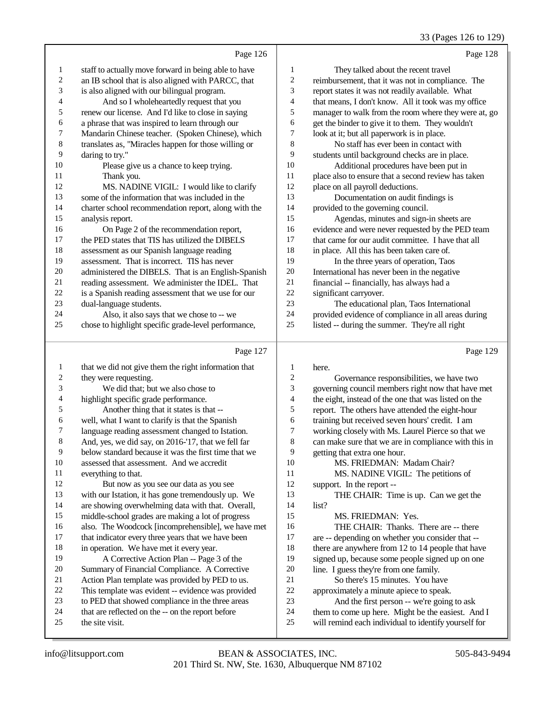33 (Pages 126 to 129)

Page 126 staff to actually move forward in being able to have an IB school that is also aligned with PARCC, that is also aligned with our bilingual program. 4 And so I wholeheartedly request that you<br>5 renew our license. And I'd like to close in saving renew our license. And I'd like to close in saying a phrase that was inspired to learn through our Mandarin Chinese teacher. (Spoken Chinese), which translates as, "Miracles happen for those willing or daring to try." Please give us a chance to keep trying. 11 Thank you.<br>12 MS NADI MS. NADINE VIGIL: I would like to clarify some of the information that was included in the charter school recommendation report, along with the 15 analysis report.<br>16 On Page 16 On Page 2 of the recommendation report,<br>17 the PED states that TIS has utilized the DIRELS the PED states that TIS has utilized the DIBELS assessment as our Spanish language reading 19 assessment. That is incorrect. TIS has never<br>20 administered the DIBELS That is an English administered the DIBELS. That is an English-Spanish 21 reading assessment. We administer the IDEL. That<br>22 is a Spanish reading assessment that we use for our 22 is a Spanish reading assessment that we use for our<br>23 dual-language students dual-language students. 24 Also, it also says that we chose to  $\frac{1}{25}$  chose to highlight specific grade-level perform chose to highlight specific grade-level performance, Page 128 They talked about the recent travel 2 reimbursement, that it was not in compliance. The<br>3 report states it was not readily available. What report states it was not readily available. What 4 that means, I don't know. All it took was my office<br>5 manager to walk from the room where they were at. 5 manager to walk from the room where they were at, go<br>6 eet the binder to give it to them. They wouldn't 6 get the binder to give it to them. They wouldn't<br>
7 look at it: but all paperwork is in place. look at it; but all paperwork is in place. No staff has ever been in contact with 9 students until background checks are in place.<br>10 Additional procedures have been put in Additional procedures have been put in place also to ensure that a second review has taken place on all payroll deductions. 13 Documentation on audit findings is<br>14 provided to the governing council provided to the governing council. 15 Agendas, minutes and sign-in sheets are<br>16 evidence and were never requested by the PED 16 evidence and were never requested by the PED team<br>17 that came for our audit committee. I have that all that came for our audit committee. I have that all in place. All this has been taken care of. In the three years of operation, Taos International has never been in the negative financial -- financially, has always had a 22 significant carryover.<br>23 The educations The educational plan, Taos International provided evidence of compliance in all areas during listed -- during the summer. They're all right

#### Page 127

| 1              | that we did not give them the right information that | $\mathbf{1}$   | h              |
|----------------|------------------------------------------------------|----------------|----------------|
| $\overline{c}$ | they were requesting.                                | $\mathfrak{2}$ |                |
| 3              | We did that; but we also chose to                    | 3              | g <sub>(</sub> |
| $\overline{4}$ | highlight specific grade performance.                | 4              | th             |
| 5              | Another thing that it states is that --              | 5              | re             |
| 6              | well, what I want to clarify is that the Spanish     | 6              | tr             |
| 7              | language reading assessment changed to Istation.     | 7              | W              |
| 8              | And, yes, we did say, on 2016-'17, that we fell far  | 8              | C <sub>c</sub> |
| 9              | below standard because it was the first time that we | 9              | g <sub>(</sub> |
| 10             | assessed that assessment. And we accredit            | 10             |                |
| 11             | everything to that.                                  | 11             |                |
| 12             | But now as you see our data as you see               | 12             | Sl             |
| 13             | with our Istation, it has gone tremendously up. We   | 13             |                |
| 14             | are showing overwhelming data with that. Overall,    | 14             | li:            |
| 15             | middle-school grades are making a lot of progress    | 15             |                |
| 16             | also. The Woodcock [incomprehensible], we have met   | 16             |                |
| 17             | that indicator every three years that we have been   | 17             | ai             |
| 18             | in operation. We have met it every year.             | 18             | th             |
| 19             | A Corrective Action Plan -- Page 3 of the            | 19             | si             |
| 20             | Summary of Financial Compliance. A Corrective        | 20             | li             |
| 21             | Action Plan template was provided by PED to us.      | 21             |                |
| 22             | This template was evident -- evidence was provided   | 22             | a              |
| 23             | to PED that showed compliance in the three areas     | 23             |                |
| 24             | that are reflected on the -- on the report before    | 24             | th             |
| 25             | the site visit.                                      | 25             | W              |
|                |                                                      |                |                |

| 1              | here.                                                |
|----------------|------------------------------------------------------|
| $\mathfrak{2}$ | Governance responsibilities, we have two             |
| 3              | governing council members right now that have met    |
| $\overline{4}$ | the eight, instead of the one that was listed on the |
| 5              | report. The others have attended the eight-hour      |
| 6              | training but received seven hours' credit. I am      |
| $\overline{7}$ | working closely with Ms. Laurel Pierce so that we    |
| 8              | can make sure that we are in compliance with this in |
| 9              | getting that extra one hour.                         |
| 10             | MS. FRIEDMAN: Madam Chair?                           |
| 11             | MS. NADINE VIGIL: The petitions of                   |
| 12             | support. In the report --                            |
| 13             | THE CHAIR: Time is up. Can we get the                |
| 14             | list?                                                |
| 15             | MS. FRIEDMAN: Yes.                                   |
| 16             | THE CHAIR: Thanks. There are -- there                |
| 17             | are -- depending on whether you consider that --     |
| 18             | there are anywhere from 12 to 14 people that have    |
| 19             | signed up, because some people signed up on one      |
| 20             | line. I guess they're from one family.               |
| 21             | So there's 15 minutes. You have                      |
| 22             | approximately a minute apiece to speak.              |
| 23             | And the first person -- we're going to ask           |
| 24             | them to come up here. Might be the easiest. And I    |
| 25             | will remind each individual to identify yourself for |
|                |                                                      |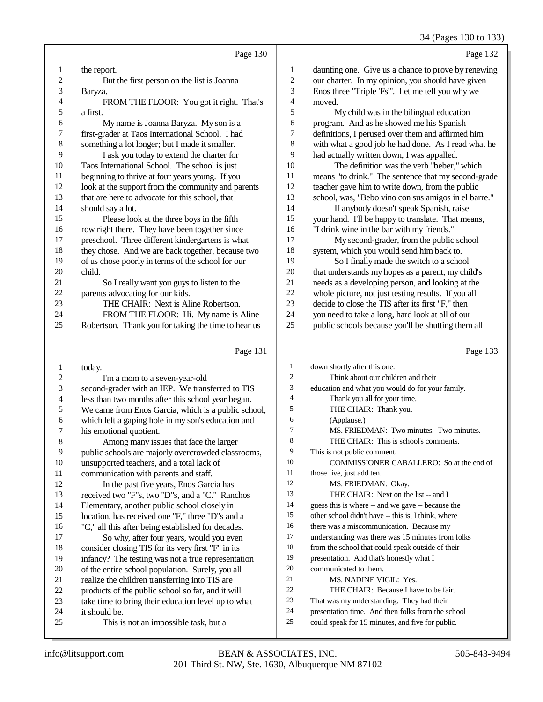34 (Pages 130 to 133)

|                         |                                                     |                         | 34 (Pages 130 to 133                                 |
|-------------------------|-----------------------------------------------------|-------------------------|------------------------------------------------------|
|                         | Page 130                                            |                         | Page 132                                             |
| 1                       | the report.                                         | 1                       | daunting one. Give us a chance to prove by renewing  |
| $\overline{\mathbf{c}}$ | But the first person on the list is Joanna          | $\overline{\mathbf{c}}$ | our charter. In my opinion, you should have given    |
| 3                       | Baryza.                                             | 3                       | Enos three "Triple 'Fs"'. Let me tell you why we     |
| 4                       | FROM THE FLOOR: You got it right. That's            | 4                       | moved.                                               |
| 5                       | a first.                                            | 5                       | My child was in the bilingual education              |
| 6                       | My name is Joanna Baryza. My son is a               | 6                       | program. And as he showed me his Spanish             |
| 7                       | first-grader at Taos International School. I had    | $\sqrt{ }$              | definitions, I perused over them and affirmed him    |
| 8                       | something a lot longer; but I made it smaller.      | 8                       | with what a good job he had done. As I read what he  |
| 9                       | I ask you today to extend the charter for           | 9                       | had actually written down, I was appalled.           |
| 10                      | Taos International School. The school is just       | $10\,$                  | The definition was the verb "beber," which           |
| 11                      | beginning to thrive at four years young. If you     | 11                      | means "to drink." The sentence that my second-grade  |
| 12                      | look at the support from the community and parents  | 12                      | teacher gave him to write down, from the public      |
| 13                      | that are here to advocate for this school, that     | 13                      | school, was, "Bebo vino con sus amigos in el barre." |
| 14                      | should say a lot.                                   | 14                      | If anybody doesn't speak Spanish, raise              |
| 15                      | Please look at the three boys in the fifth          | 15                      | your hand. I'll be happy to translate. That means,   |
| 16                      | row right there. They have been together since      | 16                      | "I drink wine in the bar with my friends."           |
| 17                      | preschool. Three different kindergartens is what    | 17                      | My second-grader, from the public school             |
| 18                      | they chose. And we are back together, because two   | 18                      | system, which you would send him back to.            |
| 19                      | of us chose poorly in terms of the school for our   | 19                      | So I finally made the switch to a school             |
| 20                      | child.                                              | $20\,$                  | that understands my hopes as a parent, my child's    |
| 21                      | So I really want you guys to listen to the          | 21                      | needs as a developing person, and looking at the     |
| $22\,$                  | parents advocating for our kids.                    | 22                      | whole picture, not just testing results. If you all  |
| 23                      | THE CHAIR: Next is Aline Robertson.                 | 23                      | decide to close the TIS after its first "F," then    |
| 24                      | FROM THE FLOOR: Hi. My name is Aline                | 24                      | you need to take a long, hard look at all of our     |
| 25                      | Robertson. Thank you for taking the time to hear us | 25                      | public schools because you'll be shutting them all   |
|                         | Page 131                                            |                         | Page 133                                             |
| $\mathbf{1}$            | today.                                              | 1                       | down shortly after this one.                         |
| 2                       | I'm a mom to a seven-year-old                       | $\mathfrak{2}$          | Think about our children and their                   |
| 3                       | second-grader with an IEP. We transferred to TIS    | 3                       | education and what you would do for your family.     |
| 4                       | less than two months after this school year began.  | 4                       | Thank you all for your time.                         |
| 5                       | We came from Enos Garcia, which is a public school, | 5                       | THE CHAIR: Thank you.                                |
| 6                       | which left a gaping hole in my son's education and  | 6                       | (Applause.)                                          |
| 7                       | his emotional quotient.                             | $\overline{7}$          | MS. FRIEDMAN: Two minutes. Two minutes.              |
| 8                       | Among many issues that face the larger              | 8                       | THE CHAIR: This is school's comments.                |
| $\overline{9}$          | public schools are majorly overcrowded classrooms,  | 9                       | This is not public comment.                          |
| 10                      | unsupported teachers, and a total lack of           | 10                      | COMMISSIONER CABALLERO: So at the end of             |
| 11                      | communication with parents and staff.               | 11                      | those five, just add ten.                            |
| 12                      | In the past five years, Enos Garcia has             | 12                      | MS. FRIEDMAN: Okay.                                  |
| 13                      | received two "F"s, two "D"s, and a "C." Ranchos     | 13                      | THE CHAIR: Next on the list -- and I                 |
| 14                      | Elementary, another public school closely in        | 14                      | guess this is where -- and we gave -- because the    |
| 15                      | location, has received one "F," three "D"s and a    | 15                      | other school didn't have -- this is, I think, where  |
| 16                      | "C," all this after being established for decades.  | 16                      | there was a miscommunication. Because my             |
| 17                      | So why, after four years, would you even            | 17                      | understanding was there was 15 minutes from folks    |
| 18                      | consider closing TIS for its very first "F" in its  | 18                      | from the school that could speak outside of their    |
| 19                      | infancy? The testing was not a true representation  | 19                      | presentation. And that's honestly what I             |

- from the school that could speak outside of their
	- presentation. And that's honestly what I
	- communicated to them.
	- MS. NADINE VIGIL: Yes.
	- THE CHAIR: Because I have to be fair.
	- That was my understanding. They had their
	- presentation time. And then folks from the school
	- could speak for 15 minutes, and five for public.

24 it should be.<br>25 This is

infancy? The testing was not a true representation

This is not an impossible task, but a

20 of the entire school population. Surely, you all<br>21 realize the children transferring into TIS are 21 realize the children transferring into TIS are<br>22 products of the public school so far, and it w 22 products of the public school so far, and it will<br>
23 take time to bring their education level up to w 23 take time to bring their education level up to what<br>24 it should be.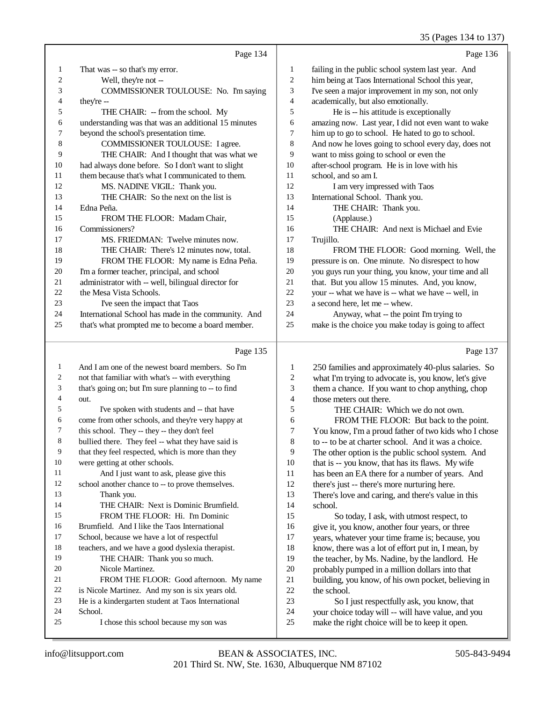#### 35 (Pages 134 to 137)

|                  | Page 134                                             |                         | Page 136                                             |
|------------------|------------------------------------------------------|-------------------------|------------------------------------------------------|
| $\mathbf{1}$     | That was -- so that's my error.                      | 1                       | failing in the public school system last year. And   |
| $\boldsymbol{2}$ | Well, they're not --                                 | 2                       | him being at Taos International School this year,    |
| 3                | COMMISSIONER TOULOUSE: No. I'm saying                | 3                       | I've seen a major improvement in my son, not only    |
| 4                | they're --                                           | 4                       | academically, but also emotionally.                  |
| 5                | THE CHAIR: -- from the school. My                    | 5                       | He is -- his attitude is exceptionally               |
| 6                | understanding was that was an additional 15 minutes  | 6                       | amazing now. Last year, I did not even want to wake  |
| 7                | beyond the school's presentation time.               | 7                       | him up to go to school. He hated to go to school.    |
| 8                | COMMISSIONER TOULOUSE: I agree.                      | 8                       | And now he loves going to school every day, does not |
| 9                | THE CHAIR: And I thought that was what we            | 9                       | want to miss going to school or even the             |
| 10               | had always done before. So I don't want to slight    | 10                      | after-school program. He is in love with his         |
| 11               | them because that's what I communicated to them.     | 11                      | school, and so am I.                                 |
| 12               | MS. NADINE VIGIL: Thank you.                         | 12                      | I am very impressed with Taos                        |
| 13               | THE CHAIR: So the next on the list is                | 13                      | International School. Thank you.                     |
| 14               | Edna Peña.                                           | 14                      | THE CHAIR: Thank you.                                |
| 15               | FROM THE FLOOR: Madam Chair,                         | 15                      | (Applause.)                                          |
| 16               | Commissioners?                                       | 16                      | THE CHAIR: And next is Michael and Evie              |
| 17               | MS. FRIEDMAN: Twelve minutes now.                    | 17                      | Trujillo.                                            |
| 18               | THE CHAIR: There's 12 minutes now, total.            | 18                      | FROM THE FLOOR: Good morning. Well, the              |
| 19               | FROM THE FLOOR: My name is Edna Peña.                | 19                      | pressure is on. One minute. No disrespect to how     |
| 20               | I'm a former teacher, principal, and school          | 20                      | you guys run your thing, you know, your time and all |
| 21               | administrator with -- well, bilingual director for   | 21                      | that. But you allow 15 minutes. And, you know,       |
| $22\,$           | the Mesa Vista Schools.                              | $22\,$                  | your -- what we have is -- what we have -- well, in  |
| 23               | I've seen the impact that Taos                       | 23                      | a second here, let me -- whew.                       |
| 24               | International School has made in the community. And  | 24                      | Anyway, what -- the point I'm trying to              |
| 25               | that's what prompted me to become a board member.    | 25                      | make is the choice you make today is going to affect |
|                  | Page 135                                             |                         | Page 137                                             |
| $\mathbf{1}$     | And I am one of the newest board members. So I'm     | $\mathbf{1}$            | 250 families and approximately 40-plus salaries. So  |
| $\overline{c}$   | not that familiar with what's -- with everything     | $\overline{\mathbf{c}}$ | what I'm trying to advocate is, you know, let's give |
| 3                | that's going on; but I'm sure planning to -- to find | 3                       | them a chance. If you want to chop anything, chop    |
| 4                | out.                                                 | 4                       | those meters out there.                              |
| 5                | I've spoken with students and -- that have           | 5                       | THE CHAIR: Which we do not own.                      |
| 6                | come from other schools, and they're very happy at   | 6                       | FROM THE FLOOR: But back to the point.               |
| 7                | this school. They -- they -- they don't feel         | 7                       | You know, I'm a proud father of two kids who I chose |
| 8                | bullied there. They feel -- what they have said is   | 8                       | to -- to be at charter school. And it was a choice.  |
| 9                | that they feel respected, which is more than they    | 9                       | The other option is the public school system. And    |
| 10               | were getting at other schools.                       | 10                      | that is -- you know, that has its flaws. My wife     |
| 11               | And I just want to ask, please give this             | 11                      | has been an EA there for a number of years. And      |
| 12               | school another chance to -- to prove themselves.     | 12                      | there's just -- there's more nurturing here.         |
| 13               | Thank you.                                           | 13                      | There's love and caring, and there's value in this   |
| 14               | THE CHAIR: Next is Dominic Brumfield.                | 14                      | school.                                              |
| 15               | FROM THE FLOOR: Hi. I'm Dominic                      | 15                      | So today, I ask, with utmost respect, to             |
| 16               | Brumfield. And I like the Taos International         | 16                      | give it, you know, another four years, or three      |
| 17               | School, because we have a lot of respectful          | 17                      | years, whatever your time frame is; because, you     |
| 18               | teachers, and we have a good dyslexia therapist.     | 18                      | know, there was a lot of effort put in, I mean, by   |
| 19               | THE CHAIR: Thank you so much.                        | 19                      | the teacher, by Ms. Nadine, by the landlord. He      |
| 20               | Nicole Martinez.                                     | 20                      | probably pumped in a million dollars into that       |
| 21               | FROM THE FLOOR: Good afternoon. My name              | 21                      | building, you know, of his own pocket, believing in  |
|                  |                                                      | 22                      | the school                                           |

21 building, you know, of his own pocket, believing in the school. 22 the school.<br>23 So I i

23 So I just respectfully ask, you know, that<br>24 vour choice today will -- will have value, and vo 24 your choice today will -- will have value, and you<br>25 make the right choice will be to keep it open. make the right choice will be to keep it open.

24 School.<br>25  $I$ 

22 is Nicole Martinez. And my son is six years old.<br>23 He is a kindergarten student at Taos International He is a kindergarten student at Taos International

I chose this school because my son was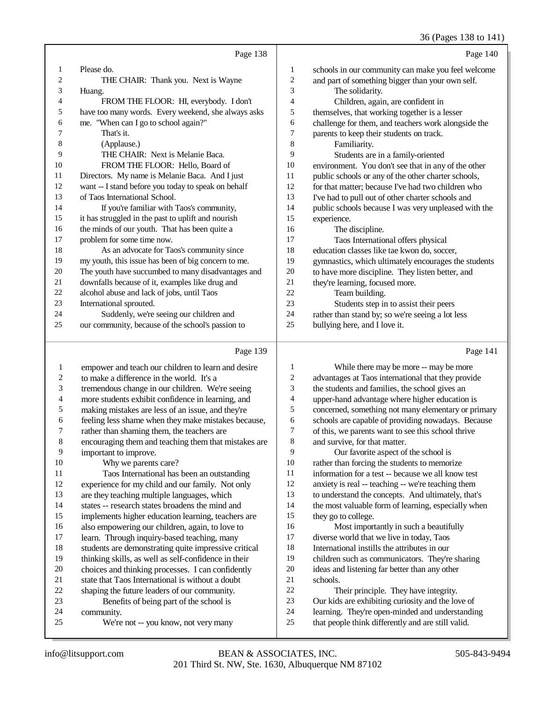36 (Pages 138 to 141)

|    | Page 138                                            |                | Page 140                                             |
|----|-----------------------------------------------------|----------------|------------------------------------------------------|
| 1  | Please do.                                          | 1              | schools in our community can make you feel welcome   |
| 2  | THE CHAIR: Thank you. Next is Wayne                 | $\mathfrak{2}$ | and part of something bigger than your own self.     |
| 3  | Huang.                                              | 3              | The solidarity.                                      |
| 4  | FROM THE FLOOR: HI, everybody. I don't              | 4              | Children, again, are confident in                    |
| 5  | have too many words. Every weekend, she always asks | 5              | themselves, that working together is a lesser        |
| 6  | me. "When can I go to school again?"                | 6              | challenge for them, and teachers work alongside the  |
|    | That's it.                                          | 7              | parents to keep their students on track.             |
| 8  | (Applause.)                                         | 8              | Familiarity.                                         |
| 9  | THE CHAIR: Next is Melanie Baca.                    | 9              | Students are in a family-oriented                    |
| 10 | FROM THE FLOOR: Hello, Board of                     | 10             | environment. You don't see that in any of the other  |
| 11 | Directors. My name is Melanie Baca. And I just      | 11             | public schools or any of the other charter schools,  |
| 12 | want -- I stand before you today to speak on behalf | 12             | for that matter; because I've had two children who   |
| 13 | of Taos International School.                       | 13             | I've had to pull out of other charter schools and    |
| 14 | If you're familiar with Taos's community,           | 14             | public schools because I was very unpleased with the |
| 15 | it has struggled in the past to uplift and nourish  | 15             | experience.                                          |
| 16 | the minds of our youth. That has been quite a       | 16             | The discipline.                                      |
| 17 | problem for some time now.                          | 17             | Taos International offers physical                   |
| 18 | As an advocate for Taos's community since           | 18             | education classes like tae kwon do, soccer,          |
| 19 | my youth, this issue has been of big concern to me. | 19             | gymnastics, which ultimately encourages the students |
| 20 | The youth have succumbed to many disadvantages and  | 20             | to have more discipline. They listen better, and     |
| 21 | downfalls because of it, examples like drug and     | 21             | they're learning, focused more.                      |
| 22 | alcohol abuse and lack of jobs, until Taos          | 22             | Team building.                                       |
| 23 | International sprouted.                             | 23             | Students step in to assist their peers               |
| 24 | Suddenly, we're seeing our children and             | 24             | rather than stand by; so we're seeing a lot less     |
| 25 | our community, because of the school's passion to   | 25             | bullying here, and I love it.                        |
|    | Page 139                                            |                | Page 141                                             |

#### empower and teach our children to learn and desire 2 to make a difference in the world. It's a<br>3 tremendous change in our children. We tremendous change in our children. We're seeing. more students exhibit confidence in learning, and 5 making mistakes are less of an issue, and they're<br>6 feeling less shame when they make mistakes bec 6 feeling less shame when they make mistakes because,<br>
7 rather than shaming them, the teachers are 7 rather than shaming them, the teachers are<br>8 encouraging them and teaching them that n encouraging them and teaching them that mistakes are 9 important to improve.<br>10 Why we parents 10 Why we parents care?<br>11 Taos International has 11 Taos International has been an outstanding<br>12 experience for my child and our family. Not only experience for my child and our family. Not only are they teaching multiple languages, which states -- research states broadens the mind and implements higher education learning, teachers are 16 also empowering our children, again, to love to 17 learn. Through inquiry-based teaching, many learn. Through inquiry-based teaching, many 18 students are demonstrating quite impressive critical<br>19 thinking skills as well as self-confidence in their thinking skills, as well as self-confidence in their 20 choices and thinking processes. I can confidently<br>21 state that Taos International is without a doubt 21 state that Taos International is without a doubt<br>22 shapping the future leaders of our community. 22 shaping the future leaders of our community.<br>23 Benefits of being part of the school is Benefits of being part of the school is 24 community.<br>25 We're We're not -- you know, not very many While there may be more -- may be more advantages at Taos international that they provide the students and families, the school gives an upper-hand advantage where higher education is concerned, something not many elementary or primary schools are capable of providing nowadays. Because of this, we parents want to see this school thrive and survive, for that matter. Our favorite aspect of the school is rather than forcing the students to memorize information for a test -- because we all know test anxiety is real -- teaching -- we're teaching them to understand the concepts. And ultimately, that's 14 the most valuable form of learning, especially when they go to college. Most importantly in such a beautifully diverse world that we live in today, Taos International instills the attributes in our children such as communicators. They're sharing ideas and listening far better than any other schools. Their principle. They have integrity. Our kids are exhibiting curiosity and the love of learning. They're open-minded and understanding that people think differently and are still valid.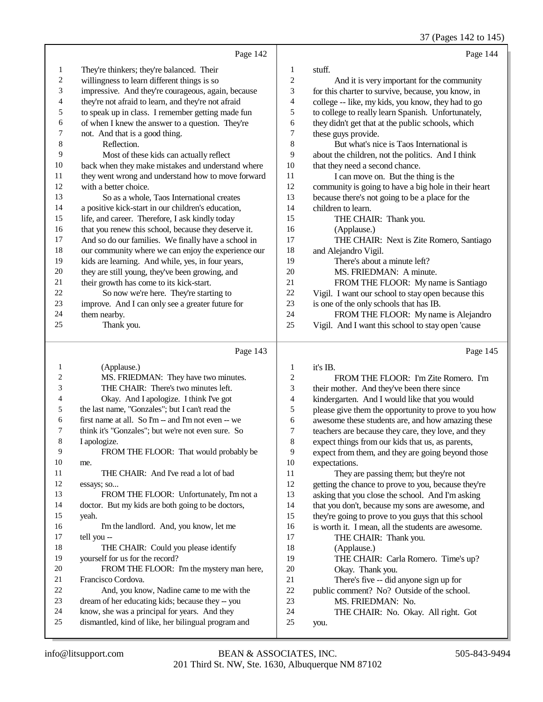37 (Pages 142 to 145)

|                | Page 142                                                                                             |                | Page 144                                             |
|----------------|------------------------------------------------------------------------------------------------------|----------------|------------------------------------------------------|
| 1              | They're thinkers; they're balanced. Their                                                            | 1              | stuff.                                               |
| $\overline{c}$ | willingness to learn different things is so                                                          | $\mathfrak{2}$ | And it is very important for the community           |
| 3              | impressive. And they're courageous, again, because                                                   | 3              | for this charter to survive, because, you know, in   |
| 4              | they're not afraid to learn, and they're not afraid                                                  | 4              | college -- like, my kids, you know, they had to go   |
| 5              | to speak up in class. I remember getting made fun                                                    | 5              | to college to really learn Spanish. Unfortunately,   |
| 6              | of when I knew the answer to a question. They're                                                     | 6              | they didn't get that at the public schools, which    |
| 7              | not. And that is a good thing.                                                                       | 7              | these guys provide.                                  |
| 8              | Reflection.                                                                                          | 8              | But what's nice is Taos International is             |
| 9              | Most of these kids can actually reflect                                                              | 9              | about the children, not the politics. And I think    |
| 10             | back when they make mistakes and understand where                                                    | 10             |                                                      |
| 11             |                                                                                                      | 11             | that they need a second chance.                      |
| 12             | they went wrong and understand how to move forward<br>with a better choice.                          | 12             | I can move on. But the thing is the                  |
| 13             |                                                                                                      |                | community is going to have a big hole in their heart |
|                | So as a whole, Taos International creates                                                            | 13             | because there's not going to be a place for the      |
| 14             | a positive kick-start in our children's education,                                                   | 14             | children to learn.                                   |
| 15             | life, and career. Therefore, I ask kindly today                                                      | 15             | THE CHAIR: Thank you.                                |
| 16             | that you renew this school, because they deserve it.                                                 | 16             | (Applause.)                                          |
| 17             | And so do our families. We finally have a school in                                                  | 17             | THE CHAIR: Next is Zite Romero, Santiago             |
| 18             | our community where we can enjoy the experience our                                                  | 18             | and Alejandro Vigil.                                 |
| 19             | kids are learning. And while, yes, in four years,                                                    | 19             | There's about a minute left?                         |
| 20             | they are still young, they've been growing, and                                                      | 20             | MS. FRIEDMAN: A minute.                              |
| 21             | their growth has come to its kick-start.                                                             | 21             | FROM THE FLOOR: My name is Santiago                  |
| 22             | So now we're here. They're starting to                                                               | 22             | Vigil. I want our school to stay open because this   |
| 23             | improve. And I can only see a greater future for                                                     | 23             | is one of the only schools that has IB.              |
| 24             | them nearby.                                                                                         | 24             | FROM THE FLOOR: My name is Alejandro                 |
| 25             | Thank you.                                                                                           | 25             | Vigil. And I want this school to stay open 'cause    |
|                |                                                                                                      |                |                                                      |
|                |                                                                                                      |                |                                                      |
|                | Page 143                                                                                             |                | Page 145                                             |
| 1              | (Applause.)                                                                                          | 1              | it's IB.                                             |
| 2              | MS. FRIEDMAN: They have two minutes.                                                                 | 2              | FROM THE FLOOR: I'm Zite Romero. I'm                 |
| 3              | THE CHAIR: There's two minutes left.                                                                 | 3              | their mother. And they've been there since           |
| 4              | Okay. And I apologize. I think I've got                                                              | 4              | kindergarten. And I would like that you would        |
| 5              | the last name, "Gonzales"; but I can't read the                                                      | 5              | please give them the opportunity to prove to you how |
| 6              | first name at all. So I'm -- and I'm not even -- we                                                  | 6              | awesome these students are, and how amazing these    |
| 7              | think it's "Gonzales"; but we're not even sure. So                                                   | 7              | teachers are because they care, they love, and they  |
| 8              | I apologize.                                                                                         | 8              | expect things from our kids that us, as parents,     |
| 9              | FROM THE FLOOR: That would probably be                                                               | 9              | expect from them, and they are going beyond those    |
| 10             | me.                                                                                                  | 10             | expectations.                                        |
| 11             | THE CHAIR: And I've read a lot of bad                                                                | 11             | They are passing them; but they're not               |
| 12             | essays; so                                                                                           | 12             | getting the chance to prove to you, because they're  |
| 13             | FROM THE FLOOR: Unfortunately, I'm not a                                                             | 13             |                                                      |
| 14             | doctor. But my kids are both going to be doctors,                                                    | 14             | asking that you close the school. And I'm asking     |
| 15             | yeah.                                                                                                | 15             | that you don't, because my sons are awesome, and     |
| 16             |                                                                                                      | 16             | they're going to prove to you guys that this school  |
| 17             | I'm the landlord. And, you know, let me                                                              | 17             | is worth it. I mean, all the students are awesome.   |
| 18             | tell you --<br>THE CHAIR: Could you please identify                                                  | 18             | THE CHAIR: Thank you.                                |
| 19             |                                                                                                      |                | (Applause.)                                          |
| 20             | yourself for us for the record?                                                                      | 19             | THE CHAIR: Carla Romero. Time's up?                  |
|                | FROM THE FLOOR: I'm the mystery man here,                                                            | 20             | Okay. Thank you.                                     |
| 21             | Francisco Cordova.                                                                                   | 21             | There's five -- did anyone sign up for               |
| 22             | And, you know, Nadine came to me with the                                                            | $22\,$         | public comment? No? Outside of the school.           |
| 23             | dream of her educating kids; because they -- you                                                     | 23             | MS. FRIEDMAN: No.                                    |
| 24<br>25       | know, she was a principal for years. And they<br>dismantled, kind of like, her bilingual program and | 24<br>25       | THE CHAIR: No. Okay. All right. Got<br>you.          |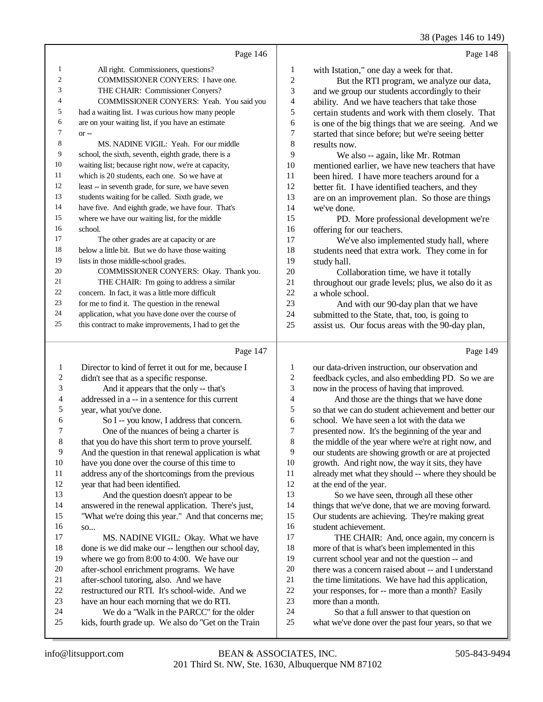38 (Pages 146 to 149)

|                | Page 146                                             |    | Page 148                                            |
|----------------|------------------------------------------------------|----|-----------------------------------------------------|
| 1              | All right. Commissioners, questions?                 | 1  | with Istation," one day a week for that.            |
| $\overline{2}$ | <b>COMMISSIONER CONYERS: I have one.</b>             | 2  | But the RTI program, we analyze our data,           |
| 3              | THE CHAIR: Commissioner Conyers?                     | 3  | and we group our students accordingly to their      |
| $\overline{4}$ | COMMISSIONER CONYERS: Yeah. You said you             | 4  | ability. And we have teachers that take those       |
| 5              | had a waiting list. I was curious how many people    | 5  | certain students and work with them closely. That   |
| 6              | are on your waiting list, if you have an estimate    | 6  | is one of the big things that we are seeing. And we |
| $\overline{7}$ | $or -$                                               | 7  | started that since before; but we're seeing better  |
| 8              | MS. NADINE VIGIL: Yeah. For our middle               | 8  | results now.                                        |
| 9              | school, the sixth, seventh, eighth grade, there is a | 9  | We also -- again, like Mr. Rotman                   |
| 10             | waiting list; because right now, we're at capacity,  | 10 | mentioned earlier, we have new teachers that have   |
| 11             | which is 20 students, each one. So we have at        | 11 | been hired. I have more teachers around for a       |
| 12             | least -- in seventh grade, for sure, we have seven   | 12 | better fit. I have identified teachers, and they    |
| 13             | students waiting for be called. Sixth grade, we      | 13 | are on an improvement plan. So those are things     |
| 14             | have five. And eighth grade, we have four. That's    | 14 | we've done.                                         |
| 15             | where we have our waiting list, for the middle       | 15 | PD. More professional development we're             |
| 16             | school.                                              | 16 | offering for our teachers.                          |
| 17             | The other grades are at capacity or are              | 17 | We've also implemented study hall, where            |
| 18             | below a little bit. But we do have those waiting     | 18 | students need that extra work. They come in for     |
| 19             | lists in those middle-school grades.                 | 19 | study hall.                                         |
| 20             | COMMISSIONER CONYERS: Okay. Thank you.               | 20 | Collaboration time, we have it totally              |
| 21             | THE CHAIR: I'm going to address a similar            | 21 | throughout our grade levels; plus, we also do it as |
| 22             | concern. In fact, it was a little more difficult     | 22 | a whole school.                                     |
| 23             | for me to find it. The question in the renewal       | 23 | And with our 90-day plan that we have               |
| 24             | application, what you have done over the course of   | 24 | submitted to the State, that, too, is going to      |
| 25             | this contract to make improvements, I had to get the | 25 | assist us. Our focus areas with the 90-day plan,    |

## $P<sub>0.99</sub> 147$

|                | rage 147                                             |    |                              |
|----------------|------------------------------------------------------|----|------------------------------|
| 1              | Director to kind of ferret it out for me, because I  | 1  | our data-driven instruction. |
| $\overline{2}$ | didn't see that as a specific response.              | 2  | feedback cycles, and also ei |
| 3              | And it appears that the only -- that's               | 3  | now in the process of havin  |
| 4              | addressed in a -- in a sentence for this current     | 4  | And those are the thin       |
| 5              | year, what you've done.                              | 5  | so that we can do student ad |
| 6              | So I -- you know, I address that concern.            | 6  | school. We have seen a lot   |
| 7              | One of the nuances of being a charter is             | 7  | presented now. It's the beg  |
| $\,8\,$        | that you do have this short term to prove yourself.  | 8  | the middle of the year where |
| 9              | And the question in that renewal application is what | 9  | our students are showing gr  |
| 10             | have you done over the course of this time to        | 10 | growth. And right now, the   |
| 11             | address any of the shortcomings from the previous    | 11 | already met what they shoul  |
| 12             | year that had been identified.                       | 12 | at the end of the year.      |
| 13             | And the question doesn't appear to be                | 13 | So we have seen, thro        |
| 14             | answered in the renewal application. There's just,   | 14 | things that we've done, that |
| 15             | "What we're doing this year." And that concerns me;  | 15 | Our students are achieving.  |
| 16             | SO                                                   | 16 | student achievement.         |
| 17             | MS. NADINE VIGIL: Okay. What we have                 | 17 | THE CHAIR: And, o            |
| 18             | done is we did make our -- lengthen our school day,  | 18 | more of that is what's been  |
| 19             | where we go from $8:00$ to $4:00$ . We have our      | 19 | current school year and not  |
| 20             | after-school enrichment programs. We have            | 20 | there was a concern raised a |
| 21             | after-school tutoring, also. And we have             | 21 | the time limitations. We ha  |
| 22             | restructured our RTI. It's school-wide. And we       | 22 | your responses, for -- more  |
| 23             | have an hour each morning that we do RTI.            | 23 | more than a month.           |
| 24             | We do a "Walk in the PARCC" for the older            | 24 | So that a full answer        |
| 25             | kids, fourth grade up. We also do "Get on the Train  | 25 | what we've done over the p   |
|                |                                                      |    |                              |

| 1              | our data-driven instruction, our observation and     |
|----------------|------------------------------------------------------|
| 2              | feedback cycles, and also embedding PD. So we are    |
| 3              | now in the process of having that improved.          |
| $\overline{4}$ | And those are the things that we have done           |
| 5              | so that we can do student achievement and better our |
| 6              | school. We have seen a lot with the data we          |
| 7              | presented now. It's the beginning of the year and    |
| 8              | the middle of the year where we're at right now, and |
| 9              | our students are showing growth or are at projected  |
| 10             | growth. And right now, the way it sits, they have    |
| 11             | already met what they should -- where they should be |
| 12             | at the end of the year.                              |
| 13             | So we have seen, through all these other             |
| 14             | things that we've done, that we are moving forward.  |
| 15             | Our students are achieving. They're making great     |
| 16             | student achievement.                                 |
| 17             | THE CHAIR: And, once again, my concern is            |
| 18             | more of that is what's been implemented in this      |
| 19             | current school year and not the question -- and      |
| 20             | there was a concern raised about -- and I understand |
| 21             | the time limitations. We have had this application,  |
| 22             | your responses, for -- more than a month? Easily     |
| 23             | more than a month.                                   |
| 24             | So that a full answer to that question on            |
| 25             | what we've done over the past four years, so that we |
|                |                                                      |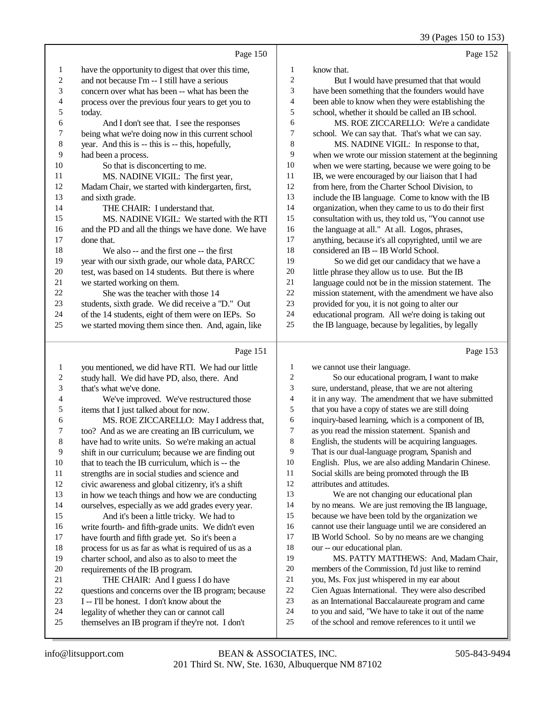39 (Pages 150 to 153)

Page 152

|                | Page 150                                            |                |
|----------------|-----------------------------------------------------|----------------|
| 1              | have the opportunity to digest that over this time, | 1              |
| $\overline{2}$ | and not because I'm -- I still have a serious       | $\overline{c}$ |
| 3              | concern over what has been -- what has been the     | 3              |
| $\overline{4}$ | process over the previous four years to get you to  | $\overline{4}$ |
| 5              | today.                                              | 5              |
| 6              | And I don't see that. I see the responses           | 6              |
| 7              | being what we're doing now in this current school   | 7              |
| 8              | year. And this is -- this is -- this, hopefully,    | 8              |
| 9              | had been a process.                                 | 9              |
| 10             | So that is disconcerting to me.                     | 10             |
| 11             | MS. NADINE VIGIL: The first year,                   | 11             |
| 12             | Madam Chair, we started with kindergarten, first,   | 12             |
| 13             | and sixth grade.                                    | 13             |
| 14             | THE CHAIR: I understand that.                       | 14             |
| 15             | MS. NADINE VIGIL: We started with the RTI           | 15             |
| 16             | and the PD and all the things we have done. We have | 16             |
| 17             | done that.                                          | 17             |
| 18             | We also -- and the first one -- the first           | 18             |
| 19             | year with our sixth grade, our whole data, PARCC    | 19             |
| 20             | test, was based on 14 students. But there is where  | 20             |
| 21             | we started working on them.                         | 21             |
| 22             | She was the teacher with those 14                   | 22             |
| 23             | students, sixth grade. We did receive a "D." Out    | 23             |
| 24             | of the 14 students, eight of them were on IEPs. So  | 24             |
| 25             | we started moving them since then. And, again, like | 25             |
|                |                                                     |                |

# Page 151

| $\mathbf{1}$   | you mentioned, we did have RTI. We had our little    | 1              | we    |
|----------------|------------------------------------------------------|----------------|-------|
| 2              | study hall. We did have PD, also, there. And         | $\overline{2}$ |       |
| 3              | that's what we've done.                              | 3              | sure  |
| $\overline{4}$ | We've improved. We've restructured those             | 4              | it in |
| 5              | items that I just talked about for now.              | 5              | that  |
| 6              | MS. ROE ZICCARELLO: May I address that,              | 6              | inq   |
| 7              | too? And as we are creating an IB curriculum, we     | 7              | as y  |
| 8              | have had to write units. So we're making an actual   | 8              | Eng   |
| 9              | shift in our curriculum; because we are finding out  | 9              | Tha   |
| 10             | that to teach the IB curriculum, which is -- the     | 10             | Eng   |
| 11             | strengths are in social studies and science and      | 11             | Soc   |
| 12             | civic awareness and global citizenry, it's a shift   | 12             | attri |
| 13             | in how we teach things and how we are conducting     | 13             |       |
| 14             | ourselves, especially as we add grades every year.   | 14             | by 1  |
| 15             | And it's been a little tricky. We had to             | 15             | bec   |
| 16             | write fourth- and fifth-grade units. We didn't even  | 16             | can   |
| 17             | have fourth and fifth grade yet. So it's been a      | 17             | IB١   |
| 18             | process for us as far as what is required of us as a | 18             | our   |
| 19             | charter school, and also as to also to meet the      | 19             |       |
| 20             | requirements of the IB program.                      | 20             | mer   |
| 21             | THE CHAIR: And I guess I do have                     | 21             | you   |
| 22             | questions and concerns over the IB program; because  | 22             | Cie:  |
| 23             | I -- I'll be honest. I don't know about the          | 23             | as a  |
| 24             | legality of whether they can or cannot call          | 24             | to y  |
| 25             | themselves an IB program if they're not. I don't     | 25             | of tl |
|                |                                                      |                |       |

| 1  | know that.                                           |
|----|------------------------------------------------------|
| 2  |                                                      |
|    | But I would have presumed that that would            |
| 3  | have been something that the founders would have     |
| 4  | been able to know when they were establishing the    |
| 5  | school, whether it should be called an IB school.    |
| 6  | MS. ROE ZICCARELLO: We're a candidate                |
| 7  | school. We can say that. That's what we can say.     |
| 8  | MS. NADINE VIGIL: In response to that,               |
| 9  | when we wrote our mission statement at the beginning |
| 10 | when we were starting, because we were going to be   |
| 11 | IB, we were encouraged by our liaison that I had     |
| 12 | from here, from the Charter School Division, to      |
| 13 | include the IB language. Come to know with the IB    |
| 14 | organization, when they came to us to do their first |
| 15 | consultation with us, they told us, "You cannot use  |
| 16 | the language at all." At all. Logos, phrases,        |
| 17 | anything, because it's all copyrighted, until we are |
| 18 | considered an IB -- IB World School.                 |
| 19 | So we did get our candidacy that we have a           |
| 20 | little phrase they allow us to use. But the IB       |
| 21 | language could not be in the mission statement. The  |
| 22 | mission statement, with the amendment we have also   |
| 23 | provided for you, it is not going to alter our       |
| 24 | educational program. All we're doing is taking out   |

the IB language, because by legalities, by legally

Page 153

| 1              | we cannot use their language.                        |
|----------------|------------------------------------------------------|
| $\overline{2}$ | So our educational program, I want to make           |
| 3              | sure, understand, please, that we are not altering   |
| $\overline{4}$ | it in any way. The amendment that we have submitted  |
| 5              | that you have a copy of states we are still doing    |
| 6              | inquiry-based learning, which is a component of IB,  |
| 7              | as you read the mission statement. Spanish and       |
| 8              | English, the students will be acquiring languages.   |
| 9              | That is our dual-language program, Spanish and       |
| 10             | English. Plus, we are also adding Mandarin Chinese.  |
| 11             | Social skills are being promoted through the IB      |
| 12             | attributes and attitudes.                            |
| 13             | We are not changing our educational plan             |
| 14             | by no means. We are just removing the IB language,   |
| 15             | because we have been told by the organization we     |
| 16             | cannot use their language until we are considered an |
| 17             | IB World School. So by no means are we changing      |
| 18             | our -- our educational plan.                         |
| 19             | MS. PATTY MATTHEWS: And, Madam Chair,                |
| 20             | members of the Commission, I'd just like to remind   |
| 21             | you, Ms. Fox just whispered in my ear about          |
| 22             | Cien Aguas International. They were also described   |
| 23             | as an International Baccalaureate program and came   |
| 24             | to you and said, "We have to take it out of the name |
| 25             | of the school and remove references to it until we   |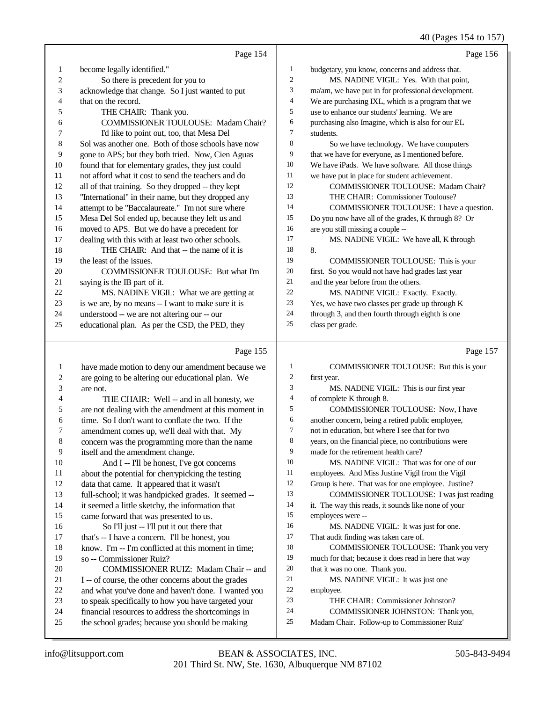40 (Pages 154 to 157)

|         | Page 154                                             |          | Page 156                                             |
|---------|------------------------------------------------------|----------|------------------------------------------------------|
| 1       | become legally identified."                          | 1        | budgetary, you know, concerns and address that.      |
| 2       | So there is precedent for you to                     | 2        | MS. NADINE VIGIL: Yes. With that point,              |
| 3       | acknowledge that change. So I just wanted to put     | 3        | ma'am, we have put in for professional development.  |
| 4       | that on the record.                                  | 4        | We are purchasing IXL, which is a program that we    |
| 5       | THE CHAIR: Thank you.                                | 5        | use to enhance our students' learning. We are        |
| 6       | COMMISSIONER TOULOUSE: Madam Chair?                  | 6        | purchasing also Imagine, which is also for our EL    |
| 7       | I'd like to point out, too, that Mesa Del            | 7        | students.                                            |
| 8       | Sol was another one. Both of those schools have now  | 8        | So we have technology. We have computers             |
| 9       | gone to APS; but they both tried. Now, Cien Aguas    | 9        | that we have for everyone, as I mentioned before.    |
| 10      | found that for elementary grades, they just could    | 10       | We have iPads. We have software. All those things    |
| 11      | not afford what it cost to send the teachers and do  | 11       | we have put in place for student achievement.        |
| 12      | all of that training. So they dropped -- they kept   | 12       | COMMISSIONER TOULOUSE: Madam Chair?                  |
| 13      | "International" in their name, but they dropped any  | 13       | THE CHAIR: Commissioner Toulouse?                    |
| 14      | attempt to be "Baccalaureate." I'm not sure where    | 14       | COMMISSIONER TOULOUSE: I have a question.            |
| 15      | Mesa Del Sol ended up, because they left us and      | 15       | Do you now have all of the grades, K through 8? Or   |
| 16      | moved to APS. But we do have a precedent for         | 16       | are you still missing a couple --                    |
| 17      | dealing with this with at least two other schools.   | 17       | MS. NADINE VIGIL: We have all, K through             |
| 18      | THE CHAIR: And that -- the name of it is             | 18       | 8.                                                   |
| 19      | the least of the issues.                             | 19       | COMMISSIONER TOULOUSE: This is your                  |
| 20      | COMMISSIONER TOULOUSE: But what I'm                  | 20       | first. So you would not have had grades last year    |
| 21      | saying is the IB part of it.                         | 21       | and the year before from the others.                 |
| 22      | MS. NADINE VIGIL: What we are getting at             | 22       | MS. NADINE VIGIL: Exactly. Exactly.                  |
| 23      | is we are, by no means -- I want to make sure it is  | 23       | Yes, we have two classes per grade up through K      |
| 24      | understood -- we are not altering our -- our         | 24       | through 3, and then fourth through eighth is one     |
| 25      | educational plan. As per the CSD, the PED, they      | 25       | class per grade.                                     |
|         | Page 155                                             |          | Page 157                                             |
| 1       | have made motion to deny our amendment because we    | 1        | COMMISSIONER TOULOUSE: But this is your              |
| 2       | are going to be altering our educational plan. We    | 2        | first year.                                          |
| 3       | are not.                                             | 3        | MS. NADINE VIGIL: This is our first year             |
| 4       | THE CHAIR: Well -- and in all honesty, we            | 4        | of complete K through 8.                             |
| 5       | are not dealing with the amendment at this moment in | 5        | COMMISSIONER TOULOUSE: Now, I have                   |
| 6       | time. So I don't want to conflate the two. If the    | 6        | another concern, being a retired public employee,    |
| 7       | amendment comes up, we'll deal with that. My         | 7        | not in education, but where I see that for two       |
| $\,8\,$ | concern was the programming more than the name       | 8        | years, on the financial piece, no contributions were |
| 9       | itself and the amendment change.                     | 9        | made for the retirement health care?                 |
| 10      | And I -- I'll be honest, I've got concerns           | 10       | MS. NADINE VIGIL: That was for one of our            |
| 11      | about the potential for cherrypicking the testing    | 11       | employees. And Miss Justine Vigil from the Vigil     |
| 12      | data that came. It appeared that it wasn't           | 12       | Group is here. That was for one employee. Justine?   |
| 13      | full-school; it was handpicked grades. It seemed --  | 13       | COMMISSIONER TOULOUSE: I was just reading            |
| 14      | it seemed a little sketchy, the information that     | 14       | it. The way this reads, it sounds like none of your  |
| 15      | came forward that was presented to us.               | 15       | employees were --                                    |
| 16      | So I'll just -- I'll put it out there that           | 16       | MS. NADINE VIGIL: It was just for one.               |
| 17      | that's -- I have a concern. I'll be honest, you      | 17       | That audit finding was taken care of.                |
| 18      | know. I'm -- I'm conflicted at this moment in time;  | 18       | COMMISSIONER TOULOUSE: Thank you very                |
| 19      | so -- Commissioner Ruiz?                             | 19       | much for that; because it does read in here that way |
| 20      | COMMISSIONER RUIZ: Madam Chair -- and                | 20       | that it was no one. Thank you.                       |
| 21      | I -- of course, the other concerns about the grades  | 21       | MS. NADINE VIGIL: It was just one                    |
| 22      | and what you've done and haven't done. I wanted you  | 22       | employee.                                            |
| 23      | to speak specifically to how you have targeted your  | 23<br>24 | THE CHAIR: Commissioner Johnston?                    |
| 24      | financial resources to address the shortcomings in   |          | COMMISSIONER JOHNSTON: Thank you,                    |
| 25      | the school grades; because you should be making      | 25       | Madam Chair. Follow-up to Commissioner Ruiz'         |

the school grades; because you should be making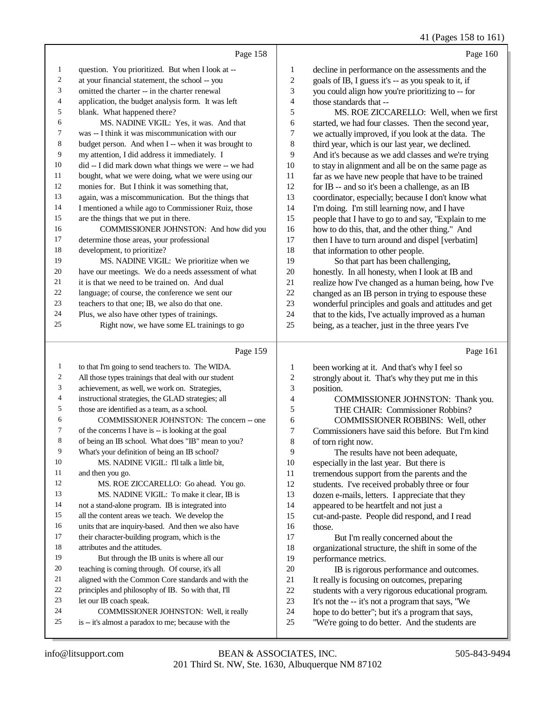41 (Pages 158 to 161)

|    | Page 158                                             |    | Page 160                                             |
|----|------------------------------------------------------|----|------------------------------------------------------|
| 1  | question. You prioritized. But when I look at --     | 1  | decline in performance on the assessments and the    |
| 2  | at your financial statement, the school -- you       | 2  | goals of IB, I guess it's -- as you speak to it, if  |
| 3  | omitted the charter -- in the charter renewal        | 3  | you could align how you're prioritizing to -- for    |
| 4  | application, the budget analysis form. It was left   | 4  | those standards that --                              |
| 5  | blank. What happened there?                          | 5  | MS. ROE ZICCARELLO: Well, when we first              |
| 6  | MS. NADINE VIGIL: Yes, it was. And that              | 6  | started, we had four classes. Then the second year,  |
| 7  | was -- I think it was miscommunication with our      | 7  | we actually improved, if you look at the data. The   |
| 8  | budget person. And when I -- when it was brought to  | 8  | third year, which is our last year, we declined.     |
| 9  | my attention, I did address it immediately. I        | 9  | And it's because as we add classes and we're trying  |
| 10 | did -- I did mark down what things we were -- we had | 10 | to stay in alignment and all be on the same page as  |
| 11 | bought, what we were doing, what we were using our   | 11 | far as we have new people that have to be trained    |
| 12 | monies for. But I think it was something that,       | 12 | for IB -- and so it's been a challenge, as an IB     |
| 13 | again, was a miscommunication. But the things that   | 13 | coordinator, especially; because I don't know what   |
| 14 | I mentioned a while ago to Commissioner Ruiz, those  | 14 | I'm doing. I'm still learning now, and I have        |
| 15 | are the things that we put in there.                 | 15 | people that I have to go to and say, "Explain to me  |
| 16 | COMMISSIONER JOHNSTON: And how did you               | 16 | how to do this, that, and the other thing." And      |
| 17 | determine those areas, your professional             | 17 | then I have to turn around and dispel [verbatim]     |
| 18 | development, to prioritize?                          | 18 | that information to other people.                    |
| 19 | MS. NADINE VIGIL: We prioritize when we              | 19 | So that part has been challenging,                   |
| 20 | have our meetings. We do a needs assessment of what  | 20 | honestly. In all honesty, when I look at IB and      |
| 21 | it is that we need to be trained on. And dual        | 21 | realize how I've changed as a human being, how I've  |
| 22 | language; of course, the conference we sent our      | 22 | changed as an IB person in trying to espouse these   |
| 23 | teachers to that one; IB, we also do that one.       | 23 | wonderful principles and goals and attitudes and get |
| 24 | Plus, we also have other types of trainings.         | 24 | that to the kids, I've actually improved as a human  |
| 25 | Right now, we have some EL trainings to go           | 25 | being, as a teacher, just in the three years I've    |
|    | Page 159                                             |    | Page 161                                             |

| 1  | to that I'm going to send teachers to. The WIDA.     | 1              | been working at it. And that's why I feel so       |
|----|------------------------------------------------------|----------------|----------------------------------------------------|
| 2  | All those types trainings that deal with our student | $\mathbf{2}$   | strongly about it. That's why they put me in this  |
| 3  | achievement, as well, we work on. Strategies,        | 3              | position.                                          |
| 4  | instructional strategies, the GLAD strategies; all   | $\overline{4}$ | COMMISSIONER JOHNSTON: Thank you.                  |
| 5  | those are identified as a team, as a school.         | 5              | THE CHAIR: Commissioner Robbins?                   |
| 6  | COMMISSIONER JOHNSTON: The concern -- one            | 6              | COMMISSIONER ROBBINS: Well, other                  |
| 7  | of the concerns I have is -- is looking at the goal  | 7              | Commissioners have said this before. But I'm kind  |
| 8  | of being an IB school. What does "IB" mean to you?   | 8              | of torn right now.                                 |
| 9  | What's your definition of being an IB school?        | 9              | The results have not been adequate,                |
| 10 | MS. NADINE VIGIL: I'll talk a little bit.            | 10             | especially in the last year. But there is          |
| 11 | and then you go.                                     | 11             | tremendous support from the parents and the        |
| 12 | MS. ROE ZICCARELLO: Go ahead. You go.                | 12             | students. I've received probably three or four     |
| 13 | MS. NADINE VIGIL: To make it clear, IB is            | 13             | dozen e-mails, letters. I appreciate that they     |
| 14 | not a stand-alone program. IB is integrated into     | 14             | appeared to be heartfelt and not just a            |
| 15 | all the content areas we teach. We develop the       | 15             | cut-and-paste. People did respond, and I read      |
| 16 | units that are inquiry-based. And then we also have  | 16             | those.                                             |
| 17 | their character-building program, which is the       | 17             | But I'm really concerned about the                 |
| 18 | attributes and the attitudes.                        | 18             | organizational structure, the shift in some of the |
| 19 | But through the IB units is where all our            | 19             | performance metrics.                               |
| 20 | teaching is coming through. Of course, it's all      | 20             | IB is rigorous performance and outcomes.           |
| 21 | aligned with the Common Core standards and with the  | 21             | It really is focusing on outcomes, preparing       |
| 22 | principles and philosophy of IB. So with that, I'll  | 22             | students with a very rigorous educational program. |
| 23 | let our IB coach speak.                              | 23             | It's not the -- it's not a program that says, "We  |
| 24 | COMMISSIONER JOHNSTON: Well, it really               | 24             | hope to do better"; but it's a program that says,  |
| 25 | is -- it's almost a paradox to me; because with the  | 25             | "We're going to do better. And the students are    |
|    |                                                      |                |                                                    |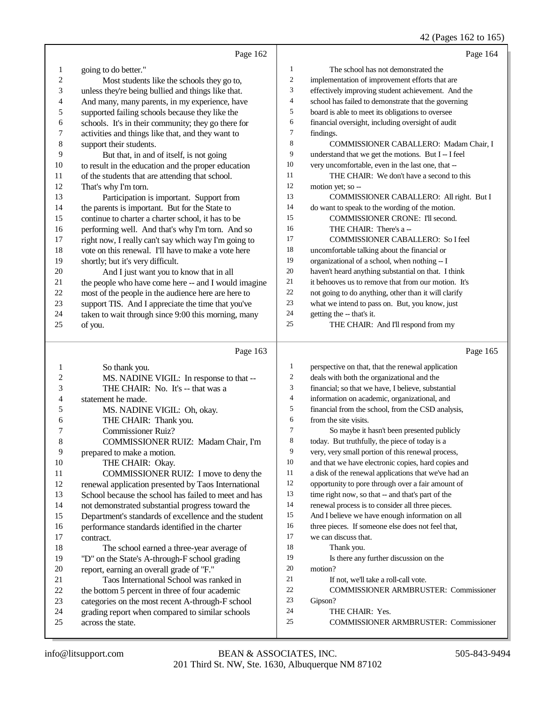## 42 (Pages 162 to 165)

|                | Page 162                                                                                                |                          | Page 164                                                                                     |
|----------------|---------------------------------------------------------------------------------------------------------|--------------------------|----------------------------------------------------------------------------------------------|
| 1              | going to do better."                                                                                    | 1                        | The school has not demonstrated the                                                          |
| $\overline{c}$ | Most students like the schools they go to,                                                              | $\boldsymbol{2}$         | implementation of improvement efforts that are                                               |
| 3              | unless they're being bullied and things like that.                                                      | 3                        | effectively improving student achievement. And the                                           |
| 4              | And many, many parents, in my experience, have                                                          | $\overline{\mathcal{L}}$ | school has failed to demonstrate that the governing                                          |
| 5              | supported failing schools because they like the                                                         | 5                        | board is able to meet its obligations to oversee                                             |
| 6              | schools. It's in their community; they go there for                                                     | 6                        | financial oversight, including oversight of audit                                            |
| 7              | activities and things like that, and they want to                                                       | $\tau$                   | findings.                                                                                    |
| $\,8\,$        | support their students.                                                                                 | $\,$ 8 $\,$              | COMMISSIONER CABALLERO: Madam Chair, I                                                       |
| 9              | But that, in and of itself, is not going                                                                | 9                        | understand that we get the motions. But I -- I feel                                          |
| 10             | to result in the education and the proper education                                                     | 10                       | very uncomfortable, even in the last one, that --                                            |
| 11             | of the students that are attending that school.                                                         | 11                       | THE CHAIR: We don't have a second to this                                                    |
| 12             | That's why I'm torn.                                                                                    | 12                       | motion yet; so --                                                                            |
| 13             | Participation is important. Support from                                                                | 13                       | COMMISSIONER CABALLERO: All right. But I                                                     |
| 14             | the parents is important. But for the State to                                                          | 14                       | do want to speak to the wording of the motion.                                               |
| 15             | continue to charter a charter school, it has to be                                                      | 15                       | COMMISSIONER CRONE: I'll second.                                                             |
| 16             | performing well. And that's why I'm torn. And so                                                        | 16                       | THE CHAIR: There's a --                                                                      |
| 17             | right now, I really can't say which way I'm going to                                                    | 17                       | COMMISSIONER CABALLERO: So I feel                                                            |
| 18             | vote on this renewal. I'll have to make a vote here                                                     | 18                       | uncomfortable talking about the financial or                                                 |
| 19             | shortly; but it's very difficult.                                                                       | 19                       | organizational of a school, when nothing -- I                                                |
| 20             | And I just want you to know that in all                                                                 | 20                       | haven't heard anything substantial on that. I think                                          |
| 21             | the people who have come here -- and I would imagine                                                    | 21                       | it behooves us to remove that from our motion. It's                                          |
| $22\,$         | most of the people in the audience here are here to                                                     | $22\,$                   | not going to do anything, other than it will clarify                                         |
| $23\,$         | support TIS. And I appreciate the time that you've                                                      | 23                       | what we intend to pass on. But, you know, just                                               |
| 24             | taken to wait through since 9:00 this morning, many                                                     | 24                       | getting the -- that's it.                                                                    |
| 25             | of you.                                                                                                 | 25                       | THE CHAIR: And I'll respond from my                                                          |
|                |                                                                                                         |                          |                                                                                              |
|                |                                                                                                         |                          |                                                                                              |
|                | Page 163                                                                                                |                          | Page 165                                                                                     |
| 1              |                                                                                                         | $\mathbf{1}$             |                                                                                              |
| 2              | So thank you.                                                                                           | $\sqrt{2}$               | perspective on that, that the renewal application                                            |
|                | MS. NADINE VIGIL: In response to that --                                                                | 3                        | deals with both the organizational and the                                                   |
| 3<br>4         | THE CHAIR: No. It's -- that was a<br>statement he made.                                                 | $\overline{\mathcal{A}}$ | financial; so that we have, I believe, substantial                                           |
| 5              |                                                                                                         | 5                        | information on academic, organizational, and                                                 |
| 6              | MS. NADINE VIGIL: Oh, okay.                                                                             | 6                        | financial from the school, from the CSD analysis,<br>from the site visits.                   |
| 7              | THE CHAIR: Thank you.                                                                                   | $\tau$                   |                                                                                              |
| 8              | Commissioner Ruiz?                                                                                      | 8                        | So maybe it hasn't been presented publicly<br>today. But truthfully, the piece of today is a |
| 9              | COMMISSIONER RUIZ: Madam Chair, I'm                                                                     | 9                        | very, very small portion of this renewal process,                                            |
| 10             | prepared to make a motion.<br>THE CHAIR: Okay.                                                          | 10                       | and that we have electronic copies, hard copies and                                          |
| 11             | COMMISSIONER RUIZ: I move to deny the                                                                   | 11                       | a disk of the renewal applications that we've had an                                         |
| 12             | renewal application presented by Taos International                                                     | 12                       | opportunity to pore through over a fair amount of                                            |
| 13             | School because the school has failed to meet and has                                                    | 13                       | time right now, so that -- and that's part of the                                            |
| 14             | not demonstrated substantial progress toward the                                                        | 14                       | renewal process is to consider all three pieces.                                             |
| 15             |                                                                                                         | 15                       | And I believe we have enough information on all                                              |
| 16             | Department's standards of excellence and the student<br>performance standards identified in the charter | 16                       | three pieces. If someone else does not feel that,                                            |
| 17             | contract.                                                                                               | 17                       | we can discuss that.                                                                         |
| 18             | The school earned a three-year average of                                                               | 18                       | Thank you.                                                                                   |
| 19             | "D" on the State's A-through-F school grading                                                           | 19                       | Is there any further discussion on the                                                       |
| $20\,$         | report, earning an overall grade of "F."                                                                | 20                       | motion?                                                                                      |
| 21             | Taos International School was ranked in                                                                 | 21                       | If not, we'll take a roll-call vote.                                                         |
| $22\,$         | the bottom 5 percent in three of four academic                                                          | $22\,$                   | COMMISSIONER ARMBRUSTER: Commissioner                                                        |
| 23             | categories on the most recent A-through-F school                                                        | 23                       | Gipson?                                                                                      |
| 24             | grading report when compared to similar schools                                                         | 24                       | THE CHAIR: Yes.                                                                              |
| 25             | across the state.                                                                                       | $25\,$                   | <b>COMMISSIONER ARMBRUSTER: Commissioner</b>                                                 |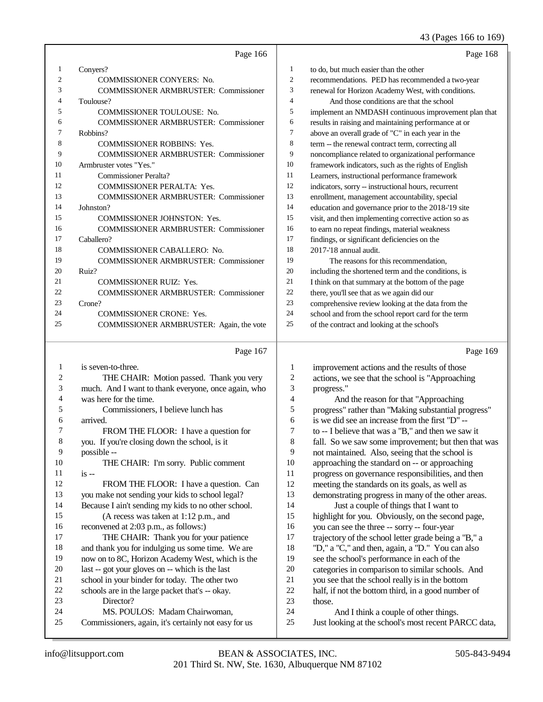#### 43 (Pages 166 to 169)

|    | Page 166                                     |                | Page 168                                             |
|----|----------------------------------------------|----------------|------------------------------------------------------|
| 1  | Conyers?                                     | 1              | to do, but much easier than the other                |
| 2  | <b>COMMISSIONER CONYERS: No.</b>             | $\overline{c}$ | recommendations. PED has recommended a two-year      |
| 3  | <b>COMMISSIONER ARMBRUSTER: Commissioner</b> | 3              | renewal for Horizon Academy West, with conditions.   |
| 4  | Toulouse?                                    | 4              | And those conditions are that the school             |
| 5  | <b>COMMISSIONER TOULOUSE: No.</b>            | 5              | implement an NMDASH continuous improvement plan that |
| 6  | <b>COMMISSIONER ARMBRUSTER: Commissioner</b> | 6              | results in raising and maintaining performance at or |
| 7  | Robbins?                                     | 7              | above an overall grade of "C" in each year in the    |
| 8  | <b>COMMISSIONER ROBBINS: Yes.</b>            | 8              | term -- the renewal contract term, correcting all    |
| 9  | <b>COMMISSIONER ARMBRUSTER: Commissioner</b> | 9              | noncompliance related to organizational performance  |
| 10 | Armbruster votes "Yes."                      | 10             | framework indicators, such as the rights of English  |
| 11 | Commissioner Peralta?                        | 11             | Learners, instructional performance framework        |
| 12 | <b>COMMISSIONER PERALTA: Yes.</b>            | 12             | indicators, sorry -- instructional hours, recurrent  |
| 13 | <b>COMMISSIONER ARMBRUSTER: Commissioner</b> | 13             | enrollment, management accountability, special       |
| 14 | Johnston?                                    | 14             | education and governance prior to the 2018-'19 site  |
| 15 | <b>COMMISSIONER JOHNSTON: Yes.</b>           | 15             | visit, and then implementing corrective action so as |
| 16 | <b>COMMISSIONER ARMBRUSTER: Commissioner</b> | 16             | to earn no repeat findings, material weakness        |
| 17 | Caballero?                                   | 17             | findings, or significant deficiencies on the         |
| 18 | <b>COMMISSIONER CABALLERO: No.</b>           | 18             | 2017-'18 annual audit.                               |
| 19 | <b>COMMISSIONER ARMBRUSTER: Commissioner</b> | 19             | The reasons for this recommendation,                 |
| 20 | Ruiz?                                        | 20             | including the shortened term and the conditions, is  |
| 21 | <b>COMMISSIONER RUIZ: Yes.</b>               | 21             | I think on that summary at the bottom of the page    |
| 22 | <b>COMMISSIONER ARMBRUSTER: Commissioner</b> | 22             | there, you'll see that as we again did our           |
| 23 | Crone?                                       | 23             | comprehensive review looking at the data from the    |
| 24 | <b>COMMISSIONER CRONE: Yes.</b>              | 24             | school and from the school report card for the term  |
| 25 | COMMISSIONER ARMBRUSTER: Again, the vote     | 25             | of the contract and looking at the school's          |
|    | Page 167                                     |                | Page 169                                             |

| $\mathbf{1}$   | is seven-to-three.                                   |
|----------------|------------------------------------------------------|
| 2              | THE CHAIR: Motion passed. Thank you very             |
| 3              | much. And I want to thank everyone, once again, who  |
| $\overline{4}$ | was here for the time.                               |
| 5              | Commissioners, I believe lunch has                   |
| 6              | arrived.                                             |
| 7              | FROM THE FLOOR: I have a question for                |
| 8              | you. If you're closing down the school, is it        |
| 9              | possible --                                          |
| 10             | THE CHAIR: I'm sorry. Public comment                 |
| 11             | $is -$                                               |
| 12             | FROM THE FLOOR: I have a question. Can               |
| 13             | you make not sending your kids to school legal?      |
| 14             | Because I ain't sending my kids to no other school.  |
| 15             | (A recess was taken at $1:12$ p.m., and              |
| 16             | reconvened at 2:03 p.m., as follows:)                |
| 17             | THE CHAIR: Thank you for your patience               |
| 18             | and thank you for indulging us some time. We are     |
| 19             | now on to 8C, Horizon Academy West, which is the     |
| 20             | last -- got your gloves on -- which is the last      |
| 21             | school in your binder for today. The other two       |
| 22             | schools are in the large packet that's -- okay.      |
| 23             | Director?                                            |
| 24             | MS. POULOS: Madam Chairwoman,                        |
| 25             | Commissioners, again, it's certainly not easy for us |

| Page 109 |  |
|----------|--|
|          |  |

| 1  | improvement actions and the results of those         |
|----|------------------------------------------------------|
| 2  | actions, we see that the school is "Approaching      |
| 3  | progress."                                           |
| 4  | And the reason for that "Approaching"                |
| 5  | progress" rather than "Making substantial progress"  |
| 6  | is we did see an increase from the first "D" --      |
| 7  | to -- I believe that was a "B," and then we saw it   |
| 8  | fall. So we saw some improvement; but then that was  |
| 9  | not maintained. Also, seeing that the school is      |
| 10 | approaching the standard on -- or approaching        |
| 11 | progress on governance responsibilities, and then    |
| 12 | meeting the standards on its goals, as well as       |
| 13 | demonstrating progress in many of the other areas.   |
| 14 | Just a couple of things that I want to               |
| 15 | highlight for you. Obviously, on the second page,    |
| 16 | you can see the three -- sorry -- four-year          |
| 17 | trajectory of the school letter grade being a "B," a |
| 18 | "D," a "C," and then, again, a "D." You can also     |
| 19 | see the school's performance in each of the          |
| 20 | categories in comparison to similar schools. And     |
| 21 | you see that the school really is in the bottom      |
| 22 | half, if not the bottom third, in a good number of   |
| 23 | those.                                               |
| 24 | And I think a couple of other things.                |
| 25 | Just looking at the school's most recent PARCC data, |
|    |                                                      |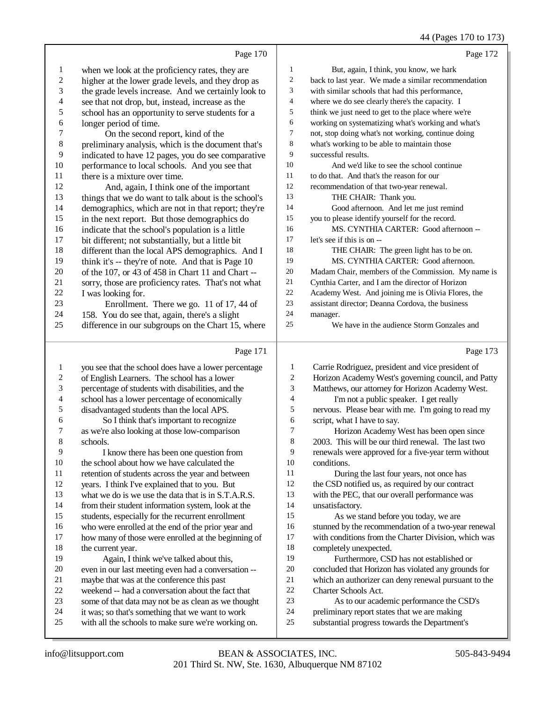## 44 (Pages 170 to 173)

|                         | Page 170                                                                                                |                  | Page 172                                                                                                  |
|-------------------------|---------------------------------------------------------------------------------------------------------|------------------|-----------------------------------------------------------------------------------------------------------|
| $\mathbf{1}$            | when we look at the proficiency rates, they are                                                         | 1                | But, again, I think, you know, we hark                                                                    |
| $\overline{\mathbf{c}}$ | higher at the lower grade levels, and they drop as                                                      | $\overline{c}$   | back to last year. We made a similar recommendation                                                       |
| 3                       | the grade levels increase. And we certainly look to                                                     | 3                | with similar schools that had this performance,                                                           |
| 4                       | see that not drop, but, instead, increase as the                                                        | $\overline{4}$   | where we do see clearly there's the capacity. I                                                           |
| 5                       | school has an opportunity to serve students for a                                                       | 5                | think we just need to get to the place where we're                                                        |
| 6                       | longer period of time.                                                                                  | 6                | working on systematizing what's working and what's                                                        |
| $\boldsymbol{7}$        | On the second report, kind of the                                                                       | $\overline{7}$   | not, stop doing what's not working, continue doing                                                        |
| 8                       | preliminary analysis, which is the document that's                                                      | $\,8\,$          | what's working to be able to maintain those                                                               |
| 9                       | indicated to have 12 pages, you do see comparative                                                      | 9                | successful results.                                                                                       |
| 10                      | performance to local schools. And you see that                                                          | 10               | And we'd like to see the school continue                                                                  |
| 11                      | there is a mixture over time.                                                                           | 11               | to do that. And that's the reason for our                                                                 |
| 12                      | And, again, I think one of the important                                                                | 12               | recommendation of that two-year renewal.                                                                  |
| 13                      | things that we do want to talk about is the school's                                                    | 13               | THE CHAIR: Thank you.                                                                                     |
| 14                      | demographics, which are not in that report; they're                                                     | 14               | Good afternoon. And let me just remind                                                                    |
| 15                      | in the next report. But those demographics do                                                           | 15               | you to please identify yourself for the record.                                                           |
| 16                      | indicate that the school's population is a little                                                       | 16               | MS. CYNTHIA CARTER: Good afternoon --                                                                     |
| 17                      | bit different; not substantially, but a little bit                                                      | 17               | let's see if this is on --                                                                                |
| 18                      | different than the local APS demographics. And I                                                        | 18               | THE CHAIR: The green light has to be on.                                                                  |
| 19                      | think it's -- they're of note. And that is Page 10                                                      | 19               | MS. CYNTHIA CARTER: Good afternoon.                                                                       |
| $20\,$                  | of the 107, or 43 of 458 in Chart 11 and Chart --                                                       | $20\,$           | Madam Chair, members of the Commission. My name is                                                        |
| 21                      | sorry, those are proficiency rates. That's not what                                                     | 21               | Cynthia Carter, and I am the director of Horizon                                                          |
| $22\,$                  | I was looking for.                                                                                      | $22\,$           | Academy West. And joining me is Olivia Flores, the                                                        |
| 23                      | Enrollment. There we go. 11 of 17, 44 of                                                                | 23               | assistant director; Deanna Cordova, the business                                                          |
| 24                      | 158. You do see that, again, there's a slight                                                           | 24               | manager.                                                                                                  |
| 25                      | difference in our subgroups on the Chart 15, where                                                      | 25               | We have in the audience Storm Gonzales and                                                                |
|                         |                                                                                                         |                  |                                                                                                           |
|                         | Page 171                                                                                                |                  | Page 173                                                                                                  |
|                         |                                                                                                         |                  |                                                                                                           |
| $\mathbf{1}$            | you see that the school does have a lower percentage                                                    | $\mathbf{1}$     | Carrie Rodriguez, president and vice president of                                                         |
| $\sqrt{2}$              | of English Learners. The school has a lower                                                             | $\boldsymbol{2}$ | Horizon Academy West's governing council, and Patty                                                       |
| 3                       | percentage of students with disabilities, and the                                                       | 3                | Matthews, our attorney for Horizon Academy West.                                                          |
| 4                       | school has a lower percentage of economically                                                           | 4                | I'm not a public speaker. I get really                                                                    |
| 5<br>6                  | disadvantaged students than the local APS.                                                              | 5<br>6           | nervous. Please bear with me. I'm going to read my                                                        |
| 7                       | So I think that's important to recognize                                                                | 7                | script, what I have to say.                                                                               |
| 8                       | as we're also looking at those low-comparison                                                           | 8                | Horizon Academy West has been open since                                                                  |
| 9                       | schools.<br>I know there has been one question from                                                     | 9                | 2003. This will be our third renewal. The last two<br>renewals were approved for a five-year term without |
| 10                      | the school about how we have calculated the                                                             | 10               | conditions.                                                                                               |
| 11                      | retention of students across the year and between                                                       | 11               | During the last four years, not once has                                                                  |
| 12                      | years. I think I've explained that to you. But                                                          | 12               | the CSD notified us, as required by our contract                                                          |
| 13                      | what we do is we use the data that is in S.T.A.R.S.                                                     | 13               | with the PEC, that our overall performance was                                                            |
| 14                      | from their student information system, look at the                                                      | 14               | unsatisfactory.                                                                                           |
| 15                      | students, especially for the recurrent enrollment                                                       | 15               | As we stand before you today, we are                                                                      |
| 16                      | who were enrolled at the end of the prior year and                                                      | 16               | stunned by the recommendation of a two-year renewal                                                       |
| 17                      | how many of those were enrolled at the beginning of                                                     | 17               | with conditions from the Charter Division, which was                                                      |
| 18                      | the current year.                                                                                       | 18               | completely unexpected.                                                                                    |
| 19                      | Again, I think we've talked about this,                                                                 | 19               | Furthermore, CSD has not established or                                                                   |
| $20\,$                  | even in our last meeting even had a conversation --                                                     | 20               | concluded that Horizon has violated any grounds for                                                       |
| 21                      | maybe that was at the conference this past                                                              | $21\,$           | which an authorizer can deny renewal pursuant to the                                                      |
| $22\,$                  | weekend -- had a conversation about the fact that                                                       | $22\,$           | Charter Schools Act.                                                                                      |
| 23                      | some of that data may not be as clean as we thought                                                     | 23               | As to our academic performance the CSD's                                                                  |
| 24<br>25                | it was; so that's something that we want to work<br>with all the schools to make sure we're working on. | 24<br>$25\,$     | preliminary report states that we are making<br>substantial progress towards the Department's             |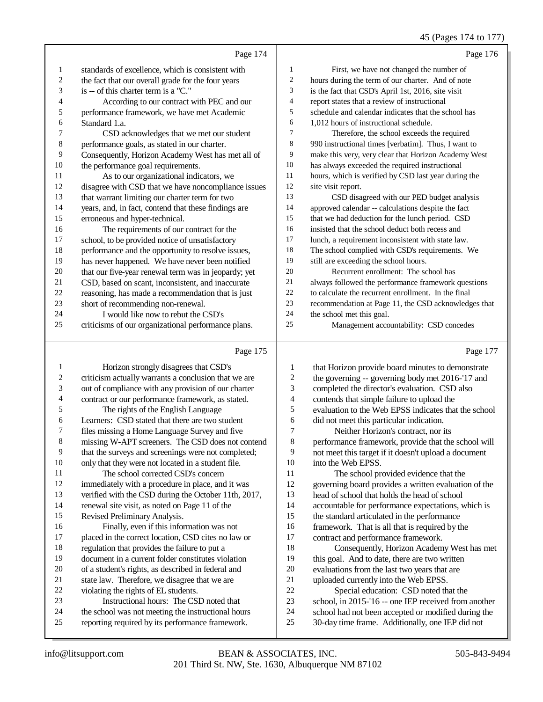# 45 (Pages 174 to 177)

|    | Page 174                                             |                | Page 176                                             |
|----|------------------------------------------------------|----------------|------------------------------------------------------|
| 1  | standards of excellence, which is consistent with    | 1              | First, we have not changed the number of             |
| 2  | the fact that our overall grade for the four years   | $\overline{c}$ | hours during the term of our charter. And of note    |
| 3  | is -- of this charter term is a "C."                 | 3              | is the fact that CSD's April 1st, 2016, site visit   |
| 4  | According to our contract with PEC and our           | $\overline{4}$ | report states that a review of instructional         |
| 5  | performance framework, we have met Academic          | 5              | schedule and calendar indicates that the school has  |
| 6  | Standard 1.a.                                        | 6              | 1,012 hours of instructional schedule.               |
| 7  | CSD acknowledges that we met our student             | 7              | Therefore, the school exceeds the required           |
| 8  | performance goals, as stated in our charter.         | 8              | 990 instructional times [verbatim]. Thus, I want to  |
| 9  | Consequently, Horizon Academy West has met all of    | 9              | make this very, very clear that Horizon Academy West |
| 10 | the performance goal requirements.                   | 10             | has always exceeded the required instructional       |
| 11 | As to our organizational indicators, we              | 11             | hours, which is verified by CSD last year during the |
| 12 | disagree with CSD that we have noncompliance issues  | 12             | site visit report.                                   |
| 13 | that warrant limiting our charter term for two       | 13             | CSD disagreed with our PED budget analysis           |
| 14 | years, and, in fact, contend that these findings are | 14             | approved calendar -- calculations despite the fact   |
| 15 | erroneous and hyper-technical.                       | 15             | that we had deduction for the lunch period. CSD      |
| 16 | The requirements of our contract for the             | 16             | insisted that the school deduct both recess and      |
| 17 | school, to be provided notice of unsatisfactory      | 17             | lunch, a requirement inconsistent with state law.    |
| 18 | performance and the opportunity to resolve issues,   | 18             | The school complied with CSD's requirements. We      |
| 19 | has never happened. We have never been notified      | 19             | still are exceeding the school hours.                |
| 20 | that our five-year renewal term was in jeopardy; yet | 20             | Recurrent enrollment: The school has                 |
| 21 | CSD, based on scant, inconsistent, and inaccurate    | 21             | always followed the performance framework questions  |
| 22 | reasoning, has made a recommendation that is just    | 22             | to calculate the recurrent enrollment. In the final  |
| 23 | short of recommending non-renewal.                   | 23             | recommendation at Page 11, the CSD acknowledges that |
| 24 | I would like now to rebut the CSD's                  | 24             | the school met this goal.                            |
| 25 | criticisms of our organizational performance plans.  | 25             | Management accountability: CSD concedes              |
|    | Page 175                                             |                | Page 177                                             |
|    | $T$ $T$ $T$<br>$\sqrt{2}$                            |                |                                                      |

| 1  | Horizon strongly disagrees that CSD's                | 1              | that Horizon provide board minutes to demonstrate    |
|----|------------------------------------------------------|----------------|------------------------------------------------------|
| 2  | criticism actually warrants a conclusion that we are | 2              | the governing -- governing body met 2016-'17 and     |
| 3  | out of compliance with any provision of our charter  | 3              | completed the director's evaluation. CSD also        |
| 4  | contract or our performance framework, as stated.    | $\overline{4}$ | contends that simple failure to upload the           |
| 5  | The rights of the English Language                   | 5              | evaluation to the Web EPSS indicates that the school |
| 6  | Learners: CSD stated that there are two student      | 6              | did not meet this particular indication.             |
| 7  | files missing a Home Language Survey and five        | 7              | Neither Horizon's contract, nor its                  |
| 8  | missing W-APT screeners. The CSD does not contend    | 8              | performance framework, provide that the school will  |
| 9  | that the surveys and screenings were not completed;  | 9              | not meet this target if it doesn't upload a document |
| 10 | only that they were not located in a student file.   | 10             | into the Web EPSS.                                   |
| 11 | The school corrected CSD's concern                   | 11             | The school provided evidence that the                |
| 12 | immediately with a procedure in place, and it was    | 12             | governing board provides a written evaluation of the |
| 13 | verified with the CSD during the October 11th, 2017, | 13             | head of school that holds the head of school         |
| 14 | renewal site visit, as noted on Page 11 of the       | 14             | accountable for performance expectations, which is   |
| 15 | Revised Preliminary Analysis.                        | 15             | the standard articulated in the performance          |
| 16 | Finally, even if this information was not            | 16             | framework. That is all that is required by the       |
| 17 | placed in the correct location, CSD cites no law or  | 17             | contract and performance framework.                  |
| 18 | regulation that provides the failure to put a        | 18             | Consequently, Horizon Academy West has met           |
| 19 | document in a current folder constitutes violation   | 19             | this goal. And to date, there are two written        |
| 20 | of a student's rights, as described in federal and   | 20             | evaluations from the last two years that are         |
| 21 | state law. Therefore, we disagree that we are        | 21             | uploaded currently into the Web EPSS.                |
| 22 | violating the rights of EL students.                 | 22             | Special education: CSD noted that the                |
| 23 | Instructional hours: The CSD noted that              | 23             | school, in 2015-'16 -- one IEP received from another |
| 24 | the school was not meeting the instructional hours   | 24             | school had not been accepted or modified during the  |
| 25 | reporting required by its performance framework.     | 25             | 30-day time frame. Additionally, one IEP did not     |
|    |                                                      |                |                                                      |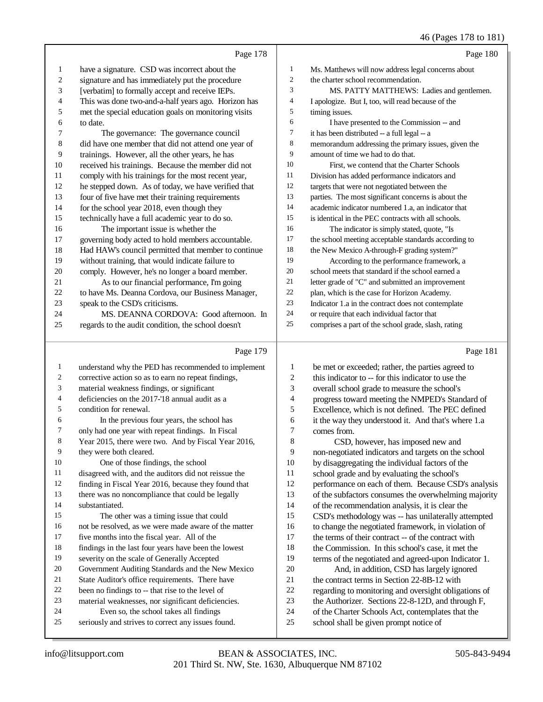46 (Pages 178 to 181)

|                | Page 178                                                                                                   |                  | Page 180                                                                                                |
|----------------|------------------------------------------------------------------------------------------------------------|------------------|---------------------------------------------------------------------------------------------------------|
| 1              | have a signature. CSD was incorrect about the                                                              | $\mathbf{1}$     | Ms. Matthews will now address legal concerns about                                                      |
| 2              | signature and has immediately put the procedure                                                            | $\boldsymbol{2}$ | the charter school recommendation.                                                                      |
| 3              | [verbatim] to formally accept and receive IEPs.                                                            | 3                | MS. PATTY MATTHEWS: Ladies and gentlemen.                                                               |
| 4              | This was done two-and-a-half years ago. Horizon has                                                        | $\overline{4}$   | I apologize. But I, too, will read because of the                                                       |
| 5              | met the special education goals on monitoring visits                                                       | 5                | timing issues.                                                                                          |
| 6              | to date.                                                                                                   | 6                | I have presented to the Commission -- and                                                               |
| 7              | The governance: The governance council                                                                     | $\overline{7}$   | it has been distributed -- a full legal -- a                                                            |
| 8              | did have one member that did not attend one year of                                                        | 8                | memorandum addressing the primary issues, given the                                                     |
| 9              | trainings. However, all the other years, he has                                                            | 9                | amount of time we had to do that.                                                                       |
| 10             | received his trainings. Because the member did not                                                         | 10               | First, we contend that the Charter Schools                                                              |
| 11             | comply with his trainings for the most recent year,                                                        | 11               | Division has added performance indicators and                                                           |
| 12             | he stepped down. As of today, we have verified that                                                        | 12               | targets that were not negotiated between the                                                            |
| 13             | four of five have met their training requirements                                                          | 13               | parties. The most significant concerns is about the                                                     |
| 14             | for the school year 2018, even though they                                                                 | 14               | academic indicator numbered 1.a, an indicator that                                                      |
| 15             | technically have a full academic year to do so.                                                            | 15               | is identical in the PEC contracts with all schools.                                                     |
| 16             | The important issue is whether the                                                                         | 16               | The indicator is simply stated, quote, "Is                                                              |
| 17             | governing body acted to hold members accountable.                                                          | 17               | the school meeting acceptable standards according to                                                    |
| 18             | Had HAW's council permitted that member to continue                                                        | 18               | the New Mexico A-through-F grading system?"                                                             |
| 19             | without training, that would indicate failure to                                                           | 19               | According to the performance framework, a                                                               |
| 20             | comply. However, he's no longer a board member.                                                            | 20               | school meets that standard if the school earned a                                                       |
| 21             | As to our financial performance, I'm going                                                                 | 21               | letter grade of "C" and submitted an improvement                                                        |
| 22             | to have Ms. Deanna Cordova, our Business Manager,                                                          | 22<br>23         | plan, which is the case for Horizon Academy.                                                            |
| 23<br>24       | speak to the CSD's criticisms.                                                                             | 24               | Indicator 1.a in the contract does not contemplate                                                      |
| 25             | MS. DEANNA CORDOVA: Good afternoon. In                                                                     | 25               | or require that each individual factor that                                                             |
|                | regards to the audit condition, the school doesn't                                                         |                  | comprises a part of the school grade, slash, rating                                                     |
|                |                                                                                                            |                  |                                                                                                         |
|                | Page 179                                                                                                   |                  | Page 181                                                                                                |
| $\mathbf{1}$   |                                                                                                            | 1                |                                                                                                         |
| 2              | understand why the PED has recommended to implement<br>corrective action so as to earn no repeat findings, | 2                | be met or exceeded; rather, the parties agreed to<br>this indicator to -- for this indicator to use the |
| 3              | material weakness findings, or significant                                                                 | 3                |                                                                                                         |
| $\overline{4}$ | deficiencies on the 2017-'18 annual audit as a                                                             | 4                | overall school grade to measure the school's                                                            |
| 5              | condition for renewal.                                                                                     | 5                | progress toward meeting the NMPED's Standard of<br>Excellence, which is not defined. The PEC defined    |
| 6              | In the previous four years, the school has                                                                 | 6                | it the way they understood it. And that's where 1.a                                                     |
| 7              | only had one year with repeat findings. In Fiscal                                                          | 7                | comes from.                                                                                             |
| 8              | Year 2015, there were two. And by Fiscal Year 2016,                                                        | 8                | CSD, however, has imposed new and                                                                       |
| 9              | they were both cleared.                                                                                    | 9                | non-negotiated indicators and targets on the school                                                     |
| 10             | One of those findings, the school                                                                          | 10               | by disaggregating the individual factors of the                                                         |
| 11             | disagreed with, and the auditors did not reissue the                                                       | 11               | school grade and by evaluating the school's                                                             |
| 12             | finding in Fiscal Year 2016, because they found that                                                       | 12               | performance on each of them. Because CSD's analysis                                                     |
| 13             | there was no noncompliance that could be legally                                                           | 13               | of the subfactors consumes the overwhelming majority                                                    |
| 14             | substantiated.                                                                                             | 14               | of the recommendation analysis, it is clear the                                                         |
| 15             | The other was a timing issue that could                                                                    | 15               | CSD's methodology was -- has unilaterally attempted                                                     |
| 16             | not be resolved, as we were made aware of the matter                                                       | 16               | to change the negotiated framework, in violation of                                                     |
| 17             | five months into the fiscal year. All of the                                                               | 17               | the terms of their contract -- of the contract with                                                     |
| 18             | findings in the last four years have been the lowest                                                       | 18               | the Commission. In this school's case, it met the                                                       |
| 19             | severity on the scale of Generally Accepted                                                                | 19               | terms of the negotiated and agreed-upon Indicator 1.                                                    |
| 20             | Government Auditing Standards and the New Mexico                                                           | 20               | And, in addition, CSD has largely ignored                                                               |
| 21             | State Auditor's office requirements. There have                                                            | $21\,$           | the contract terms in Section 22-8B-12 with                                                             |
| 22             | been no findings to -- that rise to the level of                                                           | $22\,$           | regarding to monitoring and oversight obligations of                                                    |
| 23<br>24       | material weaknesses, nor significant deficiencies.                                                         | 23               | the Authorizer. Sections 22-8-12D, and through F,                                                       |
| 25             | Even so, the school takes all findings<br>seriously and strives to correct any issues found.               | 24<br>$25\,$     | of the Charter Schools Act, contemplates that the<br>school shall be given prompt notice of             |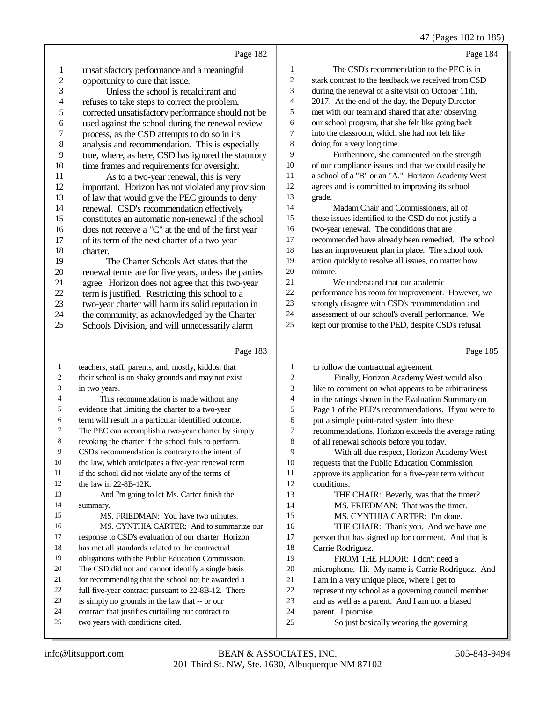#### 47 (Pages 182 to 185)

|                |                                                                                                             |                              | 47 (Pages 182 to 183                                                                        |
|----------------|-------------------------------------------------------------------------------------------------------------|------------------------------|---------------------------------------------------------------------------------------------|
|                | Page 182                                                                                                    |                              | Page 184                                                                                    |
| $\mathbf{1}$   | unsatisfactory performance and a meaningful                                                                 | 1                            | The CSD's recommendation to the PEC is in                                                   |
| $\overline{c}$ | opportunity to cure that issue.                                                                             | $\overline{c}$               | stark contrast to the feedback we received from CSD                                         |
| 3              | Unless the school is recalcitrant and                                                                       | 3                            | during the renewal of a site visit on October 11th,                                         |
| $\overline{4}$ | refuses to take steps to correct the problem,                                                               | $\overline{4}$               | 2017. At the end of the day, the Deputy Director                                            |
| 5              | corrected unsatisfactory performance should not be                                                          | 5                            | met with our team and shared that after observing                                           |
| 6              | used against the school during the renewal review                                                           | 6                            | our school program, that she felt like going back                                           |
| $\sqrt{ }$     | process, as the CSD attempts to do so in its                                                                | 7                            | into the classroom, which she had not felt like                                             |
| $\,8\,$        | analysis and recommendation. This is especially                                                             | $\,8\,$                      | doing for a very long time.                                                                 |
| 9              | true, where, as here, CSD has ignored the statutory                                                         | 9                            | Furthermore, she commented on the strength                                                  |
| 10             | time frames and requirements for oversight.                                                                 | $10\,$                       | of our compliance issues and that we could easily be                                        |
| 11             | As to a two-year renewal, this is very                                                                      | $11\,$                       | a school of a "B" or an "A." Horizon Academy West                                           |
| 12             | important. Horizon has not violated any provision                                                           | 12                           | agrees and is committed to improving its school                                             |
| 13             | of law that would give the PEC grounds to deny                                                              | 13                           | grade.                                                                                      |
| 14             | renewal. CSD's recommendation effectively                                                                   | 14                           | Madam Chair and Commissioners, all of                                                       |
| 15             | constitutes an automatic non-renewal if the school                                                          | 15                           | these issues identified to the CSD do not justify a                                         |
| 16             | does not receive a "C" at the end of the first year                                                         | 16                           | two-year renewal. The conditions that are                                                   |
| 17             | of its term of the next charter of a two-year                                                               | $17\,$                       | recommended have already been remedied. The school                                          |
| 18             | charter.                                                                                                    | 18                           | has an improvement plan in place. The school took                                           |
| 19             | The Charter Schools Act states that the                                                                     | 19                           | action quickly to resolve all issues, no matter how                                         |
| 20             | renewal terms are for five years, unless the parties                                                        | 20                           | minute.                                                                                     |
| 21             | agree. Horizon does not agree that this two-year                                                            | 21                           | We understand that our academic                                                             |
| 22             | term is justified. Restricting this school to a                                                             | 22                           | performance has room for improvement. However, we                                           |
| 23             | two-year charter will harm its solid reputation in                                                          | 23                           | strongly disagree with CSD's recommendation and                                             |
| 24             | the community, as acknowledged by the Charter                                                               | 24                           | assessment of our school's overall performance. We                                          |
| 25             | Schools Division, and will unnecessarily alarm                                                              | 25                           | kept our promise to the PED, despite CSD's refusal                                          |
|                |                                                                                                             |                              |                                                                                             |
|                |                                                                                                             |                              |                                                                                             |
|                | Page 183                                                                                                    |                              | Page 185                                                                                    |
| 1              |                                                                                                             |                              |                                                                                             |
| 2              | teachers, staff, parents, and, mostly, kiddos, that                                                         | 1                            | to follow the contractual agreement.                                                        |
| 3              | their school is on shaky grounds and may not exist                                                          | $\overline{c}$               | Finally, Horizon Academy West would also                                                    |
| 4              | in two years.                                                                                               | 3<br>$\overline{\mathbf{4}}$ | like to comment on what appears to be arbitrariness                                         |
| 5              | This recommendation is made without any<br>evidence that limiting the charter to a two-year                 | 5                            | in the ratings shown in the Evaluation Summary on                                           |
| 6              |                                                                                                             | 6                            | Page 1 of the PED's recommendations. If you were to                                         |
| 7              | term will result in a particular identified outcome.<br>The PEC can accomplish a two-year charter by simply | 7                            | put a simple point-rated system into these                                                  |
| 8              | revoking the charter if the school fails to perform.                                                        | 8                            | recommendations, Horizon exceeds the average rating                                         |
| 9              | CSD's recommendation is contrary to the intent of                                                           | 9                            | of all renewal schools before you today.                                                    |
| 10             | the law, which anticipates a five-year renewal term                                                         | 10                           | With all due respect, Horizon Academy West<br>requests that the Public Education Commission |
| 11             | if the school did not violate any of the terms of                                                           | 11                           | approve its application for a five-year term without                                        |
| 12             | the law in 22-8B-12K.                                                                                       | 12                           | conditions.                                                                                 |
| 13             | And I'm going to let Ms. Carter finish the                                                                  | 13                           |                                                                                             |
| 14             | summary.                                                                                                    | 14                           | THE CHAIR: Beverly, was that the timer?<br>MS. FRIEDMAN: That was the timer.                |
| 15             | MS. FRIEDMAN: You have two minutes.                                                                         | 15                           | MS. CYNTHIA CARTER: I'm done.                                                               |
| 16             | MS. CYNTHIA CARTER: And to summarize our                                                                    | 16                           |                                                                                             |
| 17             | response to CSD's evaluation of our charter, Horizon                                                        | $17\,$                       | THE CHAIR: Thank you. And we have one<br>person that has signed up for comment. And that is |
| 18             | has met all standards related to the contractual                                                            | 18                           | Carrie Rodriguez.                                                                           |
| 19             | obligations with the Public Education Commission.                                                           | 19                           | FROM THE FLOOR: I don't need a                                                              |
| 20             | The CSD did not and cannot identify a single basis                                                          | $20\,$                       | microphone. Hi. My name is Carrie Rodriguez. And                                            |
| 21             | for recommending that the school not be awarded a                                                           | 21                           | I am in a very unique place, where I get to                                                 |
| 22             | full five-year contract pursuant to 22-8B-12. There                                                         | 22                           | represent my school as a governing council member                                           |
| 23             | is simply no grounds in the law that -- or our                                                              | 23                           | and as well as a parent. And I am not a biased                                              |
| 24             | contract that justifies curtailing our contract to                                                          | 24                           | parent. I promise.                                                                          |
| 25             | two years with conditions cited.                                                                            | 25                           | So just basically wearing the governing                                                     |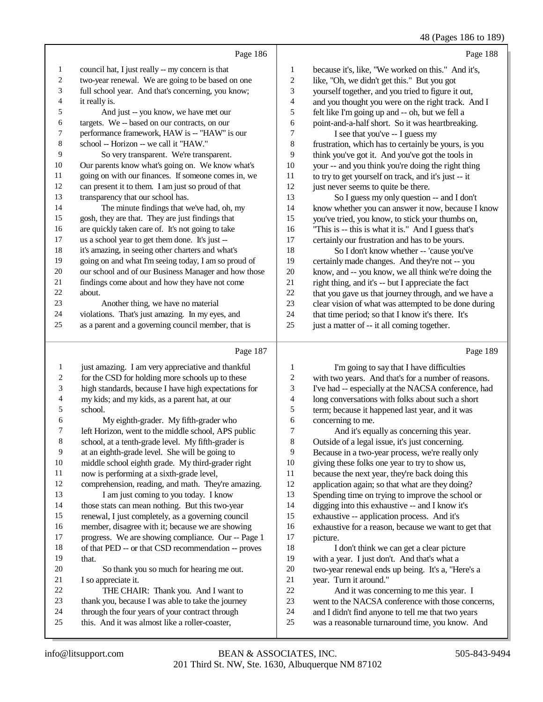48 (Pages 186 to 189)

|    |                                                      |                | $\sim$ $\sim$ $\sim$ $\sim$ $\sim$ $\sim$            |
|----|------------------------------------------------------|----------------|------------------------------------------------------|
|    | Page 186                                             |                | Page 188                                             |
| 1  | council hat, I just really -- my concern is that     | 1              | because it's, like, "We worked on this." And it's,   |
| 2  | two-year renewal. We are going to be based on one    | $\overline{2}$ | like, "Oh, we didn't get this." But you got          |
| 3  | full school year. And that's concerning, you know;   | 3              | yourself together, and you tried to figure it out,   |
| 4  | it really is.                                        | 4              | and you thought you were on the right track. And I   |
| 5  | And just -- you know, we have met our                | 5              | felt like I'm going up and -- oh, but we fell a      |
| 6  | targets. We -- based on our contracts, on our        | 6              | point-and-a-half short. So it was heartbreaking.     |
| 7  | performance framework, HAW is -- "HAW" is our        | 7              | I see that you've -- I guess my                      |
| 8  | school -- Horizon -- we call it "HAW."               | 8              | frustration, which has to certainly be yours, is you |
| 9  | So very transparent. We're transparent.              | 9              | think you've got it. And you've got the tools in     |
| 10 | Our parents know what's going on. We know what's     | 10             | your -- and you think you're doing the right thing   |
| 11 | going on with our finances. If someone comes in, we  | 11             | to try to get yourself on track, and it's just -- it |
| 12 | can present it to them. I am just so proud of that   | 12             | just never seems to quite be there.                  |
| 13 | transparency that our school has.                    | 13             | So I guess my only question -- and I don't           |
| 14 | The minute findings that we've had, oh, my           | 14             | know whether you can answer it now, because I know   |
| 15 | gosh, they are that. They are just findings that     | 15             | you've tried, you know, to stick your thumbs on,     |
| 16 | are quickly taken care of. It's not going to take    | 16             | "This is -- this is what it is." And I guess that's  |
| 17 | us a school year to get them done. It's just --      | 17             | certainly our frustration and has to be yours.       |
| 18 | it's amazing, in seeing other charters and what's    | 18             | So I don't know whether -- 'cause you've             |
| 19 | going on and what I'm seeing today, I am so proud of | 19             | certainly made changes. And they're not -- you       |
| 20 | our school and of our Business Manager and how those | 20             | know, and -- you know, we all think we're doing the  |
| 21 | findings come about and how they have not come       | 21             | right thing, and it's -- but I appreciate the fact   |
| 22 | about.                                               | 22             | that you gave us that journey through, and we have a |
| 23 | Another thing, we have no material                   | 23             | clear vision of what was attempted to be done during |
| 24 | violations. That's just amazing. In my eyes, and     | 24             | that time period; so that I know it's there. It's    |
| 25 | as a parent and a governing council member, that is  | 25             | just a matter of -- it all coming together.          |
|    | Page 187                                             |                | Page 189                                             |

#### Page 187

| 1  | just amazing. I am very appreciative and thankful    |    | I'm going to say that I have difficulties            |
|----|------------------------------------------------------|----|------------------------------------------------------|
| 2  | for the CSD for holding more schools up to these     | 2  | with two years. And that's for a number of reasons.  |
| 3  | high standards, because I have high expectations for | 3  | I've had -- especially at the NACSA conference, had  |
| 4  | my kids; and my kids, as a parent hat, at our        | 4  | long conversations with folks about such a short     |
| 5  | school.                                              | 5  | term; because it happened last year, and it was      |
| 6  | My eighth-grader. My fifth-grader who                | 6  | concerning to me.                                    |
| 7  | left Horizon, went to the middle school, APS public  | 7  | And it's equally as concerning this year.            |
| 8  | school, at a tenth-grade level. My fifth-grader is   | 8  | Outside of a legal issue, it's just concerning.      |
| 9  | at an eighth-grade level. She will be going to       | 9  | Because in a two-year process, we're really only     |
| 10 | middle school eighth grade. My third-grader right    | 10 | giving these folks one year to try to show us,       |
| 11 | now is performing at a sixth-grade level,            | 11 | because the next year, they're back doing this       |
| 12 | comprehension, reading, and math. They're amazing.   | 12 | application again; so that what are they doing?      |
| 13 | I am just coming to you today. I know                | 13 | Spending time on trying to improve the school or     |
| 14 | those stats can mean nothing. But this two-year      | 14 | digging into this exhaustive -- and I know it's      |
| 15 | renewal, I just completely, as a governing council   | 15 | exhaustive -- application process. And it's          |
| 16 | member, disagree with it; because we are showing     | 16 | exhaustive for a reason, because we want to get that |
| 17 | progress. We are showing compliance. Our -- Page 1   | 17 | picture.                                             |
| 18 | of that PED -- or that CSD recommendation -- proves  | 18 | I don't think we can get a clear picture             |
| 19 | that.                                                | 19 | with a year. I just don't. And that's what a         |
| 20 | So thank you so much for hearing me out.             | 20 | two-year renewal ends up being. It's a, "Here's a    |
| 21 | I so appreciate it.                                  | 21 | year. Turn it around."                               |
| 22 | THE CHAIR: Thank you. And I want to                  | 22 | And it was concerning to me this year. I             |
| 23 | thank you, because I was able to take the journey    | 23 | went to the NACSA conference with those concerns,    |
| 24 | through the four years of your contract through      | 24 | and I didn't find anyone to tell me that two years   |
| 25 | this. And it was almost like a roller-coaster,       | 25 | was a reasonable turnaround time, you know. And      |
|    |                                                      |    |                                                      |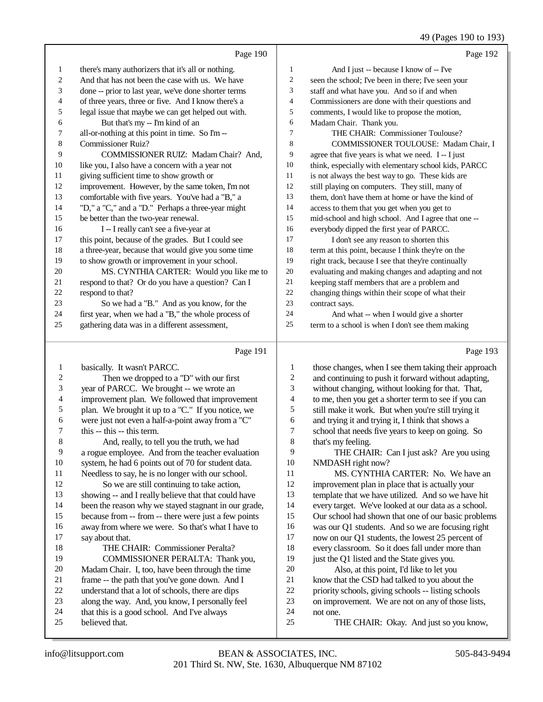#### 49 (Pages 190 to 193)

|        | Page 190                                                                        |                  | ہ۔<br>Page 192                                                                                          |
|--------|---------------------------------------------------------------------------------|------------------|---------------------------------------------------------------------------------------------------------|
|        |                                                                                 |                  |                                                                                                         |
| 1      | there's many authorizers that it's all or nothing.                              | 1                | And I just -- because I know of -- I've                                                                 |
| 2      | And that has not been the case with us. We have                                 | 2                | seen the school; I've been in there; I've seen your                                                     |
| 3      | done -- prior to last year, we've done shorter terms                            | 3                | staff and what have you. And so if and when                                                             |
| 4      | of three years, three or five. And I know there's a                             | 4                | Commissioners are done with their questions and                                                         |
| 5      | legal issue that maybe we can get helped out with.                              | 5                | comments, I would like to propose the motion,                                                           |
| 6      | But that's my -- I'm kind of an                                                 | 6                | Madam Chair. Thank you.                                                                                 |
| 7      | all-or-nothing at this point in time. So I'm-<br><b>Commissioner Ruiz?</b>      | 7<br>8           | THE CHAIR: Commissioner Toulouse?                                                                       |
| 8<br>9 | COMMISSIONER RUIZ: Madam Chair? And,                                            | 9                | COMMISSIONER TOULOUSE: Madam Chair, I                                                                   |
| 10     | like you, I also have a concern with a year not                                 | 10               | agree that five years is what we need. I-I just<br>think, especially with elementary school kids, PARCC |
| 11     | giving sufficient time to show growth or                                        | 11               | is not always the best way to go. These kids are                                                        |
| 12     | improvement. However, by the same token, I'm not                                | 12               | still playing on computers. They still, many of                                                         |
| 13     | comfortable with five years. You've had a "B," a                                | 13               | them, don't have them at home or have the kind of                                                       |
| 14     | "D," a "C," and a "D." Perhaps a three-year might                               | 14               | access to them that you get when you get to                                                             |
| 15     | be better than the two-year renewal.                                            | 15               | mid-school and high school. And I agree that one --                                                     |
| 16     | I -- I really can't see a five-year at                                          | 16               | everybody dipped the first year of PARCC.                                                               |
| 17     | this point, because of the grades. But I could see                              | 17               | I don't see any reason to shorten this                                                                  |
| 18     | a three-year, because that would give you some time                             | 18               | term at this point, because I think they're on the                                                      |
| 19     | to show growth or improvement in your school.                                   | 19               | right track, because I see that they're continually                                                     |
| 20     | MS. CYNTHIA CARTER: Would you like me to                                        | 20               | evaluating and making changes and adapting and not                                                      |
| 21     | respond to that? Or do you have a question? Can I                               | 21               | keeping staff members that are a problem and                                                            |
| 22     | respond to that?                                                                | 22               | changing things within their scope of what their                                                        |
| 23     | So we had a "B." And as you know, for the                                       | 23               | contract says.                                                                                          |
| 24     | first year, when we had a "B," the whole process of                             | 24               | And what -- when I would give a shorter                                                                 |
| 25     | gathering data was in a different assessment,                                   | 25               | term to a school is when I don't see them making                                                        |
|        | Page 191                                                                        |                  | Page 193                                                                                                |
|        |                                                                                 |                  |                                                                                                         |
| 1      | basically. It wasn't PARCC.                                                     | 1                | those changes, when I see them taking their approach                                                    |
| 2      | Then we dropped to a "D" with our first                                         | $\boldsymbol{2}$ | and continuing to push it forward without adapting,                                                     |
| 3      | year of PARCC. We brought -- we wrote an                                        | 3                | without changing, without looking for that. That,                                                       |
| 4      | improvement plan. We followed that improvement                                  | $\overline{4}$   | to me, then you get a shorter term to see if you can                                                    |
| 5      | plan. We brought it up to a "C." If you notice, we                              | 5                | still make it work. But when you're still trying it                                                     |
| 6<br>7 | were just not even a half-a-point away from a "C"<br>this -- this -- this term. | 6<br>7           | and trying it and trying it, I think that shows a                                                       |
| 8      | And, really, to tell you the truth, we had                                      | 8                | school that needs five years to keep on going. So<br>that's my feeling.                                 |
| 9      | a rogue employee. And from the teacher evaluation                               | 9                | THE CHAIR: Can I just ask? Are you using                                                                |
| 10     | system, he had 6 points out of 70 for student data.                             | 10               | NMDASH right now?                                                                                       |
| 11     | Needless to say, he is no longer with our school.                               | 11               | MS. CYNTHIA CARTER: No. We have an                                                                      |
| 12     | So we are still continuing to take action,                                      | 12               | improvement plan in place that is actually your                                                         |
| 13     | showing -- and I really believe that that could have                            | 13               | template that we have utilized. And so we have hit                                                      |
| 14     | been the reason why we stayed stagnant in our grade,                            | 14               | every target. We've looked at our data as a school.                                                     |
| 15     | because from -- from -- there were just a few points                            | 15               | Our school had shown that one of our basic problems                                                     |
| 16     | away from where we were. So that's what I have to                               | 16               | was our Q1 students. And so we are focusing right                                                       |
| 17     | say about that.                                                                 | 17               | now on our Q1 students, the lowest 25 percent of                                                        |
| 18     | THE CHAIR: Commissioner Peralta?                                                | 18               | every classroom. So it does fall under more than                                                        |
| 19     | COMMISSIONER PERALTA: Thank you,                                                | 19               | just the Q1 listed and the State gives you.                                                             |
| 20     | Madam Chair. I, too, have been through the time                                 | 20               | Also, at this point, I'd like to let you                                                                |
| 21     | frame -- the path that you've gone down. And I                                  | 21               | know that the CSD had talked to you about the                                                           |
| 22     | understand that a lot of schools, there are dips                                | 22               | priority schools, giving schools -- listing schools                                                     |
| 23     | along the way. And, you know, I personally feel                                 | 23               | on improvement. We are not on any of those lists,                                                       |
| 24     | that this is a good school. And I've always                                     | 24               | not one.                                                                                                |
| 25     | believed that.                                                                  | 25               | THE CHAIR: Okay. And just so you know,                                                                  |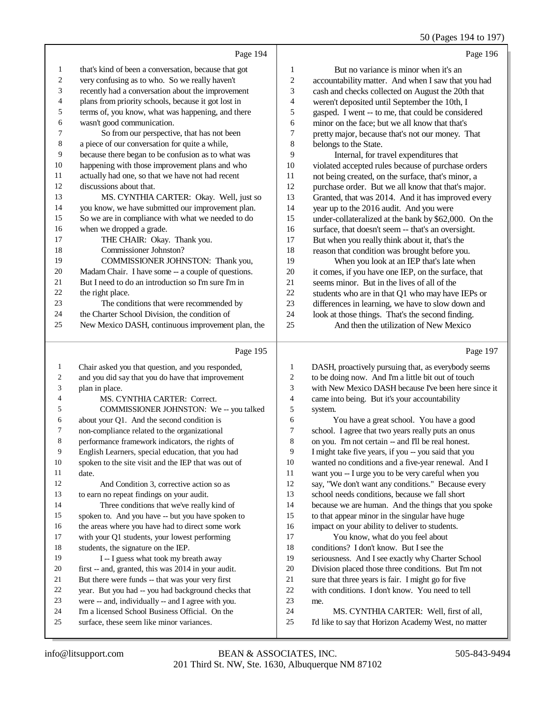# 50 (Pages 194 to 197)

|                | Page 194                                             |                | Page 196                                             |
|----------------|------------------------------------------------------|----------------|------------------------------------------------------|
| 1              | that's kind of been a conversation, because that got | 1              | But no variance is minor when it's an                |
| $\overline{c}$ | very confusing as to who. So we really haven't       | $\overline{c}$ | accountability matter. And when I saw that you had   |
| 3              | recently had a conversation about the improvement    | 3              | cash and checks collected on August the 20th that    |
| $\overline{4}$ | plans from priority schools, because it got lost in  | 4              | weren't deposited until September the 10th, I        |
| 5              | terms of, you know, what was happening, and there    | 5              | gasped. I went -- to me, that could be considered    |
| 6              | wasn't good communication.                           | 6              | minor on the face; but we all know that that's       |
| 7              | So from our perspective, that has not been           | 7              | pretty major, because that's not our money. That     |
| 8              | a piece of our conversation for quite a while,       | 8              | belongs to the State.                                |
| 9              | because there began to be confusion as to what was   | 9              | Internal, for travel expenditures that               |
| 10             | happening with those improvement plans and who       | 10             | violated accepted rules because of purchase orders   |
| 11             | actually had one, so that we have not had recent     | 11             | not being created, on the surface, that's minor, a   |
| 12             | discussions about that.                              | 12             | purchase order. But we all know that that's major.   |
| 13             | MS. CYNTHIA CARTER: Okay. Well, just so              | 13             | Granted, that was 2014. And it has improved every    |
| 14             | you know, we have submitted our improvement plan.    | 14             | year up to the 2016 audit. And you were              |
| 15             | So we are in compliance with what we needed to do    | 15             | under-collateralized at the bank by \$62,000. On the |
| 16             | when we dropped a grade.                             | 16             | surface, that doesn't seem -- that's an oversight.   |
| 17             | THE CHAIR: Okay. Thank you.                          | 17             | But when you really think about it, that's the       |
| 18             | Commissioner Johnston?                               | 18             | reason that condition was brought before you.        |
| 19             | COMMISSIONER JOHNSTON: Thank you,                    | 19             | When you look at an IEP that's late when             |
| 20             | Madam Chair. I have some -- a couple of questions.   | 20             | it comes, if you have one IEP, on the surface, that  |
| 21             | But I need to do an introduction so I'm sure I'm in  | 21             | seems minor. But in the lives of all of the          |
| 22             | the right place.                                     | 22             | students who are in that Q1 who may have IEPs or     |
| 23             | The conditions that were recommended by              | 23             | differences in learning, we have to slow down and    |
| 24             | the Charter School Division, the condition of        | 24             | look at those things. That's the second finding.     |
| 25             | New Mexico DASH, continuous improvement plan, the    | 25             | And then the utilization of New Mexico               |
|                | Page 195                                             |                | Page 197                                             |

## Page 195 |

| 1  | Chair asked you that question, and you responded,    | 1  | DASH, proactively pursuing that, as everybody seems  |
|----|------------------------------------------------------|----|------------------------------------------------------|
| 2  | and you did say that you do have that improvement    | 2  | to be doing now. And I'm a little bit out of touch   |
| 3  | plan in place.                                       | 3  | with New Mexico DASH because I've been here since it |
| 4  | MS. CYNTHIA CARTER: Correct.                         | 4  | came into being. But it's your accountability        |
| 5  | COMMISSIONER JOHNSTON: We -- you talked              | 5  | system.                                              |
| 6  | about your Q1. And the second condition is           | 6  | You have a great school. You have a good             |
| 7  | non-compliance related to the organizational         | 7  | school. I agree that two years really puts an onus   |
| 8  | performance framework indicators, the rights of      | 8  | on you. I'm not certain -- and I'll be real honest.  |
| 9  | English Learners, special education, that you had    | 9  | I might take five years, if you -- you said that you |
| 10 | spoken to the site visit and the IEP that was out of | 10 | wanted no conditions and a five-year renewal. And I  |
| 11 | date.                                                | 11 | want you -- I urge you to be very careful when you   |
| 12 | And Condition 3, corrective action so as             | 12 | say, "We don't want any conditions." Because every   |
| 13 | to earn no repeat findings on your audit.            | 13 | school needs conditions, because we fall short       |
| 14 | Three conditions that we've really kind of           | 14 | because we are human. And the things that you spoke  |
| 15 | spoken to. And you have -- but you have spoken to    | 15 | to that appear minor in the singular have huge       |
| 16 | the areas where you have had to direct some work     | 16 | impact on your ability to deliver to students.       |
| 17 | with your Q1 students, your lowest performing        | 17 | You know, what do you feel about                     |
| 18 | students, the signature on the IEP.                  | 18 | conditions? I don't know. But I see the              |
| 19 | I -- I guess what took my breath away                | 19 | seriousness. And I see exactly why Charter School    |
| 20 | first -- and, granted, this was 2014 in your audit.  | 20 | Division placed those three conditions. But I'm not  |
| 21 | But there were funds -- that was your very first     | 21 | sure that three years is fair. I might go for five   |
| 22 | year. But you had -- you had background checks that  | 22 | with conditions. I don't know. You need to tell      |
| 23 | were -- and, individually -- and I agree with you.   | 23 | me.                                                  |
| 24 | I'm a licensed School Business Official. On the      | 24 | MS. CYNTHIA CARTER: Well, first of all,              |
| 25 | surface, these seem like minor variances.            | 25 | I'd like to say that Horizon Academy West, no matter |
|    |                                                      |    |                                                      |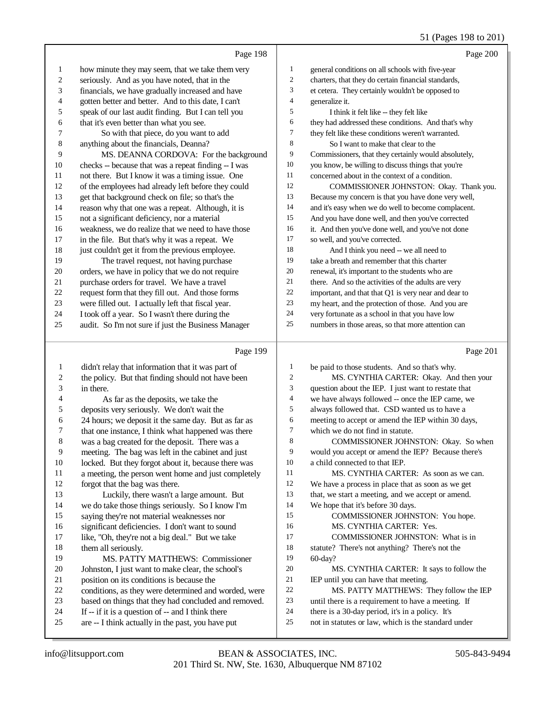#### 51 (Pages 198 to 201)

|                         | Page 198                                             |        | Page 200                                             |
|-------------------------|------------------------------------------------------|--------|------------------------------------------------------|
| 1                       | how minute they may seem, that we take them very     | 1      | general conditions on all schools with five-year     |
| 2                       | seriously. And as you have noted, that in the        | 2      | charters, that they do certain financial standards,  |
| 3                       | financials, we have gradually increased and have     | 3      | et cetera. They certainly wouldn't be opposed to     |
| 4                       | gotten better and better. And to this date, I can't  | 4      | generalize it.                                       |
| 5                       | speak of our last audit finding. But I can tell you  | 5      | I think it felt like -- they felt like               |
| 6                       | that it's even better than what you see.             | 6      | they had addressed these conditions. And that's why  |
| 7                       | So with that piece, do you want to add               | 7      | they felt like these conditions weren't warranted.   |
| 8                       | anything about the financials, Deanna?               | 8      | So I want to make that clear to the                  |
| 9                       | MS. DEANNA CORDOVA: For the background               | 9      | Commissioners, that they certainly would absolutely, |
| 10                      | checks -- because that was a repeat finding -- I was | $10\,$ | you know, be willing to discuss things that you're   |
| 11                      | not there. But I know it was a timing issue. One     | $11\,$ | concerned about in the context of a condition.       |
| 12                      | of the employees had already left before they could  | 12     | COMMISSIONER JOHNSTON: Okay. Thank you.              |
| 13                      | get that background check on file; so that's the     | 13     | Because my concern is that you have done very well,  |
| 14                      | reason why that one was a repeat. Although, it is    | 14     | and it's easy when we do well to become complacent.  |
| 15                      | not a significant deficiency, nor a material         | 15     | And you have done well, and then you've corrected    |
| 16                      | weakness, we do realize that we need to have those   | 16     | it. And then you've done well, and you've not done   |
| 17                      | in the file. But that's why it was a repeat. We      | 17     | so well, and you've corrected.                       |
| 18                      | just couldn't get it from the previous employee.     | 18     | And I think you need -- we all need to               |
| 19                      | The travel request, not having purchase              | 19     | take a breath and remember that this charter         |
| 20                      | orders, we have in policy that we do not require     | $20\,$ | renewal, it's important to the students who are      |
| 21                      | purchase orders for travel. We have a travel         | 21     | there. And so the activities of the adults are very  |
| 22                      | request form that they fill out. And those forms     | $22\,$ | important, and that that Q1 is very near and dear to |
| 23                      | were filled out. I actually left that fiscal year.   | 23     | my heart, and the protection of those. And you are   |
| 24                      | I took off a year. So I wasn't there during the      | $24\,$ | very fortunate as a school in that you have low      |
| 25                      | audit. So I'm not sure if just the Business Manager  | $25\,$ | numbers in those areas, so that more attention can   |
|                         | Page 199                                             |        | Page 201                                             |
| $\mathbf{1}$            | didn't relay that information that it was part of    | 1      | be paid to those students. And so that's why.        |
| $\overline{\mathbf{c}}$ | the policy. But that finding should not have been    | 2      | MS. CYNTHIA CARTER: Okay. And then your              |
| 3                       | in there.                                            | 3      | question about the IEP. I just want to restate that  |
| 4                       | As far as the deposits, we take the                  | 4      | we have always followed -- once the IEP came, we     |
| 5                       | deposits very seriously. We don't wait the           | 5      | always followed that. CSD wanted us to have a        |
| 6                       | 24 hours; we deposit it the same day. But as far as  | 6      | meeting to accept or amend the IEP within 30 days,   |
| 7                       | that one instance, I think what happened was there   | 7      | which we do not find in statute.                     |
| 8                       | was a bag created for the deposit. There was a       | 8      | COMMISSIONER JOHNSTON: Okay. So when                 |
| 9                       | meeting. The bag was left in the cabinet and just    | 9      | would you accept or amend the IEP? Because there's   |
| 10                      | locked. But they forgot about it, because there was  | 10     | a child connected to that IEP.                       |
| 11                      | a meeting, the person went home and just completely  | 11     | MS. CYNTHIA CARTER: As soon as we can.               |
| 12                      | forgot that the bag was there.                       | 12     | We have a process in place that as soon as we get    |
| 13                      | Luckily, there wasn't a large amount. But            | 13     | that, we start a meeting, and we accept or amend.    |
| 14                      | we do take those things seriously. So I know I'm     | 14     | We hope that it's before 30 days.                    |
| 15                      | saying they're not material weaknesses nor           | 15     | COMMISSIONER JOHNSTON: You hope.                     |
| 16                      | significant deficiencies. I don't want to sound      | 16     | MS. CYNTHIA CARTER: Yes.                             |
| 17                      | like, "Oh, they're not a big deal." But we take      | 17     | COMMISSIONER JOHNSTON: What is in                    |
| 18                      | them all seriously.                                  | 18     | statute? There's not anything? There's not the       |
| 19                      | MS. PATTY MATTHEWS: Commissioner                     | 19     | $60$ -day?                                           |
| $20\,$                  | Johnston, I just want to make clear, the school's    | $20\,$ | MS. CYNTHIA CARTER: It says to follow the            |

- Johnston, I just want to make clear, the school's position on its conditions is because the
- conditions, as they were determined and worded, were
- based on things that they had concluded and removed.
- If -- if it is a question of -- and I think there
- are -- I think actually in the past, you have put
- 201 Third St. NW, Ste. 1630, Albuquerque NM 87102 info@litsupport.com BEAN & ASSOCIATES, INC. 505-843-9494

- 21 IEP until you can have that meeting.<br>22 MS. PATTY MATTHEWS: 1 22 MS. PATTY MATTHEWS: They follow the IEP<br>23 until there is a requirement to have a meeting. If until there is a requirement to have a meeting. If
	-
- 24 there is a 30-day period, it's in a policy. It's<br>25 not in statutes or law, which is the standard not in statutes or law, which is the standard under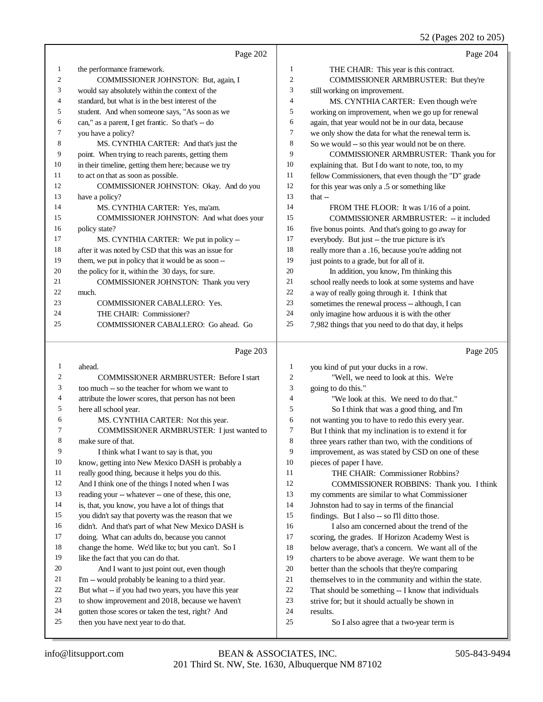(Pages 202 to 205)

|                |                                                      |                | $32$ (1 agos 202 to 203)                             |
|----------------|------------------------------------------------------|----------------|------------------------------------------------------|
|                | Page 202                                             |                | Page 204                                             |
| $\mathbf{1}$   | the performance framework.                           | $\mathbf{1}$   | THE CHAIR: This year is this contract.               |
| $\mathfrak{2}$ | COMMISSIONER JOHNSTON: But, again, I                 | $\overline{2}$ | COMMISSIONER ARMBRUSTER: But they're                 |
| 3              | would say absolutely within the context of the       | 3              | still working on improvement.                        |
| 4              | standard, but what is in the best interest of the    | $\overline{4}$ | MS. CYNTHIA CARTER: Even though we're                |
| 5              | student. And when someone says, "As soon as we       | 5              | working on improvement, when we go up for renewal    |
| 6              | can," as a parent, I get frantic. So that's -- do    | 6              | again, that year would not be in our data, because   |
| 7              | you have a policy?                                   | $\tau$         | we only show the data for what the renewal term is.  |
| 8              | MS. CYNTHIA CARTER: And that's just the              | 8              | So we would -- so this year would not be on there.   |
| 9              | point. When trying to reach parents, getting them    | 9              | COMMISSIONER ARMBRUSTER: Thank you for               |
| 10             | in their timeline, getting them here; because we try | 10             | explaining that. But I do want to note, too, to my   |
| 11             | to act on that as soon as possible.                  | 11             | fellow Commissioners, that even though the "D" grade |
| 12             | COMMISSIONER JOHNSTON: Okay. And do you              | 12             | for this year was only a .5 or something like        |
| 13             | have a policy?                                       | 13             | that $-$                                             |
| 14             | MS. CYNTHIA CARTER: Yes, ma'am.                      | 14             | FROM THE FLOOR: It was 1/16 of a point.              |
| 15             | COMMISSIONER JOHNSTON: And what does your            | 15             | COMMISSIONER ARMBRUSTER: -- it included              |
| 16             | policy state?                                        | 16             | five bonus points. And that's going to go away for   |
| 17             | MS. CYNTHIA CARTER: We put in policy --              | 17             | everybody. But just -- the true picture is it's      |
| 18             | after it was noted by CSD that this was an issue for | 18             | really more than a .16, because you're adding not    |
| 19             | them, we put in policy that it would be as soon--    | 19             | just points to a grade, but for all of it.           |
| 20             | the policy for it, within the 30 days, for sure.     | 20             | In addition, you know, I'm thinking this             |
| 21             | COMMISSIONER JOHNSTON: Thank you very                | 21             | school really needs to look at some systems and have |
| 22             | much.                                                | $22\,$         | a way of really going through it. I think that       |
| 23             | <b>COMMISSIONER CABALLERO: Yes.</b>                  | 23             | sometimes the renewal process -- although, I can     |
| 24             | THE CHAIR: Commissioner?                             | 24             | only imagine how arduous it is with the other        |
| 25             | COMMISSIONER CABALLERO: Go ahead. Go                 | 25             | 7,982 things that you need to do that day, it helps  |
|                |                                                      |                |                                                      |
|                | Page 203                                             |                | Page 205                                             |
| $\mathbf{1}$   | ahead.                                               | 1              | you kind of put your ducks in a row.                 |
| $\mathfrak{2}$ | <b>COMMISSIONER ARMBRUSTER: Before I start</b>       | $\overline{c}$ | "Well, we need to look at this. We're                |
| 3              | too much -- so the teacher for whom we want to       | 3              | going to do this."                                   |
| 4              | attribute the lower scores, that person has not been | 4              | "We look at this. We need to do that."               |
| 5              | here all school year.                                | 5              | So I think that was a good thing, and I'm            |
| 6              | MS. CYNTHIA CARTER: Not this year.                   | 6              | not wanting you to have to redo this every year.     |
| 7              | COMMISSIONER ARMBRUSTER: I just wanted to            | 7              | But I think that my inclination is to extend it for  |
| 8              | make sure of that.                                   | $\,8\,$        | three years rather than two, with the conditions of  |
| 9              | I think what I want to say is that, you              | 9              | improvement, as was stated by CSD on one of these    |

 know, getting into New Mexico DASH is probably a really good thing, because it helps you do this. And I think one of the things I noted when I was reading your -- whatever -- one of these, this one, is, that, you know, you have a lot of things that you didn't say that poverty was the reason that we

didn't. And that's part of what New Mexico DASH is

doing. What can adults do, because you cannot

change the home. We'd like to; but you can't. So I

19 like the fact that you can do that.

- And I want to just point out, even though
- I'm -- would probably be leaning to a third year.
- But what -- if you had two years, you have this year to show improvement and 2018, because we haven't
- gotten those scores or taken the test, right? And
- then you have next year to do that.
- improvement, as was stated by CSD on one of these pieces of paper I have. THE CHAIR: Commissioner Robbins? COMMISSIONER ROBBINS: Thank you. I think my comments are similar to what Commissioner Johnston had to say in terms of the financial findings. But I also -- so I'll ditto those. I also am concerned about the trend of the scoring, the grades. If Horizon Academy West is below average, that's a concern. We want all of the charters to be above average. We want them to be better than the schools that they're comparing
- 21 themselves to in the community and within the state.<br>22 That should be something -- I know that individuals
- 22 That should be something  $-1$  know that individuals strive for: but it should actually be shown in
- strive for; but it should actually be shown in
- results.
- So I also agree that a two-year term is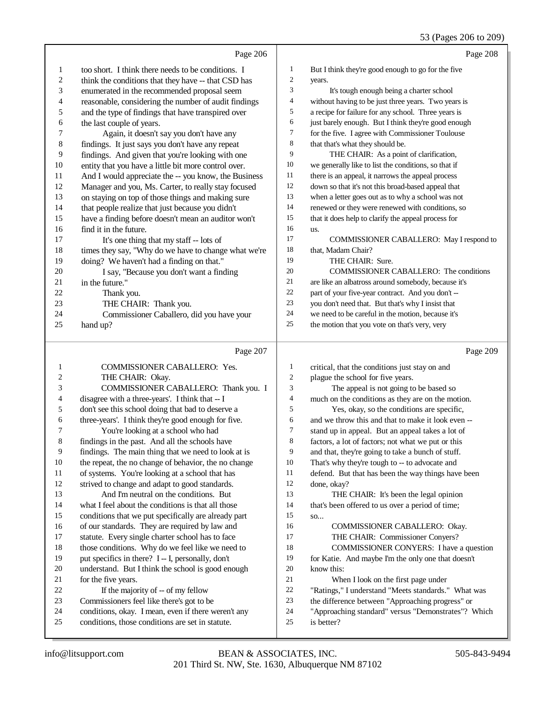|          | Page 206                                                                                                |                  | Page 208                                                                    |
|----------|---------------------------------------------------------------------------------------------------------|------------------|-----------------------------------------------------------------------------|
| 1        | too short. I think there needs to be conditions. I                                                      | $\mathbf{1}$     | But I think they're good enough to go for the five                          |
| 2        | think the conditions that they have -- that CSD has                                                     | $\boldsymbol{2}$ | years.                                                                      |
| 3        | enumerated in the recommended proposal seem                                                             | 3                | It's tough enough being a charter school                                    |
| 4        | reasonable, considering the number of audit findings                                                    | 4                | without having to be just three years. Two years is                         |
| 5        | and the type of findings that have transpired over                                                      | 5                | a recipe for failure for any school. Three years is                         |
| 6        | the last couple of years.                                                                               | 6                | just barely enough. But I think they're good enough                         |
| 7        | Again, it doesn't say you don't have any                                                                | $\tau$           | for the five. I agree with Commissioner Toulouse                            |
| 8        | findings. It just says you don't have any repeat                                                        | 8                | that that's what they should be.                                            |
| 9        | findings. And given that you're looking with one                                                        | 9                | THE CHAIR: As a point of clarification,                                     |
| 10       | entity that you have a little bit more control over.                                                    | $10\,$           | we generally like to list the conditions, so that if                        |
| 11       | And I would appreciate the -- you know, the Business                                                    | 11               | there is an appeal, it narrows the appeal process                           |
| 12       | Manager and you, Ms. Carter, to really stay focused                                                     | 12               | down so that it's not this broad-based appeal that                          |
| 13       | on staying on top of those things and making sure                                                       | 13               | when a letter goes out as to why a school was not                           |
| 14       | that people realize that just because you didn't                                                        | 14               | renewed or they were renewed with conditions, so                            |
| 15       | have a finding before doesn't mean an auditor won't                                                     | 15               | that it does help to clarify the appeal process for                         |
| 16       | find it in the future.                                                                                  | 16               | us.                                                                         |
| 17       | It's one thing that my staff -- lots of                                                                 | 17               | COMMISSIONER CABALLERO: May I respond to                                    |
| 18       | times they say, "Why do we have to change what we're                                                    | 18               | that, Madam Chair?                                                          |
| 19       | doing? We haven't had a finding on that."                                                               | 19               | THE CHAIR: Sure.                                                            |
| 20       | I say, "Because you don't want a finding                                                                | 20               | <b>COMMISSIONER CABALLERO:</b> The conditions                               |
| 21       | in the future."                                                                                         | 21               | are like an albatross around somebody, because it's                         |
| 22       | Thank you.                                                                                              | $22\,$           | part of your five-year contract. And you don't --                           |
| 23       | THE CHAIR: Thank you.                                                                                   | 23               | you don't need that. But that's why I insist that                           |
| 24       | Commissioner Caballero, did you have your                                                               | 24<br>$25\,$     | we need to be careful in the motion, because it's                           |
| 25       | hand up?                                                                                                |                  | the motion that you vote on that's very, very                               |
|          |                                                                                                         |                  |                                                                             |
|          | Page 207                                                                                                |                  | Page 209                                                                    |
| 1        | COMMISSIONER CABALLERO: Yes.                                                                            | 1                | critical, that the conditions just stay on and                              |
| 2        | THE CHAIR: Okay.                                                                                        | $\overline{c}$   | plague the school for five years.                                           |
| 3        | COMMISSIONER CABALLERO: Thank you. I                                                                    | 3                | The appeal is not going to be based so                                      |
| 4        | disagree with a three-years'. I think that -- I                                                         | $\overline{4}$   | much on the conditions as they are on the motion.                           |
| 5        | don't see this school doing that bad to deserve a                                                       | 5                | Yes, okay, so the conditions are specific,                                  |
| 6        | three-years'. I think they're good enough for five.                                                     | 6                | and we throw this and that to make it look even --                          |
| 7        | You're looking at a school who had                                                                      | 7                | stand up in appeal. But an appeal takes a lot of                            |
| 8        | findings in the past. And all the schools have                                                          | 8                | factors, a lot of factors; not what we put or this                          |
| 9        | findings. The main thing that we need to look at is                                                     | 9                | and that, they're going to take a bunch of stuff.                           |
| 10       | the repeat, the no change of behavior, the no change                                                    | 10               | That's why they're tough to -- to advocate and                              |
| 11       | of systems. You're looking at a school that has                                                         | 11               | defend. But that has been the way things have been                          |
| 12       | strived to change and adapt to good standards.                                                          | 12               | done, okay?                                                                 |
| 13       | And I'm neutral on the conditions. But                                                                  | 13               | THE CHAIR: It's been the legal opinion                                      |
| 14       | what I feel about the conditions is that all those                                                      | 14               | that's been offered to us over a period of time;                            |
| 15       | conditions that we put specifically are already part                                                    | 15               | SO                                                                          |
| 16       | of our standards. They are required by law and                                                          | 16<br>17         | COMMISSIONER CABALLERO: Okay.                                               |
| 17<br>18 | statute. Every single charter school has to face<br>those conditions. Why do we feel like we need to    | 18               | THE CHAIR: Commissioner Conyers?<br>COMMISSIONER CONYERS: I have a question |
| 19       | put specifics in there? I -- I, personally, don't                                                       | 19               | for Katie. And maybe I'm the only one that doesn't                          |
| 20       | understand. But I think the school is good enough                                                       | 20               | know this:                                                                  |
| 21       | for the five years.                                                                                     | 21               | When I look on the first page under                                         |
| $22\,$   | If the majority of -- of my fellow                                                                      | 22               | "Ratings," I understand "Meets standards." What was                         |
| 23       | Commissioners feel like there's got to be                                                               | 23               | the difference between "Approaching progress" or                            |
| 24<br>25 | conditions, okay. I mean, even if there weren't any<br>conditions, those conditions are set in statute. | 24<br>25         | "Approaching standard" versus "Demonstrates"? Which<br>is better?           |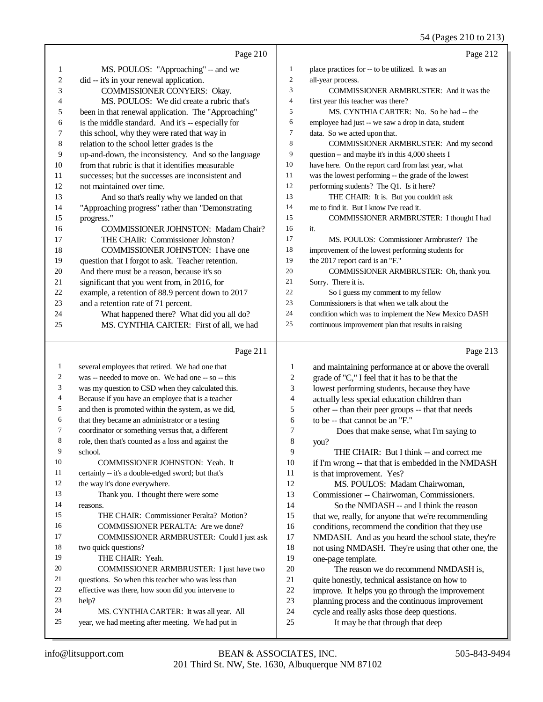54 (Pages 210 to 213)

|                | Page 210                                                                                                       |                | Page 212                                             |
|----------------|----------------------------------------------------------------------------------------------------------------|----------------|------------------------------------------------------|
| 1              | MS. POULOS: "Approaching" -- and we                                                                            | 1              | place practices for -- to be utilized. It was an     |
| $\overline{c}$ | did -- it's in your renewal application.                                                                       | $\overline{2}$ | all-year process.                                    |
| 3              | COMMISSIONER CONYERS: Okay.                                                                                    | 3              | <b>COMMISSIONER ARMBRUSTER:</b> And it was the       |
| 4              | MS. POULOS: We did create a rubric that's                                                                      | $\overline{4}$ | first year this teacher was there?                   |
| 5              | been in that renewal application. The "Approaching"                                                            | 5              | MS. CYNTHIA CARTER: No. So he had -- the             |
| 6              | is the middle standard. And it's -- especially for                                                             | 6              | employee had just -- we saw a drop in data, student  |
| $\tau$         | this school, why they were rated that way in                                                                   | 7              | data. So we acted upon that.                         |
| 8              | relation to the school letter grades is the                                                                    | 8              | COMMISSIONER ARMBRUSTER: And my second               |
| 9              | up-and-down, the inconsistency. And so the language                                                            | 9              | question -- and maybe it's in this 4,000 sheets I    |
| 10             | from that rubric is that it identifies measurable                                                              | 10             | have here. On the report card from last year, what   |
| 11             | successes; but the successes are inconsistent and                                                              | 11             | was the lowest performing -- the grade of the lowest |
| 12             | not maintained over time.                                                                                      | 12             | performing students? The Q1. Is it here?             |
| 13             | And so that's really why we landed on that                                                                     | 13             | THE CHAIR: It is. But you couldn't ask               |
| 14             | "Approaching progress" rather than "Demonstrating                                                              | 14             | me to find it. But I know I've read it.              |
| 15             | progress."                                                                                                     | 15             | COMMISSIONER ARMBRUSTER: I thought I had             |
| 16             | <b>COMMISSIONER JOHNSTON: Madam Chair?</b>                                                                     | 16             | it.                                                  |
| 17             | THE CHAIR: Commissioner Johnston?                                                                              | 17             | MS. POULOS: Commissioner Armbruster? The             |
| 18             | COMMISSIONER JOHNSTON: I have one                                                                              | 18             | improvement of the lowest performing students for    |
| 19             | question that I forgot to ask. Teacher retention.                                                              | 19             | the 2017 report card is an "F."                      |
| 20             | And there must be a reason, because it's so                                                                    | 20             | COMMISSIONER ARMBRUSTER: Oh, thank you.              |
| 21             | significant that you went from, in 2016, for                                                                   | 21             | Sorry. There it is.                                  |
| 22             | example, a retention of 88.9 percent down to 2017                                                              | 22             | So I guess my comment to my fellow                   |
| 23             | and a retention rate of 71 percent.                                                                            | 23             | Commissioners is that when we talk about the         |
| 24             | What happened there? What did you all do?                                                                      | 24             | condition which was to implement the New Mexico DASH |
| 25             | MS. CYNTHIA CARTER: First of all, we had                                                                       | 25             | continuous improvement plan that results in raising  |
|                | Page 211                                                                                                       |                | Page 213                                             |
| $\mathbf{1}$   | several employees that retired. We had one that                                                                | 1              | and maintaining performance at or above the overall  |
| 2              | was -- needed to move on. We had one -- so -- this                                                             | $\mathfrak{2}$ | grade of "C," I feel that it has to be that the      |
| 3              | was my question to CSD when they calculated this.                                                              | 3              | lowest performing students, because they have        |
| 4              | Because if you have an employee that is a teacher                                                              | $\overline{4}$ | actually less special education children than        |
|                | and a straight and a straight and a straight and a straight and a straight and a straight and a straight and a |                |                                                      |

 and then is promoted within the system, as we did, that they became an administrator or a testing

coordinator or something versus that, a different

 role, then that's counted as a loss and against the school.

# COMMISSIONER JOHNSTON: Yeah. It

certainly -- it's a double-edged sword; but that's

12 the way it's done everywhere.

 Thank you. I thought there were some reasons.

- THE CHAIR: Commissioner Peralta? Motion? COMMISSIONER PERALTA: Are we done? COMMISSIONER ARMBRUSTER: Could I just ask two quick questions? THE CHAIR: Yeah. COMMISSIONER ARMBRUSTER: I just have two
- questions. So when this teacher who was less than effective was there, how soon did you intervene to
- help?
- MS. CYNTHIA CARTER: It was all year. All year, we had meeting after meeting. We had put in
- other -- than their peer groups -- that that needs to be -- that cannot be an "F."
- Does that make sense, what I'm saying to you?
- THE CHAIR: But I think -- and correct me
- if I'm wrong -- that that is embedded in the NMDASH is that improvement. Yes?
- MS. POULOS: Madam Chairwoman,
- Commissioner -- Chairwoman, Commissioners. So the NMDASH -- and I think the reason that we, really, for anyone that we're recommending conditions, recommend the condition that they use
- NMDASH. And as you heard the school state, they're not using NMDASH. They're using that other one, the one-page template.
- 20 The reason we do recommend NMDASH is, quite honestly, technical assistance on how to improve. It helps you go through the improvement planning process and the continuous improvement cycle and really asks those deep questions. It may be that through that deep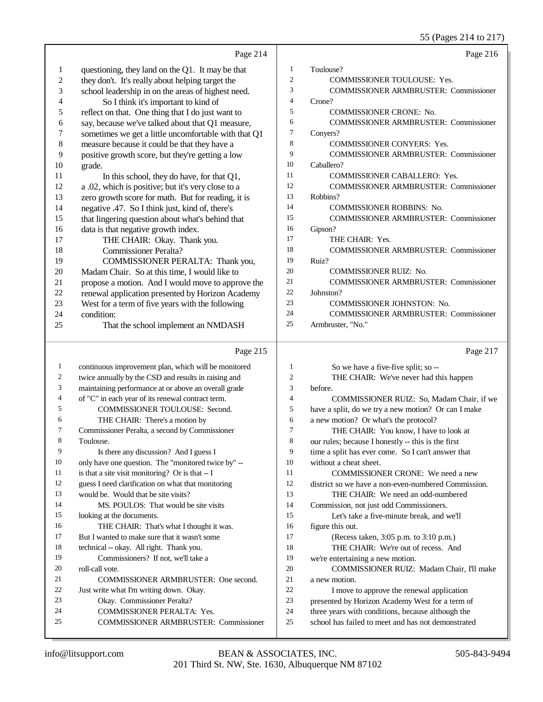|                          |                                                                     |                | JJ (Fages 214 to 217)                                                                                   |
|--------------------------|---------------------------------------------------------------------|----------------|---------------------------------------------------------------------------------------------------------|
|                          | Page 214                                                            |                | Page 216                                                                                                |
| $\mathbf{1}$             | questioning, they land on the Q1. It may be that                    | $\mathbf{1}$   | Toulouse?                                                                                               |
| $\sqrt{2}$               | they don't. It's really about helping target the                    | $\mathfrak{2}$ | COMMISSIONER TOULOUSE: Yes.                                                                             |
| 3                        | school leadership in on the areas of highest need.                  | 3              | <b>COMMISSIONER ARMBRUSTER: Commissioner</b>                                                            |
| $\overline{\mathcal{L}}$ | So I think it's important to kind of                                | $\overline{4}$ | Crone?                                                                                                  |
| 5                        | reflect on that. One thing that I do just want to                   | 5              | COMMISSIONER CRONE: No.                                                                                 |
| 6                        | say, because we've talked about that Q1 measure,                    | 6              | <b>COMMISSIONER ARMBRUSTER: Commissioner</b>                                                            |
| $\boldsymbol{7}$         | sometimes we get a little uncomfortable with that Q1                | $\tau$         | Conyers?                                                                                                |
| $\,$ 8 $\,$              | measure because it could be that they have a                        | 8              | <b>COMMISSIONER CONYERS: Yes.</b>                                                                       |
| 9                        | positive growth score, but they're getting a low                    | 9              | <b>COMMISSIONER ARMBRUSTER: Commissioner</b>                                                            |
| 10                       | grade.                                                              | 10             | Caballero?                                                                                              |
| 11                       | In this school, they do have, for that Q1,                          | 11             | COMMISSIONER CABALLERO: Yes.                                                                            |
| 12                       | a .02, which is positive; but it's very close to a                  | 12             | <b>COMMISSIONER ARMBRUSTER: Commissioner</b>                                                            |
| 13                       | zero growth score for math. But for reading, it is                  | 13             | Robbins?                                                                                                |
| 14                       | negative .47. So I think just, kind of, there's                     | 14             | <b>COMMISSIONER ROBBINS: No.</b>                                                                        |
| 15                       | that lingering question about what's behind that                    | 15             | <b>COMMISSIONER ARMBRUSTER: Commissioner</b>                                                            |
| 16                       | data is that negative growth index.                                 | 16             | Gipson?                                                                                                 |
| 17                       | THE CHAIR: Okay. Thank you.                                         | 17             | THE CHAIR: Yes.                                                                                         |
| 18                       | <b>Commissioner Peralta?</b>                                        | 18             | <b>COMMISSIONER ARMBRUSTER: Commissioner</b>                                                            |
| 19                       | COMMISSIONER PERALTA: Thank you,                                    | 19             | Ruiz?                                                                                                   |
| $20\,$                   | Madam Chair. So at this time, I would like to                       | 20             | <b>COMMISSIONER RUIZ: No.</b>                                                                           |
| 21                       | propose a motion. And I would move to approve the                   | 21             | <b>COMMISSIONER ARMBRUSTER: Commissioner</b>                                                            |
| $22\,$                   | renewal application presented by Horizon Academy                    | 22<br>23       | Johnston?                                                                                               |
| 23                       | West for a term of five years with the following                    | 24             | COMMISSIONER JOHNSTON: No.                                                                              |
| 24                       | condition:                                                          | 25             | <b>COMMISSIONER ARMBRUSTER: Commissioner</b>                                                            |
| 25                       | That the school implement an NMDASH                                 |                | Armbruster, "No."                                                                                       |
|                          | Page 215                                                            |                | Page 217                                                                                                |
| $\mathbf{1}$             | continuous improvement plan, which will be monitored                | 1              | So we have a five-five split; so --                                                                     |
| $\overline{c}$           | twice annually by the CSD and results in raising and                | $\mathfrak{2}$ | THE CHAIR: We've never had this happen                                                                  |
| 3                        | maintaining performance at or above an overall grade                | 3              | before.                                                                                                 |
| $\overline{4}$           | of "C" in each year of its renewal contract term.                   | $\overline{4}$ | COMMISSIONER RUIZ: So, Madam Chair, if we                                                               |
| 5                        | COMMISSIONER TOULOUSE: Second.                                      | 5              | have a split, do we try a new motion? Or can I make                                                     |
| 6                        | THE CHAIR: There's a motion by                                      | 6              | a new motion? Or what's the protocol?                                                                   |
| 7                        | Commissioner Peralta, a second by Commissioner                      | 7              | THE CHAIR: You know, I have to look at                                                                  |
| 8                        | Toulouse.                                                           | 8              | our rules; because I honestly -- this is the first                                                      |
| 9                        | Is there any discussion? And I guess I                              | 9              | time a split has ever come. So I can't answer that                                                      |
| 10                       | only have one question. The "monitored twice by" --                 | 10             | without a cheat sheet.                                                                                  |
| 11                       | is that a site visit monitoring? Or is that $-1$                    | 11             | COMMISSIONER CRONE: We need a new                                                                       |
| 12                       | guess I need clarification on what that monitoring                  | 12             | district so we have a non-even-numbered Commission.                                                     |
| 13                       | would be. Would that be site visits?                                | 13             | THE CHAIR: We need an odd-numbered                                                                      |
| 14                       | MS. POULOS: That would be site visits                               | 14             | Commission, not just odd Commissioners.                                                                 |
| 15                       | looking at the documents.                                           | 15             | Let's take a five-minute break, and we'll                                                               |
| 16                       | THE CHAIR: That's what I thought it was.                            | 16             | figure this out.                                                                                        |
| 17                       | But I wanted to make sure that it wasn't some                       | 17             | (Recess taken, 3:05 p.m. to 3:10 p.m.)                                                                  |
| 18                       | technical -- okay. All right. Thank you.                            | 18             | THE CHAIR: We're out of recess. And                                                                     |
| 19                       | Commissioners? If not, we'll take a                                 | 19             | we're entertaining a new motion.                                                                        |
| 20                       | roll-call vote.                                                     | 20             | COMMISSIONER RUIZ: Madam Chair, I'll make                                                               |
| 21                       | COMMISSIONER ARMBRUSTER: One second.                                | 21             | a new motion.                                                                                           |
| 22<br>23                 | Just write what I'm writing down. Okay.                             | 22<br>23       | I move to approve the renewal application                                                               |
| 24                       | Okay. Commissioner Peralta?                                         |                | presented by Horizon Academy West for a term of                                                         |
|                          |                                                                     |                |                                                                                                         |
| 25                       | COMMISSIONER PERALTA: Yes.<br>COMMISSIONER ARMBRUSTER: Commissioner | 24<br>$25\,$   | three years with conditions, because although the<br>school has failed to meet and has not demonstrated |

COMMISSIONER ARMBRUSTER: Commissioner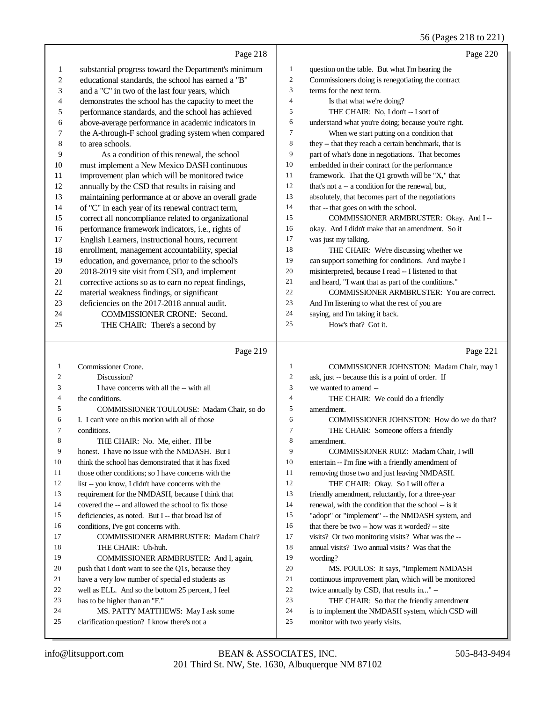|    |                                                      |                  | 56 (Pages 218 to 221)                                |
|----|------------------------------------------------------|------------------|------------------------------------------------------|
|    | Page 218                                             |                  | Page 220                                             |
| 1  | substantial progress toward the Department's minimum | $\mathbf{1}$     | question on the table. But what I'm hearing the      |
| 2  | educational standards, the school has earned a "B"   | $\boldsymbol{2}$ | Commissioners doing is renegotiating the contract    |
| 3  | and a "C" in two of the last four years, which       | 3                | terms for the next term.                             |
| 4  | demonstrates the school has the capacity to meet the | 4                | Is that what we're doing?                            |
| 5  | performance standards, and the school has achieved   | 5                | THE CHAIR: No, I don't -- I sort of                  |
| 6  | above-average performance in academic indicators in  | 6                | understand what you're doing; because you're right.  |
| 7  | the A-through-F school grading system when compared  | 7                | When we start putting on a condition that            |
| 8  | to area schools.                                     | 8                | they -- that they reach a certain benchmark, that is |
| 9  | As a condition of this renewal, the school           | 9                | part of what's done in negotiations. That becomes    |
| 10 | must implement a New Mexico DASH continuous          | 10               | embedded in their contract for the performance       |
| 11 | improvement plan which will be monitored twice       | 11               | framework. That the Q1 growth will be "X," that      |
| 12 | annually by the CSD that results in raising and      | 12               | that's not a -- a condition for the renewal, but,    |
| 13 | maintaining performance at or above an overall grade | 13               | absolutely, that becomes part of the negotiations    |
| 14 | of "C" in each year of its renewal contract term,    | 14               | that -- that goes on with the school.                |
| 15 | correct all noncompliance related to organizational  | 15               | COMMISSIONER ARMBRUSTER: Okay. And I --              |
| 16 | performance framework indicators, i.e., rights of    | 16               | okay. And I didn't make that an amendment. So it     |
| 17 | English Learners, instructional hours, recurrent     | 17               | was just my talking.                                 |
| 18 | enrollment, management accountability, special       | 18               | THE CHAIR: We're discussing whether we               |
| 19 | education, and governance, prior to the school's     | 19               | can support something for conditions. And maybe I    |
| 20 | 2018-2019 site visit from CSD, and implement         | 20               | misinterpreted, because I read -- I listened to that |
| 21 | corrective actions so as to earn no repeat findings, | 21               | and heard, "I want that as part of the conditions."  |
| 22 | material weakness findings, or significant           | 22               | COMMISSIONER ARMBRUSTER: You are correct.            |
| 23 | deficiencies on the 2017-2018 annual audit.          | 23               | And I'm listening to what the rest of you are        |
| 24 | COMMISSIONER CRONE: Second.                          | 24               | saying, and I'm taking it back.                      |
| 25 | THE CHAIR: There's a second by                       | 25               | How's that? Got it.                                  |
|    | Page 219                                             |                  | Page 221                                             |
| 1  | Commissioner Crone.                                  | $\mathbf{1}$     | COMMISSIONER JOHNSTON: Madam Chair, may I            |
| 2  | Discussion?                                          | 2                | ask, just -- because this is a point of order. If    |
| 3  | I have concerns with all the -- with all             | 3                | we wanted to amend --                                |
| 4  | the conditions.                                      | 4                | THE CHAIR: We could do a friendly                    |
| 5  | COMMISSIONER TOULOUSE: Madam Chair, so do            | 5                | amendment.                                           |
| 6  | I. I can't vote on this motion with all of those     | 6                | COMMISSIONER JOHNSTON: How do we do that?            |
|    | conditions.                                          | 7                | THE CHAIR: Someone offers a friendly                 |
| 8  | THE CHAIR: No. Me, either. I'll be                   | 8                | amendment.                                           |
| 9  | honest. I have no issue with the NMDASH. But I       | 9                | COMMISSIONER RUIZ: Madam Chair, I will               |
| 10 | think the school has demonstrated that it has fixed  | 10               | entertain -- I'm fine with a friendly amendment of   |
| 11 | those other conditions; so I have concerns with the  | 11               | removing those two and just leaving NMDASH.          |
| 12 | list -- you know, I didn't have concerns with the    | 12               | THE CHAIR: Okay. So I will offer a                   |
| 13 | requirement for the NMDASH, because I think that     | 13               | friendly amendment, reluctantly, for a three-year    |
| 14 | covered the -- and allowed the school to fix those   | 14               | renewal, with the condition that the school -- is it |
| 15 | deficiencies, as noted. But I -- that broad list of  | 15               | "adopt" or "implement" -- the NMDASH system, and     |
| 16 | conditions, I've got concerns with.                  | 16               | that there be two -- how was it worded? -- site      |

COMMISSIONER ARMBRUSTER: Madam Chair?

 COMMISSIONER ARMBRUSTER: And I, again, push that I don't want to see the Q1s, because they have a very low number of special ed students as well as ELL. And so the bottom 25 percent, I feel

 MS. PATTY MATTHEWS: May I ask some clarification question? I know there's not a

THE CHAIR: Uh-huh.

has to be higher than an "F."

wording?

 visits? Or two monitoring visits? What was the -- annual visits? Two annual visits? Was that the

 MS. POULOS: It says, "Implement NMDASH continuous improvement plan, which will be monitored

 THE CHAIR: So that the friendly amendment is to implement the NMDASH system, which CSD will

twice annually by CSD, that results in..." --

monitor with two yearly visits.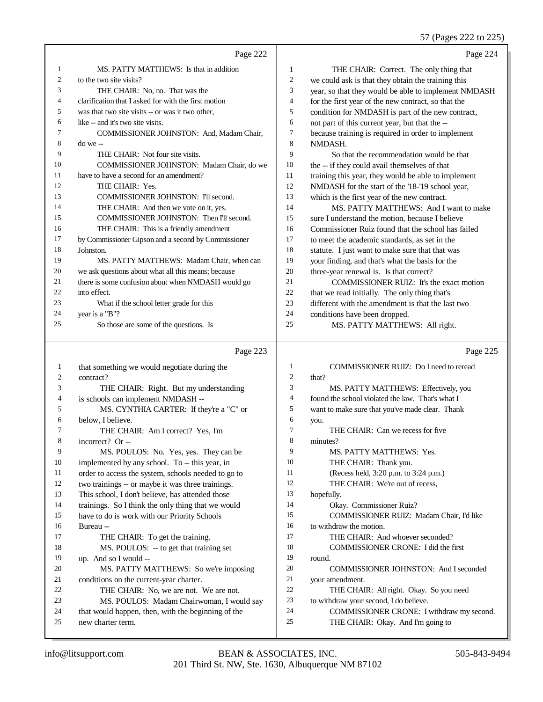57 (Pages 222 to 225)

|    |                                                      |                | 57 (Pages 222 to 225)                                |
|----|------------------------------------------------------|----------------|------------------------------------------------------|
|    | Page 222                                             |                | Page 224                                             |
| 1  | MS. PATTY MATTHEWS: Is that in addition              | 1              | THE CHAIR: Correct. The only thing that              |
| 2  | to the two site visits?                              | $\overline{c}$ | we could ask is that they obtain the training this   |
| 3  | THE CHAIR: No, no. That was the                      | 3              | year, so that they would be able to implement NMDASH |
| 4  | clarification that I asked for with the first motion | 4              | for the first year of the new contract, so that the  |
| 5  | was that two site visits -- or was it two other,     | 5              | condition for NMDASH is part of the new contract,    |
| 6  | like -- and it's two site visits.                    | 6              | not part of this current year, but that the --       |
| 7  | COMMISSIONER JOHNSTON: And, Madam Chair,             | 7              | because training is required in order to implement   |
| 8  | $do we -$                                            | 8              | NMDASH.                                              |
| 9  | THE CHAIR: Not four site visits.                     | 9              | So that the recommendation would be that             |
| 10 | COMMISSIONER JOHNSTON: Madam Chair, do we            | 10             | the -- if they could avail themselves of that        |
| 11 | have to have a second for an amendment?              | 11             | training this year, they would be able to implement  |
| 12 | THE CHAIR: Yes.                                      | 12             | NMDASH for the start of the '18-'19 school year,     |
| 13 | COMMISSIONER JOHNSTON: I'll second.                  | 13             | which is the first year of the new contract.         |
| 14 | THE CHAIR: And then we vote on it, yes.              | 14             | MS. PATTY MATTHEWS: And I want to make               |
| 15 | COMMISSIONER JOHNSTON: Then I'll second.             | 15             | sure I understand the motion, because I believe      |
| 16 | THE CHAIR: This is a friendly amendment              | 16             | Commissioner Ruiz found that the school has failed   |
| 17 | by Commissioner Gipson and a second by Commissioner  | 17             | to meet the academic standards, as set in the        |
| 18 | Johnston.                                            | 18             | statute. I just want to make sure that that was      |
| 19 | MS. PATTY MATTHEWS: Madam Chair, when can            | 19             | your finding, and that's what the basis for the      |
| 20 | we ask questions about what all this means; because  | 20             | three-year renewal is. Is that correct?              |
| 21 | there is some confusion about when NMDASH would go   | 21             | COMMISSIONER RUIZ: It's the exact motion             |
| 22 | into effect.                                         | 22             | that we read initially. The only thing that's        |
| 23 | What if the school letter grade for this             | 23             | different with the amendment is that the last two    |
| 24 | year is a "B"?                                       | 24             | conditions have been dropped.                        |
| 25 | So those are some of the questions. Is               | 25             | MS. PATTY MATTHEWS: All right.                       |
|    | Page 223                                             |                | Page 225                                             |
| 1  | that something we would negotiate during the         | 1              | COMMISSIONER RUIZ: Do I need to reread               |
| 2  | contract?                                            | $\mathbf{2}$   | that?                                                |
| 3  | THE CHAIR: Right. But my understanding               | 3              | MS. PATTY MATTHEWS: Effectively, you                 |
| 4  | is schools can implement NMDASH --                   | 4              | found the school violated the law. That's what I     |
| 5  | MS. CYNTHIA CARTER: If they're a "C" or              | 5              | want to make sure that you've made clear. Thank      |
| 6  | below, I believe.                                    | 6              | you.                                                 |
| 7  | THE CHAIR: Am I correct? Yes, I'm                    | 7              | THE CHAIR: Can we recess for five                    |
| 8  | incorrect? Or --                                     | 8              | minutes?                                             |
| 9  | MS. POULOS: No. Yes, yes. They can be                | 9              | MS. PATTY MATTHEWS: Yes.                             |
| 10 | implemented by any school. To -- this year, in       | 10             | THE CHAIR: Thank you.                                |
| 11 | order to access the system, schools needed to go to  | 11             | (Recess held, 3:20 p.m. to 3:24 p.m.)                |
| 12 | two trainings -- or maybe it was three trainings.    | 12             | THE CHAIR: We're out of recess,                      |
| 13 | This school, I don't believe, has attended those     | 13             | hopefully.                                           |
| 14 | trainings. So I think the only thing that we would   | 14             | Okay. Commissioner Ruiz?                             |
| 15 | have to do is work with our Priority Schools         | 15             | COMMISSIONER RUIZ: Madam Chair, I'd like             |
| 16 | Bureau --                                            | 16             | to withdraw the motion.                              |
| 17 | THE CHAIR: To get the training.                      | 17             | THE CHAIR: And whoever seconded?                     |
| 18 | MS. POULOS: -- to get that training set              | 18             | COMMISSIONER CRONE: I did the first                  |
| 19 | up. And so I would --                                | 19             | round.                                               |
| 20 | MS. PATTY MATTHEWS: So we're imposing                | $20\,$         | <b>COMMISSIONER JOHNSTON: And I seconded</b>         |
| 21 | conditions on the current-year charter.              | 21             | your amendment.                                      |
| 22 | THE CHAIR: No, we are not. We are not.               | $22\,$         | THE CHAIR: All right. Okay. So you need              |
| 23 | MS. POULOS: Madam Chairwoman, I would say            | $23\,$         | to withdraw your second, I do believe.               |

- to withdraw your second, I do believe.
- COMMISSIONER CRONE: I withdraw my second.
- THE CHAIR: Okay. And I'm going to

new charter term.

MS. POULOS: Madam Chairwoman, I would say

24 that would happen, then, with the beginning of the<br>25 new charter term.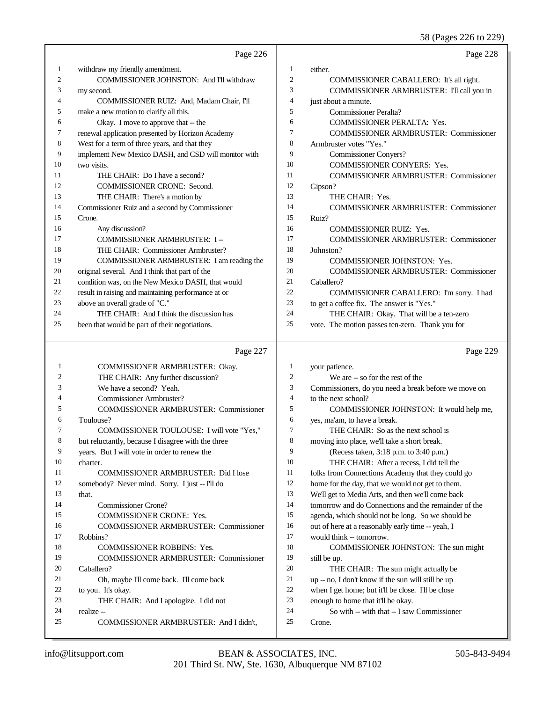58 (Pages 226 to 229)

|    | Page 226                                             |                | Page 228                                             |
|----|------------------------------------------------------|----------------|------------------------------------------------------|
| 1  | withdraw my friendly amendment.                      | 1              | either.                                              |
| 2  | <b>COMMISSIONER JOHNSTON: And I'll withdraw</b>      | $\overline{2}$ | COMMISSIONER CABALLERO: It's all right.              |
| 3  | my second.                                           | 3              | COMMISSIONER ARMBRUSTER: I'll call you in            |
| 4  | COMMISSIONER RUIZ: And, Madam Chair, I'll            | $\overline{4}$ | just about a minute.                                 |
| 5  | make a new motion to clarify all this.               | 5              | Commissioner Peralta?                                |
| 6  | Okay. I move to approve that -- the                  | 6              | COMMISSIONER PERALTA: Yes.                           |
| 7  | renewal application presented by Horizon Academy     | $\overline{7}$ | <b>COMMISSIONER ARMBRUSTER: Commissioner</b>         |
| 8  | West for a term of three years, and that they        | 8              | Armbruster votes "Yes."                              |
| 9  | implement New Mexico DASH, and CSD will monitor with | 9              | <b>Commissioner Conyers?</b>                         |
| 10 | two visits.                                          | 10             | COMMISSIONER CONYERS: Yes.                           |
| 11 | THE CHAIR: Do I have a second?                       | 11             | <b>COMMISSIONER ARMBRUSTER: Commissioner</b>         |
| 12 | COMMISSIONER CRONE: Second.                          | 12             | Gipson?                                              |
| 13 | THE CHAIR: There's a motion by                       | 13             | THE CHAIR: Yes.                                      |
| 14 | Commissioner Ruiz and a second by Commissioner       | 14             | <b>COMMISSIONER ARMBRUSTER: Commissioner</b>         |
| 15 | Crone.                                               | 15             | Ruiz?                                                |
| 16 | Any discussion?                                      | 16             | COMMISSIONER RUIZ: Yes.                              |
| 17 | <b>COMMISSIONER ARMBRUSTER: I--</b>                  | 17             | <b>COMMISSIONER ARMBRUSTER: Commissioner</b>         |
| 18 | THE CHAIR: Commissioner Armbruster?                  | 18             | Johnston?                                            |
| 19 | COMMISSIONER ARMBRUSTER: I am reading the            | 19             | <b>COMMISSIONER JOHNSTON: Yes.</b>                   |
| 20 | original several. And I think that part of the       | 20             | <b>COMMISSIONER ARMBRUSTER: Commissioner</b>         |
| 21 | condition was, on the New Mexico DASH, that would    | 21             | Caballero?                                           |
| 22 | result in raising and maintaining performance at or  | 22             | COMMISSIONER CABALLERO: I'm sorry. I had             |
| 23 | above an overall grade of "C."                       | 23             | to get a coffee fix. The answer is "Yes."            |
| 24 | THE CHAIR: And I think the discussion has            | 24             | THE CHAIR: Okay. That will be a ten-zero             |
| 25 | been that would be part of their negotiations.       | 25             | vote. The motion passes ten-zero. Thank you for      |
|    | Page 227                                             |                | Page 229                                             |
| 1  | COMMISSIONER ARMBRUSTER: Okay.                       | $\mathbf{1}$   | your patience.                                       |
| 2  | THE CHAIR: Any further discussion?                   | $\overline{2}$ | We are -- so for the rest of the                     |
| 3  | We have a second? Yeah.                              | 3              | Commissioners, do you need a break before we move on |
| 4  | Commissioner Armbruster?                             | $\overline{4}$ | to the next school?                                  |
| 5  | <b>COMMISSIONER ARMBRUSTER: Commissioner</b>         | 5              | COMMISSIONER JOHNSTON: It would help me,             |
| 6  | Toulouse?                                            | 6              | yes, ma'am, to have a break.                         |
| 7  | COMMISSIONER TOULOUSE: I will vote "Yes."            | $\overline{7}$ | THE CHAIR: So as the next school is                  |

# THE CHAIR: So as the next school is

moving into place, we'll take a short break.

- (Recess taken, 3:18 p.m. to 3:40 p.m.)
- THE CHAIR: After a recess, I did tell the
- folks from Connections Academy that they could go
- home for the day, that we would not get to them.
- We'll get to Media Arts, and then we'll come back
- tomorrow and do Connections and the remainder of the
- agenda, which should not be long. So we should be
- 16 out of here at a reasonably early time -- yeah, I
- would think -- tomorrow.
- COMMISSIONER JOHNSTON: The sun might still be up.
- THE CHAIR: The sun might actually be
- up -- no, I don't know if the sun will still be up
- when I get home; but it'll be close. I'll be close
- enough to home that it'll be okay.
- So with -- with that -- I saw Commissioner Crone.

charter.

that.

Robbins?

Caballero?

realize --

to you. It's okay.

Commissioner Crone?

COMMISSIONER CRONE: Yes.

COMMISSIONER ROBBINS: Yes.

Oh, maybe I'll come back. I'll come back

THE CHAIR: And I apologize. I did not

 but reluctantly, because I disagree with the three years. But I will vote in order to renew the

 COMMISSIONER ARMBRUSTER: Did I lose somebody? Never mind. Sorry. I just -- I'll do

COMMISSIONER ARMBRUSTER: Commissioner

COMMISSIONER ARMBRUSTER: Commissioner

COMMISSIONER ARMBRUSTER: And I didn't,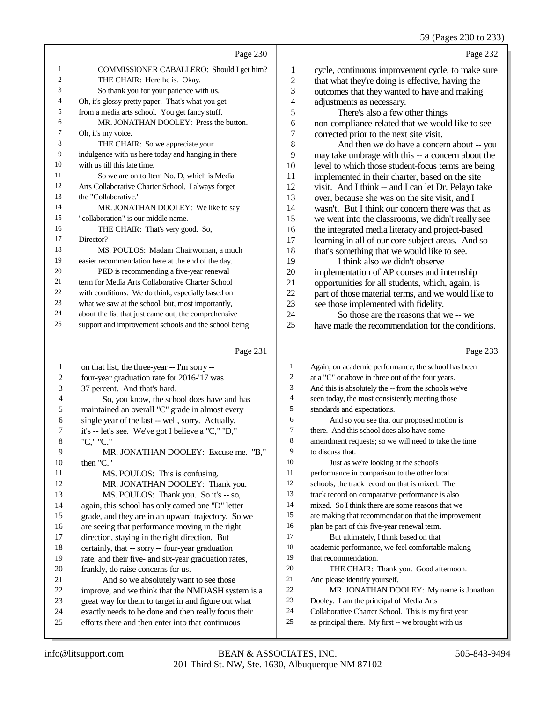59 (Pages 230 to 233)

|    | Page 230                                             |                | Page 232                                            |
|----|------------------------------------------------------|----------------|-----------------------------------------------------|
| 1  | COMMISSIONER CABALLERO: Should I get him?            | 1              | cycle, continuous improvement cycle, to make sure   |
| 2  | THE CHAIR: Here he is. Okay.                         | 2              | that what they're doing is effective, having the    |
| 3  | So thank you for your patience with us.              | 3              | outcomes that they wanted to have and making        |
| 4  | Oh, it's glossy pretty paper. That's what you get    | 4              | adjustments as necessary.                           |
| 5  | from a media arts school. You get fancy stuff.       | 5              | There's also a few other things                     |
| 6  | MR. JONATHAN DOOLEY: Press the button.               | 6              | non-compliance-related that we would like to see    |
| 7  | Oh, it's my voice.                                   | $\overline{7}$ | corrected prior to the next site visit.             |
| 8  | THE CHAIR: So we appreciate your                     | 8              | And then we do have a concern about -- you          |
| 9  | indulgence with us here today and hanging in there   | 9              | may take umbrage with this -- a concern about the   |
| 10 | with us till this late time.                         | 10             | level to which those student-focus terms are being  |
| 11 | So we are on to Item No. D, which is Media           | 11             | implemented in their charter, based on the site     |
| 12 | Arts Collaborative Charter School. I always forget   | 12             | visit. And I think -- and I can let Dr. Pelayo take |
| 13 | the "Collaborative."                                 | 13             | over, because she was on the site visit, and I      |
| 14 | MR. JONATHAN DOOLEY: We like to say                  | 14             | wasn't. But I think our concern there was that as   |
| 15 | "collaboration" is our middle name.                  | 15             | we went into the classrooms, we didn't really see   |
| 16 | THE CHAIR: That's very good. So,                     | 16             | the integrated media literacy and project-based     |
| 17 | Director?                                            | 17             | learning in all of our core subject areas. And so   |
| 18 | MS. POULOS: Madam Chairwoman, a much                 | 18             | that's something that we would like to see.         |
| 19 | easier recommendation here at the end of the day.    | 19             | I think also we didn't observe                      |
| 20 | PED is recommending a five-year renewal              | 20             | implementation of AP courses and internship         |
| 21 | term for Media Arts Collaborative Charter School     | 21             | opportunities for all students, which, again, is    |
| 22 | with conditions. We do think, especially based on    | 22             | part of those material terms, and we would like to  |
| 23 | what we saw at the school, but, most importantly,    | 23             | see those implemented with fidelity.                |
| 24 | about the list that just came out, the comprehensive | 24             | So those are the reasons that we -- we              |
| 25 | support and improvement schools and the school being | 25             | have made the recommendation for the conditions.    |

## Page 231

|    | Page 231                                             |    | Page 233                                             |
|----|------------------------------------------------------|----|------------------------------------------------------|
| 1  | on that list, the three-year -- I'm sorry --         | 1  | Again, on academic performance, the school has been  |
| 2  | four-year graduation rate for 2016-'17 was           | 2  | at a "C" or above in three out of the four years.    |
| 3  | 37 percent. And that's hard.                         | 3  | And this is absolutely the -- from the schools we've |
| 4  | So, you know, the school does have and has           | 4  | seen today, the most consistently meeting those      |
| 5  | maintained an overall "C" grade in almost every      | 5  | standards and expectations.                          |
| 6  | single year of the last -- well, sorry. Actually,    | 6  | And so you see that our proposed motion is           |
| 7  | it's -- let's see. We've got I believe a "C," "D,"   | 7  | there. And this school does also have some           |
| 8  | "C," "C."                                            | 8  | amendment requests; so we will need to take the time |
| 9  | MR. JONATHAN DOOLEY: Excuse me. "B,"                 | 9  | to discuss that.                                     |
| 10 | then "C."                                            | 10 | Just as we're looking at the school's                |
| 11 | MS. POULOS: This is confusing.                       | 11 | performance in comparison to the other local         |
| 12 | MR. JONATHAN DOOLEY: Thank you.                      | 12 | schools, the track record on that is mixed. The      |
| 13 | MS. POULOS: Thank you. So it's -- so,                | 13 | track record on comparative performance is also      |
| 14 | again, this school has only earned one "D" letter    | 14 | mixed. So I think there are some reasons that we     |
| 15 | grade, and they are in an upward trajectory. So we   | 15 | are making that recommendation that the improvement  |
| 16 | are seeing that performance moving in the right      | 16 | plan be part of this five-year renewal term.         |
| 17 | direction, staying in the right direction. But       | 17 | But ultimately, I think based on that                |
| 18 | certainly, that -- sorry -- four-year graduation     | 18 | academic performance, we feel comfortable making     |
| 19 | rate, and their five- and six-year graduation rates, | 19 | that recommendation.                                 |
| 20 | frankly, do raise concerns for us.                   | 20 | THE CHAIR: Thank you. Good afternoon.                |
| 21 | And so we absolutely want to see those               | 21 | And please identify yourself.                        |
| 22 | improve, and we think that the NMDASH system is a    | 22 | MR. JONATHAN DOOLEY: My name is Jonathan             |
| 23 | great way for them to target in and figure out what  | 23 | Dooley. I am the principal of Media Arts             |
| 24 | exactly needs to be done and then really focus their | 24 | Collaborative Charter School. This is my first year  |
| 25 | efforts there and then enter into that continuous    | 25 | as principal there. My first -- we brought with us   |
|    |                                                      |    |                                                      |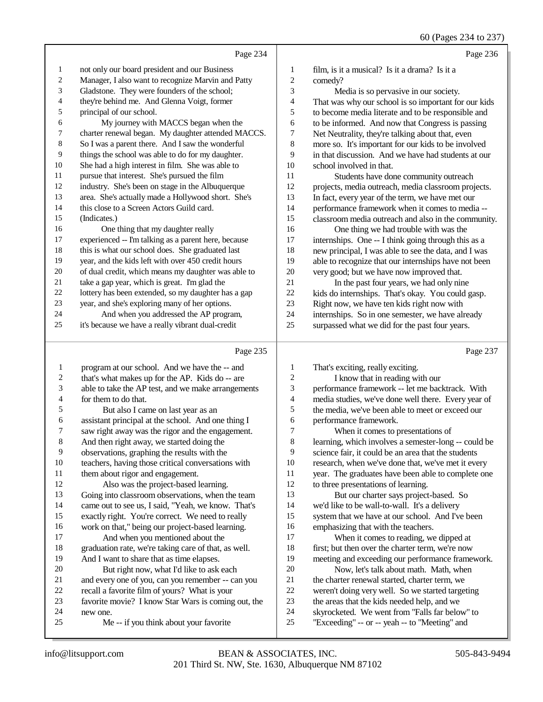60 (Pages 234 to 237)

|              |                                                      |              | $\sim$ $\sim$                                        |
|--------------|------------------------------------------------------|--------------|------------------------------------------------------|
|              | Page 234                                             |              | Page 236                                             |
| $\mathbf{1}$ | not only our board president and our Business        | $\mathbf{1}$ | film, is it a musical? Is it a drama? Is it a        |
| 2            | Manager, I also want to recognize Marvin and Patty   | 2            | comedy?                                              |
| 3            | Gladstone. They were founders of the school;         | 3            | Media is so pervasive in our society.                |
| 4            | they're behind me. And Glenna Voigt, former          | 4            | That was why our school is so important for our kids |
| 5            | principal of our school.                             | 5            | to become media literate and to be responsible and   |
| 6            | My journey with MACCS began when the                 | 6            | to be informed. And now that Congress is passing     |
| 7            | charter renewal began. My daughter attended MACCS.   | 7            | Net Neutrality, they're talking about that, even     |
| 8            | So I was a parent there. And I saw the wonderful     | 8            | more so. It's important for our kids to be involved  |
| 9            | things the school was able to do for my daughter.    | 9            | in that discussion. And we have had students at our  |
| 10           | She had a high interest in film. She was able to     | 10           | school involved in that.                             |
| 11           | pursue that interest. She's pursued the film         | 11           | Students have done community outreach                |
| 12           | industry. She's been on stage in the Albuquerque     | 12           | projects, media outreach, media classroom projects.  |
| 13           | area. She's actually made a Hollywood short. She's   | 13           | In fact, every year of the term, we have met our     |
| 14           | this close to a Screen Actors Guild card.            | 14           | performance framework when it comes to media --      |
| 15           | (Indicates.)                                         | 15           | classroom media outreach and also in the community.  |
| 16           | One thing that my daughter really                    | 16           | One thing we had trouble with was the                |
| 17           | experienced -- I'm talking as a parent here, because | 17           | internships. One -- I think going through this as a  |
| 18           | this is what our school does. She graduated last     | 18           | new principal, I was able to see the data, and I was |
| 19           | year, and the kids left with over 450 credit hours   | 19           | able to recognize that our internships have not been |
| 20           | of dual credit, which means my daughter was able to  | 20           | very good; but we have now improved that.            |
| 21           | take a gap year, which is great. I'm glad the        | 21           | In the past four years, we had only nine             |
| 22           | lottery has been extended, so my daughter has a gap  | $22\,$       | kids do internships. That's okay. You could gasp.    |
| 23           | year, and she's exploring many of her options.       | 23           | Right now, we have ten kids right now with           |
| 24           | And when you addressed the AP program,               | 24           | internships. So in one semester, we have already     |
| 25           | it's because we have a really vibrant dual-credit    | 25           | surpassed what we did for the past four years.       |
|              | Page 235                                             |              | Page 237                                             |

|    | program at our school. And we have the -- and        | 1  | That's exciting, really exciting.                    |
|----|------------------------------------------------------|----|------------------------------------------------------|
| 2  | that's what makes up for the AP. Kids do -- are      | 2  | I know that in reading with our                      |
| 3  | able to take the AP test, and we make arrangements   | 3  | performance framework -- let me backtrack. With      |
| 4  | for them to do that.                                 | 4  | media studies, we've done well there. Every year of  |
| 5  | But also I came on last year as an                   | 5  | the media, we've been able to meet or exceed our     |
| 6  | assistant principal at the school. And one thing I   | 6  | performance framework.                               |
| 7  | saw right away was the rigor and the engagement.     | 7  | When it comes to presentations of                    |
| 8  | And then right away, we started doing the            | 8  | learning, which involves a semester-long -- could be |
| 9  | observations, graphing the results with the          | 9  | science fair, it could be an area that the students  |
| 10 | teachers, having those critical conversations with   | 10 | research, when we've done that, we've met it every   |
| 11 | them about rigor and engagement.                     | 11 | year. The graduates have been able to complete one   |
| 12 | Also was the project-based learning.                 | 12 | to three presentations of learning.                  |
| 13 | Going into classroom observations, when the team     | 13 | But our charter says project-based. So               |
| 14 | came out to see us, I said, "Yeah, we know. That's   | 14 | we'd like to be wall-to-wall. It's a delivery        |
| 15 | exactly right. You're correct. We need to really     | 15 | system that we have at our school. And I've been     |
| 16 | work on that," being our project-based learning.     | 16 | emphasizing that with the teachers.                  |
| 17 | And when you mentioned about the                     | 17 | When it comes to reading, we dipped at               |
| 18 | graduation rate, we're taking care of that, as well. | 18 | first; but then over the charter term, we're now     |
| 19 | And I want to share that as time elapses.            | 19 | meeting and exceeding our performance framework.     |
| 20 | But right now, what I'd like to ask each             | 20 | Now, let's talk about math. Math, when               |
| 21 | and every one of you, can you remember -- can you    | 21 | the charter renewal started, charter term, we        |
| 22 | recall a favorite film of yours? What is your        | 22 | weren't doing very well. So we started targeting     |
| 23 | favorite movie? I know Star Wars is coming out, the  | 23 | the areas that the kids needed help, and we          |
| 24 | new one.                                             | 24 | skyrocketed. We went from "Falls far below" to       |
| 25 | Me -- if you think about your favorite               | 25 | "Exceeding" -- or -- yeah -- to "Meeting" and        |
|    |                                                      |    |                                                      |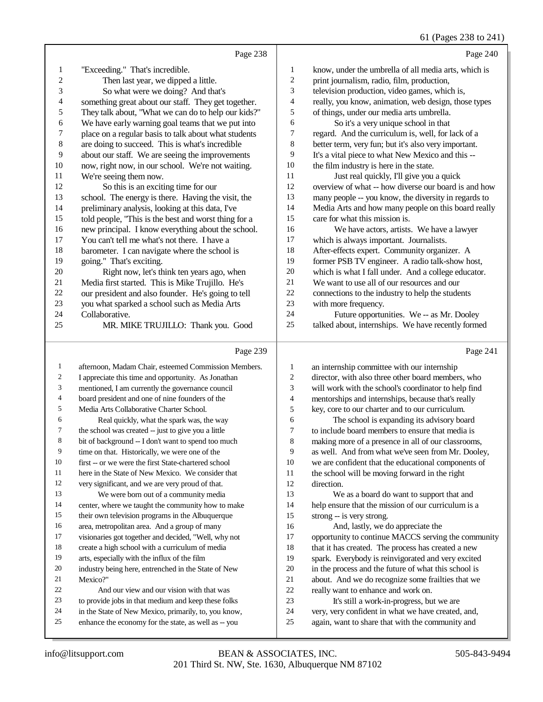#### 61 (Pages 238 to 241)

 $\overline{0}$ 

|                | Page 238                                             |                          | Page 240                                             |
|----------------|------------------------------------------------------|--------------------------|------------------------------------------------------|
| 1              | "Exceeding." That's incredible.                      | 1                        | know, under the umbrella of all media arts, which is |
| $\overline{c}$ | Then last year, we dipped a little.                  | 2                        | print journalism, radio, film, production,           |
| 3              | So what were we doing? And that's                    | 3                        | television production, video games, which is,        |
| 4              | something great about our staff. They get together.  | $\overline{\mathcal{A}}$ | really, you know, animation, web design, those types |
| 5              | They talk about, "What we can do to help our kids?"  | 5                        | of things, under our media arts umbrella.            |
| 6              | We have early warning goal teams that we put into    | 6                        | So it's a very unique school in that                 |
| 7              | place on a regular basis to talk about what students | 7                        | regard. And the curriculum is, well, for lack of a   |
| 8              | are doing to succeed. This is what's incredible      | 8                        | better term, very fun; but it's also very important. |
| 9              | about our staff. We are seeing the improvements      | 9                        | It's a vital piece to what New Mexico and this --    |
| 10             | now, right now, in our school. We're not waiting.    | 10                       | the film industry is here in the state.              |
| 11             | We're seeing them now.                               | 11                       | Just real quickly, I'll give you a quick             |
| 12             | So this is an exciting time for our                  | 12                       | overview of what -- how diverse our board is and how |
| 13             | school. The energy is there. Having the visit, the   | 13                       | many people -- you know, the diversity in regards to |
| 14             | preliminary analysis, looking at this data, I've     | 14                       | Media Arts and how many people on this board really  |
| 15             | told people, "This is the best and worst thing for a | 15                       | care for what this mission is.                       |
| 16             | new principal. I know everything about the school.   | 16                       | We have actors, artists. We have a lawyer            |
| 17             | You can't tell me what's not there. I have a         | 17                       | which is always important. Journalists.              |
| 18             | barometer. I can navigate where the school is        | 18                       | After-effects expert. Community organizer. A         |
| 19             | going." That's exciting.                             | 19                       | former PSB TV engineer. A radio talk-show host,      |
| 20             | Right now, let's think ten years ago, when           | 20                       | which is what I fall under. And a college educator.  |
| 21             | Media first started. This is Mike Trujillo. He's     | 21                       | We want to use all of our resources and our          |
| 22             | our president and also founder. He's going to tell   | 22                       | connections to the industry to help the students     |
| 23             | you what sparked a school such as Media Arts         | 23                       | with more frequency.                                 |
| 24             | Collaborative.                                       | 24                       | Future opportunities. We -- as Mr. Dooley            |
| 25             | MR. MIKE TRUJILLO: Thank you. Good                   | 25                       | talked about, internships. We have recently formed   |
|                |                                                      |                          |                                                      |
|                | Page 239                                             |                          | Page 241                                             |

#### Page 239

| 1  | afternoon, Madam Chair, esteemed Commission Members. | 1  | an internship committee with our internship          |
|----|------------------------------------------------------|----|------------------------------------------------------|
| 2  | I appreciate this time and opportunity. As Jonathan  | 2  | director, with also three other board members, who   |
| 3  | mentioned, I am currently the governance council     | 3  | will work with the school's coordinator to help find |
| 4  | board president and one of nine founders of the      | 4  | mentorships and internships, because that's really   |
| 5  | Media Arts Collaborative Charter School.             | 5  | key, core to our charter and to our curriculum.      |
| 6  | Real quickly, what the spark was, the way            | 6  | The school is expanding its advisory board           |
| 7  | the school was created -- just to give you a little  | 7  | to include board members to ensure that media is     |
| 8  | bit of background -- I don't want to spend too much  | 8  | making more of a presence in all of our classrooms,  |
| 9  | time on that. Historically, we were one of the       | 9  | as well. And from what we've seen from Mr. Dooley,   |
| 10 | first -- or we were the first State-chartered school | 10 | we are confident that the educational components of  |
| 11 | here in the State of New Mexico. We consider that    | 11 | the school will be moving forward in the right       |
| 12 | very significant, and we are very proud of that.     | 12 | direction.                                           |
| 13 | We were born out of a community media                | 13 | We as a board do want to support that and            |
| 14 | center, where we taught the community how to make    | 14 | help ensure that the mission of our curriculum is a  |
| 15 | their own television programs in the Albuquerque     | 15 | strong -- is very strong.                            |
| 16 | area, metropolitan area. And a group of many         | 16 | And, lastly, we do appreciate the                    |
| 17 | visionaries got together and decided, "Well, why not | 17 | opportunity to continue MACCS serving the community  |
| 18 | create a high school with a curriculum of media      | 18 | that it has created. The process has created a new   |
| 19 | arts, especially with the influx of the film         | 19 | spark. Everybody is reinvigorated and very excited   |
| 20 | industry being here, entrenched in the State of New  | 20 | in the process and the future of what this school is |
| 21 | Mexico?"                                             | 21 | about. And we do recognize some frailties that we    |
| 22 | And our view and our vision with that was            | 22 | really want to enhance and work on.                  |
| 23 | to provide jobs in that medium and keep these folks  | 23 | It's still a work-in-progress, but we are            |
| 24 | in the State of New Mexico, primarily, to, you know, | 24 | very, very confident in what we have created, and,   |
| 25 | enhance the economy for the state, as well as -- you | 25 | again, want to share that with the community and     |
|    |                                                      |    |                                                      |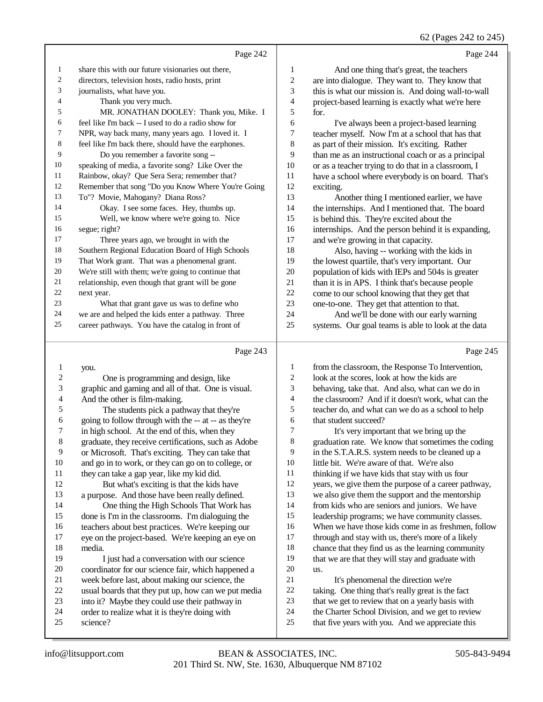62 (Pages 242 to 245)

|            |                                                      |                          | 62 (Pages 242 to 24:                                |
|------------|------------------------------------------------------|--------------------------|-----------------------------------------------------|
|            | Page 242                                             |                          | Page 244                                            |
| 1          | share this with our future visionaries out there,    | 1                        | And one thing that's great, the teachers            |
| $\sqrt{2}$ | directors, television hosts, radio hosts, print      | $\sqrt{2}$               | are into dialogue. They want to. They know that     |
| 3          | journalists, what have you.                          | 3                        | this is what our mission is. And doing wall-to-wall |
| 4          | Thank you very much.                                 | $\overline{\mathcal{L}}$ | project-based learning is exactly what we're here   |
| 5          | MR. JONATHAN DOOLEY: Thank you, Mike. I              | 5                        | for.                                                |
| 6          | feel like I'm back -- I used to do a radio show for  | 6                        | I've always been a project-based learning           |
| 7          | NPR, way back many, many years ago. I loved it. I    | 7                        | teacher myself. Now I'm at a school that has that   |
| 8          | feel like I'm back there, should have the earphones. | $\,$ 8 $\,$              | as part of their mission. It's exciting. Rather     |
| 9          | Do you remember a favorite song --                   | 9                        | than me as an instructional coach or as a principal |
| 10         | speaking of media, a favorite song? Like Over the    | 10                       | or as a teacher trying to do that in a classroom, I |
| 11         | Rainbow, okay? Que Sera Sera; remember that?         | 11                       | have a school where everybody is on board. That's   |
| 12         | Remember that song "Do you Know Where You're Going   | 12                       | exciting.                                           |
| 13         | To"? Movie, Mahogany? Diana Ross?                    | 13                       | Another thing I mentioned earlier, we have          |
| 14         | Okay. I see some faces. Hey, thumbs up.              | 14                       | the internships. And I mentioned that. The board    |
| 15         | Well, we know where we're going to. Nice             | 15                       | is behind this. They're excited about the           |
| 16         | segue; right?                                        | 16                       | internships. And the person behind it is expanding, |
| 17         | Three years ago, we brought in with the              | 17                       | and we're growing in that capacity.                 |
| 18         | Southern Regional Education Board of High Schools    | 18                       | Also, having -- working with the kids in            |
| 19         | That Work grant. That was a phenomenal grant.        | 19                       | the lowest quartile, that's very important. Our     |
| 20         | We're still with them; we're going to continue that  | 20                       | population of kids with IEPs and 504s is greater    |
| 21         | relationship, even though that grant will be gone    | 21                       | than it is in APS. I think that's because people    |
| 22         | next year.                                           | 22                       | come to our school knowing that they get that       |
| 23         | What that grant gave us was to define who            | 23                       | one-to-one. They get that attention to that.        |
| 24         | we are and helped the kids enter a pathway. Three    | 24                       | And we'll be done with our early warning            |
| 25         | career pathways. You have the catalog in front of    | 25                       | systems. Our goal teams is able to look at the data |
|            | Page 243                                             |                          | Page 245                                            |
| 1          | you.                                                 | $\mathbf{1}$             | from the classroom, the Response To Intervention,   |
| 2          | One is programming and design, like                  | 2                        | look at the scores, look at how the kids are        |
| 3          | graphic and gaming and all of that. One is visual.   | 3                        | behaving, take that. And also, what can we do in    |
| 4          | And the other is film-making.                        | 4                        | the classroom? And if it doesn't work, what can the |
| 5          | The students pick a pathway that they're             | 5                        | teacher do, and what can we do as a school to help  |
| 6          | going to follow through with the -- at -- as they're | 6                        | that student succeed?                               |
| 7          | in high school. At the end of this, when they        | 7                        | It's very important that we bring up the            |
|            |                                                      |                          |                                                     |

- graduate, they receive certifications, such as Adobe graduation rate. We know that sometimes the coding
	- in the S.T.A.R.S. system needs to be cleaned up a
	- little bit. We're aware of that. We're also
	- thinking if we have kids that stay with us four
	- years, we give them the purpose of a career pathway,
	- we also give them the support and the mentorship
	- from kids who are seniors and juniors. We have leadership programs; we have community classes.
	- When we have those kids come in as freshmen, follow
	- through and stay with us, there's more of a likely
	- chance that they find us as the learning community
	- that we are that they will stay and graduate with us.
	- 21 It's phenomenal the direction we're
	- taking. One thing that's really great is the fact
	- that we get to review that on a yearly basis with
	- the Charter School Division, and we get to review
	- that five years with you. And we appreciate this

science?

18 media.<br>19 1

 or Microsoft. That's exciting. They can take that 10 and go in to work, or they can go on to college, or 11 they can take a gap year. like my kid did.

 a purpose. And those have been really defined. 14 One thing the High Schools That Work has done is I'm in the classrooms. I'm dialoguing the 16 teachers about best practices. We're keeping our 17 eve on the project-based. We're keeping an eve of eye on the project-based. We're keeping an eye on

20 coordinator for our science fair, which happened a<br>21 week before last, about making our science, the 21 week before last, about making our science, the<br>22 usual boards that they put up, how can we put m 22 usual boards that they put up, how can we put media<br>23 into it? Maybe they could use their pathway in 23 into it? Maybe they could use their pathway in<br>24 order to realize what it is they're doing with 24 order to realize what it is they're doing with<br>25 science?

But what's exciting is that the kids have

I just had a conversation with our science

11 they can take a gap year, like my kid did.<br>12 But what's exciting is that the kids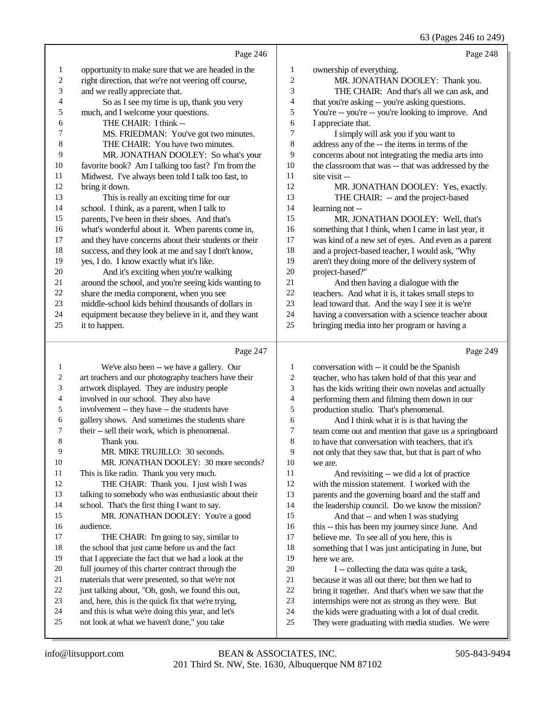63 (Pages 246 to 249)

|                | Page 246                                             |                | Page 248                                             |
|----------------|------------------------------------------------------|----------------|------------------------------------------------------|
| 1              | opportunity to make sure that we are headed in the   | 1              | ownership of everything.                             |
| $\overline{2}$ | right direction, that we're not veering off course,  | $\mathfrak{2}$ | MR. JONATHAN DOOLEY: Thank you.                      |
| 3              | and we really appreciate that.                       | 3              | THE CHAIR: And that's all we can ask, and            |
| 4              | So as I see my time is up, thank you very            | 4              | that you're asking -- you're asking questions.       |
| 5              | much, and I welcome your questions.                  | 5              | You're -- you're -- you're looking to improve. And   |
| 6              | THE CHAIR: I think --                                | 6              | I appreciate that.                                   |
| 7              | MS. FRIEDMAN: You've got two minutes.                | 7              | I simply will ask you if you want to                 |
| 8              | THE CHAIR: You have two minutes.                     | 8              | address any of the -- the items in terms of the      |
| 9              | MR. JONATHAN DOOLEY: So what's your                  | 9              | concerns about not integrating the media arts into   |
| 10             | favorite book? Am I talking too fast? I'm from the   | 10             | the classroom that was -- that was addressed by the  |
| 11             | Midwest. I've always been told I talk too fast, to   | 11             | site visit --                                        |
| 12             | bring it down.                                       | 12             | MR. JONATHAN DOOLEY: Yes, exactly.                   |
| 13             | This is really an exciting time for our              | 13             | THE CHAIR: -- and the project-based                  |
| 14             | school. I think, as a parent, when I talk to         | 14             | learning not --                                      |
| 15             | parents, I've been in their shoes. And that's        | 15             | MR. JONATHAN DOOLEY: Well, that's                    |
| 16             | what's wonderful about it. When parents come in,     | 16             | something that I think, when I came in last year, it |
| 17             | and they have concerns about their students or their | 17             | was kind of a new set of eyes. And even as a parent  |
| 18             | success, and they look at me and say I don't know,   | 18             | and a project-based teacher, I would ask, "Why       |
| 19             | yes, I do. I know exactly what it's like.            | 19             | aren't they doing more of the delivery system of     |
| 20             | And it's exciting when you're walking                | 20             | project-based?"                                      |
| 21             | around the school, and you're seeing kids wanting to | 21             | And then having a dialogue with the                  |
| 22             | share the media component, when you see              | 22             | teachers. And what it is, it takes small steps to    |
| 23             | middle-school kids behind thousands of dollars in    | 23             | lead toward that. And the way I see it is we're      |
| 24             | equipment because they believe in it, and they want  | 24             | having a conversation with a science teacher about   |
| 25             | it to happen.                                        | 25             | bringing media into her program or having a          |
|                | Page 247                                             |                | Page 249                                             |

#### Page 247 |

| $\mathbf{1}$   | We've also been -- we have a gallery. Our            | $\mathbf{1}$             | conversation with -- it could be the Spanish         |
|----------------|------------------------------------------------------|--------------------------|------------------------------------------------------|
| $\overline{c}$ | art teachers and our photography teachers have their | 2                        | teacher, who has taken hold of that this year and    |
| 3              | artwork displayed. They are industry people          | 3                        | has the kids writing their own novelas and actually  |
| 4              | involved in our school. They also have               | $\overline{\mathcal{A}}$ | performing them and filming them down in our         |
| 5              | involvement -- they have -- the students have        | 5                        | production studio. That's phenomenal.                |
| 6              | gallery shows. And sometimes the students share      | 6                        | And I think what it is is that having the            |
| 7              | their -- sell their work, which is phenomenal.       | 7                        | team come out and mention that gave us a springboard |
| 8              | Thank you.                                           | 8                        | to have that conversation with teachers, that it's   |
| 9              | MR. MIKE TRUJILLO: 30 seconds.                       | 9                        | not only that they saw that, but that is part of who |
| 10             | MR. JONATHAN DOOLEY: 30 more seconds?                | 10                       | we are.                                              |
| 11             | This is like radio. Thank you very much.             | 11                       | And revisiting -- we did a lot of practice           |
| 12             | THE CHAIR: Thank you. I just wish I was              | 12                       | with the mission statement. I worked with the        |
| 13             | talking to somebody who was enthusiastic about their | 13                       | parents and the governing board and the staff and    |
| 14             | school. That's the first thing I want to say.        | 14                       | the leadership council. Do we know the mission?      |
| 15             | MR. JONATHAN DOOLEY: You're a good                   | 15                       | And that -- and when I was studying                  |
| 16             | audience.                                            | 16                       | this -- this has been my journey since June. And     |
| 17             | THE CHAIR: I'm going to say, similar to              | 17                       | believe me. To see all of you here, this is          |
| 18             | the school that just came before us and the fact     | 18                       | something that I was just anticipating in June, but  |
| 19             | that I appreciate the fact that we had a look at the | 19                       | here we are.                                         |
| $20\,$         | full journey of this charter contract through the    | 20                       | I -- collecting the data was quite a task,           |
| 21             | materials that were presented, so that we're not     | 21                       | because it was all out there; but then we had to     |
| 22             | just talking about, "Oh, gosh, we found this out,    | 22                       | bring it together. And that's when we saw that the   |
| 23             | and, here, this is the quick fix that we're trying,  | 23                       | internships were not as strong as they were. But     |
| 24             | and this is what we're doing this year, and let's    | 24                       | the kids were graduating with a lot of dual credit.  |
| 25             | not look at what we haven't done," you take          | 25                       | They were graduating with media studies. We were     |
|                |                                                      |                          |                                                      |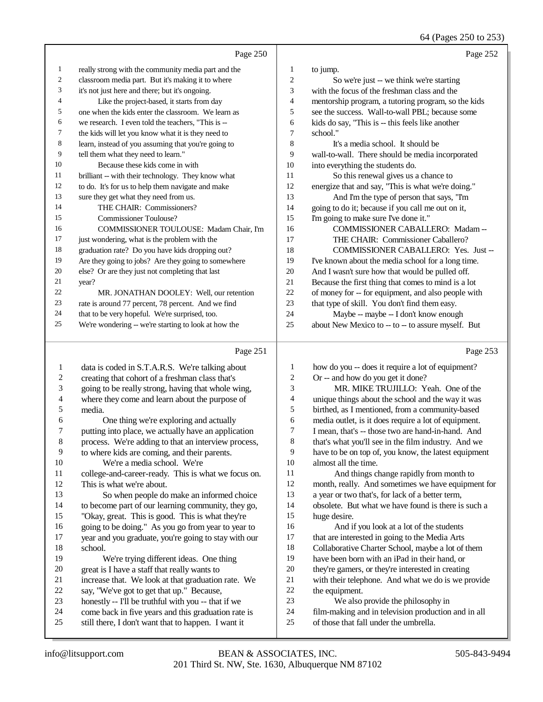64 (Pages 250 to 253)

|    | Page 250                                             |    | Page 252                                            |
|----|------------------------------------------------------|----|-----------------------------------------------------|
| 1  | really strong with the community media part and the  | 1  | to jump.                                            |
| 2  | classroom media part. But it's making it to where    | 2  | So we're just -- we think we're starting            |
| 3  | it's not just here and there; but it's ongoing.      | 3  | with the focus of the freshman class and the        |
| 4  | Like the project-based, it starts from day           | 4  | mentorship program, a tutoring program, so the kids |
| 5  | one when the kids enter the classroom. We learn as   | 5  | see the success. Wall-to-wall PBL; because some     |
| 6  | we research. I even told the teachers, "This is --   | 6  | kids do say, "This is -- this feels like another    |
| 7  | the kids will let you know what it is they need to   | 7  | school."                                            |
| 8  | learn, instead of you assuming that you're going to  | 8  | It's a media school. It should be                   |
| 9  | tell them what they need to learn."                  | 9  | wall-to-wall. There should be media incorporated    |
| 10 | Because these kids come in with                      | 10 | into everything the students do.                    |
| 11 | brilliant -- with their technology. They know what   | 11 | So this renewal gives us a chance to                |
| 12 | to do. It's for us to help them navigate and make    | 12 | energize that and say, "This is what we're doing."  |
| 13 | sure they get what they need from us.                | 13 | And I'm the type of person that says, "I'm          |
| 14 | THE CHAIR: Commissioners?                            | 14 | going to do it; because if you call me out on it,   |
| 15 | Commissioner Toulouse?                               | 15 | I'm going to make sure I've done it."               |
| 16 | <b>COMMISSIONER TOULOUSE: Madam Chair, I'm</b>       | 16 | COMMISSIONER CABALLERO: Madam-                      |
| 17 | just wondering, what is the problem with the         | 17 | THE CHAIR: Commissioner Caballero?                  |
| 18 | graduation rate? Do you have kids dropping out?      | 18 | <b>COMMISSIONER CABALLERO: Yes. Just --</b>         |
| 19 | Are they going to jobs? Are they going to somewhere  | 19 | I've known about the media school for a long time.  |
| 20 | else? Or are they just not completing that last      | 20 | And I wasn't sure how that would be pulled off.     |
| 21 | year?                                                | 21 | Because the first thing that comes to mind is a lot |
| 22 | MR. JONATHAN DOOLEY: Well, our retention             | 22 | of money for -- for equipment, and also people with |
| 23 | rate is around 77 percent, 78 percent. And we find   | 23 | that type of skill. You don't find them easy.       |
| 24 | that to be very hopeful. We're surprised, too.       | 24 | Maybe -- maybe -- I don't know enough               |
| 25 | We're wondering -- we're starting to look at how the | 25 | about New Mexico to -- to -- to assure myself. But  |
|    | Page 251                                             |    | Page 253                                            |

#### Page

| 1       | data is coded in S.T.A.R.S. We're talking about      | 1              | how do you -- does it require a lot of equipment?    |
|---------|------------------------------------------------------|----------------|------------------------------------------------------|
| 2       | creating that cohort of a freshman class that's      | $\overline{c}$ | Or -- and how do you get it done?                    |
| 3       | going to be really strong, having that whole wing,   | 3              | MR. MIKE TRUJILLO: Yeah. One of the                  |
| 4       | where they come and learn about the purpose of       | 4              | unique things about the school and the way it was    |
| 5       | media.                                               | 5              | birthed, as I mentioned, from a community-based      |
| 6       | One thing we're exploring and actually               | 6              | media outlet, is it does require a lot of equipment. |
| 7       | putting into place, we actually have an application  | 7              | I mean, that's -- those two are hand-in-hand. And    |
| $\,8\,$ | process. We're adding to that an interview process,  | 8              | that's what you'll see in the film industry. And we  |
| 9       | to where kids are coming, and their parents.         | 9              | have to be on top of, you know, the latest equipment |
| 10      | We're a media school. We're                          | 10             | almost all the time.                                 |
| 11      | college-and-career-ready. This is what we focus on.  | 11             | And things change rapidly from month to              |
| 12      | This is what we're about.                            | 12             | month, really. And sometimes we have equipment for   |
| 13      | So when people do make an informed choice            | 13             | a year or two that's, for lack of a better term,     |
| 14      | to become part of our learning community, they go,   | 14             | obsolete. But what we have found is there is such a  |
| 15      | "Okay, great. This is good. This is what they're     | 15             | huge desire.                                         |
| 16      | going to be doing." As you go from year to year to   | 16             | And if you look at a lot of the students             |
| 17      | year and you graduate, you're going to stay with our | 17             | that are interested in going to the Media Arts       |
| 18      | school.                                              | 18             | Collaborative Charter School, maybe a lot of them    |
| 19      | We're trying different ideas. One thing              | 19             | have been born with an iPad in their hand, or        |
| 20      | great is I have a staff that really wants to         | 20             | they're gamers, or they're interested in creating    |
| 21      | increase that. We look at that graduation rate. We   | 21             | with their telephone. And what we do is we provide   |
| 22      | say, "We've got to get that up." Because,            | 22             | the equipment.                                       |
| 23      | honestly -- I'll be truthful with you -- that if we  | 23             | We also provide the philosophy in                    |
| 24      | come back in five years and this graduation rate is  | 24             | film-making and in television production and in all  |
| 25      | still there, I don't want that to happen. I want it  | 25             | of those that fall under the umbrella.               |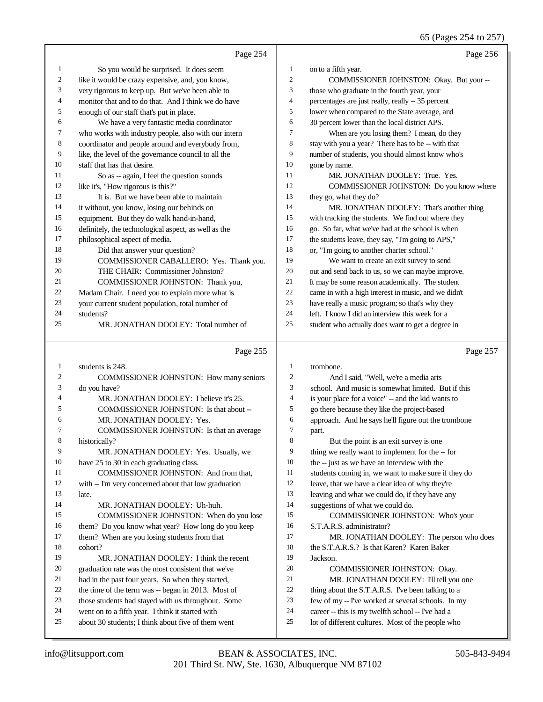|    | Page 254                                             |                | Page 256                                             |
|----|------------------------------------------------------|----------------|------------------------------------------------------|
| 1  | So you would be surprised. It does seem              | 1              | on to a fifth year.                                  |
| 2  | like it would be crazy expensive, and, you know,     | $\overline{c}$ | COMMISSIONER JOHNSTON: Okay. But your --             |
| 3  | very rigorous to keep up. But we've been able to     | 3              | those who graduate in the fourth year, your          |
| 4  | monitor that and to do that. And I think we do have  | $\overline{4}$ | percentages are just really, really -- 35 percent    |
| 5  | enough of our staff that's put in place.             | 5              | lower when compared to the State average, and        |
| 6  | We have a very fantastic media coordinator           | 6              | 30 percent lower than the local district APS.        |
| 7  | who works with industry people, also with our intern | 7              | When are you losing them? I mean, do they            |
| 8  | coordinator and people around and everybody from,    | 8              | stay with you a year? There has to be -- with that   |
| 9  | like, the level of the governance council to all the | 9              | number of students, you should almost know who's     |
| 10 | staff that has that desire.                          | 10             | gone by name.                                        |
| 11 | So as -- again, I feel the question sounds           | 11             | MR. JONATHAN DOOLEY: True. Yes.                      |
| 12 | like it's, "How rigorous is this?"                   | 12             | COMMISSIONER JOHNSTON: Do you know where             |
| 13 | It is. But we have been able to maintain             | 13             | they go, what they do?                               |
| 14 | it without, you know, losing our behinds on          | 14             | MR. JONATHAN DOOLEY: That's another thing            |
| 15 | equipment. But they do walk hand-in-hand,            | 15             | with tracking the students. We find out where they   |
| 16 | definitely, the technological aspect, as well as the | 16             | go. So far, what we've had at the school is when     |
| 17 | philosophical aspect of media.                       | 17             | the students leave, they say, "I'm going to APS,"    |
| 18 | Did that answer your question?                       | 18             | or, "I'm going to another charter school."           |
| 19 | COMMISSIONER CABALLERO: Yes. Thank you.              | 19             | We want to create an exit survey to send             |
| 20 | THE CHAIR: Commissioner Johnston?                    | 20             | out and send back to us, so we can maybe improve.    |
| 21 | COMMISSIONER JOHNSTON: Thank you,                    | 21             | It may be some reason academically. The student      |
| 22 | Madam Chair. I need you to explain more what is      | 22             | came in with a high interest in music, and we didn't |
| 23 | your current student population, total number of     | 23             | have really a music program; so that's why they      |
| 24 | students?                                            | 24             | left. I know I did an interview this week for a      |
| 25 | MR. JONATHAN DOOLEY: Total number of                 | 25             | student who actually does want to get a degree in    |
|    |                                                      |                |                                                      |

#### Page 255

| 1  | students is 248.                                     | 1              | trombone.                                           |
|----|------------------------------------------------------|----------------|-----------------------------------------------------|
| 2  | COMMISSIONER JOHNSTON: How many seniors              | $\overline{c}$ | And I said, "Well, we're a media arts               |
| 3  | do you have?                                         | 3              | school. And music is somewhat limited. But if this  |
| 4  | MR. JONATHAN DOOLEY: I believe it's 25.              | 4              | is your place for a voice" -- and the kid wants to  |
| 5  | COMMISSIONER JOHNSTON: Is that about --              | 5              | go there because they like the project-based        |
| 6  | MR. JONATHAN DOOLEY: Yes.                            | 6              | approach. And he says he'll figure out the trombone |
| 7  | <b>COMMISSIONER JOHNSTON:</b> Is that an average     | 7              | part.                                               |
| 8  | historically?                                        | 8              | But the point is an exit survey is one              |
| 9  | MR. JONATHAN DOOLEY: Yes. Usually, we                | 9              | thing we really want to implement for the -- for    |
| 10 | have 25 to 30 in each graduating class.              | 10             | the -- just as we have an interview with the        |
| 11 | COMMISSIONER JOHNSTON: And from that.                | 11             | students coming in, we want to make sure if they do |
| 12 | with -- I'm very concerned about that low graduation | 12             | leave, that we have a clear idea of why they're     |
| 13 | late.                                                | 13             | leaving and what we could do, if they have any      |
| 14 | MR. JONATHAN DOOLEY: Uh-huh.                         | 14             | suggestions of what we could do.                    |
| 15 | COMMISSIONER JOHNSTON: When do you lose              | 15             | <b>COMMISSIONER JOHNSTON: Who's your</b>            |
| 16 | them? Do you know what year? How long do you keep    | 16             | S.T.A.R.S. administrator?                           |
| 17 | them? When are you losing students from that         | 17             | MR. JONATHAN DOOLEY: The person who does            |
| 18 | cohort?                                              | 18             | the S.T.A.R.S.? Is that Karen? Karen Baker          |
| 19 | MR. JONATHAN DOOLEY: I think the recent              | 19             | Jackson.                                            |
| 20 | graduation rate was the most consistent that we've   | 20             | <b>COMMISSIONER JOHNSTON: Okay.</b>                 |
| 21 | had in the past four years. So when they started,    | 21             | MR. JONATHAN DOOLEY: I'll tell you one              |
| 22 | the time of the term was -- began in 2013. Most of   | 22             | thing about the S.T.A.R.S. I've been talking to a   |
| 23 | those students had stayed with us throughout. Some   | 23             | few of my -- I've worked at several schools. In my  |
| 24 | went on to a fifth year. I think it started with     | 24             | career -- this is my twelfth school -- I've had a   |
| 25 | about 30 students; I think about five of them went   | 25             | lot of different cultures. Most of the people who   |
|    |                                                      |                |                                                     |

Page 257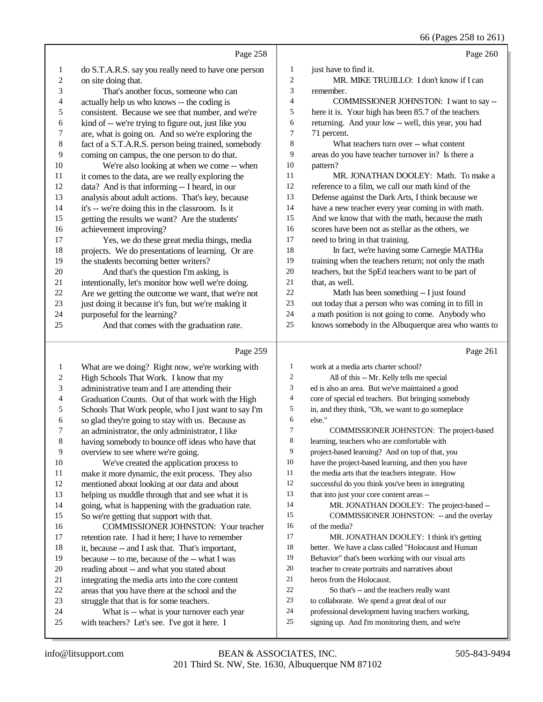|                         |                                                      |                          | 66 (Pages 258 to 261)                                |
|-------------------------|------------------------------------------------------|--------------------------|------------------------------------------------------|
|                         | Page 258                                             |                          | Page 260                                             |
| 1                       | do S.T.A.R.S. say you really need to have one person | $\mathbf{1}$             | just have to find it.                                |
| $\overline{\mathbf{c}}$ | on site doing that.                                  | $\overline{c}$           | MR. MIKE TRUJILLO: I don't know if I can             |
| 3                       | That's another focus, someone who can                | 3                        | remember.                                            |
| 4                       | actually help us who knows -- the coding is          | $\overline{4}$           | COMMISSIONER JOHNSTON: I want to say --              |
| 5                       | consistent. Because we see that number, and we're    | 5                        | here it is. Your high has been 85.7 of the teachers  |
| 6                       | kind of -- we're trying to figure out, just like you | 6                        | returning. And your low -- well, this year, you had  |
| 7                       | are, what is going on. And so we're exploring the    | $\boldsymbol{7}$         | 71 percent.                                          |
| 8                       | fact of a S.T.A.R.S. person being trained, somebody  | 8                        | What teachers turn over -- what content              |
| 9                       | coming on campus, the one person to do that.         | 9                        | areas do you have teacher turnover in? Is there a    |
| 10                      | We're also looking at when we come -- when           | 10                       | pattern?                                             |
| 11                      | it comes to the data, are we really exploring the    | 11                       | MR. JONATHAN DOOLEY: Math. To make a                 |
| 12                      | data? And is that informing -- I heard, in our       | 12                       | reference to a film, we call our math kind of the    |
| 13                      | analysis about adult actions. That's key, because    | 13                       | Defense against the Dark Arts, I think because we    |
| 14                      | it's -- we're doing this in the classroom. Is it     | 14                       | have a new teacher every year coming in with math.   |
| 15                      | getting the results we want? Are the students'       | 15                       | And we know that with the math, because the math     |
| 16                      | achievement improving?                               | 16                       | scores have been not as stellar as the others, we    |
| 17                      | Yes, we do these great media things, media           | 17                       | need to bring in that training.                      |
| 18                      | projects. We do presentations of learning. Or are    | 18                       | In fact, we're having some Carnegie MATHia           |
| 19                      | the students becoming better writers?                | 19                       | training when the teachers return; not only the math |
| $20\,$                  | And that's the question I'm asking, is               | 20                       | teachers, but the SpEd teachers want to be part of   |
| 21                      | intentionally, let's monitor how well we're doing.   | 21                       | that, as well.                                       |
| 22                      | Are we getting the outcome we want, that we're not   | 22                       | Math has been something -- I just found              |
| 23                      | just doing it because it's fun, but we're making it  | 23                       | out today that a person who was coming in to fill in |
| 24                      | purposeful for the learning?                         | 24                       | a math position is not going to come. Anybody who    |
| 25                      | And that comes with the graduation rate.             | 25                       | knows somebody in the Albuquerque area who wants to  |
|                         | Page 259                                             |                          | Page 261                                             |
| 1                       | What are we doing? Right now, we're working with     | $\mathbf{1}$             | work at a media arts charter school?                 |
| $\boldsymbol{2}$        | High Schools That Work. I know that my               | $\boldsymbol{2}$         | All of this -- Mr. Kelly tells me special            |
| 3                       | administrative team and I are attending their        | 3                        | ed is also an area. But we've maintained a good      |
| 4                       | Graduation Counts. Out of that work with the High    | $\overline{\mathcal{L}}$ | core of special ed teachers. But bringing somebody   |
| 5                       | Schools That Work people, who I just want to say I'm | 5                        | in, and they think, "Oh, we want to go someplace     |
| 6                       | so glad they're going to stay with us. Because as    | 6                        | else."                                               |
| 7                       | an administrator, the only administrator, I like     | $\overline{7}$           | COMMISSIONER JOHNSTON: The project-based             |
|                         |                                                      |                          |                                                      |

 having somebody to bounce off ideas who have that overview to see where we're going.

- We've created the application process to make it more dynamic, the exit process. They also
- mentioned about looking at our data and about
- helping us muddle through that and see what it is
- going, what is happening with the graduation rate.
- So we're getting that support with that.
- COMMISSIONER JOHNSTON: Your teacher retention rate. I had it here; I have to remember it, because -- and I ask that. That's important, because -- to me, because of the -- what I was reading about -- and what you stated about integrating the media arts into the core content areas that you have there at the school and the struggle that that is for some teachers. 24 What is -- what is your turnover each year
- with teachers? Let's see. I've got it here. I
- COMMISSIONER JOHNSTON: The project-based learning, teachers who are comfortable with project-based learning? And on top of that, you have the project-based learning, and then you have the media arts that the teachers integrate. How successful do you think you've been in integrating that into just your core content areas -- 14 MR. JONATHAN DOOLEY: The project-based -- COMMISSIONER JOHNSTON: -- and the overlay of the media? MR. JONATHAN DOOLEY: I think it's getting better. We have a class called "Holocaust and Human Behavior" that's been working with our visual arts teacher to create portraits and narratives about heros from the Holocaust. So that's -- and the teachers really want
- to collaborate. We spend a great deal of our
- professional development having teachers working,
- signing up. And I'm monitoring them, and we're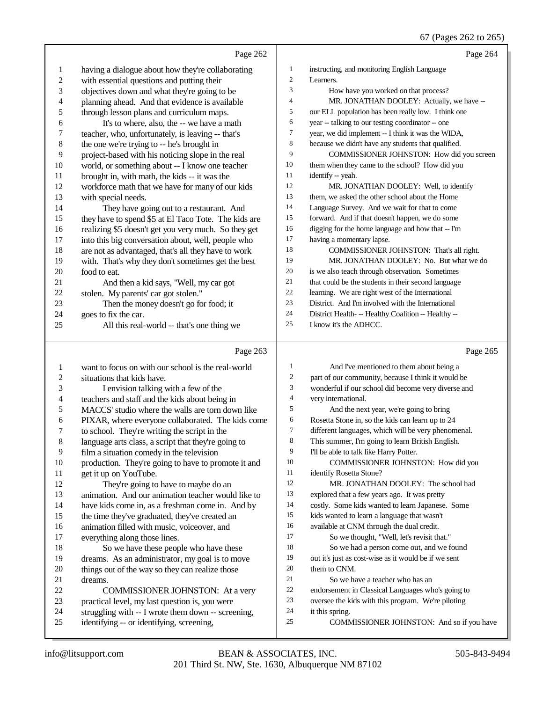|                  | Page 262                                                                                                     |                          | Page 264                                                                                         |
|------------------|--------------------------------------------------------------------------------------------------------------|--------------------------|--------------------------------------------------------------------------------------------------|
| $\mathbf{1}$     | having a dialogue about how they're collaborating                                                            | $\mathbf{1}$             | instructing, and monitoring English Language                                                     |
| $\boldsymbol{2}$ | with essential questions and putting their                                                                   | $\overline{c}$           | Learners.                                                                                        |
| 3                | objectives down and what they're going to be                                                                 | 3                        | How have you worked on that process?                                                             |
| 4                | planning ahead. And that evidence is available                                                               | 4                        | MR. JONATHAN DOOLEY: Actually, we have --                                                        |
| 5                | through lesson plans and curriculum maps.                                                                    | 5                        | our ELL population has been really low. I think one                                              |
| 6                | It's to where, also, the -- we have a math                                                                   | 6                        | year -- talking to our testing coordinator -- one                                                |
| 7                | teacher, who, unfortunately, is leaving -- that's                                                            | 7                        | year, we did implement -- I think it was the WIDA,                                               |
| $\,$ 8 $\,$      | the one we're trying to -- he's brought in                                                                   | 8                        | because we didn't have any students that qualified.                                              |
| 9                | project-based with his noticing slope in the real                                                            | 9                        | COMMISSIONER JOHNSTON: How did you screen                                                        |
| $10\,$           | world, or something about -- I know one teacher                                                              | 10                       | them when they came to the school? How did you                                                   |
| 11               | brought in, with math, the kids -- it was the                                                                | 11                       | identify -- yeah.                                                                                |
| 12               | workforce math that we have for many of our kids                                                             | 12<br>13                 | MR. JONATHAN DOOLEY: Well, to identify                                                           |
| 13               | with special needs.                                                                                          | 14                       | them, we asked the other school about the Home                                                   |
| 14<br>15         | They have going out to a restaurant. And                                                                     | 15                       | Language Survey. And we wait for that to come<br>forward. And if that doesn't happen, we do some |
| 16               | they have to spend \$5 at El Taco Tote. The kids are<br>realizing \$5 doesn't get you very much. So they get | 16                       | digging for the home language and how that -- I'm                                                |
| 17               | into this big conversation about, well, people who                                                           | 17                       | having a momentary lapse.                                                                        |
| 18               | are not as advantaged, that's all they have to work                                                          | 18                       | COMMISSIONER JOHNSTON: That's all right.                                                         |
| 19               | with. That's why they don't sometimes get the best                                                           | 19                       | MR. JONATHAN DOOLEY: No. But what we do                                                          |
| 20               | food to eat.                                                                                                 | 20                       | is we also teach through observation. Sometimes                                                  |
| 21               | And then a kid says, "Well, my car got                                                                       | 21                       | that could be the students in their second language                                              |
| 22               | stolen. My parents' car got stolen."                                                                         | 22                       | learning. We are right west of the International                                                 |
| 23               | Then the money doesn't go for food; it                                                                       | 23                       | District. And I'm involved with the International                                                |
| 24               | goes to fix the car.                                                                                         | 24                       | District Health- -- Healthy Coalition -- Healthy --                                              |
| 25               | All this real-world -- that's one thing we                                                                   | 25                       | I know it's the ADHCC.                                                                           |
|                  |                                                                                                              |                          |                                                                                                  |
|                  |                                                                                                              |                          |                                                                                                  |
|                  | Page 263                                                                                                     |                          | Page 265                                                                                         |
| $\mathbf{1}$     | want to focus on with our school is the real-world                                                           | $\mathbf{1}$             | And I've mentioned to them about being a                                                         |
| $\boldsymbol{2}$ | situations that kids have.                                                                                   | 2                        | part of our community, because I think it would be                                               |
| 3                | I envision talking with a few of the                                                                         | 3                        | wonderful if our school did become very diverse and                                              |
| 4                | teachers and staff and the kids about being in                                                               | $\overline{\mathcal{A}}$ | very international.                                                                              |
| 5                | MACCS' studio where the walls are torn down like                                                             | 5                        | And the next year, we're going to bring                                                          |
| 6                | PIXAR, where everyone collaborated. The kids come                                                            | 6                        | Rosetta Stone in, so the kids can learn up to 24                                                 |
| 7                | to school. They're writing the script in the                                                                 | 7                        | different languages, which will be very phenomenal.                                              |
| 8                | language arts class, a script that they're going to                                                          | 8                        | This summer, I'm going to learn British English.                                                 |
| 9                | film a situation comedy in the television                                                                    | 9<br>10                  | I'll be able to talk like Harry Potter.                                                          |
| $10\,$           | production. They're going to have to promote it and                                                          | 11                       | COMMISSIONER JOHNSTON: How did you                                                               |
| 11               | get it up on YouTube.                                                                                        | 12                       | identify Rosetta Stone?                                                                          |
| 12               | They're going to have to maybe do an                                                                         | 13                       | MR. JONATHAN DOOLEY: The school had                                                              |
| 13<br>14         | animation. And our animation teacher would like to                                                           | 14                       | explored that a few years ago. It was pretty                                                     |
| 15               | have kids come in, as a freshman come in. And by                                                             | 15                       | costly. Some kids wanted to learn Japanese. Some                                                 |
| 16               | the time they've graduated, they've created an<br>animation filled with music, voiceover, and                | 16                       | kids wanted to learn a language that wasn't<br>available at CNM through the dual credit.         |
| 17               | everything along those lines.                                                                                | 17                       | So we thought, "Well, let's revisit that."                                                       |
| 18               | So we have these people who have these                                                                       | 18                       | So we had a person come out, and we found                                                        |
| 19               | dreams. As an administrator, my goal is to move                                                              | 19                       | out it's just as cost-wise as it would be if we sent                                             |
| 20               | things out of the way so they can realize those                                                              | 20                       | them to CNM.                                                                                     |
| 21               | dreams.                                                                                                      | 21                       | So we have a teacher who has an                                                                  |
| $22\,$           | <b>COMMISSIONER JOHNSTON:</b> At a very                                                                      | $22\,$                   | endorsement in Classical Languages who's going to                                                |
| 23               | practical level, my last question is, you were                                                               | 23                       | oversee the kids with this program. We're piloting                                               |
| 24<br>25         | struggling with -- I wrote them down -- screening,<br>identifying -- or identifying, screening,              | 24<br>25                 | it this spring.<br>COMMISSIONER JOHNSTON: And so if you have                                     |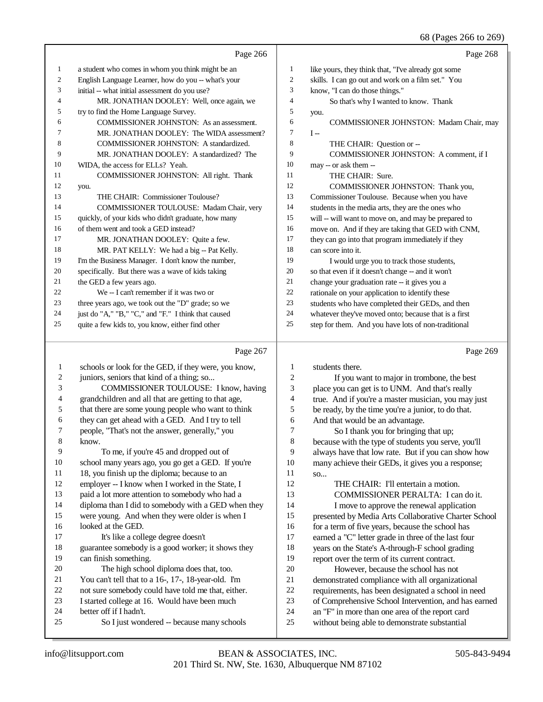68 (Pages 266 to 269)

|                | Page 266                                            |    | Page 268                                             |
|----------------|-----------------------------------------------------|----|------------------------------------------------------|
| $\mathbf{1}$   | a student who comes in whom you think might be an   | 1  | like yours, they think that, "I've already got some  |
| $\overline{c}$ | English Language Learner, how do you -- what's your | 2  | skills. I can go out and work on a film set." You    |
| 3              | initial -- what initial assessment do you use?      | 3  | know, "I can do those things."                       |
| 4              | MR. JONATHAN DOOLEY: Well, once again, we           | 4  | So that's why I wanted to know. Thank                |
| 5              | try to find the Home Language Survey.               | 5  | you.                                                 |
| 6              | COMMISSIONER JOHNSTON: As an assessment.            | 6  | <b>COMMISSIONER JOHNSTON: Madam Chair, may</b>       |
| 7              | MR. JONATHAN DOOLEY: The WIDA assessment?           | 7  | $I -$                                                |
| 8              | COMMISSIONER JOHNSTON: A standardized.              | 8  | THE CHAIR: Question or --                            |
| 9              | MR. JONATHAN DOOLEY: A standardized? The            | 9  | COMMISSIONER JOHNSTON: A comment, if I               |
| 10             | WIDA, the access for ELLs? Yeah.                    | 10 | may -- or ask them --                                |
| 11             | COMMISSIONER JOHNSTON: All right. Thank             | 11 | THE CHAIR: Sure.                                     |
| 12             | you.                                                | 12 | COMMISSIONER JOHNSTON: Thank you,                    |
| 13             | THE CHAIR: Commissioner Toulouse?                   | 13 | Commissioner Toulouse. Because when you have         |
| 14             | COMMISSIONER TOULOUSE: Madam Chair, very            | 14 | students in the media arts, they are the ones who    |
| 15             | quickly, of your kids who didn't graduate, how many | 15 | will -- will want to move on, and may be prepared to |
| 16             | of them went and took a GED instead?                | 16 | move on. And if they are taking that GED with CNM,   |
| 17             | MR. JONATHAN DOOLEY: Ouite a few.                   | 17 | they can go into that program immediately if they    |
| 18             | MR. PAT KELLY: We had a big -- Pat Kelly.           | 18 | can score into it.                                   |
| 19             | I'm the Business Manager. I don't know the number,  | 19 | I would urge you to track those students,            |
| 20             | specifically. But there was a wave of kids taking   | 20 | so that even if it doesn't change -- and it won't    |
| 21             | the GED a few years ago.                            | 21 | change your graduation rate -- it gives you a        |
| 22             | We -- I can't remember if it was two or             | 22 | rationale on your application to identify these      |
| 23             | three years ago, we took out the "D" grade; so we   | 23 | students who have completed their GEDs, and then     |
| 24             | just do "A," "B," "C," and "F." I think that caused | 24 | whatever they've moved onto; because that is a first |
| 25             | quite a few kids to, you know, either find other    | 25 | step for them. And you have lots of non-traditional  |
|                |                                                     |    |                                                      |

# $P_{222}$  267

|    | Page 267                                             |                | Page 269                                             |
|----|------------------------------------------------------|----------------|------------------------------------------------------|
| 1  | schools or look for the GED, if they were, you know, | 1              | students there.                                      |
| 2  | juniors, seniors that kind of a thing; so            | $\overline{2}$ | If you want to major in trombone, the best           |
| 3  | COMMISSIONER TOULOUSE: I know, having                | 3              | place you can get is to UNM. And that's really       |
| 4  | grandchildren and all that are getting to that age,  | 4              | true. And if you're a master musician, you may just  |
| 5  | that there are some young people who want to think   | 5              | be ready, by the time you're a junior, to do that.   |
| 6  | they can get ahead with a GED. And I try to tell     | 6              | And that would be an advantage.                      |
| 7  | people, "That's not the answer, generally," you      | 7              | So I thank you for bringing that up;                 |
| 8  | know.                                                | 8              | because with the type of students you serve, you'll  |
| 9  | To me, if you're 45 and dropped out of               | 9              | always have that low rate. But if you can show how   |
| 10 | school many years ago, you go get a GED. If you're   | 10             | many achieve their GEDs, it gives you a response;    |
| 11 | 18, you finish up the diploma; because to an         | 11             | SO <sub>xx</sub>                                     |
| 12 | employer -- I know when I worked in the State, I     | 12             | THE CHAIR: I'll entertain a motion.                  |
| 13 | paid a lot more attention to somebody who had a      | 13             | COMMISSIONER PERALTA: I can do it.                   |
| 14 | diploma than I did to somebody with a GED when they  | 14             | I move to approve the renewal application            |
| 15 | were young. And when they were older is when I       | 15             | presented by Media Arts Collaborative Charter School |
| 16 | looked at the GED.                                   | 16             | for a term of five years, because the school has     |
| 17 | It's like a college degree doesn't                   | 17             | earned a "C" letter grade in three of the last four  |
| 18 | guarantee somebody is a good worker; it shows they   | 18             | years on the State's A-through-F school grading      |
| 19 | can finish something.                                | 19             | report over the term of its current contract.        |
| 20 | The high school diploma does that, too.              | 20             | However, because the school has not                  |
| 21 | You can't tell that to a 16-, 17-, 18-year-old. I'm  | 21             | demonstrated compliance with all organizational      |
| 22 | not sure somebody could have told me that, either.   | 22             | requirements, has been designated a school in need   |
| 23 | I started college at 16. Would have been much        | 23             | of Comprehensive School Intervention, and has earned |
| 24 | better off if I hadn't.                              | 24             | an "F" in more than one area of the report card      |
| 25 | So I just wondered -- because many schools           | 25             | without being able to demonstrate substantial        |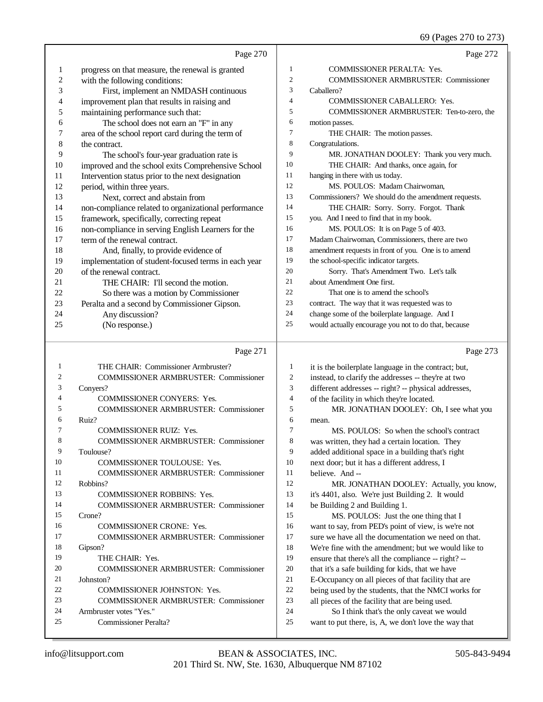69 (Pages 270 to 273)

|                  |                                                           |                  | 09 (Pages $2/0$ to $2/3$ )                                                                        |
|------------------|-----------------------------------------------------------|------------------|---------------------------------------------------------------------------------------------------|
|                  | Page 270                                                  |                  | Page 272                                                                                          |
| 1                | progress on that measure, the renewal is granted          | 1                | COMMISSIONER PERALTA: Yes.                                                                        |
| $\boldsymbol{2}$ | with the following conditions:                            | $\mathbf{2}$     | <b>COMMISSIONER ARMBRUSTER: Commissioner</b>                                                      |
| 3                | First, implement an NMDASH continuous                     | 3                | Caballero?                                                                                        |
| 4                | improvement plan that results in raising and              | $\overline{4}$   | COMMISSIONER CABALLERO: Yes.                                                                      |
| 5                | maintaining performance such that:                        | 5                | COMMISSIONER ARMBRUSTER: Ten-to-zero, the                                                         |
| 6                | The school does not earn an "F" in any                    | 6                | motion passes.                                                                                    |
| 7                | area of the school report card during the term of         | 7                | THE CHAIR: The motion passes.                                                                     |
| 8                | the contract.                                             | 8                | Congratulations.                                                                                  |
| 9                | The school's four-year graduation rate is                 | 9                | MR. JONATHAN DOOLEY: Thank you very much.                                                         |
| 10               | improved and the school exits Comprehensive School        | 10               | THE CHAIR: And thanks, once again, for                                                            |
| 11               | Intervention status prior to the next designation         | 11               | hanging in there with us today.                                                                   |
| 12               | period, within three years.                               | 12               | MS. POULOS: Madam Chairwoman,                                                                     |
| 13               | Next, correct and abstain from                            | 13               | Commissioners? We should do the amendment requests.                                               |
| 14               | non-compliance related to organizational performance      | 14               | THE CHAIR: Sorry. Sorry. Forgot. Thank                                                            |
| 15               | framework, specifically, correcting repeat                | 15               | you. And I need to find that in my book.                                                          |
| 16               | non-compliance in serving English Learners for the        | 16               | MS. POULOS: It is on Page 5 of 403.                                                               |
| 17               | term of the renewal contract.                             | 17               | Madam Chairwoman, Commissioners, there are two                                                    |
| 18               | And, finally, to provide evidence of                      | 18               | amendment requests in front of you. One is to amend                                               |
| 19               | implementation of student-focused terms in each year      | 19               | the school-specific indicator targets.                                                            |
| 20               | of the renewal contract.                                  | 20               | Sorry. That's Amendment Two. Let's talk                                                           |
| 21               | THE CHAIR: I'll second the motion.                        | 21               | about Amendment One first.                                                                        |
| 22               | So there was a motion by Commissioner                     | 22               | That one is to amend the school's                                                                 |
| 23               | Peralta and a second by Commissioner Gipson.              | 23               | contract. The way that it was requested was to                                                    |
| 24               | Any discussion?                                           | 24               | change some of the boilerplate language. And I                                                    |
| 25               | (No response.)                                            | 25               | would actually encourage you not to do that, because                                              |
|                  | Page 271                                                  |                  | Page 273                                                                                          |
| 1                | THE CHAIR: Commissioner Armbruster?                       | 1                | it is the boilerplate language in the contract; but,                                              |
| $\overline{c}$   | <b>COMMISSIONER ARMBRUSTER: Commissioner</b>              | $\boldsymbol{2}$ | instead, to clarify the addresses -- they're at two                                               |
| 3                | Conyers?                                                  | 3                | different addresses -- right? -- physical addresses,                                              |
| 4                | COMMISSIONER CONYERS: Yes.                                | $\overline{4}$   | of the facility in which they're located.                                                         |
| 5                | <b>COMMISSIONER ARMBRUSTER: Commissioner</b>              | 5                | MR. JONATHAN DOOLEY: Oh, I see what you                                                           |
| 6                | Ruiz?                                                     |                  |                                                                                                   |
| 7                |                                                           | 6                |                                                                                                   |
| 8                |                                                           | 7                | mean.                                                                                             |
|                  | COMMISSIONER RUIZ: Yes.                                   | 8                | MS. POULOS: So when the school's contract                                                         |
| 9                | <b>COMMISSIONER ARMBRUSTER: Commissioner</b><br>Toulouse? | 9                | was written, they had a certain location. They                                                    |
| 10               | COMMISSIONER TOULOUSE: Yes.                               | 10               | added additional space in a building that's right<br>next door; but it has a different address, I |
| 11               | COMMISSIONER ARMBRUSTER: Commissioner                     | 11               | believe. And --                                                                                   |
| 12               | Robbins?                                                  | 12               | MR. JONATHAN DOOLEY: Actually, you know,                                                          |
| 13               | COMMISSIONER ROBBINS: Yes.                                | 13               | it's 4401, also. We're just Building 2. It would                                                  |
| 14               | <b>COMMISSIONER ARMBRUSTER: Commissioner</b>              | 14               | be Building 2 and Building 1.                                                                     |
| 15               | Crone?                                                    | 15               | MS. POULOS: Just the one thing that I                                                             |
| 16               | COMMISSIONER CRONE: Yes.                                  | 16               | want to say, from PED's point of view, is we're not                                               |
| 17               | COMMISSIONER ARMBRUSTER: Commissioner                     | 17               | sure we have all the documentation we need on that.                                               |
| 18               | Gipson?                                                   | 18               | We're fine with the amendment; but we would like to                                               |
| 19               | THE CHAIR: Yes.                                           | 19               | ensure that there's all the compliance -- right? --                                               |
| 20               | <b>COMMISSIONER ARMBRUSTER: Commissioner</b>              | $20\,$           | that it's a safe building for kids, that we have                                                  |
| 21               | Johnston?                                                 | 21               | E-Occupancy on all pieces of that facility that are                                               |
| 22               | COMMISSIONER JOHNSTON: Yes.                               | $22\,$           | being used by the students, that the NMCI works for                                               |
| 23               | COMMISSIONER ARMBRUSTER: Commissioner                     | 23               | all pieces of the facility that are being used.                                                   |
| 24               | Armbruster votes "Yes."                                   | 24               | So I think that's the only caveat we would                                                        |
| 25               | <b>Commissioner Peralta?</b>                              | $25\,$           | want to put there, is, A, we don't love the way that                                              |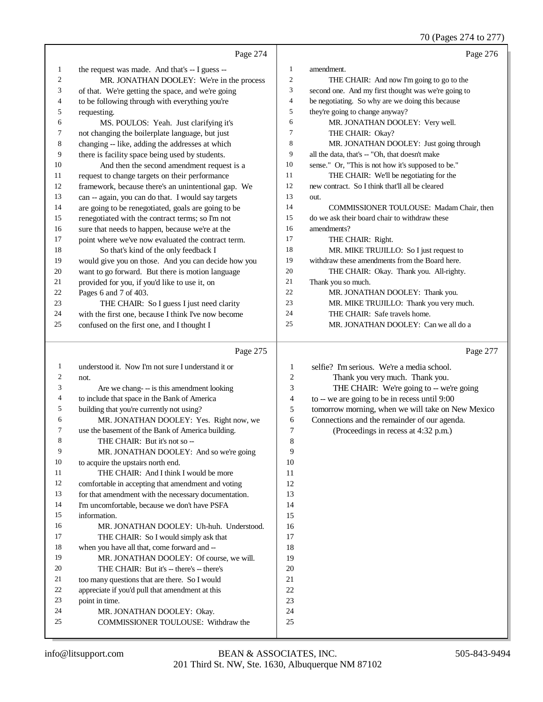70 (Pages 274 to 277)

|              | Page 274                                                                              |                  | Page 276                                            |
|--------------|---------------------------------------------------------------------------------------|------------------|-----------------------------------------------------|
| 1            | the request was made. And that's -- I guess --                                        | $\mathbf{1}$     | amendment.                                          |
| 2            | MR. JONATHAN DOOLEY: We're in the process                                             | $\boldsymbol{2}$ | THE CHAIR: And now I'm going to go to the           |
| 3            | of that. We're getting the space, and we're going                                     | 3                | second one. And my first thought was we're going to |
| 4            | to be following through with everything you're                                        | 4                | be negotiating. So why are we doing this because    |
| 5            | requesting.                                                                           | 5                | they're going to change anyway?                     |
| 6            | MS. POULOS: Yeah. Just clarifying it's                                                | 6                | MR. JONATHAN DOOLEY: Very well.                     |
| 7            | not changing the boilerplate language, but just                                       | 7                | THE CHAIR: Okay?                                    |
| 8            | changing -- like, adding the addresses at which                                       | 8                | MR. JONATHAN DOOLEY: Just going through             |
| 9            | there is facility space being used by students.                                       | 9                | all the data, that's -- "Oh, that doesn't make      |
| 10           | And then the second amendment request is a                                            | 10               | sense." Or, "This is not how it's supposed to be."  |
| 11           | request to change targets on their performance                                        | 11               | THE CHAIR: We'll be negotiating for the             |
| 12           | framework, because there's an unintentional gap. We                                   | 12               | new contract. So I think that'll all be cleared     |
| 13           | can -- again, you can do that. I would say targets                                    | 13               | out.                                                |
| 14           | are going to be renegotiated, goals are going to be                                   | 14               | COMMISSIONER TOULOUSE: Madam Chair, then            |
| 15           | renegotiated with the contract terms; so I'm not                                      | 15               | do we ask their board chair to withdraw these       |
| 16           | sure that needs to happen, because we're at the                                       | 16               | amendments?                                         |
| 17           | point where we've now evaluated the contract term.                                    | 17               | THE CHAIR: Right.                                   |
| 18           | So that's kind of the only feedback I                                                 | 18               | MR. MIKE TRUJILLO: So I just request to             |
| 19           | would give you on those. And you can decide how you                                   | 19               | withdraw these amendments from the Board here.      |
| 20           | want to go forward. But there is motion language                                      | 20               | THE CHAIR: Okay. Thank you. All-righty.             |
| 21           | provided for you, if you'd like to use it, on                                         | 21               | Thank you so much.                                  |
| 22           | Pages 6 and 7 of 403.                                                                 | 22               | MR. JONATHAN DOOLEY: Thank you.                     |
| 23           | THE CHAIR: So I guess I just need clarity                                             | 23               | MR. MIKE TRUJILLO: Thank you very much.             |
| 24           | with the first one, because I think I've now become                                   | 24               | THE CHAIR: Safe travels home.                       |
| 25           | confused on the first one, and I thought I                                            | 25               | MR. JONATHAN DOOLEY: Can we all do a                |
|              |                                                                                       |                  |                                                     |
|              |                                                                                       |                  |                                                     |
|              | Page 275                                                                              |                  | Page 277                                            |
| $\mathbf{1}$ | understood it. Now I'm not sure I understand it or                                    | 1                | selfie? I'm serious. We're a media school.          |
| 2            | not.                                                                                  | $\overline{c}$   | Thank you very much. Thank you.                     |
| 3            | Are we chang--- is this amendment looking                                             | 3                | THE CHAIR: We're going to -- we're going            |
| 4            | to include that space in the Bank of America                                          | $\overline{4}$   | to $-$ we are going to be in recess until $9:00$    |
| 5            | building that you're currently not using?                                             | 5                | tomorrow morning, when we will take on New Mexico   |
| 6            | MR. JONATHAN DOOLEY: Yes. Right now, we                                               | 6                | Connections and the remainder of our agenda.        |
| 7            | use the basement of the Bank of America building.                                     | $\overline{7}$   | (Proceedings in recess at 4:32 p.m.)                |
| 8            | THE CHAIR: But it's not so --                                                         | 8                |                                                     |
| 9            | MR. JONATHAN DOOLEY: And so we're going                                               | 9                |                                                     |
| 10           | to acquire the upstairs north end.                                                    | 10               |                                                     |
| 11           | THE CHAIR: And I think I would be more                                                | 11               |                                                     |
| 12           | comfortable in accepting that amendment and voting                                    | 12               |                                                     |
| 13<br>14     | for that amendment with the necessary documentation.                                  | 13               |                                                     |
| 15           | I'm uncomfortable, because we don't have PSFA                                         | 14<br>15         |                                                     |
| 16           | information.                                                                          | 16               |                                                     |
| 17           | MR. JONATHAN DOOLEY: Uh-huh. Understood.                                              | 17               |                                                     |
| 18           | THE CHAIR: So I would simply ask that<br>when you have all that, come forward and --  | 18               |                                                     |
| 19           |                                                                                       | 19               |                                                     |
| 20           | MR. JONATHAN DOOLEY: Of course, we will.<br>THE CHAIR: But it's -- there's -- there's | 20               |                                                     |
| 21           | too many questions that are there. So I would                                         | 21               |                                                     |
| 22           | appreciate if you'd pull that amendment at this                                       | 22               |                                                     |
| 23           | point in time.                                                                        | 23               |                                                     |
| 24           | MR. JONATHAN DOOLEY: Okay.                                                            | 24               |                                                     |
| 25           | COMMISSIONER TOULOUSE: Withdraw the                                                   | 25               |                                                     |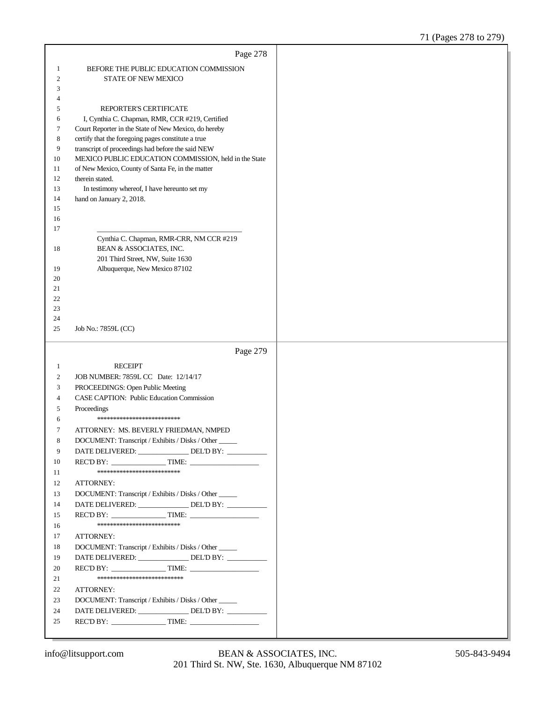|                | Page 278                                                                       |  |
|----------------|--------------------------------------------------------------------------------|--|
| 1              | BEFORE THE PUBLIC EDUCATION COMMISSION                                         |  |
| $\overline{2}$ | <b>STATE OF NEW MEXICO</b>                                                     |  |
| 3              |                                                                                |  |
| 4              |                                                                                |  |
| 5              | REPORTER'S CERTIFICATE                                                         |  |
| 6              | I, Cynthia C. Chapman, RMR, CCR #219, Certified                                |  |
| 7              | Court Reporter in the State of New Mexico, do hereby                           |  |
| 8              | certify that the foregoing pages constitute a true                             |  |
| 9              | transcript of proceedings had before the said NEW                              |  |
| 10             | MEXICO PUBLIC EDUCATION COMMISSION, held in the State                          |  |
| 11             | of New Mexico, County of Santa Fe, in the matter                               |  |
| 12             | therein stated.                                                                |  |
| 13<br>14       | In testimony whereof, I have hereunto set my<br>hand on January 2, 2018.       |  |
| 15             |                                                                                |  |
| 16             |                                                                                |  |
| 17             |                                                                                |  |
|                | Cynthia C. Chapman, RMR-CRR, NM CCR #219                                       |  |
| 18             | BEAN & ASSOCIATES, INC.                                                        |  |
|                | 201 Third Street, NW, Suite 1630                                               |  |
| 19             | Albuquerque, New Mexico 87102                                                  |  |
| 20             |                                                                                |  |
| 21             |                                                                                |  |
| 22             |                                                                                |  |
| 23             |                                                                                |  |
| 24<br>25       | Job No.: 7859L (CC)                                                            |  |
|                |                                                                                |  |
|                |                                                                                |  |
|                | Page 279                                                                       |  |
| 1              | <b>RECEIPT</b>                                                                 |  |
| $\overline{c}$ | JOB NUMBER: 7859L CC Date: 12/14/17                                            |  |
| 3              | PROCEEDINGS: Open Public Meeting                                               |  |
| 4              | CASE CAPTION: Public Education Commission                                      |  |
| 5              | Proceedings                                                                    |  |
| 6              | *************************                                                      |  |
| 7              | ATTORNEY: MS. BEVERLY FRIEDMAN, NMPED                                          |  |
| 8              | DOCUMENT: Transcript / Exhibits / Disks / Other                                |  |
| 9              | DATE DELIVERED: ________________ DEL'D BY: __________                          |  |
| 10             | REC'D BY: $\qquad \qquad$ TIME: $\qquad \qquad$                                |  |
| 11             | **************************                                                     |  |
| 12             | ATTORNEY:                                                                      |  |
| 13             | DOCUMENT: Transcript / Exhibits / Disks / Other                                |  |
| 14             | DATE DELIVERED: _______________DEL'D BY: __________                            |  |
| 15             | REC'D BY: $\qquad \qquad$ TIME: $\qquad \qquad$                                |  |
| 16             | **************************                                                     |  |
| 17             | ATTORNEY:                                                                      |  |
| 18             | DOCUMENT: Transcript / Exhibits / Disks / Other _____                          |  |
| 19             | DATE DELIVERED: _______________DEL'D BY: __________                            |  |
| 20             | REC'D BY: $\qquad \qquad$ TIME: $\qquad \qquad$<br>*************************** |  |
| 21             |                                                                                |  |
| 22             | ATTORNEY:                                                                      |  |
| 23             | DOCUMENT: Transcript / Exhibits / Disks / Other _____                          |  |
| 24<br>25       | DATE DELIVERED: _______________DEL'D BY: __________                            |  |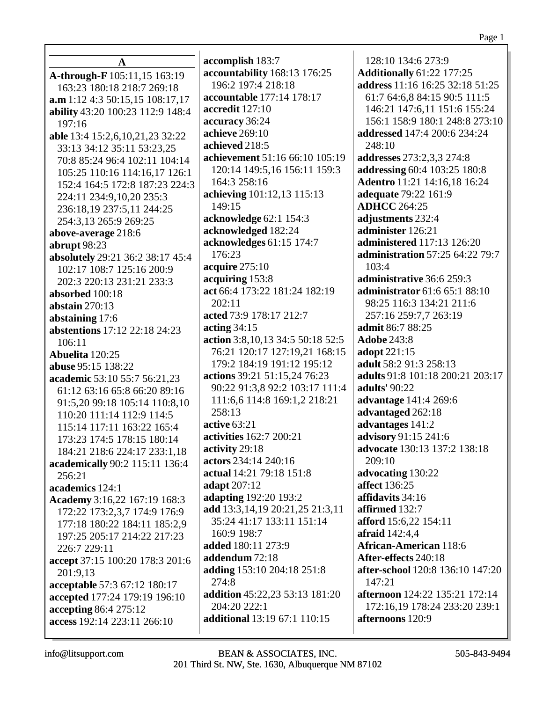| A                                    | accomplish 183:7                      | 128:10 134:6 273:9                    |
|--------------------------------------|---------------------------------------|---------------------------------------|
| A-through-F 105:11,15 163:19         | accountability 168:13 176:25          | <b>Additionally 61:22 177:25</b>      |
| 163:23 180:18 218:7 269:18           | 196:2 197:4 218:18                    | address 11:16 16:25 32:18 51:25       |
| a.m 1:12 4:3 50:15,15 108:17,17      | accountable 177:14 178:17             | 61:7 64:6,8 84:15 90:5 111:5          |
| ability 43:20 100:23 112:9 148:4     | accredit 127:10                       | 146:21 147:6,11 151:6 155:24          |
| 197:16                               | accuracy 36:24                        | 156:1 158:9 180:1 248:8 273:10        |
| able 13:4 15:2,6,10,21,23 32:22      | achieve 269:10                        | addressed 147:4 200:6 234:24          |
| 33:13 34:12 35:11 53:23,25           | achieved 218:5                        | 248:10                                |
| 70:8 85:24 96:4 102:11 104:14        | achievement 51:16 66:10 105:19        | addresses 273:2,3,3 274:8             |
| 105:25 110:16 114:16,17 126:1        | 120:14 149:5,16 156:11 159:3          | addressing 60:4 103:25 180:8          |
| 152:4 164:5 172:8 187:23 224:3       | 164:3 258:16                          | Adentro 11:21 14:16,18 16:24          |
| 224:11 234:9,10,20 235:3             | achieving 101:12,13 115:13            | adequate 79:22 161:9                  |
| 236:18,19 237:5,11 244:25            | 149:15                                | <b>ADHCC</b> 264:25                   |
| 254:3,13 265:9 269:25                | acknowledge 62:1 154:3                | adjustments 232:4                     |
| above-average 218:6                  | acknowledged 182:24                   | administer 126:21                     |
| abrupt 98:23                         | acknowledges 61:15 174:7              | <b>administered</b> 117:13 126:20     |
| absolutely 29:21 36:2 38:17 45:4     | 176:23                                | administration 57:25 64:22 79:7       |
| 102:17 108:7 125:16 200:9            | acquire 275:10                        | 103:4                                 |
| 202:3 220:13 231:21 233:3            | acquiring 153:8                       | administrative 36:6 259:3             |
| absorbed 100:18                      | act 66:4 173:22 181:24 182:19         | administrator 61:6 65:1 88:10         |
| abstain $270:13$                     | 202:11                                | 98:25 116:3 134:21 211:6              |
| abstaining 17:6                      | acted 73:9 178:17 212:7               | 257:16 259:7,7 263:19                 |
| <b>abstentions</b> 17:12 22:18 24:23 | acting $34:15$                        | admit 86:7 88:25                      |
| 106:11                               | action 3:8, 10, 13 34:5 50:18 52:5    | <b>Adobe 243:8</b>                    |
| Abuelita 120:25                      | 76:21 120:17 127:19,21 168:15         | adopt 221:15                          |
| abuse 95:15 138:22                   | 179:2 184:19 191:12 195:12            | adult 58:2 91:3 258:13                |
| academic 53:10 55:7 56:21,23         | actions 39:21 51:15,24 76:23          | adults 91:8 101:18 200:21 203:17      |
| 61:12 63:16 65:8 66:20 89:16         | 90:22 91:3,8 92:2 103:17 111:4        | <b>adults'</b> 90:22                  |
| 91:5,20 99:18 105:14 110:8,10        | 111:6,6 114:8 169:1,2 218:21          | advantage 141:4 269:6                 |
| 110:20 111:14 112:9 114:5            | 258:13                                | advantaged 262:18                     |
| 115:14 117:11 163:22 165:4           | active 63:21                          | advantages 141:2                      |
| 173:23 174:5 178:15 180:14           | activities 162:7 200:21               | advisory 91:15 241:6                  |
| 184:21 218:6 224:17 233:1,18         | activity 29:18                        | advocate 130:13 137:2 138:18          |
| academically 90:2 115:11 136:4       | actors 234:14 240:16                  | 209:10                                |
| 256:21                               | actual 14:21 79:18 151:8              | advocating 130:22                     |
| academics 124:1                      | <b>adapt</b> 207:12                   | affect 136:25                         |
| Academy 3:16,22 167:19 168:3         | adapting 192:20 193:2                 | affidavits 34:16                      |
| 172:22 173:2,3,7 174:9 176:9         | add 13:3, 14, 19 20:21, 25 21:3, 11   | affirmed 132:7                        |
| 177:18 180:22 184:11 185:2,9         | 35:24 41:17 133:11 151:14             | <b>afford</b> 15:6,22 154:11          |
| 197:25 205:17 214:22 217:23          | 160:9 198:7                           | afraid 142:4,4                        |
| 226:7 229:11                         | added 180:11 273:9                    | <b>African-American 118:6</b>         |
| accept 37:15 100:20 178:3 201:6      | addendum 72:18                        | After-effects 240:18                  |
| 201:9,13                             | adding 153:10 204:18 251:8            | after-school 120:8 136:10 147:20      |
| acceptable 57:3 67:12 180:17         | 274:8                                 | 147:21                                |
| accepted 177:24 179:19 196:10        | <b>addition</b> 45:22,23 53:13 181:20 | <b>afternoon</b> 124:22 135:21 172:14 |
| accepting 86:4 275:12                | 204:20 222:1                          | 172:16,19 178:24 233:20 239:1         |
| access 192:14 223:11 266:10          | additional 13:19 67:1 110:15          | afternoons 120:9                      |
|                                      |                                       |                                       |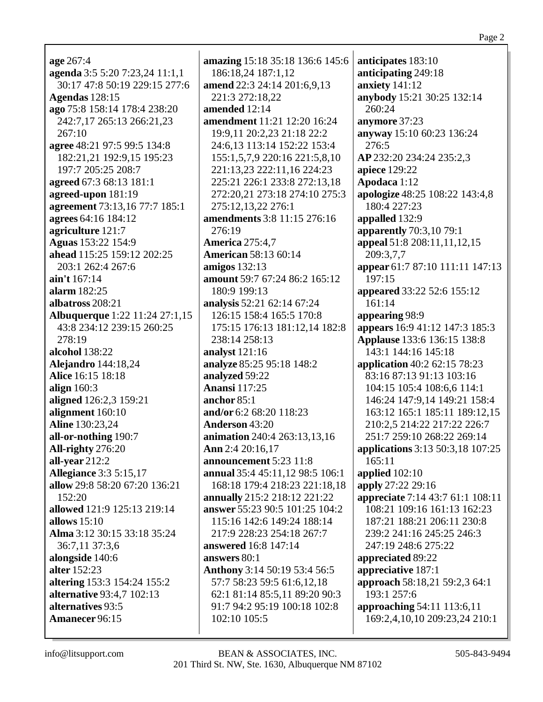$age\,267:4$ agenda 3:5 5:20 7:23,24 11:1,1 30:17 47:8 50:19 229:15 277:6 **Agendas** 128:15 ago 75:8 158:14 178:4 238:20 242:7,17 265:13 266:21,23  $267:10$ agree 48:21 97:5 99:5 134:8 182:21,21 192:9,15 195:23 197:7 205:25 208:7 agreed 67:3 68:13 181:1 agreed-upon 181:19 agreement 73:13,16 77:7 185:1 agrees 64:16 184:12 agriculture 121:7 **Aguas** 153:22 154:9 ahead 115:25 159:12 202:25 203:1 262:4 267:6 ain't 167:14 alarm 182:25 albatross 208:21 **Albuquerque** 1:22 11:24 27:1,15 43:8 234:12 239:15 260:25  $278:19$ alcohol 138:22 **Alejandro** 144:18,24 Alice 16:15 18:18 align 160:3 aligned 126:2,3 159:21 alignment  $160:10$ Aline 130:23,24 all-or-nothing 190:7 All-righty 276:20 all-year  $212:2$ **Allegiance** 3:3 5:15,17 allow 29:8 58:20 67:20 136:21  $152:20$ allowed 121:9 125:13 219:14 allows  $15:10$ Alma 3:12 30:15 33:18 35:24 36:7,11 37:3,6 alongside 140:6 alter 152:23 **altering** 153:3 154:24 155:2 **alternative 93:4.7 102:13** alternatives 93:5 Amanecer 96:15

amazing 15:18 35:18 136:6 145:6 186:18,24 187:1,12 amend 22:3 24:14 201:6,9,13 221:3 272:18,22 amended 12:14 **amendment** 11:21 12:20 16:24 19:9.11 20:2.23 21:18 22:2 24:6,13 113:14 152:22 153:4 155:1,5,7,9 220:16 221:5,8,10 221:13,23 222:11,16 224:23 225:21 226:1 233:8 272:13.18 272:20,21 273:18 274:10 275:3 275:12,13,22 276:1 amendments 3:8 11:15 276:16 276:19 **America** 275:4.7 **American** 58:13 60:14 amigos  $132:13$ amount 59:7 67:24 86:2 165:12 180:9 199:13 analysis 52:21 62:14 67:24 126:15 158:4 165:5 170:8 175:15 176:13 181:12.14 182:8 238:14 258:13 analyst 121:16 analyze 85:25 95:18 148:2 analyzed 59:22 **Anansi** 117:25 anchor  $85:1$ and/or  $6:268:20118:23$ **Anderson 43:20** animation 240:4 263:13,13,16 Ann 2:4 20:16,17 announcement 5:23 11:8 annual 35:4 45:11,12 98:5 106:1 168:18 179:4 218:23 221:18,18 annually 215:2 218:12 221:22 answer 55:23 90:5 101:25 104:2 115:16 142:6 149:24 188:14 217:9 228:23 254:18 267:7 **answered** 16:8 147:14 answers 80:1 Anthony 3:14 50:19 53:4 56:5 57:7 58:23 59:5 61:6.12.18 62:1 81:14 85:5.11 89:20 90:3 91:7 94:2 95:19 100:18 102:8 102:10 105:5

anticipates 183:10 anticipating 249:18 anxiety  $141:12$ anybody 15:21 30:25 132:14 260:24 anymore 37:23 anyway 15:10 60:23 136:24 276:5 AP 232:20 234:24 235:2,3 **apiece** 129:22 Apodaca 1:12 apologize 48:25 108:22 143:4,8 180:4 227:23 appalled 132:9 **apparently** 70:3,10 79:1 appeal 51:8 208:11,11,12,15 209:3.7.7 appear 61:7 87:10 111:11 147:13 197:15 appeared 33:22 52:6 155:12  $161:14$ appearing 98:9 appears 16:9 41:12 147:3 185:3 **Applause** 133:6 136:15 138:8 143:1 144:16 145:18 application 40:2 62:15 78:23 83:16 87:13 91:13 103:16 104:15 105:4 108:6.6 114:1 146:24 147:9,14 149:21 158:4 163:12 165:1 185:11 189:12,15 210:2,5 214:22 217:22 226:7 251:7 259:10 268:22 269:14 applications 3:13 50:3,18 107:25  $165:11$ applied  $102:10$ apply 27:22 29:16 appreciate 7:14 43:7 61:1 108:11 108:21 109:16 161:13 162:23 187:21 188:21 206:11 230:8 239:2 241:16 245:25 246:3 247:19 248:6 275:22 appreciated 89:22 appreciative 187:1 approach 58:18,21 59:2,3 64:1 193:1 257:6 approaching 54:11 113:6,11 169:2,4,10,10 209:23,24 210:1

info@litsupport.com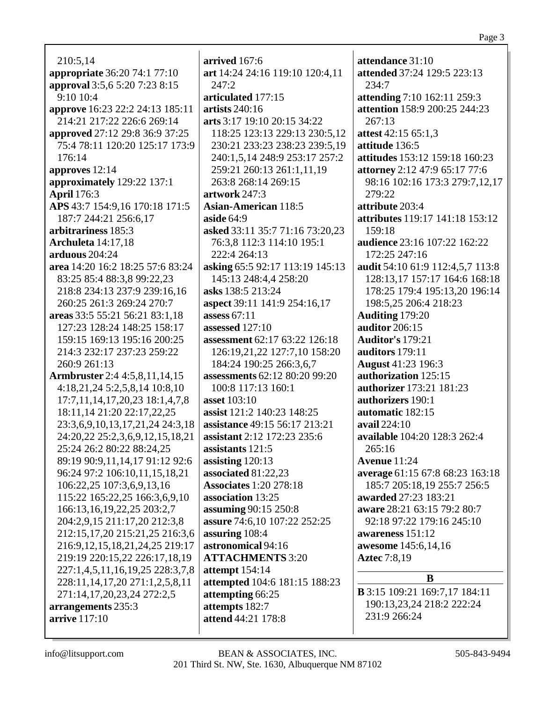210:5,14 **appropriate** 36:20 74:1 77:10 **approval** 3:5,6 5:20 7:23 8:15 9:10 10:4 **approve** 16:23 22:2 24:13 185:11 214:21 217:22 226:6 269:14 **approved** 27:12 29:8 36:9 37:25 75:4 78:11 120:20 125:17 173:9 176:14 **approves** 12:14 **approximately** 129:22 137:1 **April** 176:3 **APS** 43:7 154:9,16 170:18 171:5 187:7 244:21 256:6,17 **arbitrariness** 185:3 **Archuleta** 14:17,18 **arduous** 204:24 **area** 14:20 16:2 18:25 57:6 83:24 83:25 85:4 88:3,8 99:22,23 218:8 234:13 237:9 239:16,16 260:25 261:3 269:24 270:7 **areas** 33:5 55:21 56:21 83:1,18 127:23 128:24 148:25 158:17 159:15 169:13 195:16 200:25 214:3 232:17 237:23 259:22 260:9 261:13 **Armbruster** 2:4 4:5,8,11,14,15 4:18,21,24 5:2,5,8,14 10:8,10 17:7,11,14,17,20,23 18:1,4,7,8 18:11,14 21:20 22:17,22,25 23:3,6,9,10,13,17,21,24 24:3,18 24:20,22 25:2,3,6,9,12,15,18,21 25:24 26:2 80:22 88:24,25 89:19 90:9,11,14,17 91:12 92:6 96:24 97:2 106:10,11,15,18,21 106:22,25 107:3,6,9,13,16 115:22 165:22,25 166:3,6,9,10 166:13,16,19,22,25 203:2,7 204:2,9,15 211:17,20 212:3,8 212:15,17,20 215:21,25 216:3,6 216:9,12,15,18,21,24,25 219:17 219:19 220:15,22 226:17,18,19 227:1,4,5,11,16,19,25 228:3,7,8 228:11,14,17,20 271:1,2,5,8,11 271:14,17,20,23,24 272:2,5 **arrangements** 235:3 **arrive** 117:10

**arrived** 167:6 **art** 14:24 24:16 119:10 120:4,11 247:2 **articulated** 177:15 **artists** 240:16 **arts** 3:17 19:10 20:15 34:22 118:25 123:13 229:13 230:5,12 230:21 233:23 238:23 239:5,19 240:1,5,14 248:9 253:17 257:2 259:21 260:13 261:1,11,19 263:8 268:14 269:15 **artwork** 247:3 **Asian-American** 118:5 **aside** 64:9 **asked** 33:11 35:7 71:16 73:20,23 76:3,8 112:3 114:10 195:1 222:4 264:13 **asking** 65:5 92:17 113:19 145:13 145:13 248:4,4 258:20 **asks** 138:5 213:24 **aspect** 39:11 141:9 254:16,17 **assess** 67:11 **assessed** 127:10 **assessment** 62:17 63:22 126:18 126:19,21,22 127:7,10 158:20 184:24 190:25 266:3,6,7 **assessments** 62:12 80:20 99:20 100:8 117:13 160:1 **asset** 103:10 **assist** 121:2 140:23 148:25 **assistance** 49:15 56:17 213:21 **assistant** 2:12 172:23 235:6 **assistants** 121:5 **assisting** 120:13 **associated** 81:22,23 **Associates** 1:20 278:18 **association** 13:25 **assuming** 90:15 250:8 **assure** 74:6,10 107:22 252:25 **assuring** 108:4 **astronomical** 94:16 **ATTACHMENTS** 3:20 **attempt** 154:14 **attempted** 104:6 181:15 188:23 **attempting** 66:25 **attempts** 182:7 **attend** 44:21 178:8

**attendance** 31:10 **attended** 37:24 129:5 223:13 234:7 **attending** 7:10 162:11 259:3 **attention** 158:9 200:25 244:23 267:13 **attest** 42:15 65:1,3 **attitude** 136:5 **attitudes** 153:12 159:18 160:23 **attorney** 2:12 47:9 65:17 77:6 98:16 102:16 173:3 279:7,12,17 279:22 **attribute** 203:4 **attributes** 119:17 141:18 153:12 159:18 **audience** 23:16 107:22 162:22 172:25 247:16 **audit** 54:10 61:9 112:4,5,7 113:8 128:13,17 157:17 164:6 168:18 178:25 179:4 195:13,20 196:14 198:5,25 206:4 218:23 **Auditing** 179:20 **auditor** 206:15 **Auditor's** 179:21 **auditors** 179:11 **August** 41:23 196:3 **authorization** 125:15 **authorizer** 173:21 181:23 **authorizers** 190:1 **automatic** 182:15 **avail** 224:10 **available** 104:20 128:3 262:4 265:16 **Avenue** 11:24 **average** 61:15 67:8 68:23 163:18 185:7 205:18,19 255:7 256:5 **awarded** 27:23 183:21 **aware** 28:21 63:15 79:2 80:7 92:18 97:22 179:16 245:10 **awareness** 151:12 **awesome** 145:6,14,16 **Aztec** 7:8,19 **B**

**B** 3:15 109:21 169:7,17 184:11 190:13,23,24 218:2 222:24 231:9 266:24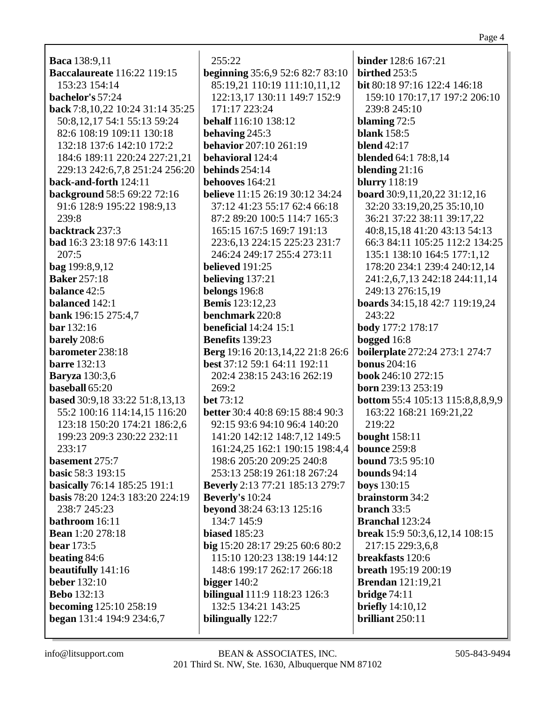| beginning 35:6,9 52:6 82:7 83:10       | birthed 253:5                           |  |
|----------------------------------------|-----------------------------------------|--|
| 85:19,21 110:19 111:10,11,12           | <b>bit</b> 80:18 97:16 122:4 146:18     |  |
| 122:13,17 130:11 149:7 152:9           | 159:10 170:17,17 197:2 206:10           |  |
| 171:17 223:24                          | 239:8 245:10                            |  |
| behalf 116:10 138:12                   | blaming $72:5$                          |  |
| behaving 245:3                         | <b>blank</b> 158:5                      |  |
| behavior 207:10 261:19                 | <b>blend</b> 42:17                      |  |
| behavioral 124:4                       | <b>blended</b> 64:1 78:8,14             |  |
| behinds $254:14$                       | blending $21:16$                        |  |
| behooves 164:21                        | <b>blurry</b> 118:19                    |  |
| <b>believe</b> 11:15 26:19 30:12 34:24 | board 30:9,11,20,22 31:12,16            |  |
| 37:12 41:23 55:17 62:4 66:18           | 32:20 33:19,20,25 35:10,10              |  |
| 87:2 89:20 100:5 114:7 165:3           | 36:21 37:22 38:11 39:17,22              |  |
| 165:15 167:5 169:7 191:13              | 40:8,15,18 41:20 43:13 54:13            |  |
| 223:6, 13 224: 15 225: 23 231: 7       | 66:3 84:11 105:25 112:2 134:25          |  |
| 246:24 249:17 255:4 273:11             | 135:1 138:10 164:5 177:1,12             |  |
| believed $191:25$                      | 178:20 234:1 239:4 240:12,14            |  |
| believing 137:21                       | 241:2,6,7,13 242:18 244:11,14           |  |
| belongs 196:8                          | 249:13 276:15,19                        |  |
| <b>Bemis</b> 123:12,23                 | boards 34:15,18 42:7 119:19,24          |  |
| benchmark 220:8                        | 243:22                                  |  |
| <b>beneficial</b> $14:24$ $15:1$       | body 177:2 178:17                       |  |
| <b>Benefits</b> 139:23                 | bogged 16:8                             |  |
| Berg 19:16 20:13,14,22 21:8 26:6       | <b>boilerplate</b> 272:24 273:1 274:7   |  |
| best 37:12 59:1 64:11 192:11           | <b>bonus</b> 204:16                     |  |
| 202:4 238:15 243:16 262:19             | book 246:10 272:15                      |  |
| 269:2                                  | born 239:13 253:19                      |  |
| <b>bet</b> 73:12                       | <b>bottom</b> 55:4 105:13 115:8,8,8,9,9 |  |
| better 30:4 40:8 69:15 88:4 90:3       | 163:22 168:21 169:21,22                 |  |
| 92:15 93:6 94:10 96:4 140:20           | 219:22                                  |  |
| 141:20 142:12 148:7,12 149:5           | <b>bought</b> 158:11                    |  |
| 161:24,25 162:1 190:15 198:4,4         | bounce 259:8                            |  |
| 198:6 205:20 209:25 240:8              | <b>bound</b> $73:595:10$                |  |
| 253:13 258:19 261:18 267:24            | bounds $94:14$                          |  |
| <b>Beverly</b> 2:13 77:21 185:13 279:7 | <b>boys</b> 130:15                      |  |
| Beverly's 10:24                        | brainstorm 34:2                         |  |
| beyond 38:24 63:13 125:16              | branch 33:5                             |  |
| 134:7 145:9                            | <b>Branchal</b> 123:24                  |  |
| <b>biased</b> 185:23                   | break 15:9 50:3,6,12,14 108:15          |  |
| big 15:20 28:17 29:25 60:6 80:2        | 217:15 229:3,6,8                        |  |
| 115:10 120:23 138:19 144:12            | breakfasts 120:6                        |  |
| 148:6 199:17 262:17 266:18             | <b>breath</b> 195:19 200:19             |  |
| bigger $140:2$                         | <b>Brendan</b> 121:19,21                |  |
| <b>bilingual</b> 111:9 118:23 126:3    | bridge $74:11$                          |  |

**briefly** 14:10,12

brilliant 250:11

binder  $128:6 167:21$ 

115:10 120:23 138:19 148:6 199:17 262:17 2 bigger  $140:2$ bilingual 111:9 118:23 1 132:5 134:21 143:25 bilingually 122:7

**Baca** 138:9,11

153:23 154:14

bachelor's 57:24

**Baccalaureate** 116:22 119:15

back 7:8, 10, 22 10: 24 31: 14 35: 25

50:8, 12, 17 54:1 55:13 59:24

82:6 108:19 109:11 130:18

132:18 137:6 142:10 172:2

**background 58:5 69:22 72:16** 

91:6 128:9 195:22 198:9,13

bad 16:3 23:18 97:6 143:11

back-and-forth  $124:11$ 

239:8

 $207:5$ 

backtrack 237:3

 $bag 199:8,9,12$ 

**Baker** 257:18

**balance**  $42:5$ 

**bar** 132:16

**barely** 208:6

**barre** 132:13

**Baryza** 130:3.6

**baseball**  $65:20$ 

 $233:17$ 

basement 275:7

**basic 58:3 193:15** 

238:7 245:23

bathroom 16:11

**bear** 173:5

beating 84:6

**Bebo** 132:13

**Bean**  $1:20$  278:18

beautifully 141:16 **beber** 132:10

**becoming** 125:10 258:19

began 131:4 194:9 234:6,7

balanced 142:1

**bank**  $196:15\ 275:4,7$ 

barometer 238:18

**based** 30:9,18 33:22 51:8,13,13

199:23 209:3 230:22 232:11

**basically** 76:14 185:25 191:1

basis 78:20 124:3 183:20 224:19

55:2 100:16 114:14,15 116:20 123:18 150:20 174:21 186:2,6

184:6 189:11 220:24 227:21,21

229:13 242:6,7,8 251:24 256:20

255:22

Page 4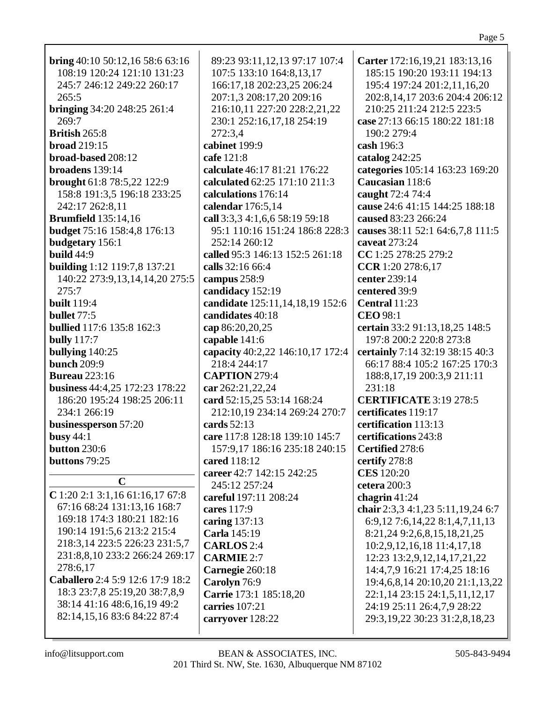| bring $40:10$ 50:12,16 58:6 63:16<br>108:19 120:24 121:10 131:23 | 89:23 93:11,12,13 97:17 107:4<br>107:5 133:10 164:8,13,17 | Carter 172:16,19,21 183:13,16<br>185:15 190:20 193:11 194:13     |
|------------------------------------------------------------------|-----------------------------------------------------------|------------------------------------------------------------------|
| 245:7 246:12 249:22 260:17                                       | 166:17,18 202:23,25 206:24                                | 195:4 197:24 201:2,11,16,20                                      |
| 265:5                                                            | 207:1,3 208:17,20 209:16                                  | 202:8,14,17 203:6 204:4 206:12                                   |
| <b>bringing</b> 34:20 248:25 261:4                               | 216:10,11 227:20 228:2,21,22                              | 210:25 211:24 212:5 223:5                                        |
| 269:7                                                            | 230:1 252:16,17,18 254:19                                 | case 27:13 66:15 180:22 181:18                                   |
| British 265:8                                                    | 272:3,4                                                   | 190:2 279:4                                                      |
| <b>broad</b> 219:15                                              | cabinet 199:9                                             | cash 196:3                                                       |
| broad-based 208:12                                               | cafe 121:8                                                | catalog 242:25                                                   |
| broadens 139:14                                                  | calculate 46:17 81:21 176:22                              | categories 105:14 163:23 169:20                                  |
| brought 61:8 78:5,22 122:9                                       | calculated 62:25 171:10 211:3                             | Caucasian 118:6                                                  |
| 158:8 191:3,5 196:18 233:25                                      | calculations 176:14                                       | caught 72:4 74:4                                                 |
| 242:17 262:8,11                                                  | calendar 176:5,14                                         | cause 24:6 41:15 144:25 188:18                                   |
| <b>Brumfield</b> 135:14,16                                       | call 3:3,3 4:1,6,6 58:19 59:18                            | caused 83:23 266:24                                              |
| budget 75:16 158:4,8 176:13                                      | 95:1 110:16 151:24 186:8 228:3                            | causes 38:11 52:1 64:6,7,8 111:5                                 |
| budgetary 156:1                                                  | 252:14 260:12                                             | caveat 273:24                                                    |
| build $44:9$                                                     | called 95:3 146:13 152:5 261:18                           | CC 1:25 278:25 279:2                                             |
| building 1:12 119:7,8 137:21                                     | calls 32:16 66:4                                          | CCR 1:20 278:6,17                                                |
| 140:22 273:9,13,14,14,20 275:5                                   | campus 258:9                                              | center 239:14                                                    |
| 275:7                                                            | candidacy 152:19                                          | centered 39:9                                                    |
| <b>built</b> 119:4                                               | candidate 125:11,14,18,19 152:6                           | Central 11:23                                                    |
| bullet $77:5$                                                    | candidates 40:18                                          | <b>CEO</b> 98:1                                                  |
| <b>bullied</b> 117:6 135:8 162:3                                 | cap 86:20,20,25                                           | certain 33:2 91:13,18,25 148:5                                   |
| <b>bully</b> 117:7                                               | capable 141:6                                             | 197:8 200:2 220:8 273:8                                          |
| bullying 140:25                                                  | capacity 40:2,22 146:10,17 172:4                          | certainly 7:14 32:19 38:15 40:3                                  |
| <b>bunch</b> 209:9                                               | 218:4 244:17                                              | 66:17 88:4 105:2 167:25 170:3                                    |
| <b>Bureau</b> 223:16                                             | <b>CAPTION</b> 279:4                                      | 188:8, 17, 19 200:3, 9 211:11                                    |
| business 44:4,25 172:23 178:22                                   | car 262:21,22,24                                          | 231:18                                                           |
| 186:20 195:24 198:25 206:11                                      | card 52:15,25 53:14 168:24                                | <b>CERTIFICATE 3:19 278:5</b>                                    |
| 234:1 266:19                                                     | 212:10,19 234:14 269:24 270:7                             | certificates 119:17                                              |
| businessperson 57:20                                             | cards $52:13$                                             | certification 113:13                                             |
| busy $44:1$                                                      | care 117:8 128:18 139:10 145:7                            | certifications 243:8                                             |
| button 230:6                                                     | 157:9,17 186:16 235:18 240:15                             | Certified 278:6                                                  |
| buttons 79:25                                                    | cared 118:12                                              | certify 278:8                                                    |
| $\mathbf C$                                                      | career 42:7 142:15 242:25                                 | <b>CES</b> 120:20                                                |
| $C$ 1:20 2:1 3:1,16 61:16,17 67:8                                | 245:12 257:24                                             | cetera 200:3                                                     |
| 67:16 68:24 131:13,16 168:7                                      | careful 197:11 208:24                                     | chagrin $41:24$                                                  |
| 169:18 174:3 180:21 182:16                                       | cares 117:9                                               | chair 2:3,3 4:1,23 5:11,19,24 6:7                                |
| 190:14 191:5,6 213:2 215:4                                       | caring 137:13                                             | 6:9,12 7:6,14,22 8:1,4,7,11,13                                   |
| 218:3,14 223:5 226:23 231:5,7                                    | Carla 145:19                                              | 8:21,24 9:2,6,8,15,18,21,25                                      |
| 231:8,8,10 233:2 266:24 269:17                                   | <b>CARLOS</b> 2:4                                         | 10:2,9,12,16,18 11:4,17,18                                       |
| 278:6,17                                                         | <b>CARMIE 2:7</b>                                         | 12:23 13:2,9,12,14,17,21,22                                      |
| Caballero 2:4 5:9 12:6 17:9 18:2                                 | Carnegie 260:18<br>Carolyn 76:9                           | 14:4,7,9 16:21 17:4,25 18:16                                     |
| 18:3 23:7,8 25:19,20 38:7,8,9                                    | Carrie 173:1 185:18,20                                    | 19:4,6,8,14 20:10,20 21:1,13,22<br>22:1,14 23:15 24:1,5,11,12,17 |
| 38:14 41:16 48:6,16,19 49:2                                      | carries 107:21                                            | 24:19 25:11 26:4,7,9 28:22                                       |
| 82:14,15,16 83:6 84:22 87:4                                      | carryover 128:22                                          | 29:3, 19, 22 30: 23 31: 2, 8, 18, 23                             |
|                                                                  |                                                           |                                                                  |

Page 5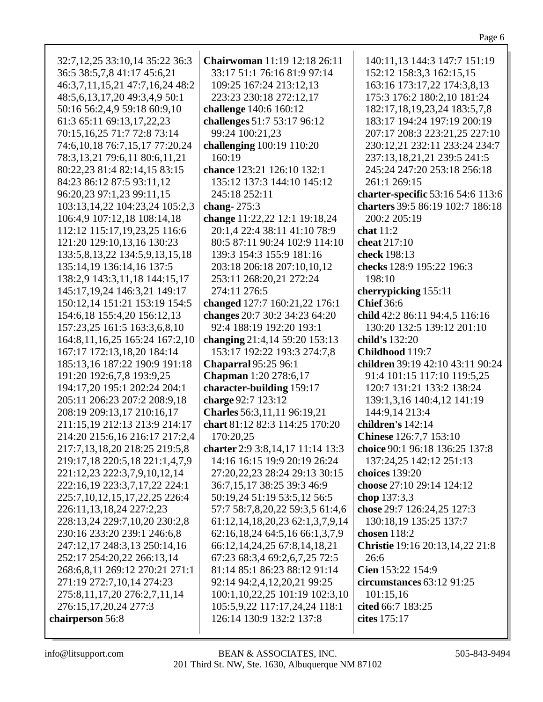| 32:7,12,25 33:10,14 35:22 36:3       | Chairwoman 11:19 12:18 26:11                                  | 140:11,13 144:3 147:7 151:19        |
|--------------------------------------|---------------------------------------------------------------|-------------------------------------|
| 36:5 38:5,7,8 41:17 45:6,21          | 33:17 51:1 76:16 81:9 97:14                                   | 152:12 158:3,3 162:15,15            |
| 46:3,7,11,15,21 47:7,16,24 48:2      | 109:25 167:24 213:12,13                                       | 163:16 173:17,22 174:3,8,13         |
| 48:5,6,13,17,20 49:3,4,9 50:1        | 223:23 230:18 272:12,17                                       | 175:3 176:2 180:2,10 181:24         |
|                                      |                                                               |                                     |
| 50:16 56:2,4,9 59:18 60:9,10         | challenge 140:6 160:12                                        | 182:17, 18, 19, 23, 24 183: 5, 7, 8 |
| 61:3 65:11 69:13,17,22,23            | challenges 51:7 53:17 96:12                                   | 183:17 194:24 197:19 200:19         |
| 70:15,16,25 71:7 72:8 73:14          | 99:24 100:21,23                                               | 207:17 208:3 223:21,25 227:10       |
| 74:6, 10, 18 76:7, 15, 17 77: 20, 24 | challenging 100:19 110:20                                     | 230:12,21 232:11 233:24 234:7       |
| 78:3,13,21 79:6,11 80:6,11,21        | 160:19                                                        | 237:13,18,21,21 239:5 241:5         |
| 80:22,23 81:4 82:14,15 83:15         | chance 123:21 126:10 132:1                                    | 245:24 247:20 253:18 256:18         |
| 84:23 86:12 87:5 93:11,12            | 135:12 137:3 144:10 145:12                                    | 261:1 269:15                        |
| 96:20,23 97:1,23 99:11,15            | 245:18 252:11                                                 | charter-specific 53:16 54:6 113:6   |
| 103:13,14,22 104:23,24 105:2,3       | chang- $275:3$                                                | charters 39:5 86:19 102:7 186:18    |
| 106:4,9 107:12,18 108:14,18          | change 11:22,22 12:1 19:18,24                                 | 200:2 205:19                        |
| 112:12 115:17,19,23,25 116:6         | 20:1,4 22:4 38:11 41:10 78:9                                  | chat $11:2$                         |
| 121:20 129:10,13,16 130:23           | 80:5 87:11 90:24 102:9 114:10                                 | cheat 217:10                        |
| 133:5,8,13,22 134:5,9,13,15,18       | 139:3 154:3 155:9 181:16                                      | check 198:13                        |
| 135:14,19 136:14,16 137:5            | 203:18 206:18 207:10,10,12                                    | checks 128:9 195:22 196:3           |
| 138:2,9 143:3,11,18 144:15,17        | 253:11 268:20,21 272:24                                       | 198:10                              |
| 145:17,19,24 146:3,21 149:17         | 274:11 276:5                                                  | cherrypicking 155:11                |
| 150:12,14 151:21 153:19 154:5        | changed 127:7 160:21,22 176:1                                 | <b>Chief</b> 36:6                   |
| 154:6,18 155:4,20 156:12,13          | changes 20:7 30:2 34:23 64:20                                 | child 42:2 86:11 94:4,5 116:16      |
| 157:23,25 161:5 163:3,6,8,10         | 92:4 188:19 192:20 193:1                                      | 130:20 132:5 139:12 201:10          |
| 164:8, 11, 16, 25 165: 24 167: 2, 10 | changing 21:4,14 59:20 153:13                                 | child's 132:20                      |
| 167:17 172:13,18,20 184:14           | 153:17 192:22 193:3 274:7,8                                   | Childhood 119:7                     |
| 185:13,16 187:22 190:9 191:18        | <b>Chaparral</b> 95:25 96:1                                   | children 39:19 42:10 43:11 90:24    |
| 191:20 192:6,7,8 193:9,25            | Chapman 1:20 278:6,17                                         | 91:4 101:15 117:10 119:5,25         |
| 194:17,20 195:1 202:24 204:1         | character-building 159:17                                     | 120:7 131:21 133:2 138:24           |
| 205:11 206:23 207:2 208:9,18         | charge 92:7 123:12                                            | 139:1,3,16 140:4,12 141:19          |
| 208:19 209:13,17 210:16,17           | Charles 56:3,11,11 96:19,21                                   | 144:9,14 213:4                      |
| 211:15,19 212:13 213:9 214:17        | chart 81:12 82:3 114:25 170:20                                | children's 142:14                   |
| 214:20 215:6,16 216:17 217:2,4       | 170:20,25                                                     | <b>Chinese</b> 126:7,7 153:10       |
| 217:7,13,18,20 218:25 219:5,8        | charter 2:9 3:8, 14, 17 11:14 13:3                            | choice 90:1 96:18 136:25 137:8      |
| 219:17,18 220:5,18 221:1,4,7,9       | 14:16 16:15 19:9 20:19 26:24                                  | 137:24,25 142:12 251:13             |
| 221:12,23 222:3,7,9,10,12,14         | 27:20, 22, 23 28:24 29:13 30:15                               | choices 139:20                      |
| 222:16,19 223:3,7,17,22 224:1        | 36:7,15,17 38:25 39:3 46:9                                    | choose 27:10 29:14 124:12           |
| 225:7,10,12,15,17,22,25 226:4        | 50:19,24 51:19 53:5,12 56:5                                   | chop 137:3,3                        |
| 226:11,13,18,24 227:2,23             | 57:7 58:7,8,20,22 59:3,5 61:4,6                               | chose 29:7 126:24,25 127:3          |
| 228:13,24 229:7,10,20 230:2,8        | 61:12, 14, 18, 20, 23 62:1, 3, 7, 9, 14                       | 130:18,19 135:25 137:7              |
| 230:16 233:20 239:1 246:6,8          | 62:16,18,24 64:5,16 66:1,3,7,9                                | chosen 118:2                        |
| 247:12,17 248:3,13 250:14,16         | 66:12,14,24,25 67:8,14,18,21                                  | Christie 19:16 20:13,14,22 21:8     |
|                                      |                                                               |                                     |
| 252:17 254:20,22 266:13,14           | 67:23 68:3,4 69:2,6,7,25 72:5<br>81:14 85:1 86:23 88:12 91:14 | 26:6<br>Cien 153:22 154:9           |
| 268:6,8,11 269:12 270:21 271:1       |                                                               |                                     |
| 271:19 272:7,10,14 274:23            | 92:14 94:2,4,12,20,21 99:25                                   | circumstances $63:1291:25$          |
| 275:8,11,17,20 276:2,7,11,14         | 100:1,10,22,25 101:19 102:3,10                                | 101:15,16                           |
| 276:15,17,20,24 277:3                | 105:5,9,22 117:17,24,24 118:1                                 | cited 66:7 183:25                   |
| chairperson 56:8                     | 126:14 130:9 132:2 137:8                                      | cites 175:17                        |
|                                      |                                                               |                                     |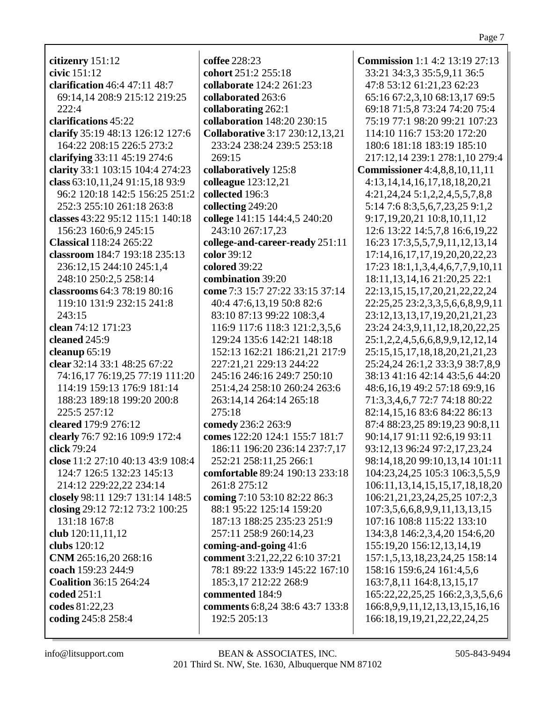**citizenry** 151:12 **civic** 151:12 **clarification** 46:4 47:11 48:7 69:14,14 208:9 215:12 219:25 222:4 **clarifications** 45:22 **clarify** 35:19 48:13 126:12 127:6 164:22 208:15 226:5 273:2 **clarifying** 33:11 45:19 274:6 **clarity** 33:1 103:15 104:4 274:23 **class** 63:10,11,24 91:15,18 93:9 96:2 120:18 142:5 156:25 251:2 252:3 255:10 261:18 263:8 **classes** 43:22 95:12 115:1 140:18 156:23 160:6,9 245:15 **Classical** 118:24 265:22 **classroom** 184:7 193:18 235:13 236:12,15 244:10 245:1,4 248:10 250:2,5 258:14 **classrooms** 64:3 78:19 80:16 119:10 131:9 232:15 241:8 243:15 **clean** 74:12 171:23 **cleaned** 245:9 **cleanup** 65:19 **clear** 32:14 33:1 48:25 67:22 74:16,17 76:19,25 77:19 111:20 114:19 159:13 176:9 181:14 188:23 189:18 199:20 200:8 225:5 257:12 **cleared** 179:9 276:12 **clearly** 76:7 92:16 109:9 172:4 **click** 79:24 **close** 11:2 27:10 40:13 43:9 108:4 124:7 126:5 132:23 145:13 214:12 229:22,22 234:14 **closely** 98:11 129:7 131:14 148:5 **closing** 29:12 72:12 73:2 100:25 131:18 167:8 **club** 120:11,11,12 **clubs** 120:12 **CNM** 265:16,20 268:16 **coach** 159:23 244:9 **Coalition** 36:15 264:24 **coded** 251:1 **codes** 81:22,23 **coding** 245:8 258:4

**coffee** 228:23 **cohort** 251:2 255:18 **collaborate** 124:2 261:23 **collaborated** 263:6 **collaborating** 262:1 **collaboration** 148:20 230:15 **Collaborative** 3:17 230:12,13,21 233:24 238:24 239:5 253:18 269:15 **collaboratively** 125:8 **colleague** 123:12,21 **collected** 196:3 **collecting** 249:20 **college** 141:15 144:4,5 240:20 243:10 267:17,23 **college-and-career-ready** 251:11 **color** 39:12 **colored** 39:22 **combination** 39:20 **come** 7:3 15:7 27:22 33:15 37:14 40:4 47:6,13,19 50:8 82:6 83:10 87:13 99:22 108:3,4 116:9 117:6 118:3 121:2,3,5,6 129:24 135:6 142:21 148:18 152:13 162:21 186:21,21 217:9 227:21,21 229:13 244:22 245:16 246:16 249:7 250:10 251:4,24 258:10 260:24 263:6 263:14,14 264:14 265:18 275:18 **comedy** 236:2 263:9 **comes** 122:20 124:1 155:7 181:7 186:11 196:20 236:14 237:7,17 252:21 258:11,25 266:1 **comfortable** 89:24 190:13 233:18 261:8 275:12 **coming** 7:10 53:10 82:22 86:3 88:1 95:22 125:14 159:20 187:13 188:25 235:23 251:9 257:11 258:9 260:14,23 **coming-and-going** 41:6 **comment** 3:21,22,22 6:10 37:21 78:1 89:22 133:9 145:22 167:10 185:3,17 212:22 268:9 **commented** 184:9 **comments** 6:8,24 38:6 43:7 133:8 192:5 205:13

**Commission** 1:1 4:2 13:19 27:13 33:21 34:3,3 35:5,9,11 36:5 47:8 53:12 61:21,23 62:23 65:16 67:2,3,10 68:13,17 69:5 69:18 71:5,8 73:24 74:20 75:4 75:19 77:1 98:20 99:21 107:23 114:10 116:7 153:20 172:20 180:6 181:18 183:19 185:10 217:12,14 239:1 278:1,10 279:4 **Commissioner** 4:4,8,8,10,11,11 4:13,14,14,16,17,18,18,20,21 4:21,24,24 5:1,2,2,4,5,5,7,8,8 5:14 7:6 8:3,5,6,7,23,25 9:1,2 9:17,19,20,21 10:8,10,11,12 12:6 13:22 14:5,7,8 16:6,19,22 16:23 17:3,5,5,7,9,11,12,13,14 17:14,16,17,17,19,20,20,22,23 17:23 18:1,1,3,4,4,6,7,7,9,10,11 18:11,13,14,16 21:20,25 22:1 22:13,15,15,17,20,21,22,22,24 22:25,25 23:2,3,3,5,6,6,8,9,9,11 23:12,13,13,17,19,20,21,21,23 23:24 24:3,9,11,12,18,20,22,25 25:1,2,2,4,5,6,6,8,9,9,12,12,14 25:15,15,17,18,18,20,21,21,23 25:24,24 26:1,2 33:3,9 38:7,8,9 38:13 41:16 42:14 43:5,6 44:20 48:6,16,19 49:2 57:18 69:9,16 71:3,3,4,6,7 72:7 74:18 80:22 82:14,15,16 83:6 84:22 86:13 87:4 88:23,25 89:19,23 90:8,11 90:14,17 91:11 92:6,19 93:11 93:12,13 96:24 97:2,17,23,24 98:14,18,20 99:10,13,14 101:11 104:23,24,25 105:3 106:3,5,5,9 106:11,13,14,15,15,17,18,18,20 106:21,21,23,24,25,25 107:2,3 107:3,5,6,6,8,9,9,11,13,13,15 107:16 108:8 115:22 133:10 134:3,8 146:2,3,4,20 154:6,20 155:19,20 156:12,13,14,19 157:1,5,13,18,23,24,25 158:14 158:16 159:6,24 161:4,5,6 163:7,8,11 164:8,13,15,17 165:22,22,25,25 166:2,3,3,5,6,6 166:8,9,9,11,12,13,13,15,16,16 166:18,19,19,21,22,22,24,25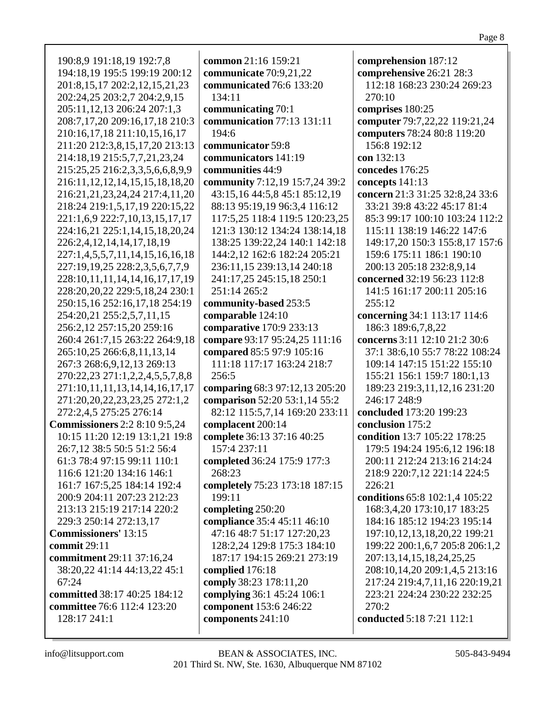| 190:8,9 191:18,19 192:7,8              | common 21:16 159:21            |
|----------------------------------------|--------------------------------|
| 194:18,19 195:5 199:19 200:12          | communicate 70:9,21,22         |
| 201:8,15,17 202:2,12,15,21,23          | communicated 76:6 133:20       |
| 202:24,25 203:2,7 204:2,9,15           | 134:11                         |
| 205:11,12,13 206:24 207:1,3            | communicating 70:1             |
| 208:7,17,20 209:16,17,18 210:3         | communication 77:13 131:11     |
| 210:16,17,18 211:10,15,16,17           | 194:6                          |
|                                        |                                |
| 211:20 212:3,8,15,17,20 213:13         | communicator 59:8              |
| 214:18,19 215:5,7,7,21,23,24           | communicators 141:19           |
| 215:25,25 216:2,3,3,5,6,6,8,9,9        | communities 44:9               |
| 216:11, 12, 12, 14, 15, 15, 18, 18, 20 | community 7:12,19 15:7,24 39:2 |
| 216:21,21,23,24,24 217:4,11,20         | 43:15,16 44:5,8 45:1 85:12,19  |
| 218:24 219:1,5,17,19 220:15,22         | 88:13 95:19,19 96:3,4 116:12   |
| 221:1,6,9 222:7,10,13,15,17,17         | 117:5,25 118:4 119:5 120:23,25 |
| 224:16,21 225:1,14,15,18,20,24         | 121:3 130:12 134:24 138:14,18  |
| 226:2,4,12,14,14,17,18,19              | 138:25 139:22,24 140:1 142:18  |
| 227:1,4,5,5,7,11,14,15,16,16,18        | 144:2,12 162:6 182:24 205:21   |
| 227:19,19,25 228:2,3,5,6,7,7,9         | 236:11,15 239:13,14 240:18     |
| 228:10,11,11,14,14,16,17,17,19         | 241:17,25 245:15,18 250:1      |
| 228:20,20,22 229:5,18,24 230:1         | 251:14 265:2                   |
| 250:15,16 252:16,17,18 254:19          | community-based 253:5          |
|                                        |                                |
| 254:20,21 255:2,5,7,11,15              | comparable 124:10              |
| 256:2,12 257:15,20 259:16              | comparative 170:9 233:13       |
| 260:4 261:7,15 263:22 264:9,18         | compare 93:17 95:24,25 111:16  |
| 265:10,25 266:6,8,11,13,14             | compared 85:5 97:9 105:16      |
| 267:3 268:6, 9, 12, 13 269:13          | 111:18 117:17 163:24 218:7     |
| 270:22,23 271:1,2,2,4,5,5,7,8,8        | 256:5                          |
| 271:10,11,11,13,14,14,16,17,17         | comparing 68:3 97:12,13 205:20 |
| 271:20, 20, 22, 23, 23, 25 272:1, 2    | comparison 52:20 53:1,14 55:2  |
| 272:2,4,5 275:25 276:14                | 82:12 115:5,7,14 169:20 233:11 |
| <b>Commissioners</b> 2:2 8:10 9:5,24   | complacent 200:14              |
| 10:15 11:20 12:19 13:1,21 19:8         | complete 36:13 37:16 40:25     |
| 26:7,12 38:5 50:5 51:2 56:4            | 157:4 237:11                   |
| 61:3 78:4 97:15 99:11 110:1            | completed 36:24 175:9 177:3    |
| 116:6 121:20 134:16 146:1              | 268:23                         |
| 161:7 167:5,25 184:14 192:4            | completely 75:23 173:18 187:15 |
| 200:9 204:11 207:23 212:23             | 199:11                         |
| 213:13 215:19 217:14 220:2             | completing 250:20              |
| 229:3 250:14 272:13,17                 | compliance 35:4 45:11 46:10    |
| <b>Commissioners' 13:15</b>            | 47:16 48:7 51:17 127:20,23     |
| commit $29:11$                         | 128:2,24 129:8 175:3 184:10    |
| commitment 29:11 37:16,24              | 187:17 194:15 269:21 273:19    |
|                                        |                                |
| 38:20,22 41:14 44:13,22 45:1<br>67:24  | complied 176:18                |
|                                        | comply 38:23 178:11,20         |
| committed 38:17 40:25 184:12           | complying 36:1 45:24 106:1     |
| committee 76:6 112:4 123:20            | component 153:6 246:22         |
| 128:17 241:1                           | components 241:10              |
|                                        |                                |

**comprehension** 187:12 **comprehensive** 26:21 28:3 112:18 168:23 230:24 269:23 270:10 **comprises** 180:25 **computer** 79:7,22,22 119:21,24 **computers** 78:24 80:8 119:20 156:8 192:12 **con** 132:13 **concedes** 176:25 **concepts** 141:13 **concern** 21:3 31:25 32:8,24 33:6 33:21 39:8 43:22 45:17 81:4 85:3 99:17 100:10 103:24 112:2 115:11 138:19 146:22 147:6 149:17,20 150:3 155:8,17 157:6 159:6 175:11 186:1 190:10 200:13 205:18 232:8,9,14 **concerned** 32:19 56:23 112:8 141:5 161:17 200:11 205:16 255:12 **concerning** 34:1 113:17 114:6 186:3 189:6,7,8,22 **concerns** 3:11 12:10 21:2 30:6 37:1 38:6,10 55:7 78:22 108:24 109:14 147:15 151:22 155:10 155:21 156:1 159:7 180:1,13 189:23 219:3,11,12,16 231:20 246:17 248:9 **concluded** 173:20 199:23 **conclusion** 175:2 **condition** 13:7 105:22 178:25 179:5 194:24 195:6,12 196:18 200:11 212:24 213:16 214:24 218:9 220:7,12 221:14 224:5 226:21 **conditions** 65:8 102:1,4 105:22 168:3,4,20 173:10,17 183:25 184:16 185:12 194:23 195:14 197:10,12,13,18,20,22 199:21 199:22 200:1,6,7 205:8 206:1,2 207:13,14,15,18,24,25,25 208:10,14,20 209:1,4,5 213:16 217:24 219:4,7,11,16 220:19,21 223:21 224:24 230:22 232:25 270:2 **conducted** 5:18 7:21 112:1

Page 8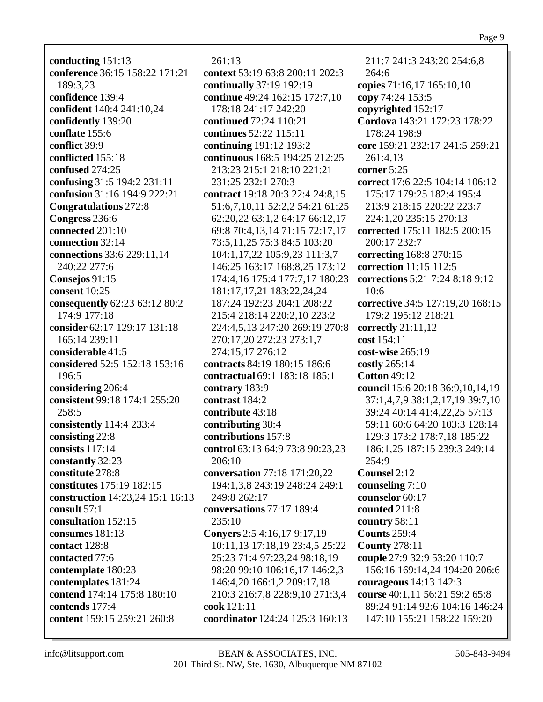**conducting** 151:13 **conference** 36:15 158:22 171:21 189:3,23 **confidence** 139:4 **confident** 140:4 241:10,24 **confidently** 139:20 **conflate** 155:6 **conflict** 39:9 **conflicted** 155:18 **confused** 274:25 **confusing** 31:5 194:2 231:11 **confusion** 31:16 194:9 222:21 **Congratulations** 272:8 **Congress** 236:6 **connected** 201:10 **connection** 32:14 **connections** 33:6 229:11,14 240:22 277:6 **Consejos** 91:15 **consent** 10:25 **consequently** 62:23 63:12 80:2 174:9 177:18 **consider** 62:17 129:17 131:18 165:14 239:11 **considerable** 41:5 **considered** 52:5 152:18 153:16 196:5 **considering** 206:4 **consistent** 99:18 174:1 255:20 258:5 **consistently** 114:4 233:4 **consisting** 22:8 **consists** 117:14 **constantly** 32:23 **constitute** 278:8 **constitutes** 175:19 182:15 **construction** 14:23,24 15:1 16:13 **consult** 57:1 **consultation** 152:15 **consumes** 181:13 **contact** 128:8 **contacted** 77:6 **contemplate** 180:23 **contemplates** 181:24 **contend** 174:14 175:8 180:10 **contends** 177:4 **content** 159:15 259:21 260:8

## 261:13

**context** 53:19 63:8 200:11 202:3 **continually** 37:19 192:19 **continue** 49:24 162:15 172:7,10 178:18 241:17 242:20 **continued** 72:24 110:21 **continues** 52:22 115:11 **continuing** 191:12 193:2 **continuous** 168:5 194:25 212:25 213:23 215:1 218:10 221:21 231:25 232:1 270:3 **contract** 19:18 20:3 22:4 24:8,15 51:6,7,10,11 52:2,2 54:21 61:25 62:20,22 63:1,2 64:17 66:12,17 69:8 70:4,13,14 71:15 72:17,17 73:5,11,25 75:3 84:5 103:20 104:1,17,22 105:9,23 111:3,7 146:25 163:17 168:8,25 173:12 174:4,16 175:4 177:7,17 180:23 181:17,17,21 183:22,24,24 187:24 192:23 204:1 208:22 215:4 218:14 220:2,10 223:2 224:4,5,13 247:20 269:19 270:8 270:17,20 272:23 273:1,7 274:15,17 276:12 **contracts** 84:19 180:15 186:6 **contractual** 69:1 183:18 185:1 **contrary** 183:9 **contrast** 184:2 **contribute** 43:18 **contributing** 38:4 **contributions** 157:8 **control** 63:13 64:9 73:8 90:23,23 206:10 **conversation** 77:18 171:20,22 194:1,3,8 243:19 248:24 249:1 249:8 262:17 **conversations** 77:17 189:4 235:10 **Conyers** 2:5 4:16,17 9:17,19 10:11,13 17:18,19 23:4,5 25:22 25:23 71:4 97:23,24 98:18,19 98:20 99:10 106:16,17 146:2,3 146:4,20 166:1,2 209:17,18 210:3 216:7,8 228:9,10 271:3,4 **cook** 121:11 **coordinator** 124:24 125:3 160:13

211:7 241:3 243:20 254:6,8 264:6 **copies** 71:16,17 165:10,10 **copy** 74:24 153:5 **copyrighted** 152:17 **Cordova** 143:21 172:23 178:22 178:24 198:9 **core** 159:21 232:17 241:5 259:21 261:4,13 **corner** 5:25 **correct** 17:6 22:5 104:14 106:12 175:17 179:25 182:4 195:4 213:9 218:15 220:22 223:7 224:1,20 235:15 270:13 **corrected** 175:11 182:5 200:15 200:17 232:7 **correcting** 168:8 270:15 **correction** 11:15 112:5 **corrections** 5:21 7:24 8:18 9:12 10:6 **corrective** 34:5 127:19,20 168:15 179:2 195:12 218:21 **correctly** 21:11,12 **cost** 154:11 **cost-wise** 265:19 **costly** 265:14 **Cotton** 49:12 **council** 15:6 20:18 36:9,10,14,19 37:1,4,7,9 38:1,2,17,19 39:7,10 39:24 40:14 41:4,22,25 57:13 59:11 60:6 64:20 103:3 128:14 129:3 173:2 178:7,18 185:22 186:1,25 187:15 239:3 249:14 254:9 **Counsel** 2:12 **counseling** 7:10 **counselor** 60:17 **counted** 211:8 **country** 58:11 **Counts** 259:4 **County** 278:11 **couple** 27:9 32:9 53:20 110:7 156:16 169:14,24 194:20 206:6 **courageous** 14:13 142:3 **course** 40:1,11 56:21 59:2 65:8 89:24 91:14 92:6 104:16 146:24 147:10 155:21 158:22 159:20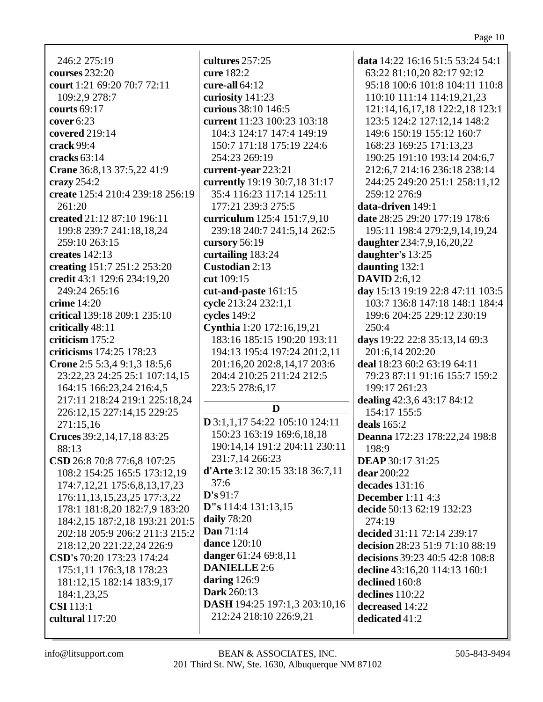246:2 275:19 **courses** 232:20 court 1:21 69:20 70:7 72:11 109:2,9 278:7 courts  $69:17$ cover  $6:23$ covered  $219:14$ crack 99:4 cracks  $63:14$ Crane 36:8,13 37:5,22 41:9 crazy  $254:2$ create 125:4 210:4 239:18 256:19  $261:20$ created 21:12 87:10 196:11 199:8 239:7 241:18,18,24 259:10 263:15 creates  $142:13$ creating 151:7 251:2 253:20 credit 43:1 129:6 234:19.20 249:24 265:16 crime  $14:20$ critical 139:18 209:1 235:10 critically 48:11 criticism  $175:2$ criticisms 174:25 178:23 Crone 2:5 5:3,4 9:1,3 18:5,6 23:22,23 24:25 25:1 107:14,15 164:15 166:23.24 216:4.5 217:11 218:24 219:1 225:18.24 226:12,15 227:14,15 229:25 271:15,16 Cruces 39:2,14,17,18 83:25 88:13 CSD 26:8 70:8 77:6,8 107:25 108:2 154:25 165:5 173:12,19 174:7, 12, 21 175:6, 8, 13, 17, 23 176:11, 13, 15, 23, 25 177: 3, 22 178:1 181:8,20 182:7,9 183:20 184:2,15 187:2,18 193:21 201:5 202:18 205:9 206:2 211:3 215:2 218:12,20 221:22,24 226:9 CSD's 70:20 173:23 174:24 175:1,11 176:3,18 178:23 181:12,15 182:14 183:9,17 184:1.23.25  $CSI$  113:1 cultural 117:20

cultures 257:25 cure  $182:2$ cure-all  $64:12$ curiosity 141:23 curious 38:10 146:5 current 11:23 100:23 103:18 104:3 124:17 147:4 149:19 150:7 171:18 175:19 224:6 254:23 269:19 current-year 223:21 currently 19:19 30:7.18 31:17 35:4 116:23 117:14 125:11 177:21 239:3 275:5 curriculum 125:4 151:7,9,10 239:18 240:7 241:5,14 262:5 cursory  $56:19$ curtailing 183:24 Custodian 2:13 cut 109:15 cut-and-paste 161:15 cycle 213:24 232:1,1 cycles 149:2 Cynthia 1:20 172:16.19.21 183:16 185:15 190:20 193:11 194:13 195:4 197:24 201:2,11 201:16,20 202:8,14,17 203:6 204:4 210:25 211:24 212:5 223:5 278:6.17 D D 3:1,1,17 54:22 105:10 124:11 150:23 163:19 169:6,18,18 190:14,14 191:2 204:11 230:11 231:7.14 266:23 d'Arte 3:12 30:15 33:18 36:7.11  $37:6$  $\mathbf{D}$ 's 91:7  $D''s 114:4 131:13.15$ daily  $78:20$ Dan  $71:14$ **dance** 120:10 danger 61:24 69:8,11 **DANIELLE** 2:6 daring  $126:9$ **Dark** 260:13 **DASH** 194:25 197:1,3 203:10,16

data  $14:22$  16:16 51:5 53:24 54:1 63:22 81:10,20 82:17 92:12 95:18 100:6 101:8 104:11 110:8 110:10 111:14 114:19,21,23 121:14, 16, 17, 18 122:2, 18 123:1 123:5 124:2 127:12.14 148:2 149:6 150:19 155:12 160:7 168:23 169:25 171:13,23 190:25 191:10 193:14 204:6.7 212:6,7 214:16 236:18 238:14 244:25 249:20 251:1 258:11,12 259:12 276:9 data-driven 149:1 date 28:25 29:20 177:19 178:6 195:11 198:4 279:2,9,14,19,24 daughter 234:7,9,16,20,22 daughter's 13:25 daunting  $132:1$ DAVID  $2:6.12$ day 15:13 19:19 22:8 47:11 103:5 103:7 136:8 147:18 148:1 184:4 199:6 204:25 229:12 230:19 250:4 days  $19:22$  22:8 35:13,14 69:3 201:6,14 202:20 deal 18:23 60:2 63:19 64:11 79:23 87:11 91:16 155:7 159:2 199:17 261:23 dealing 42:3,6 43:17 84:12 154:17 155:5 deals  $165:2$ **Deanna** 172:23 178:22,24 198:8 198:9 **DEAP** 30:17 31:25 **dear** 200:22 decades  $131:16$ **December** 1:11 4:3 decide 50:13 62:19 132:23  $274:19$ decided 31:11 72:14 239:17 decision 28:23 51:9 71:10 88:19 decisions 39:23 40:5 42:8 108:8 decline 43:16,20 114:13 160:1 declined 160:8 declines  $110:22$ decreased  $14:22$ dedicated 41:2

info@litsupport.com

212:24 218:10 226:9,21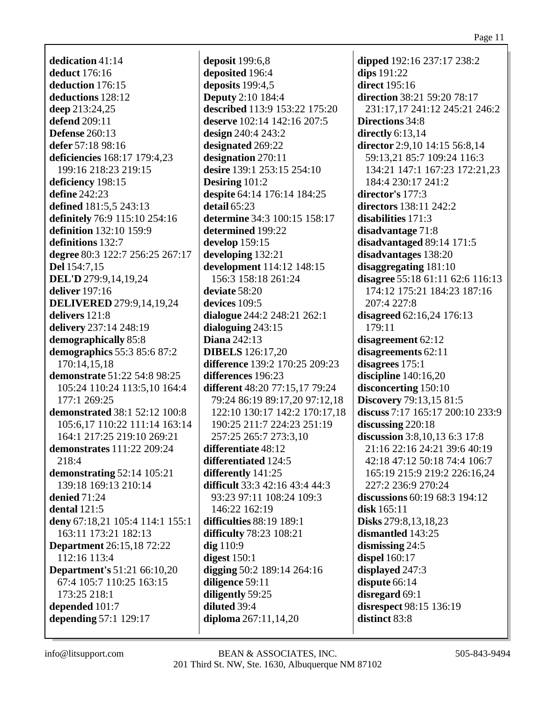dedication  $41:14$ deduct 176:16 deduction 176:15 deductions 128:12 deep 213:24,25 **defend** 209:11 **Defense** 260:13 defer 57:18 98:16 deficiencies 168:17 179:4,23 199:16 218:23 219:15 deficiency 198:15 define  $242:23$ **defined** 181:5,5 243:13 definitely 76:9 115:10 254:16 definition 132:10 159:9 definitions 132:7 degree 80:3 122:7 256:25 267:17 **Del** 154:7,15 **DEL'D** 279:9,14,19,24 deliver  $197:16$ **DELIVERED** 279:9,14,19,24 delivers 121:8 delivery 237:14 248:19 demographically 85:8 demographics 55:3 85:6 87:2 170:14,15,18 **demonstrate** 51:22 54:8 98:25 105:24 110:24 113:5,10 164:4 177:1 269:25 **demonstrated 38:1 52:12 100:8** 105:6,17 110:22 111:14 163:14 164:1 217:25 219:10 269:21 **demonstrates** 111:22 209:24 218:4 demonstrating  $52:14$  105:21 139:18 169:13 210:14 denied  $71:24$ dental  $121:5$ deny 67:18,21 105:4 114:1 155:1 163:11 173:21 182:13 **Department** 26:15,18 72:22 112:16 113:4 **Department's 51:21 66:10,20** 67:4 105:7 110:25 163:15 173:25 218:1 depended 101:7 depending 57:1 129:17

**deposit** 199:6,8 deposited 196:4 deposits  $199:4,5$ **Deputy** 2:10 184:4 described 113:9 153:22 175:20 deserve 102:14 142:16 207:5 design  $240:4243:2$ designated 269:22 designation 270:11 desire 139:1 253:15 254:10 Desiring  $101:2$ despite 64:14 176:14 184:25 detail  $65:23$ determine 34:3 100:15 158:17 determined 199:22 develop  $159:15$ developing 132:21 development 114:12 148:15 156:3 158:18 261:24 deviate 58:20 devices 109:5 dialogue 244:2 248:21 262:1 dialoguing  $243:15$ Diana  $242:13$ **DIBELS** 126:17,20 difference 139:2 170:25 209:23 differences 196:23 different 48:20 77:15.17 79:24 79:24 86:19 89:17,20 97:12,18 122:10 130:17 142:2 170:17,18 190:25 211:7 224:23 251:19 257:25 265:7 273:3.10 differentiate 48:12 differentiated 124:5 differently 141:25 **difficult** 33:3 42:16 43:4 44:3 93:23 97:11 108:24 109:3 146:22 162:19 difficulties 88:19 189:1 difficulty 78:23 108:21  $\text{dig }110:9$ digest  $150:1$ digging 50:2 189:14 264:16 diligence 59:11 diligently 59:25 diluted 39:4 diploma 267:11,14,20

dipped 192:16 237:17 238:2 dips 191:22 **direct** 195:16 direction 38:21 59:20 78:17 231:17,17 241:12 245:21 246:2 **Directions 34:8** directly  $6:13,14$ director 2:9,10 14:15 56:8,14 59:13,21 85:7 109:24 116:3 134:21 147:1 167:23 172:21,23 184:4 230:17 241:2 director's 177:3 **directors** 138:11 242:2 disabilities 171:3 disadvantage 71:8 disadvantaged 89:14 171:5 disadvantages 138:20 disaggregating  $181:10$ disagree 55:18 61:11 62:6 116:13 174:12 175:21 184:23 187:16 207:4 227:8 disagreed  $62:16,24$  176:13 179:11 disagreement 62:12 disagreements 62:11 disagrees  $175:1$ discipline  $140:16.20$ disconcerting 150:10 **Discovery** 79:13,15 81:5 discuss 7:17 165:17 200:10 233:9 discussing  $220:18$ discussion  $3:8,10,13$  6:3 17:8 21:16 22:16 24:21 39:6 40:19 42:18 47:12 50:18 74:4 106:7 165:19 215:9 219:2 226:16,24 227:2 236:9 270:24 discussions 60:19 68:3 194:12 disk  $165:11$ Disks 279:8,13,18,23 dismantled 143:25 dismissing  $24:5$ **dispel** 160:17 displayed 247:3 dispute 66:14 disregard 69:1 disrespect 98:15 136:19 distinct 83:8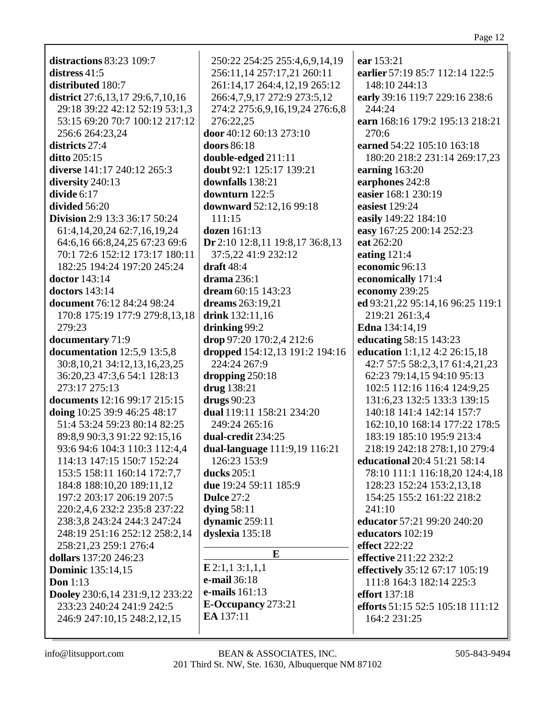| distractions 83:23 109:7                                           | 250:22 254:25 255:4,6,9,14,19   | ear 153:21                       |
|--------------------------------------------------------------------|---------------------------------|----------------------------------|
| distress $41:5$                                                    | 256:11,14 257:17,21 260:11      | earlier 57:19 85:7 112:14 122:5  |
| distributed 180:7                                                  | 261:14,17 264:4,12,19 265:12    | 148:10 244:13                    |
|                                                                    |                                 | early 39:16 119:7 229:16 238:6   |
| district 27:6,13,17 29:6,7,10,16<br>29:18 39:22 42:12 52:19 53:1,3 | 266:4,7,9,17 272:9 273:5,12     | 244:24                           |
|                                                                    | 274:2 275:6,9,16,19,24 276:6,8  |                                  |
| 53:15 69:20 70:7 100:12 217:12                                     | 276:22,25                       | earn 168:16 179:2 195:13 218:21  |
| 256:6 264:23,24                                                    | door 40:12 60:13 273:10         | 270:6                            |
| districts 27:4                                                     | doors 86:18                     | earned 54:22 105:10 163:18       |
| ditto 205:15                                                       | double-edged 211:11             | 180:20 218:2 231:14 269:17,23    |
| diverse 141:17 240:12 265:3                                        | doubt 92:1 125:17 139:21        | earning 163:20                   |
| diversity 240:13                                                   | downfalls 138:21                | earphones 242:8                  |
| divide 6:17                                                        | downturn 122:5                  | easier 168:1 230:19              |
| divided 56:20                                                      | downward 52:12,16 99:18         | easiest 129:24                   |
| <b>Division</b> 2:9 13:3 36:17 50:24                               | 111:15                          | easily 149:22 184:10             |
| 61:4, 14, 20, 24 62: 7, 16, 19, 24                                 | dozen 161:13                    | easy 167:25 200:14 252:23        |
| 64:6,16 66:8,24,25 67:23 69:6                                      | Dr 2:10 12:8,11 19:8,17 36:8,13 | eat 262:20                       |
| 70:1 72:6 152:12 173:17 180:11                                     | 37:5,22 41:9 232:12             | eating 121:4                     |
| 182:25 194:24 197:20 245:24                                        | draft $48:4$                    | economic 96:13                   |
| <b>doctor</b> 143:14                                               | drama 236:1                     | economically 171:4               |
| <b>doctors</b> 143:14                                              | dream $60:15$ 143:23            | economy 239:25                   |
| document 76:12 84:24 98:24                                         | dreams 263:19,21                | ed 93:21,22 95:14,16 96:25 119:1 |
| 170:8 175:19 177:9 279:8,13,18                                     | drink 132:11,16                 | 219:21 261:3,4                   |
| 279:23                                                             | drinking 99:2                   | <b>Edna</b> 134:14,19            |
| documentary 71:9                                                   | drop 97:20 170:2,4 212:6        | <b>educating 58:15 143:23</b>    |
| documentation 12:5,9 13:5,8                                        | dropped 154:12,13 191:2 194:16  | education 1:1,12 4:2 26:15,18    |
| 30:8, 10, 21 34:12, 13, 16, 23, 25                                 | 224:24 267:9                    | 42:7 57:5 58:2,3,17 61:4,21,23   |
| 36:20,23 47:3,6 54:1 128:13                                        | dropping $250:18$               | 62:23 79:14,15 94:10 95:13       |
| 273:17 275:13                                                      | drug 138:21                     | 102:5 112:16 116:4 124:9,25      |
| documents 12:16 99:17 215:15                                       | drugs 90:23                     | 131:6,23 132:5 133:3 139:15      |
| doing 10:25 39:9 46:25 48:17                                       | dual 119:11 158:21 234:20       | 140:18 141:4 142:14 157:7        |
| 51:4 53:24 59:23 80:14 82:25                                       | 249:24 265:16                   | 162:10,10 168:14 177:22 178:5    |
| 89:8,9 90:3,3 91:22 92:15,16                                       | dual-credit 234:25              | 183:19 185:10 195:9 213:4        |
| 93:6 94:6 104:3 110:3 112:4,4                                      | dual-language 111:9,19 116:21   | 218:19 242:18 278:1,10 279:4     |
| 114:13 147:15 150:7 152:24                                         | 126:23 153:9                    | educational 20:4 51:21 58:14     |
| 153:5 158:11 160:14 172:7,7                                        | ducks 205:1                     | 78:10 111:1 116:18,20 124:4,18   |
| 184:8 188:10,20 189:11,12                                          | due 19:24 59:11 185:9           | 128:23 152:24 153:2,13,18        |
| 197:2 203:17 206:19 207:5                                          | <b>Dulce 27:2</b>               | 154:25 155:2 161:22 218:2        |
| 220:2,4,6 232:2 235:8 237:22                                       | dying $58:11$                   | 241:10                           |
| 238:3,8 243:24 244:3 247:24                                        | dynamic 259:11                  | educator 57:21 99:20 240:20      |
| 248:19 251:16 252:12 258:2,14                                      | dyslexia 135:18                 | educators 102:19                 |
| 258:21,23 259:1 276:4                                              |                                 | <b>effect</b> 222:22             |
| dollars 137:20 246:23                                              | E                               | effective 211:22 232:2           |
| <b>Dominic</b> 135:14,15                                           | E2:1,13:1,1,1                   | effectively 35:12 67:17 105:19   |
| <b>Don</b> 1:13                                                    | e-mail 36:18                    | 111:8 164:3 182:14 225:3         |
| Dooley 230:6,14 231:9,12 233:22                                    | e-mails 161:13                  | <b>effort</b> 137:18             |
| 233:23 240:24 241:9 242:5                                          | <b>E-Occupancy</b> 273:21       | efforts 51:15 52:5 105:18 111:12 |
| 246:9 247:10,15 248:2,12,15                                        | EA 137:11                       | 164:2 231:25                     |
|                                                                    |                                 |                                  |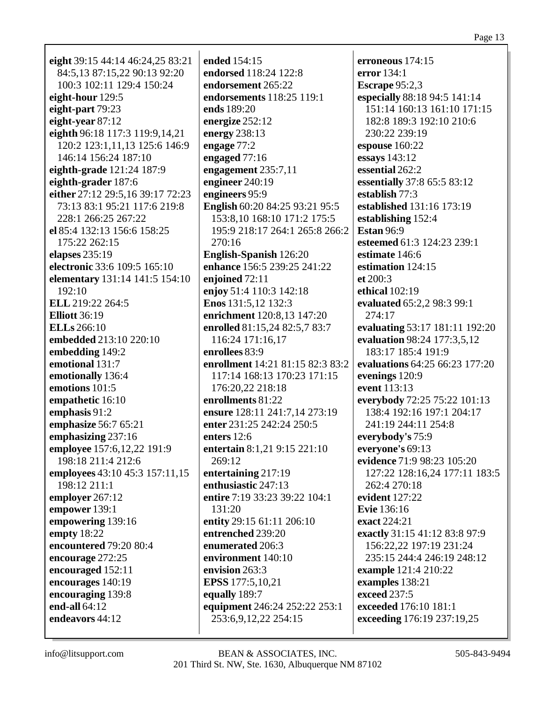eight 39:15 44:14 46:24,25 83:21 84:5,13 87:15,22 90:13 92:20 100:3 102:11 129:4 150:24 eight-hour  $129:5$ eight-part  $79:23$ eight-year 87:12 eighth 96:18 117:3 119:9,14,21 120:2 123:1,11,13 125:6 146:9 146:14 156:24 187:10 eighth-grade 121:24 187:9 eighth-grader 187:6 either 27:12 29:5,16 39:17 72:23 73:13 83:1 95:21 117:6 219:8 228:1 266:25 267:22 el 85:4 132:13 156:6 158:25 175:22 262:15 elapses  $235:19$ electronic 33:6 109:5 165:10 **elementary** 131:14 141:5 154:10  $192:10$ ELL 219:22 264:5 **Elliott** 36:19 **ELLs** 266:10 **embedded** 213:10 220:10 embedding 149:2 emotional 131:7 emotionally 136:4 emotions 101:5 empathetic 16:10 emphasis  $91:2$ emphasize 56:7 65:21 emphasizing 237:16 employee 157:6,12,22 191:9 198:18 211:4 212:6 employees 43:10 45:3 157:11,15 198:12 211:1 employer 267:12 empower 139:1 empowering 139:16 empty  $18:22$ encountered 79:20 80:4 encourage 272:25 encouraged 152:11 encourages 140:19 encouraging 139:8 end-all  $64:12$ endeavors 44:12

ended 154:15 endorsed 118:24 122:8 endorsement 265:22 endorsements 118:25 119:1 ends 189:20 energize  $252:12$ energy  $238:13$ engage 77:2 engaged  $77:16$ engagement  $235:7,11$ engineer  $240:19$ engineers 95:9 English 60:20 84:25 93:21 95:5 153:8,10 168:10 171:2 175:5 195:9 218:17 264:1 265:8 266:2 270:16 **English-Spanish** 126:20 enhance 156:5 239:25 241:22 enioined 72:11 enjoy 51:4 110:3 142:18 Enos 131:5,12 132:3 enrichment 120:8,13 147:20 enrolled 81:15.24 82:5.7 83:7 116:24 171:16,17 enrollees 83:9 enrollment 14:21 81:15 82:3 83:2 117:14 168:13 170:23 171:15 176:20.22 218:18 enrollments 81:22 ensure 128:11 241:7,14 273:19 enter 231:25 242:24 250:5 enters  $12:6$ entertain 8:1,21 9:15 221:10  $269:12$ entertaining 217:19 enthusiastic 247:13 entire 7:19 33:23 39:22 104:1  $131:20$ entity 29:15 61:11 206:10 entrenched 239:20 enumerated 206:3 environment 140:10 envision 263:3 **EPSS** 177:5.10.21 equally 189:7 equipment 246:24 252:22 253:1 253:6,9,12,22 254:15

erroneous  $174:15$ error  $134:1$ **Escrape** 95:2,3 especially 88:18 94:5 141:14 151:14 160:13 161:10 171:15 182:8 189:3 192:10 210:6 230:22 239:19 espouse  $160:22$ essays  $143:12$ essential 262:2 essentially 37:8 65:5 83:12 establish  $77:3$ established 131:16 173:19 establishing 152:4 **Estan 96:9** esteemed 61:3 124:23 239:1 estimate 146:6 estimation 124:15  $et 200:3$ ethical  $102:19$ evaluated 65:2.2 98:3 99:1 274:17 evaluating 53:17 181:11 192:20 evaluation 98:24 177:3,5,12 183:17 185:4 191:9 evaluations 64:25 66:23 177:20 evenings 120:9 event 113:13 everybody 72:25 75:22 101:13 138:4 192:16 197:1 204:17 241:19 244:11 254:8 everybody's 75:9 everyone's 69:13 evidence 71:9 98:23 105:20 127:22 128:16,24 177:11 183:5 262:4 270:18 evident  $127:22$ **Evie** 136:16 exact 224:21 exactly 31:15 41:12 83:8 97:9 156:22,22 197:19 231:24 235:15 244:4 246:19 248:12 example 121:4 210:22 examples 138:21 exceed 237:5 exceeded 176:10 181:1 exceeding 176:19 237:19,25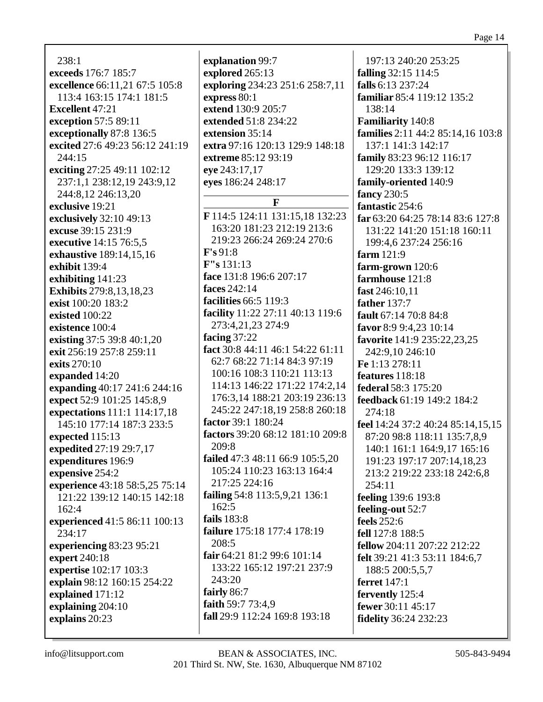238:1 **exceeds** 176:7 185:7 **excellence** 66:11,21 67:5 105:8 113:4 163:15 174:1 181:5 **Excellent** 47:21 **exception** 57:5 89:11 **exceptionally** 87:8 136:5 **excited** 27:6 49:23 56:12 241:19 244:15 **exciting** 27:25 49:11 102:12 237:1,1 238:12,19 243:9,12 244:8,12 246:13,20 **exclusive** 19:21 **exclusively** 32:10 49:13 **excuse** 39:15 231:9 **executive** 14:15 76:5,5 **exhaustive** 189:14,15,16 **exhibit** 139:4 **exhibiting** 141:23 **Exhibits** 279:8,13,18,23 **exist** 100:20 183:2 **existed** 100:22 **existence** 100:4 **existing** 37:5 39:8 40:1,20 **exit** 256:19 257:8 259:11 **exits** 270:10 **expanded** 14:20 **expanding** 40:17 241:6 244:16 **expect** 52:9 101:25 145:8,9 **expectations** 111:1 114:17,18 145:10 177:14 187:3 233:5 **expected** 115:13 **expedited** 27:19 29:7,17 **expenditures** 196:9 **expensive** 254:2 **experience** 43:18 58:5,25 75:14 121:22 139:12 140:15 142:18 162:4 **experienced** 41:5 86:11 100:13 234:17 **experiencing** 83:23 95:21 **expert** 240:18 **expertise** 102:17 103:3 **explain** 98:12 160:15 254:22 **explained** 171:12 **explaining** 204:10 **explains** 20:23

**explanation** 99:7 **explored** 265:13 **exploring** 234:23 251:6 258:7,11 **express** 80:1 **extend** 130:9 205:7 **extended** 51:8 234:22 **extension** 35:14 **extra** 97:16 120:13 129:9 148:18 **extreme** 85:12 93:19 **eye** 243:17,17 **eyes** 186:24 248:17 **F F** 114:5 124:11 131:15,18 132:23 163:20 181:23 212:19 213:6 219:23 266:24 269:24 270:6 **F's** 91:8 **F"s** 131:13 **face** 131:8 196:6 207:17 **faces** 242:14 **facilities** 66:5 119:3 **facility** 11:22 27:11 40:13 119:6 273:4,21,23 274:9 **facing** 37:22 **fact** 30:8 44:11 46:1 54:22 61:11 62:7 68:22 71:14 84:3 97:19 100:16 108:3 110:21 113:13 114:13 146:22 171:22 174:2,14 176:3,14 188:21 203:19 236:13 245:22 247:18,19 258:8 260:18 **factor** 39:1 180:24 **factors** 39:20 68:12 181:10 209:8 209:8 **failed** 47:3 48:11 66:9 105:5,20 105:24 110:23 163:13 164:4 217:25 224:16 **failing** 54:8 113:5,9,21 136:1 162:5 **fails** 183:8 **failure** 175:18 177:4 178:19 208:5 **fair** 64:21 81:2 99:6 101:14 133:22 165:12 197:21 237:9 243:20 **fairly** 86:7 **faith** 59:7 73:4,9 **fall** 29:9 112:24 169:8 193:18

197:13 240:20 253:25 **falling** 32:15 114:5 **falls** 6:13 237:24 **familiar** 85:4 119:12 135:2 138:14 **Familiarity** 140:8 **families** 2:11 44:2 85:14,16 103:8 137:1 141:3 142:17 **family** 83:23 96:12 116:17 129:20 133:3 139:12 **family-oriented** 140:9 **fancy** 230:5 **fantastic** 254:6 **far** 63:20 64:25 78:14 83:6 127:8 131:22 141:20 151:18 160:11 199:4,6 237:24 256:16 **farm** 121:9 **farm-grown** 120:6 **farmhouse** 121:8 **fast** 246:10,11 **father** 137:7 **fault** 67:14 70:8 84:8 **favor** 8:9 9:4,23 10:14 **favorite** 141:9 235:22,23,25 242:9,10 246:10 **Fe** 1:13 278:11 **features** 118:18 **federal** 58:3 175:20 **feedback** 61:19 149:2 184:2 274:18 **feel** 14:24 37:2 40:24 85:14,15,15 87:20 98:8 118:11 135:7,8,9 140:1 161:1 164:9,17 165:16 191:23 197:17 207:14,18,23 213:2 219:22 233:18 242:6,8  $254:11$ **feeling** 139:6 193:8 **feeling-out** 52:7 **feels** 252:6 **fell** 127:8 188:5 **fellow** 204:11 207:22 212:22 **felt** 39:21 41:3 53:11 184:6,7 188:5 200:5,5,7 **ferret** 147:1 **fervently** 125:4 **fewer** 30:11 45:17 **fidelity** 36:24 232:23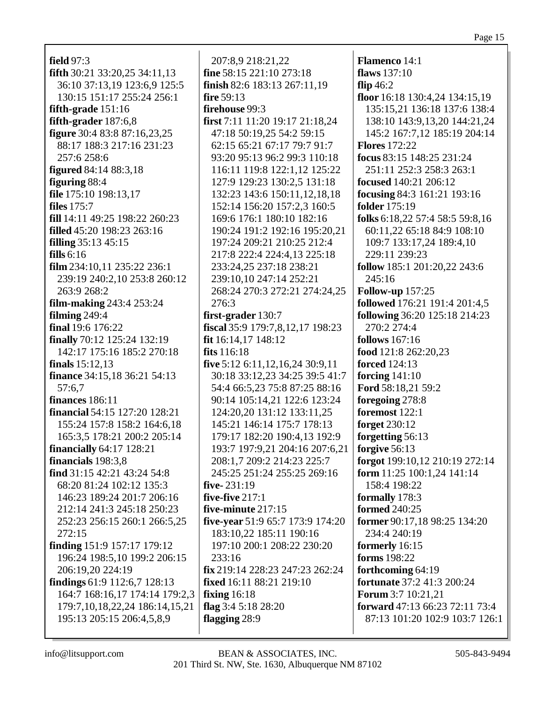**field** 97:3 **fifth** 30:21 33:20,25 34:11,13 36:10 37:13,19 123:6,9 125:5 130:15 151:17 255:24 256:1 **fifth-grade** 151:16 **fifth-grader** 187:6,8 **figure** 30:4 83:8 87:16,23,25 88:17 188:3 217:16 231:23 257:6 258:6 **figured** 84:14 88:3,18 **figuring** 88:4 **file** 175:10 198:13,17 **files** 175:7 **fill** 14:11 49:25 198:22 260:23 **filled** 45:20 198:23 263:16 **filling** 35:13 45:15 **fills** 6:16 **film** 234:10,11 235:22 236:1 239:19 240:2,10 253:8 260:12 263:9 268:2 **film-making** 243:4 253:24 **filming** 249:4 **final** 19:6 176:22 **finally** 70:12 125:24 132:19 142:17 175:16 185:2 270:18 **finals** 15:12,13 **finance** 34:15,18 36:21 54:13 57:6,7 **finances** 186:11 **financial** 54:15 127:20 128:21 155:24 157:8 158:2 164:6,18 165:3,5 178:21 200:2 205:14 **financially** 64:17 128:21 **financials** 198:3,8 **find** 31:15 42:21 43:24 54:8 68:20 81:24 102:12 135:3 146:23 189:24 201:7 206:16 212:14 241:3 245:18 250:23 252:23 256:15 260:1 266:5,25 272:15 **finding** 151:9 157:17 179:12 196:24 198:5,10 199:2 206:15 206:19,20 224:19 **findings** 61:9 112:6,7 128:13 164:7 168:16,17 174:14 179:2,3 179:7,10,18,22,24 186:14,15,21 195:13 205:15 206:4,5,8,9

207:8,9 218:21,22 **fine** 58:15 221:10 273:18 **finish** 82:6 183:13 267:11,19 **fire** 59:13 **firehouse** 99:3 **first** 7:11 11:20 19:17 21:18,24 47:18 50:19,25 54:2 59:15 62:15 65:21 67:17 79:7 91:7 93:20 95:13 96:2 99:3 110:18 116:11 119:8 122:1,12 125:22 127:9 129:23 130:2,5 131:18 132:23 143:6 150:11,12,18,18 152:14 156:20 157:2,3 160:5 169:6 176:1 180:10 182:16 190:24 191:2 192:16 195:20,21 197:24 209:21 210:25 212:4 217:8 222:4 224:4,13 225:18 233:24,25 237:18 238:21 239:10,10 247:14 252:21 268:24 270:3 272:21 274:24,25 276:3 **first-grader** 130:7 **fiscal** 35:9 179:7,8,12,17 198:23 **fit** 16:14,17 148:12 **fits** 116:18 **five** 5:12 6:11,12,16,24 30:9,11 30:18 33:12,23 34:25 39:5 41:7 54:4 66:5,23 75:8 87:25 88:16 90:14 105:14,21 122:6 123:24 124:20,20 131:12 133:11,25 145:21 146:14 175:7 178:13 179:17 182:20 190:4,13 192:9 193:7 197:9,21 204:16 207:6,21 208:1,7 209:2 214:23 225:7 245:25 251:24 255:25 269:16 **five-** 231:19 **five-five** 217:1 **five-minute** 217:15 **five-year** 51:9 65:7 173:9 174:20 183:10,22 185:11 190:16 197:10 200:1 208:22 230:20 233:16 **fix** 219:14 228:23 247:23 262:24 **fixed** 16:11 88:21 219:10 **fixing** 16:18 **flag** 3:4 5:18 28:20 **flagging** 28:9

**Flamenco** 14:1 **flaws** 137:10 **flip** 46:2 **floor** 16:18 130:4,24 134:15,19 135:15,21 136:18 137:6 138:4 138:10 143:9,13,20 144:21,24 145:2 167:7,12 185:19 204:14 **Flores** 172:22 **focus** 83:15 148:25 231:24 251:11 252:3 258:3 263:1 **focused** 140:21 206:12 **focusing** 84:3 161:21 193:16 **folder** 175:19 **folks** 6:18,22 57:4 58:5 59:8,16 60:11,22 65:18 84:9 108:10 109:7 133:17,24 189:4,10 229:11 239:23 **follow** 185:1 201:20,22 243:6 245:16 **Follow-up** 157:25 **followed** 176:21 191:4 201:4,5 **following** 36:20 125:18 214:23 270:2 274:4 **follows** 167:16 **food** 121:8 262:20,23 **forced** 124:13 **forcing** 141:10 **Ford** 58:18,21 59:2 **foregoing** 278:8 **foremost** 122:1 **forget** 230:12 **forgetting** 56:13 **forgive** 56:13 **forgot** 199:10,12 210:19 272:14 **form** 11:25 100:1,24 141:14 158:4 198:22 **formally** 178:3 **formed** 240:25 **former** 90:17,18 98:25 134:20 234:4 240:19 **formerly** 16:15 **forms** 198:22 **forthcoming** 64:19 **fortunate** 37:2 41:3 200:24 **Forum** 3:7 10:21,21 **forward** 47:13 66:23 72:11 73:4 87:13 101:20 102:9 103:7 126:1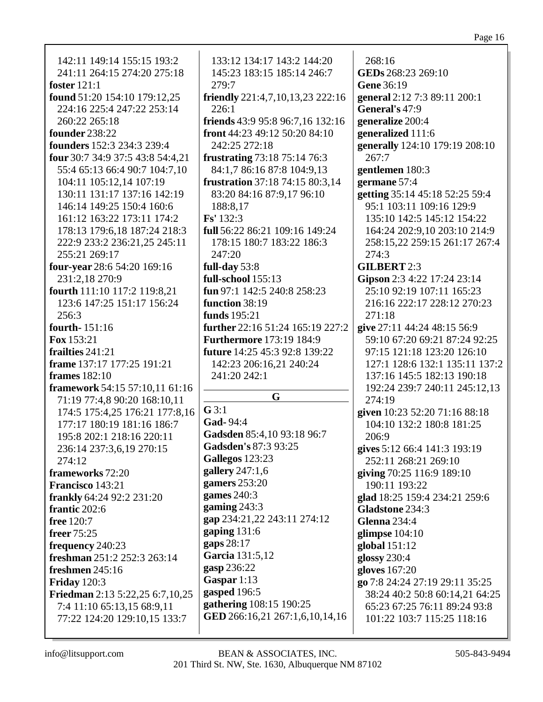142:11 149:14 155:15 193:2 241:11 264:15 274:20 275:18 foster  $121:1$ found 51:20 154:10 179:12.25 224:16 225:4 247:22 253:14 260:22 265:18 founder  $238:22$ **founders** 152:3 234:3 239:4 **four** 30:7 34:9 37:5 43:8 54:4,21 55:4 65:13 66:4 90:7 104:7,10 104:11 105:12.14 107:19 130:11 131:17 137:16 142:19 146:14 149:25 150:4 160:6 161:12 163:22 173:11 174:2 178:13 179:6.18 187:24 218:3 222:9 233:2 236:21,25 245:11 255:21 269:17 **four-year**  $28:654:20169:16$ 231:2.18 270:9 fourth 111:10 117:2 119:8,21 123:6 147:25 151:17 156:24  $256:3$ fourth-151:16 **Fox**  $153:21$ frailties  $241:21$ **frame** 137:17 177:25 191:21 frames  $182:10$ **framework** 54:15 57:10.11 61:16 71:19 77:4,8 90:20 168:10,11 174:5 175:4,25 176:21 177:8,16 177:17 180:19 181:16 186:7 195:8 202:1 218:16 220:11 236:14 237:3,6,19 270:15  $274:12$ frameworks 72:20 **Francisco** 143:21 frankly 64:24 92:2 231:20 frantic 202:6 **free** 120:7 freer 75:25 frequency 240:23 freshman  $251:2 252:3 263:14$ freshmen  $245:16$ **Friday** 120:3 **Friedman** 2:13 5:22,25 6:7,10,25 7:4 11:10 65:13,15 68:9,11

133:12 134:17 143:2 144:20 145:23 183:15 185:14 246:7  $279:7$ friendly 221:4,7,10,13,23 222:16  $226:1$ **friends** 43:9 95:8 96:7,16 132:16 **front** 44:23 49:12 50:20 84:10 242:25 272:18 **frustrating** 73:18 75:14 76:3 84:1,7 86:16 87:8 104:9,13 **frustration** 37:18 74:15 80:3.14 83:20 84:16 87:9,17 96:10 188:8,17  $Fs' 132:3$ full 56:22 86:21 109:16 149:24 178:15 180:7 183:22 186:3  $247:20$ full-day  $53:8$ full-school  $155:13$ fun 97:1 142:5 240:8 258:23 function  $38:19$ funds  $195:21$ further 22:16 51:24 165:19 227:2 **Furthermore** 173:19 184:9 future 14:25 45:3 92:8 139:22 142:23 206:16,21 240:24 241:20 242:1 G  $G$  3:1 Gad- $94:4$ Gadsden 85:4,10 93:18 96:7 Gadsden's 87:3 93:25 **Gallegos** 123:23 gallery  $247:1,6$ gamers  $253:20$ games  $240:3$ gaming  $243:3$ gap 234:21,22 243:11 274:12 gaping  $131:6$ gaps 28:17 Garcia 131:5,12 gasp 236:22 Gaspar  $1:13$ gasped 196:5 gathering 108:15 190:25 GED 266:16,21 267:1,6,10,14,16

 $268:16$ GEDs 268:23 269:10 Gene 36:19 general 2:12 7:3 89:11 200:1 General's 47:9 generalize 200:4 generalized 111:6 generally 124:10 179:19 208:10  $267:7$ gentlemen 180:3 germane 57:4 getting 35:14 45:18 52:25 59:4 95:1 103:11 109:16 129:9 135:10 142:5 145:12 154:22 164:24 202:9.10 203:10 214:9 258:15,22 259:15 261:17 267:4  $274:3$ **GILBERT 2:3** Gipson 2:3 4:22 17:24 23:14 25:10 92:19 107:11 165:23 216:16 222:17 228:12 270:23  $271:18$ give 27:11 44:24 48:15 56:9 59:10 67:20 69:21 87:24 92:25 97:15 121:18 123:20 126:10 127:1 128:6 132:1 135:11 137:2 137:16 145:5 182:13 190:18 192:24 239:7 240:11 245:12,13  $274:19$ given 10:23 52:20 71:16 88:18 104:10 132:2 180:8 181:25  $206:9$ gives 5:12 66:4 141:3 193:19 252:11 268:21 269:10 giving 70:25 116:9 189:10 190:11 193:22 glad 18:25 159:4 234:21 259:6 Gladstone 234:3 **Glenna** 234:4 glimpse 104:10 global  $151:12$ glossy  $230:4$ gloves 167:20 go 7:8 24:24 27:19 29:11 35:25 38:24 40:2 50:8 60:14.21 64:25 65:23 67:25 76:11 89:24 93:8 101:22 103:7 115:25 118:16

77:22 124:20 129:10,15 133:7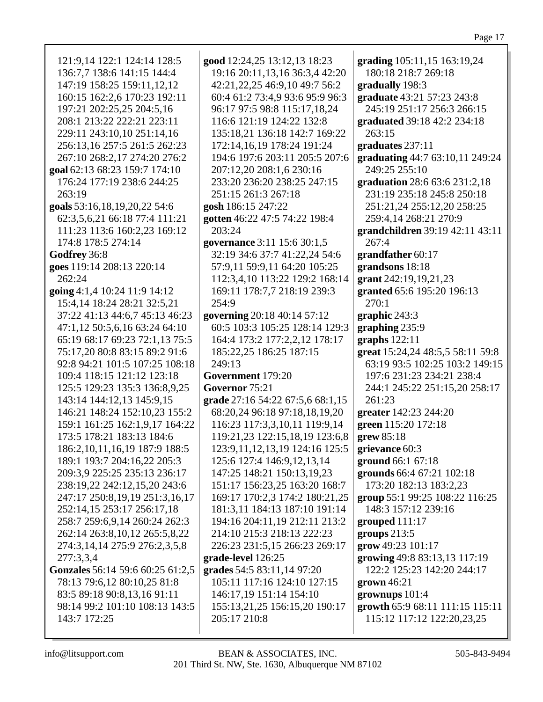121:9,14 122:1 124:14 128:5 136:7,7 138:6 141:15 144:4 147:19 158:25 159:11,12,12 160:15 162:2,6 170:23 192:11 197:21 202:25,25 204:5,16 208:1 213:22 222:21 223:11 229:11 243:10,10 251:14,16 256:13,16 257:5 261:5 262:23 267:10 268:2,17 274:20 276:2 **goal** 62:13 68:23 159:7 174:10 176:24 177:19 238:6 244:25 **goals** 53:16,18,19,20,22 54:6 62:3,5,6,21 66:18 77:4 111:21 111:23 113:6 160:2,23 169:12 174:8 178:5 274:14 **goes** 119:14 208:13 220:14 **going** 4:1,4 10:24 11:9 14:12 15:4,14 18:24 28:21 32:5,21 37:22 41:13 44:6,7 45:13 46:23 47:1,12 50:5,6,16 63:24 64:10 65:19 68:17 69:23 72:1,13 75:5 75:17,20 80:8 83:15 89:2 91:6 92:8 94:21 101:5 107:25 108:18 109:4 118:15 121:12 123:18 125:5 129:23 135:3 136:8,9,25 143:14 144:12,13 145:9,15 146:21 148:24 152:10,23 155:2 159:1 161:25 162:1,9,17 164:22 173:5 178:21 183:13 184:6 186:2,10,11,16,19 187:9 188:5 189:1 193:7 204:16,22 205:3 209:3,9 225:25 235:13 236:17 238:19,22 242:12,15,20 243:6 247:17 250:8,19,19 251:3,16,17 252:14,15 253:17 256:17,18 258:7 259:6,9,14 260:24 262:3 262:14 263:8,10,12 265:5,8,22 274:3,14,14 275:9 276:2,3,5,8 **Gonzales** 56:14 59:6 60:25 61:2,5 78:13 79:6,12 80:10,25 81:8 83:5 89:18 90:8,13,16 91:11 98:14 99:2 101:10 108:13 143:5 **good** 12:24,25 13:12,13 18:23 19:16 20:11,13,16 36:3,4 42:20 42:21,22,25 46:9,10 49:7 56:2 60:4 61:2 73:4,9 93:6 95:9 96:3 96:17 97:5 98:8 115:17,18,24 116:6 121:19 124:22 132:8 135:18,21 136:18 142:7 169:22 172:14,16,19 178:24 191:24 194:6 197:6 203:11 205:5 207:6 207:12,20 208:1,6 230:16 233:20 236:20 238:25 247:15 251:15 261:3 267:18 **gosh** 186:15 247:22 **gotten** 46:22 47:5 74:22 198:4 203:24 **governance** 3:11 15:6 30:1,5 32:19 34:6 37:7 41:22,24 54:6 57:9,11 59:9,11 64:20 105:25 112:3,4,10 113:22 129:2 168:14 169:11 178:7,7 218:19 239:3 254:9 **governing** 20:18 40:14 57:12 60:5 103:3 105:25 128:14 129:3 164:4 173:2 177:2,2,12 178:17 185:22,25 186:25 187:15 249:13 **Government** 179:20 **Governor** 75:21 **grade** 27:16 54:22 67:5,6 68:1,15 68:20,24 96:18 97:18,18,19,20 116:23 117:3,3,10,11 119:9,14 119:21,23 122:15,18,19 123:6,8 123:9,11,12,13,19 124:16 125:5 125:6 127:4 146:9,12,13,14 147:25 148:21 150:13,19,23 151:17 156:23,25 163:20 168:7 169:17 170:2,3 174:2 180:21,25 181:3,11 184:13 187:10 191:14 194:16 204:11,19 212:11 213:2 214:10 215:3 218:13 222:23 226:23 231:5,15 266:23 269:17 **grade-level** 126:25 **grades** 54:5 83:11,14 97:20 105:11 117:16 124:10 127:15 146:17,19 151:14 154:10 155:13,21,25 156:15,20 190:17 205:17 210:8 **grading** 105:11,15 163:19,24 180:18 218:7 269:18 **gradually** 198:3 **graduate** 43:21 57:23 243:8 245:19 251:17 256:3 266:15 **graduated** 39:18 42:2 234:18 263:15 **graduates** 237:11 **graduating** 44:7 63:10,11 249:24 249:25 255:10 **graduation** 28:6 63:6 231:2,18 231:19 235:18 245:8 250:18 251:21,24 255:12,20 258:25 259:4,14 268:21 270:9 **grandchildren** 39:19 42:11 43:11 267:4 **grandfather** 60:17 **grandsons** 18:18 **grant** 242:19,19,21,23 **granted** 65:6 195:20 196:13  $270:1$ **graphic** 243:3 **graphing** 235:9 **graphs** 122:11 **great** 15:24,24 48:5,5 58:11 59:8 63:19 93:5 102:25 103:2 149:15 197:6 231:23 234:21 238:4 244:1 245:22 251:15,20 258:17 261:23 **greater** 142:23 244:20 **green** 115:20 172:18 **grew** 85:18 **grievance** 60:3 **ground** 66:1 67:18 **grounds** 66:4 67:21 102:18 173:20 182:13 183:2,23 **group** 55:1 99:25 108:22 116:25 148:3 157:12 239:16 **grouped** 111:17 **groups** 213:5 **grow** 49:23 101:17 **growing** 49:8 83:13,13 117:19 122:2 125:23 142:20 244:17 **grown** 46:21 **grownups** 101:4 **growth** 65:9 68:11 111:15 115:11 115:12 117:12 122:20,23,25

143:7 172:25

277:3,3,4

263:19

**Godfrey** 36:8

262:24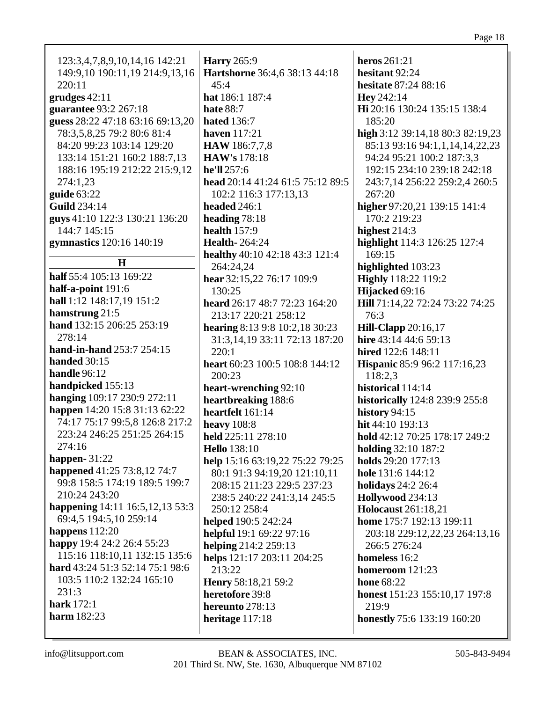| 123:3,4,7,8,9,10,14,16 142:21    | <b>Harry</b> 265:9               | heros 261:21                          |
|----------------------------------|----------------------------------|---------------------------------------|
| 149:9,10 190:11,19 214:9,13,16   | Hartshorne 36:4,6 38:13 44:18    | hesitant 92:24                        |
| 220:11                           | 45:4                             | hesitate 87:24 88:16                  |
| $grudges$ 42:11                  | hat 186:1 187:4                  | Hey 242:14                            |
| guarantee 93:2 267:18            | <b>hate 88:7</b>                 | Hi 20:16 130:24 135:15 138:4          |
| guess 28:22 47:18 63:16 69:13,20 | <b>hated</b> 136:7               | 185:20                                |
| 78:3,5,8,25 79:2 80:6 81:4       | <b>haven</b> 117:21              | high 3:12 39:14,18 80:3 82:19,23      |
| 84:20 99:23 103:14 129:20        | <b>HAW</b> 186:7,7,8             | 85:13 93:16 94:1,1,14,14,22,23        |
| 133:14 151:21 160:2 188:7,13     | <b>HAW's</b> 178:18              | 94:24 95:21 100:2 187:3,3             |
| 188:16 195:19 212:22 215:9,12    | he'll 257:6                      | 192:15 234:10 239:18 242:18           |
| 274:1,23                         | head 20:14 41:24 61:5 75:12 89:5 | 243:7,14 256:22 259:2,4 260:5         |
| guide $63:22$                    | 102:2 116:3 177:13,13            | 267:20                                |
| <b>Guild</b> 234:14              | headed 246:1                     | higher 97:20,21 139:15 141:4          |
| guys 41:10 122:3 130:21 136:20   | heading 78:18                    | 170:2 219:23                          |
| 144:7 145:15                     | health $157:9$                   | highest 214:3                         |
| gymnastics 120:16 140:19         | <b>Health-264:24</b>             | highlight 114:3 126:25 127:4          |
|                                  | healthy 40:10 42:18 43:3 121:4   | 169:15                                |
| H                                | 264:24,24                        | highlighted 103:23                    |
| half 55:4 105:13 169:22          | hear 32:15,22 76:17 109:9        | <b>Highly</b> 118:22 119:2            |
| half-a-point 191:6               | 130:25                           | Hijacked 69:16                        |
| hall 1:12 148:17,19 151:2        | heard 26:17 48:7 72:23 164:20    | Hill 71:14,22 72:24 73:22 74:25       |
| hamstrung 21:5                   | 213:17 220:21 258:12             | 76:3                                  |
| hand 132:15 206:25 253:19        | hearing 8:13 9:8 10:2,18 30:23   | <b>Hill-Clapp</b> 20:16,17            |
| 278:14                           | 31:3,14,19 33:11 72:13 187:20    | hire 43:14 44:6 59:13                 |
| hand-in-hand 253:7 254:15        | 220:1                            | hired 122:6 148:11                    |
| handed 30:15                     | heart 60:23 100:5 108:8 144:12   | <b>Hispanic 85:9 96:2 117:16,23</b>   |
| handle 96:12                     | 200:23                           | 118:2,3                               |
| handpicked 155:13                | heart-wrenching 92:10            | historical 114:14                     |
| hanging 109:17 230:9 272:11      | heartbreaking 188:6              | <b>historically</b> 124:8 239:9 255:8 |
| happen 14:20 15:8 31:13 62:22    | heartfelt 161:14                 | history 94:15                         |
| 74:17 75:17 99:5,8 126:8 217:2   | heavy $108:8$                    | hit 44:10 193:13                      |
| 223:24 246:25 251:25 264:15      | held 225:11 278:10               | hold 42:12 70:25 178:17 249:2         |
| 274:16                           | <b>Hello</b> 138:10              | <b>holding</b> 32:10 187:2            |
| happen- $31:22$                  | help 15:16 63:19,22 75:22 79:25  | holds 29:20 177:13                    |
| happened 41:25 73:8,12 74:7      | 80:1 91:3 94:19,20 121:10,11     | hole 131:6 144:12                     |
| 99:8 158:5 174:19 189:5 199:7    | 208:15 211:23 229:5 237:23       | <b>holidays</b> 24:2 26:4             |
| 210:24 243:20                    | 238:5 240:22 241:3,14 245:5      | Hollywood 234:13                      |
| happening 14:11 16:5,12,13 53:3  | 250:12 258:4                     | <b>Holocaust</b> 261:18,21            |
| 69:4,5 194:5,10 259:14           | helped 190:5 242:24              | home 175:7 192:13 199:11              |
| happens $112:20$                 | helpful 19:1 69:22 97:16         | 203:18 229:12,22,23 264:13,16         |
| happy 19:4 24:2 26:4 55:23       | helping 214:2 259:13             | 266:5 276:24                          |
| 115:16 118:10,11 132:15 135:6    | helps 121:17 203:11 204:25       | homeless 16:2                         |
| hard 43:24 51:3 52:14 75:1 98:6  | 213:22                           | homeroom 121:23                       |
| 103:5 110:2 132:24 165:10        | Henry 58:18,21 59:2              | <b>hone</b> 68:22                     |
| 231:3                            | heretofore 39:8                  | <b>honest</b> 151:23 155:10,17 197:8  |
| <b>hark</b> 172:1                | hereunto 278:13                  | 219:9                                 |
| <b>harm</b> 182:23               | heritage 117:18                  | <b>honestly</b> 75:6 133:19 160:20    |
|                                  |                                  |                                       |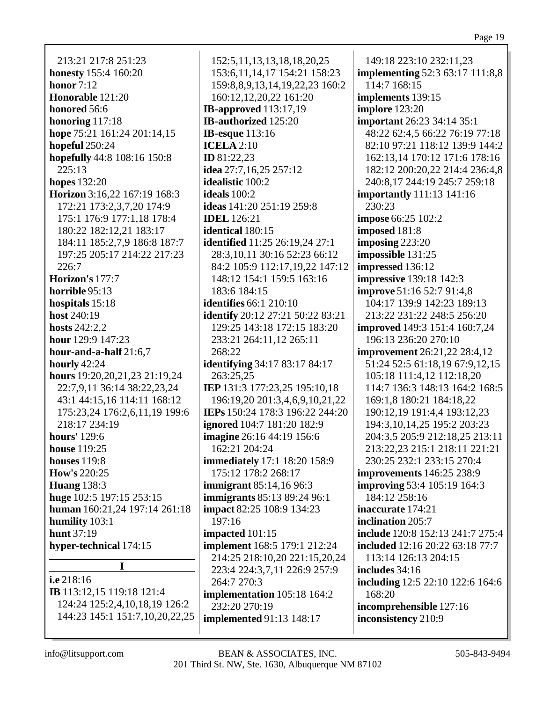213:21 217:8 251:23 **honesty** 155:4 160:20 **honor** 7:12 **Honorable** 121:20 **honored** 56:6 **honoring** 117:18 **hope** 75:21 161:24 201:14,15 **hopeful** 250:24 **hopefully** 44:8 108:16 150:8 225:13 **hopes** 132:20 **Horizon** 3:16,22 167:19 168:3 172:21 173:2,3,7,20 174:9 175:1 176:9 177:1,18 178:4 180:22 182:12,21 183:17 184:11 185:2,7,9 186:8 187:7 197:25 205:17 214:22 217:23 226:7 **Horizon's** 177:7 **horrible** 95:13 **hospitals** 15:18 **host** 240:19 **hosts** 242:2,2 **hour** 129:9 147:23 **hour-and-a-half** 21:6,7 **hourly** 42:24 **hours** 19:20,20,21,23 21:19,24 22:7,9,11 36:14 38:22,23,24 43:1 44:15,16 114:11 168:12 175:23,24 176:2,6,11,19 199:6 218:17 234:19 **hours'** 129:6 **house** 119:25 **houses** 119:8 **How's** 220:25 **Huang** 138:3 **huge** 102:5 197:15 253:15 **human** 160:21,24 197:14 261:18 **humility** 103:1 **hunt** 37:19 **hyper-technical** 174:15 **I i.e** 218:16

**IB** 113:12,15 119:18 121:4 124:24 125:2,4,10,18,19 126:2 144:23 145:1 151:7,10,20,22,25

152:5,11,13,13,18,18,20,25 153:6,11,14,17 154:21 158:23 159:8,8,9,13,14,19,22,23 160:2 160:12,12,20,22 161:20 **IB-approved** 113:17,19 **IB-authorized** 125:20 **IB-esque** 113:16 **ICELA** 2:10 **ID** 81:22,23 **idea** 27:7,16,25 257:12 **idealistic** 100:2 **ideals** 100:2 **ideas** 141:20 251:19 259:8 **IDEL** 126:21 **identical** 180:15 **identified** 11:25 26:19,24 27:1 28:3,10,11 30:16 52:23 66:12 84:2 105:9 112:17,19,22 147:12 148:12 154:1 159:5 163:16 183:6 184:15 **identifies** 66:1 210:10 **identify** 20:12 27:21 50:22 83:21 129:25 143:18 172:15 183:20 233:21 264:11,12 265:11 268:22 **identifying** 34:17 83:17 84:17 263:25,25 **IEP** 131:3 177:23,25 195:10,18 196:19,20 201:3,4,6,9,10,21,22 **IEPs** 150:24 178:3 196:22 244:20 **ignored** 104:7 181:20 182:9 **imagine** 26:16 44:19 156:6 162:21 204:24 **immediately** 17:1 18:20 158:9 175:12 178:2 268:17 **immigrant** 85:14,16 96:3 **immigrants** 85:13 89:24 96:1 **impact** 82:25 108:9 134:23 197:16 **impacted** 101:15 **implement** 168:5 179:1 212:24 214:25 218:10,20 221:15,20,24 223:4 224:3,7,11 226:9 257:9 264:7 270:3 **implementation** 105:18 164:2 232:20 270:19 **implemented** 91:13 148:17

149:18 223:10 232:11,23 **implementing** 52:3 63:17 111:8,8 114:7 168:15 **implements** 139:15 **implore** 123:20 **important** 26:23 34:14 35:1 48:22 62:4,5 66:22 76:19 77:18 82:10 97:21 118:12 139:9 144:2 162:13,14 170:12 171:6 178:16 182:12 200:20,22 214:4 236:4,8 240:8,17 244:19 245:7 259:18 **importantly** 111:13 141:16 230:23 **impose** 66:25 102:2 **imposed** 181:8 **imposing** 223:20 **impossible** 131:25 **impressed** 136:12 **impressive** 139:18 142:3 **improve** 51:16 52:7 91:4,8 104:17 139:9 142:23 189:13 213:22 231:22 248:5 256:20 **improved** 149:3 151:4 160:7,24 196:13 236:20 270:10 **improvement** 26:21,22 28:4,12 51:24 52:5 61:18,19 67:9,12,15 105:18 111:4,12 112:18,20 114:7 136:3 148:13 164:2 168:5 169:1,8 180:21 184:18,22 190:12,19 191:4,4 193:12,23 194:3,10,14,25 195:2 203:23 204:3,5 205:9 212:18,25 213:11 213:22,23 215:1 218:11 221:21 230:25 232:1 233:15 270:4 **improvements** 146:25 238:9 **improving** 53:4 105:19 164:3 184:12 258:16 **inaccurate** 174:21 **inclination** 205:7 **include** 120:8 152:13 241:7 275:4 **included** 12:16 20:22 63:18 77:7 113:14 126:13 204:15 **includes** 34:16 **including** 12:5 22:10 122:6 164:6 168:20 **incomprehensible** 127:16 **inconsistency** 210:9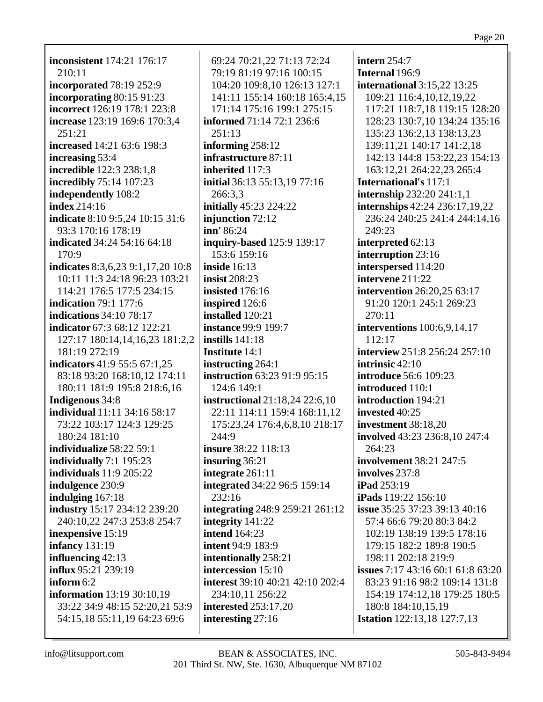inconsistent 174:21 176:17  $210:11$ **incorporated** 78:19 252:9 incorporating  $80:1591:23$ incorrect 126:19 178:1 223:8 increase 123:19 169:6 170:3,4  $251:21$ increased 14:21 63:6 198:3 increasing 53:4 **incredible** 122:3 238:1,8 incredibly 75:14 107:23 independently 108:2 index  $214:16$ indicate 8:10 9:5,24 10:15 31:6 93:3 170:16 178:19 indicated 34:24 54:16 64:18  $170:9$ indicates  $8:3,6,23$   $9:1,17,20$   $10:8$ 10:11 11:3 24:18 96:23 103:21 114:21 176:5 177:5 234:15 **indication** 79:1 177:6 indications  $34:10$   $78:17$ indicator 67:3 68:12 122:21 127:17 180:14,14,16,23 181:2,2 181:19 272:19 **indicators** 41:9 55:5 67:1,25 83:18 93:20 168:10,12 174:11 180:11 181:9 195:8 218:6,16 **Indigenous** 34:8 **individual** 11:11 34:16 58:17 73:22 103:17 124:3 129:25 180:24 181:10 individualize 58:22 59:1 individually  $7:1$  195:23 individuals  $11:9205:22$ indulgence 230:9 indulging  $167:18$ **industry** 15:17 234:12 239:20 240:10,22 247:3 253:8 254:7 inexpensive 15:19 **infancy** 131:19 influencing  $42:13$ influx 95:21 239:19 inform  $6:2$ **information** 13:19 30:10,19 33:22 34:9 48:15 52:20,21 53:9 54:15,18 55:11,19 64:23 69:6

69:24 70:21,22 71:13 72:24 79:19 81:19 97:16 100:15 104:20 109:8.10 126:13 127:1 141:11 155:14 160:18 165:4,15 171:14 175:16 199:1 275:15 **informed** 71:14 72:1 236:6  $251:13$ informing  $258:12$ infrastructure 87:11 inherited 117:3 initial 36:13 55:13.19 77:16  $266:3.3$ **initially** 45:23 224:22 injunction 72:12  $\text{inn}' 86:24$ inquiry-based 125:9 139:17 153:6 159:16 inside  $16:13$ insist  $208:23$ insisted  $176:16$ inspired 126:6 **installed** 120:21 **instance 99:9 199:7** instills  $141:18$ **Institute 14:1** instructing  $264:1$ instruction 63:23 91:9 95:15 124:6 149:1 **instructional** 21:18,24 22:6,10 22:11 114:11 159:4 168:11,12 175:23,24 176:4,6,8,10 218:17  $244:9$ insure 38:22 118:13 insuring  $36:21$ integrate 261:11 integrated 34:22 96:5 159:14  $232:16$ **integrating** 248:9 259:21 261:12 integrity 141:22 **intend** 164:23 **intent** 94:9 183:9 intentionally 258:21 intercession 15:10 **interest** 39:10 40:21 42:10 202:4 234:10.11 256:22 **interested** 253:17,20 interesting  $27:16$ 

intern  $254:7$ Internal 196:9 international  $3:15.22$   $13:25$ 109:21 116:4,10,12,19,22 117:21 118:7,18 119:15 128:20 128:23 130:7,10 134:24 135:16 135:23 136:2,13 138:13,23 139:11,21 140:17 141:2,18 142:13 144:8 153:22,23 154:13 163:12,21 264:22,23 265:4 **International's 117:1 internship**  $232:20\,241:1,1$ internships 42:24 236:17,19,22 236:24 240:25 241:4 244:14,16 249:23 interpreted 62:13 interruption 23:16 interspersed 114:20 intervene 211:22 intervention 26:20,25 63:17 91:20 120:1 245:1 269:23 270:11 interventions  $100:6.9.14.17$  $112:17$ interview 251:8 256:24 257:10 intrinsic  $42:10$ **introduce** 56:6 109:23 introduced 110:1 introduction 194:21 invested 40:25 investment 38:18,20 involved 43:23 236:8,10 247:4  $264:23$ **involvement** 38:21 247:5 involves 237:8  $i$ Pad 253:19 iPads 119:22 156:10 **issue** 35:25 37:23 39:13 40:16 57:4 66:6 79:20 80:3 84:2 102:19 138:19 139:5 178:16 179:15 182:2 189:8 190:5 198:11 202:18 219:9 issues 7:17 43:16 60:1 61:8 63:20 83:23 91:16 98:2 109:14 131:8 154:19 174:12.18 179:25 180:5 180:8 184:10,15,19 **Istation** 122:13,18 127:7,13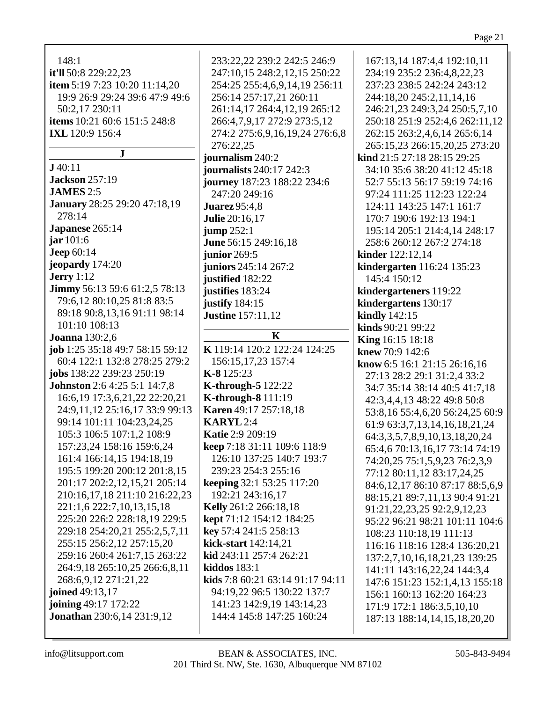## Page 21

| 148:1                                         | 233:22,22 239:2 242:5 246:9             | 167:13,14 187:4,4 192:10,11             |
|-----------------------------------------------|-----------------------------------------|-----------------------------------------|
| it'll 50:8 229:22,23                          | 247:10,15 248:2,12,15 250:22            | 234:19 235:2 236:4,8,22,23              |
| item 5:19 7:23 10:20 11:14,20                 | 254:25 255:4,6,9,14,19 256:11           | 237:23 238:5 242:24 243:12              |
| 19:9 26:9 29:24 39:6 47:9 49:6                | 256:14 257:17,21 260:11                 | 244:18,20 245:2,11,14,16                |
| 50:2,17 230:11                                | 261:14,17 264:4,12,19 265:12            | 246:21,23 249:3,24 250:5,7,10           |
| items 10:21 60:6 151:5 248:8                  | 266:4,7,9,17 272:9 273:5,12             | 250:18 251:9 252:4,6 262:11,12          |
|                                               |                                         |                                         |
| <b>IXL</b> 120:9 156:4                        | 274:2 275:6,9,16,19,24 276:6,8          | 262:15 263:2,4,6,14 265:6,14            |
| $\bf J$                                       | 276:22,25                               | 265:15,23 266:15,20,25 273:20           |
| J40:11                                        | journalism 240:2                        | kind 21:5 27:18 28:15 29:25             |
| <b>Jackson</b> 257:19                         | <b>journalists</b> 240:17 242:3         | 34:10 35:6 38:20 41:12 45:18            |
| <b>JAMES</b> 2:5                              | journey 187:23 188:22 234:6             | 52:7 55:13 56:17 59:19 74:16            |
|                                               | 247:20 249:16                           | 97:24 111:25 112:23 122:24              |
| <b>January</b> 28:25 29:20 47:18,19<br>278:14 | <b>Juarez</b> 95:4,8                    | 124:11 143:25 147:1 161:7               |
|                                               | <b>Julie</b> 20:16,17                   | 170:7 190:6 192:13 194:1                |
| Japanese 265:14                               | jump 252:1                              | 195:14 205:1 214:4,14 248:17            |
| $\ar 101:6$                                   | June 56:15 249:16,18                    | 258:6 260:12 267:2 274:18               |
| <b>Jeep 60:14</b>                             | junior 269:5                            | kinder 122:12,14                        |
| jeopardy 174:20                               | juniors 245:14 267:2                    | kindergarten 116:24 135:23              |
| Jerry $1:12$                                  | justified 182:22                        | 145:4 150:12                            |
| Jimmy 56:13 59:6 61:2,5 78:13                 | justifies 183:24                        | kindergarteners 119:22                  |
| 79:6,12 80:10,25 81:8 83:5                    | justify 184:15                          | kindergartens 130:17                    |
| 89:18 90:8,13,16 91:11 98:14                  | <b>Justine</b> 157:11,12                | <b>kindly</b> 142:15                    |
| 101:10 108:13                                 |                                         | kinds 90:21 99:22                       |
| <b>Joanna</b> 130:2,6                         | K                                       | <b>King</b> 16:15 18:18                 |
| job 1:25 35:18 49:7 58:15 59:12               | K 119:14 120:2 122:24 124:25            | knew 70:9 142:6                         |
| 60:4 122:1 132:8 278:25 279:2                 | 156:15, 17, 23 157:4                    | know 6:5 16:1 21:15 26:16,16            |
| jobs 138:22 239:23 250:19                     | $K-8$ 125:23                            | 27:13 28:2 29:1 31:2,4 33:2             |
| <b>Johnston</b> 2:6 4:25 5:1 14:7,8           | <b>K-through-5</b> 122:22               | 34:7 35:14 38:14 40:5 41:7,18           |
| 16:6,19 17:3,6,21,22 22:20,21                 | <b>K-through-8</b> 111:19               | 42:3,4,4,13 48:22 49:8 50:8             |
| 24:9,11,12 25:16,17 33:9 99:13                | Karen 49:17 257:18,18                   | 53:8,16 55:4,6,20 56:24,25 60:9         |
| 99:14 101:11 104:23,24,25                     | <b>KARYL</b> 2:4                        | 61:9 63:3,7,13,14,16,18,21,24           |
| 105:3 106:5 107:1,2 108:9                     | <b>Katie 2:9 209:19</b>                 | 64:3, 3, 5, 7, 8, 9, 10, 13, 18, 20, 24 |
| 157:23,24 158:16 159:6,24                     | keep 7:18 31:11 109:6 118:9             | 65:4,6 70:13,16,17 73:14 74:19          |
| 161:4 166:14,15 194:18,19                     | 126:10 137:25 140:7 193:7               | 74:20,25 75:1,5,9,23 76:2,3,9           |
| 195:5 199:20 200:12 201:8,15                  | 239:23 254:3 255:16                     | 77:12 80:11,12 83:17,24,25              |
| 201:17 202:2,12,15,21 205:14                  | keeping 32:1 53:25 117:20               | 84:6,12,17 86:10 87:17 88:5,6,9         |
| 210:16,17,18 211:10 216:22,23                 | 192:21 243:16,17                        |                                         |
| 221:1,6 222:7,10,13,15,18                     | Kelly 261:2 266:18,18                   | 88:15,21 89:7,11,13 90:4 91:21          |
| 225:20 226:2 228:18,19 229:5                  | kept 71:12 154:12 184:25                | 91:21, 22, 23, 25 92:2, 9, 12, 23       |
| 229:18 254:20,21 255:2,5,7,11                 | key 57:4 241:5 258:13                   | 95:22 96:21 98:21 101:11 104:6          |
| 255:15 256:2,12 257:15,20                     | kick-start 142:14,21                    | 108:23 110:18,19 111:13                 |
| 259:16 260:4 261:7,15 263:22                  | kid 243:11 257:4 262:21                 | 116:16 118:16 128:4 136:20,21           |
|                                               |                                         | 137:2,7,10,16,18,21,23 139:25           |
| 264:9,18 265:10,25 266:6,8,11                 | <b>kiddos</b> 183:1                     | 141:11 143:16,22,24 144:3,4             |
| 268:6,9,12 271:21,22                          | <b>kids</b> 7:8 60:21 63:14 91:17 94:11 | 147:6 151:23 152:1,4,13 155:18          |
| joined 49:13,17                               | 94:19,22 96:5 130:22 137:7              | 156:1 160:13 162:20 164:23              |
| joining 49:17 172:22                          | 141:23 142:9,19 143:14,23               | 171:9 172:1 186:3,5,10,10               |
| <b>Jonathan</b> 230:6,14 231:9,12             | 144:4 145:8 147:25 160:24               | 187:13 188:14,14,15,18,20,20            |
|                                               |                                         |                                         |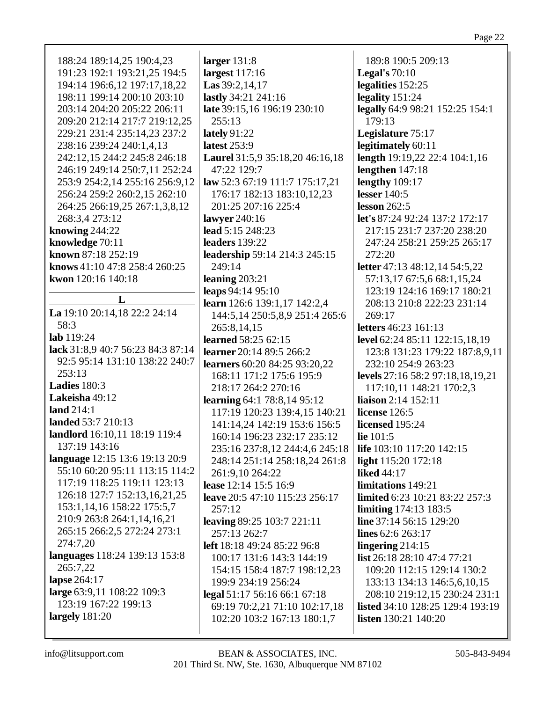| 188:24 189:14,25 190:4,23         | larger $131:8$                    | 189:8 190:5 209:13                                                     |
|-----------------------------------|-----------------------------------|------------------------------------------------------------------------|
| 191:23 192:1 193:21,25 194:5      | largest $117:16$                  | Legal's $70:10$                                                        |
| 194:14 196:6,12 197:17,18,22      | Las $39:2,14,17$                  | legalities 152:25                                                      |
| 198:11 199:14 200:10 203:10       | lastly 34:21 241:16               | legality 151:24                                                        |
| 203:14 204:20 205:22 206:11       | late 39:15,16 196:19 230:10       | legally 64:9 98:21 152:25 154:1                                        |
| 209:20 212:14 217:7 219:12,25     | 255:13                            | 179:13                                                                 |
| 229:21 231:4 235:14,23 237:2      | lately $91:22$                    | Legislature 75:17                                                      |
| 238:16 239:24 240:1,4,13          | latest 253:9                      | legitimately 60:11                                                     |
| 242:12,15 244:2 245:8 246:18      | Laurel 31:5,9 35:18,20 46:16,18   | length 19:19,22 22:4 104:1,16                                          |
| 246:19 249:14 250:7,11 252:24     | 47:22 129:7                       | lengthen $147:18$                                                      |
| 253:9 254:2,14 255:16 256:9,12    | law 52:3 67:19 111:7 175:17,21    | lengthy 109:17                                                         |
| 256:24 259:2 260:2,15 262:10      | 176:17 182:13 183:10,12,23        | <b>lesser</b> 140:5                                                    |
| 264:25 266:19,25 267:1,3,8,12     | 201:25 207:16 225:4               | lesson $262:5$                                                         |
| 268:3,4 273:12                    | lawyer 240:16                     | let's 87:24 92:24 137:2 172:17                                         |
| knowing $244:22$                  | lead 5:15 248:23                  | 217:15 231:7 237:20 238:20                                             |
| knowledge 70:11                   | leaders 139:22                    | 247:24 258:21 259:25 265:17                                            |
| known 87:18 252:19                | leadership 59:14 214:3 245:15     | 272:20                                                                 |
| knows 41:10 47:8 258:4 260:25     | 249:14                            | letter 47:13 48:12,14 54:5,22                                          |
| kwon 120:16 140:18                | leaning $203:21$                  | 57:13,17 67:5,6 68:1,15,24                                             |
|                                   | leaps 94:14 95:10                 | 123:19 124:16 169:17 180:21                                            |
| L                                 | learn 126:6 139:1,17 142:2,4      | 208:13 210:8 222:23 231:14                                             |
| La 19:10 20:14,18 22:2 24:14      | 144:5, 14 250:5, 8, 9 251:4 265:6 | 269:17                                                                 |
| 58:3                              | 265:8,14,15                       | letters 46:23 161:13                                                   |
| lab 119:24                        | learned 58:25 62:15               | level 62:24 85:11 122:15,18,19                                         |
| lack 31:8,9 40:7 56:23 84:3 87:14 | learner 20:14 89:5 266:2          | 123:8 131:23 179:22 187:8,9,11                                         |
| 92:5 95:14 131:10 138:22 240:7    | learners 60:20 84:25 93:20,22     | 232:10 254:9 263:23                                                    |
| 253:13                            | 168:11 171:2 175:6 195:9          | levels 27:16 58:2 97:18,18,19,21                                       |
| Ladies 180:3                      | 218:17 264:2 270:16               | 117:10,11 148:21 170:2,3                                               |
| Lakeisha 49:12                    | learning 64:1 78:8,14 95:12       | <b>liaison</b> 2:14 152:11                                             |
| land $214:1$                      | 117:19 120:23 139:4,15 140:21     | license 126:5                                                          |
| landed 53:7 210:13                | 141:14,24 142:19 153:6 156:5      | licensed 195:24                                                        |
| landlord 16:10,11 18:19 119:4     | 160:14 196:23 232:17 235:12       | lie $101:5$                                                            |
| 137:19 143:16                     | 235:16 237:8,12 244:4,6 245:18    | <b>life</b> 103:10 117:20 142:15                                       |
| language 12:15 13:6 19:13 20:9    | 248:14 251:14 258:18,24 261:8     | light 115:20 172:18                                                    |
| 55:10 60:20 95:11 113:15 114:2    | 261:9,10 264:22                   | <b>liked</b> 44:17                                                     |
| 117:19 118:25 119:11 123:13       | lease 12:14 15:5 16:9             | limitations 149:21                                                     |
| 126:18 127:7 152:13,16,21,25      | leave 20:5 47:10 115:23 256:17    | limited 6:23 10:21 83:22 257:3                                         |
| 153:1,14,16 158:22 175:5,7        | 257:12                            | <b>limiting</b> 174:13 183:5                                           |
| 210:9 263:8 264:1,14,16,21        | leaving 89:25 103:7 221:11        | line 37:14 56:15 129:20                                                |
| 265:15 266:2,5 272:24 273:1       | 257:13 262:7                      | lines 62:6 263:17                                                      |
| 274:7,20                          | left 18:18 49:24 85:22 96:8       | lingering $214:15$                                                     |
| languages 118:24 139:13 153:8     | 100:17 131:6 143:3 144:19         | list 26:18 28:10 47:4 77:21                                            |
| 265:7,22                          | 154:15 158:4 187:7 198:12,23      | 109:20 112:15 129:14 130:2                                             |
| lapse 264:17                      | 199:9 234:19 256:24               | 133:13 134:13 146:5,6,10,15                                            |
| large 63:9,11 108:22 109:3        |                                   | 208:10 219:12,15 230:24 231:1                                          |
| 123:19 167:22 199:13              | legal 51:17 56:16 66:1 67:18      |                                                                        |
| largely 181:20                    | 69:19 70:2,21 71:10 102:17,18     | <b>listed</b> 34:10 128:25 129:4 193:19<br><b>listen</b> 130:21 140:20 |
|                                   | 102:20 103:2 167:13 180:1,7       |                                                                        |
|                                   |                                   |                                                                        |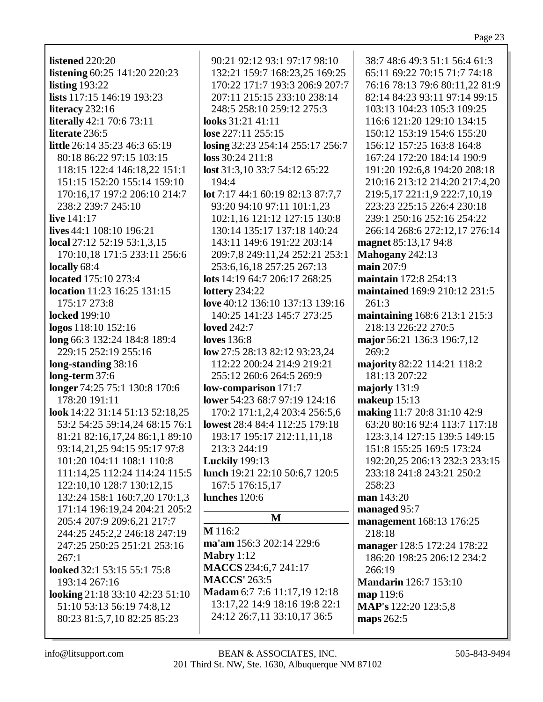**listened** 220:20 **listening** 60:25 141:20 220:23 **listing** 193:22 **lists** 117:15 146:19 193:23 **literacy** 232:16 **literally** 42:1 70:6 73:11 **literate** 236:5 **little** 26:14 35:23 46:3 65:19 80:18 86:22 97:15 103:15 118:15 122:4 146:18,22 151:1 151:15 152:20 155:14 159:10 170:16,17 197:2 206:10 214:7 238:2 239:7 245:10 **live** 141:17 **lives** 44:1 108:10 196:21 **local** 27:12 52:19 53:1,3,15 170:10,18 171:5 233:11 256:6 **locally** 68:4 **located** 175:10 273:4 **location** 11:23 16:25 131:15 175:17 273:8 **locked** 199:10 **logos** 118:10 152:16 **long** 66:3 132:24 184:8 189:4 229:15 252:19 255:16 **long-standing** 38:16 **long-term** 37:6 **longer** 74:25 75:1 130:8 170:6 178:20 191:11 **look** 14:22 31:14 51:13 52:18,25 53:2 54:25 59:14,24 68:15 76:1 81:21 82:16,17,24 86:1,1 89:10 93:14,21,25 94:15 95:17 97:8 101:20 104:11 108:1 110:8 111:14,25 112:24 114:24 115:5 122:10,10 128:7 130:12,15 132:24 158:1 160:7,20 170:1,3 171:14 196:19,24 204:21 205:2 205:4 207:9 209:6,21 217:7 244:25 245:2,2 246:18 247:19 247:25 250:25 251:21 253:16  $267:1$ **looked** 32:1 53:15 55:1 75:8 193:14 267:16 **looking** 21:18 33:10 42:23 51:10 51:10 53:13 56:19 74:8,12 80:23 81:5,7,10 82:25 85:23

90:21 92:12 93:1 97:17 98:10 132:21 159:7 168:23,25 169:25 170:22 171:7 193:3 206:9 207:7 207:11 215:15 233:10 238:14 248:5 258:10 259:12 275:3 **looks** 31:21 41:11 **lose** 227:11 255:15 **losing** 32:23 254:14 255:17 256:7 **loss** 30:24 211:8 **lost** 31:3,10 33:7 54:12 65:22 194:4 **lot** 7:17 44:1 60:19 82:13 87:7,7 93:20 94:10 97:11 101:1,23 102:1,16 121:12 127:15 130:8 130:14 135:17 137:18 140:24 143:11 149:6 191:22 203:14 209:7,8 249:11,24 252:21 253:1 253:6,16,18 257:25 267:13 **lots** 14:19 64:7 206:17 268:25 **lottery** 234:22 **love** 40:12 136:10 137:13 139:16 140:25 141:23 145:7 273:25 **loved** 242:7 **loves** 136:8 **low** 27:5 28:13 82:12 93:23,24 112:22 200:24 214:9 219:21 255:12 260:6 264:5 269:9 **low-comparison** 171:7 **lower** 54:23 68:7 97:19 124:16 170:2 171:1,2,4 203:4 256:5,6 **lowest** 28:4 84:4 112:25 179:18 193:17 195:17 212:11,11,18 213:3 244:19 **Luckily** 199:13 **lunch** 19:21 22:10 50:6,7 120:5 167:5 176:15,17 **lunches** 120:6 **M M** 116:2 **ma'am** 156:3 202:14 229:6 **Mabry** 1:12 **MACCS** 234:6,7 241:17 **MACCS'** 263:5 **Madam** 6:7 7:6 11:17,19 12:18 13:17,22 14:9 18:16 19:8 22:1 24:12 26:7,11 33:10,17 36:5

38:7 48:6 49:3 51:1 56:4 61:3 65:11 69:22 70:15 71:7 74:18 76:16 78:13 79:6 80:11,22 81:9 82:14 84:23 93:11 97:14 99:15 103:13 104:23 105:3 109:25 116:6 121:20 129:10 134:15 150:12 153:19 154:6 155:20 156:12 157:25 163:8 164:8 167:24 172:20 184:14 190:9 191:20 192:6,8 194:20 208:18 210:16 213:12 214:20 217:4,20 219:5,17 221:1,9 222:7,10,19 223:23 225:15 226:4 230:18 239:1 250:16 252:16 254:22 266:14 268:6 272:12,17 276:14 **magnet** 85:13,17 94:8 **Mahogany** 242:13 **main** 207:9 **maintain** 172:8 254:13 **maintained** 169:9 210:12 231:5 261:3 **maintaining** 168:6 213:1 215:3 218:13 226:22 270:5 **major** 56:21 136:3 196:7,12 269:2 **majority** 82:22 114:21 118:2 181:13 207:22 **majorly** 131:9 **makeup** 15:13 **making** 11:7 20:8 31:10 42:9 63:20 80:16 92:4 113:7 117:18 123:3,14 127:15 139:5 149:15 151:8 155:25 169:5 173:24 192:20,25 206:13 232:3 233:15 233:18 241:8 243:21 250:2 258:23 **man** 143:20 **managed** 95:7 **management** 168:13 176:25 218:18 **manager** 128:5 172:24 178:22 186:20 198:25 206:12 234:2 266:19 **Mandarin** 126:7 153:10 **map** 119:6 **MAP's** 122:20 123:5,8 **maps** 262:5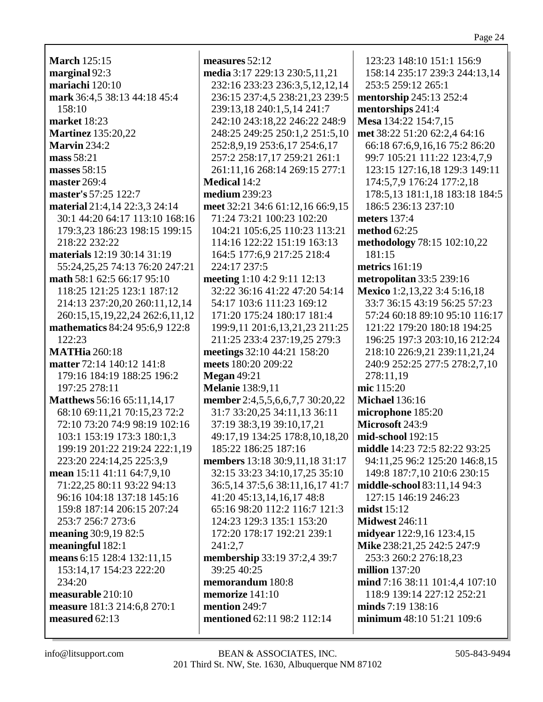**March** 125:15 marginal 92:3 mariachi 120:10 mark 36:4,5 38:13 44:18 45:4  $158:10$ market 18:23 **Martinez** 135:20.22 **Marvin** 234:2 mass 58:21 masses 58:15 master 269:4 master's 57:25 122:7 material 21:4,14 22:3,3 24:14 30:1 44:20 64:17 113:10 168:16 179:3.23 186:23 198:15 199:15 218:22 232:22 materials 12:19 30:14 31:19 55:24,25,25 74:13 76:20 247:21 math 58:1 62:5 66:17 95:10 118:25 121:25 123:1 187:12 214:13 237:20,20 260:11,12,14 260:15,15,19,22,24 262:6,11,12 mathematics 84:24 95:6,9 122:8  $122:23$ **MATHia 260:18** matter 72:14 140:12 141:8 179:16 184:19 188:25 196:2 197:25 278:11 Matthews 56:16 65:11,14,17 68:10 69:11,21 70:15,23 72:2 72:10 73:20 74:9 98:19 102:16 103:1 153:19 173:3 180:1,3 199:19 201:22 219:24 222:1,19 223:20 224:14,25 225:3.9 mean  $15:11$  41:11 64:7,9,10 71:22,25 80:11 93:22 94:13 96:16 104:18 137:18 145:16 159:8 187:14 206:15 207:24 253:7 256:7 273:6 meaning 30:9,19 82:5 meaningful  $182:1$ means 6:15 128:4 132:11,15 153:14,17 154:23 222:20  $234:20$ measurable 210:10 measure 181:3 214:6.8 270:1 measured  $62:13$ 

measures  $52:12$ media 3:17 229:13 230:5,11,21 232:16 233:23 236:3,5,12,12,14 236:15 237:4,5 238:21,23 239:5 239:13,18 240:1,5,14 241:7 242:10 243:18,22 246:22 248:9 248:25 249:25 250:1.2 251:5.10 252:8,9,19 253:6,17 254:6,17 257:2 258:17,17 259:21 261:1 261:11,16 268:14 269:15 277:1 **Medical 14:2** medium  $239:23$ meet 32:21 34:6 61:12,16 66:9,15 71:24 73:21 100:23 102:20 104:21 105:6.25 110:23 113:21 114:16 122:22 151:19 163:13 164:5 177:6.9 217:25 218:4 224:17 237:5 meeting  $1:10$  4:2 9:11 12:13 32:22 36:16 41:22 47:20 54:14 54:17 103:6 111:23 169:12 171:20 175:24 180:17 181:4 199:9.11 201:6.13.21.23 211:25 211:25 233:4 237:19,25 279:3 meetings 32:10 44:21 158:20 meets 180:20 209:22 **Megan** 49:21 **Melanie** 138:9.11 member 2:4,5,5,6,6,7,7 30:20,22 31:7 33:20,25 34:11,13 36:11 37:19 38:3,19 39:10,17,21 49:17,19 134:25 178:8,10,18,20 185:22 186:25 187:16 members 13:18 30:9,11,18 31:17 32:15 33:23 34:10,17,25 35:10 36:5,14 37:5,6 38:11,16,17 41:7 41:20 45:13,14,16,17 48:8 65:16 98:20 112:2 116:7 121:3 124:23 129:3 135:1 153:20 172:20 178:17 192:21 239:1  $241:2.7$ membership 33:19 37:2,4 39:7 39:25 40:25 memorandum  $180:8$ memorize 141:10 mention  $249.7$ mentioned 62:11 98:2 112:14

123:23 148:10 151:1 156:9 158:14 235:17 239:3 244:13,14 253:5 259:12 265:1 mentorship 245:13 252:4 mentorships 241:4 Mesa 134:22 154:7,15 met 38:22 51:20 62:2.4 64:16 66:18 67:6,9,16,16 75:2 86:20 99:7 105:21 111:22 123:4,7,9 123:15 127:16,18 129:3 149:11 174:5.7.9 176:24 177:2.18 178:5,13 181:1,18 183:18 184:5 186:5 236:13 237:10 meters 137:4 method  $62:25$ methodology 78:15 102:10,22  $181:15$ metrics  $161:19$ **metropolitan** 33:5 239:16 Mexico 1:2,13,22 3:4 5:16,18 33:7 36:15 43:19 56:25 57:23 57:24 60:18 89:10 95:10 116:17 121:22 179:20 180:18 194:25 196:25 197:3 203:10.16 212:24 218:10 226:9,21 239:11,21,24 240:9 252:25 277:5 278:2,7,10 278:11,19 mic 115:20 **Michael 136:16** microphone 185:20 Microsoft 243:9 mid-school 192:15 middle 14:23 72:5 82:22 93:25 94:11,25 96:2 125:20 146:8,15 149:8 187:7,10 210:6 230:15 middle-school 83:11,14 94:3 127:15 146:19 246:23 midst  $15:12$ **Midwest 246:11** midyear 122:9,16 123:4,15 Mike 238:21,25 242:5 247:9 253:3 260:2 276:18,23 million  $137:20$  $\bold{mind}$  7:16 38:11 101:4.4 107:10 118:9 139:14 227:12 252:21 minds  $7:19$  138:16 minimum 48:10 51:21 109:6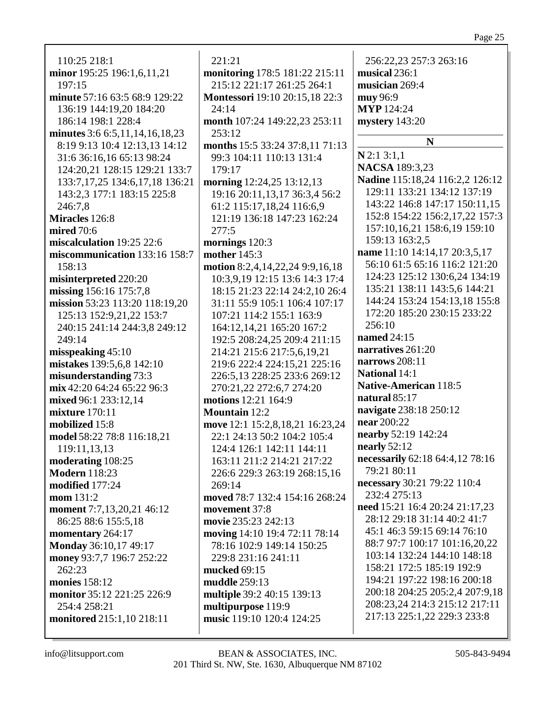## Page 25

| 110:25 218:1                         | 221:21                                | 256:22,23 257:3 263:16          |
|--------------------------------------|---------------------------------------|---------------------------------|
| minor 195:25 196:1,6,11,21           | monitoring 178:5 181:22 215:11        | musical $236:1$                 |
| 197:15                               | 215:12 221:17 261:25 264:1            | musician 269:4                  |
| minute 57:16 63:5 68:9 129:22        | <b>Montessori</b> 19:10 20:15,18 22:3 | muy 96:9                        |
| 136:19 144:19,20 184:20              | 24:14                                 | <b>MYP</b> 124:24               |
| 186:14 198:1 228:4                   | month 107:24 149:22,23 253:11         | mystery 143:20                  |
| minutes 3:6 6:5, 11, 14, 16, 18, 23  | 253:12                                |                                 |
| 8:19 9:13 10:4 12:13,13 14:12        | months 15:5 33:24 37:8,11 71:13       | N                               |
| 31:6 36:16,16 65:13 98:24            | 99:3 104:11 110:13 131:4              | $N$ 2:1 3:1,1                   |
| 124:20,21 128:15 129:21 133:7        | 179:17                                | <b>NACSA</b> 189:3,23           |
| 133:7, 17, 25 134: 6, 17, 18 136: 21 | morning 12:24,25 13:12,13             | Nadine 115:18,24 116:2,2 126:12 |
| 143:2,3 177:1 183:15 225:8           | 19:16 20:11,13,17 36:3,4 56:2         | 129:11 133:21 134:12 137:19     |
| 246:7,8                              | 61:2 115:17,18,24 116:6,9             | 143:22 146:8 147:17 150:11,15   |
| Miracles 126:8                       | 121:19 136:18 147:23 162:24           | 152:8 154:22 156:2,17,22 157:3  |
| <b>mired</b> 70:6                    | 277:5                                 | 157:10,16,21 158:6,19 159:10    |
| miscalculation 19:25 22:6            | mornings 120:3                        | 159:13 163:2,5                  |
| miscommunication 133:16 158:7        | mother $145:3$                        | name 11:10 14:14,17 20:3,5,17   |
| 158:13                               | motion 8:2,4,14,22,24 9:9,16,18       | 56:10 61:5 65:16 116:2 121:20   |
| misinterpreted 220:20                | 10:3,9,19 12:15 13:6 14:3 17:4        | 124:23 125:12 130:6,24 134:19   |
| missing 156:16 175:7,8               | 18:15 21:23 22:14 24:2,10 26:4        | 135:21 138:11 143:5,6 144:21    |
| mission 53:23 113:20 118:19,20       | 31:11 55:9 105:1 106:4 107:17         | 144:24 153:24 154:13,18 155:8   |
| 125:13 152:9,21,22 153:7             | 107:21 114:2 155:1 163:9              | 172:20 185:20 230:15 233:22     |
| 240:15 241:14 244:3,8 249:12         | 164:12,14,21 165:20 167:2             | 256:10                          |
| 249:14                               | 192:5 208:24,25 209:4 211:15          | named 24:15                     |
| misspeaking $45:10$                  | 214:21 215:6 217:5,6,19,21            | narratives 261:20               |
| mistakes 139:5,6,8 142:10            | 219:6 222:4 224:15,21 225:16          | narrows 208:11                  |
| misunderstanding 73:3                | 226:5,13 228:25 233:6 269:12          | <b>National 14:1</b>            |
| mix 42:20 64:24 65:22 96:3           | 270:21,22 272:6,7 274:20              | Native-American 118:5           |
| mixed 96:1 233:12,14                 | motions 12:21 164:9                   | natural 85:17                   |
| <b>mixture</b> 170:11                | <b>Mountain 12:2</b>                  | navigate 238:18 250:12          |
| mobilized 15:8                       | move 12:1 15:2,8,18,21 16:23,24       | near 200:22                     |
| model 58:22 78:8 116:18,21           | 22:1 24:13 50:2 104:2 105:4           | nearby 52:19 142:24             |
| 119:11,13,13                         | 124:4 126:1 142:11 144:11             | nearly $52:12$                  |
| moderating 108:25                    | 163:11 211:2 214:21 217:22            | necessarily 62:18 64:4,12 78:16 |
| <b>Modern</b> 118:23                 | 226:6 229:3 263:19 268:15,16          | 79:21 80:11                     |
| modified 177:24                      | 269:14                                | necessary 30:21 79:22 110:4     |
| mom 131:2                            | moved 78:7 132:4 154:16 268:24        | 232:4 275:13                    |
| moment 7:7,13,20,21 46:12            | movement 37:8                         | need 15:21 16:4 20:24 21:17,23  |
| 86:25 88:6 155:5,18                  | movie 235:23 242:13                   | 28:12 29:18 31:14 40:2 41:7     |
| momentary 264:17                     | moving 14:10 19:4 72:11 78:14         | 45:1 46:3 59:15 69:14 76:10     |
| Monday 36:10,17 49:17                | 78:16 102:9 149:14 150:25             | 88:7 97:7 100:17 101:16,20,22   |
| money 93:7,7 196:7 252:22            | 229:8 231:16 241:11                   | 103:14 132:24 144:10 148:18     |
| 262:23                               | mucked 69:15                          | 158:21 172:5 185:19 192:9       |
| <b>monies</b> 158:12                 | muddle 259:13                         | 194:21 197:22 198:16 200:18     |
| monitor 35:12 221:25 226:9           | multiple 39:2 40:15 139:13            | 200:18 204:25 205:2,4 207:9,18  |
| 254:4 258:21                         | multipurpose 119:9                    | 208:23,24 214:3 215:12 217:11   |
| monitored 215:1,10 218:11            | music 119:10 120:4 124:25             | 217:13 225:1,22 229:3 233:8     |
|                                      |                                       |                                 |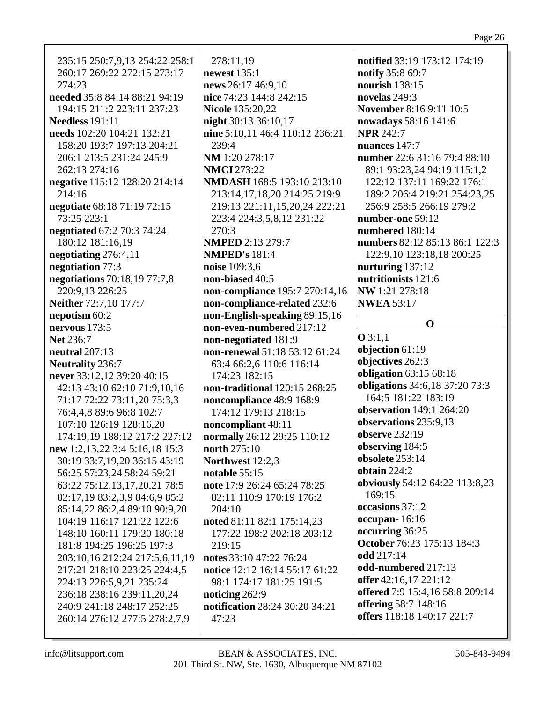235:15 250:7,9,13 254:22 258:1 278:11,19 notified 33:19 173:12 174:19 260:17 269:22 272:15 273:17 **newest** 135:1 notify 35:8 69:7  $274:23$ news 26:17 46:9.10 nourish  $138:15$ needed 35:8 84:14 88:21 94:19 nice 74:23 144:8 242:15 novelas  $249:3$ 194:15 211:2 223:11 237:23 **Nicole 135:20,22 November 8:16 9:11 10:5** Needless  $191:11$ night 30:13 36:10,17 nowadays 58:16 141:6 needs 102:20 104:21 132:21 nine 5:10.11 46:4 110:12 236:21 **NPR 242:7** 158:20 193:7 197:13 204:21  $239:4$ nuances  $147:7$ 206:1 213:5 231:24 245:9 NM 1:20 278:17 number 22:6 31:16 79:4 88:10 262:13 274:16 **NMCI** 273:22 89:1 93:23,24 94:19 115:1,2 negative 115:12 128:20 214:14 **NMDASH 168:5 193:10 213:10** 122:12 137:11 169:22 176:1  $214:16$ 213:14, 17, 18, 20 214: 25 219: 9 189:2 206:4 219:21 254:23,25 negotiate 68:18 71:19 72:15 219:13 221:11,15,20,24 222:21 256:9 258:5 266:19 279:2 73:25 223:1 223:4 224:3,5,8,12 231:22 number-one 59:12 **negotiated** 67:2 70:3 74:24 270:3 numbered 180:14 numbers 82:12 85:13 86:1 122:3 180:12 181:16,19 **NMPED 2:13 279:7** negotiating  $276:4,11$ **NMPED's 181:4** 122:9.10 123:18.18 200:25 negotiation 77:3 noise 109:3,6 nurturing  $137:12$ negotiations 70:18,19 77:7,8 non-biased 40:5 nutritionists 121:6 220:9.13 226:25 non-compliance 195:7 270:14,16 NW 1:21 278:18 Neither 72:7,10 177:7 non-compliance-related 232:6 **NWEA 53:17** nepotism 60:2 non-English-speaking 89:15,16 nervous  $173:5$ non-even-numbered 217:12  $Q3:1,1$ non-negotiated 181:9 **Net 236:7** objection 61:19 neutral  $207:13$ non-renewal 51:18 53:12 61:24 objectives 262:3 **Neutrality 236:7** 63:4 66:2,6 110:6 116:14 **obligation** 63:15 68:18 never 33:12,12 39:20 40:15 174:23 182:15 **obligations** 34:6,18 37:20 73:3 42:13 43:10 62:10 71:9.10.16 non-traditional 120:15 268:25 164:5 181:22 183:19 71:17 72:22 73:11,20 75:3,3 noncompliance 48:9 168:9 **observation** 149:1 264:20 76:4,4,8 89:6 96:8 102:7 174:12 179:13 218:15 observations 235:9,13 107:10 126:19 128:16,20 noncompliant 48:11 observe 232:19 174:19,19 188:12 217:2 227:12 normally 26:12 29:25 110:12 observing 184:5 north  $275:10$ new 1:2,13,22 3:4 5:16,18 15:3 obsolete 253:14 Northwest 12:2.3 30:19 33:7,19,20 36:15 43:19 ohtain  $224:2$ 56:25 57:23,24 58:24 59:21 notable  $55:15$ obviously 54:12 64:22 113:8,23 63:22 75:12,13,17,20,21 78:5 note 17:9 26:24 65:24 78:25 169:15 82:17,19 83:2,3,9 84:6,9 85:2 82:11 110:9 170:19 176:2 occasions 37:12 85:14,22 86:2,4 89:10 90:9,20  $204:10$ occupan-16:16 104:19 116:17 121:22 122:6 noted 81:11 82:1 175:14,23 occurring 36:25 148:10 160:11 179:20 180:18 177:22 198:2 202:18 203:12 **October** 76:23 175:13 184:3 181:8 194:25 196:25 197:3  $219:15$ odd 217:14 203:10,16 212:24 217:5,6,11,19 notes 33:10 47:22 76:24 odd-numbered 217:13 217:21 218:10 223:25 224:4,5 notice 12:12 16:14 55:17 61:22 offer 42:16,17 221:12 224:13 226:5.9.21 235:24 98:1 174:17 181:25 191:5 **offered** 7:9 15:4,16 58:8 209:14 236:18 238:16 239:11.20.24 noticing 262:9 offering 58:7 148:16 notification 28:24 30:20 34:21 240:9 241:18 248:17 252:25 offers 118:18 140:17 221:7 260:14 276:12 277:5 278:2,7,9 47:23

 $\Omega$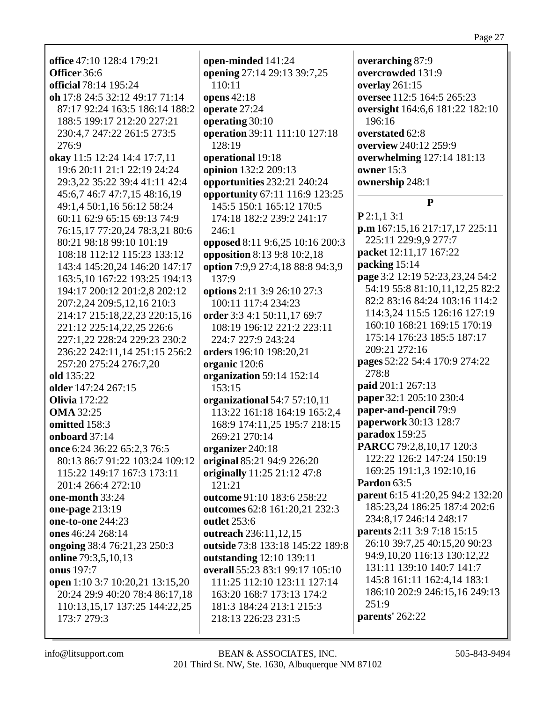| office 47:10 128:4 179:21                                  | open-minded 141:24                 | overarching 87:9                 |
|------------------------------------------------------------|------------------------------------|----------------------------------|
| Officer 36:6                                               | opening 27:14 29:13 39:7,25        | overcrowded 131:9                |
| <b>official</b> 78:14 195:24                               | 110:11                             | overlay 261:15                   |
| oh 17:8 24:5 32:12 49:17 71:14                             | opens 42:18                        | oversee 112:5 164:5 265:23       |
| 87:17 92:24 163:5 186:14 188:2                             | operate 27:24                      | oversight 164:6,6 181:22 182:10  |
| 188:5 199:17 212:20 227:21                                 | operating 30:10                    | 196:16                           |
| 230:4,7 247:22 261:5 273:5                                 | operation 39:11 111:10 127:18      | overstated 62:8                  |
| 276:9                                                      | 128:19                             | overview 240:12 259:9            |
| okay 11:5 12:24 14:4 17:7,11                               | operational 19:18                  | overwhelming 127:14 181:13       |
| 19:6 20:11 21:1 22:19 24:24                                | opinion 132:2 209:13               | owner $15:3$                     |
| 29:3,22 35:22 39:4 41:11 42:4                              | opportunities 232:21 240:24        | ownership 248:1                  |
| 45:6,7 46:7 47:7,15 48:16,19                               | opportunity 67:11 116:9 123:25     |                                  |
| 49:1,4 50:1,16 56:12 58:24                                 | 145:5 150:1 165:12 170:5           | ${\bf P}$                        |
| 60:11 62:9 65:15 69:13 74:9                                |                                    | P2:1,13:1                        |
|                                                            | 174:18 182:2 239:2 241:17<br>246:1 | p.m 167:15,16 217:17,17 225:11   |
| 76:15,17 77:20,24 78:3,21 80:6<br>80:21 98:18 99:10 101:19 | opposed 8:11 9:6,25 10:16 200:3    | 225:11 229:9,9 277:7             |
| 108:18 112:12 115:23 133:12                                | opposition 8:13 9:8 10:2,18        | packet 12:11,17 167:22           |
| 143:4 145:20,24 146:20 147:17                              | option 7:9,9 27:4,18 88:8 94:3,9   | packing 15:14                    |
| 163:5,10 167:22 193:25 194:13                              | 137:9                              | page 3:2 12:19 52:23,23,24 54:2  |
| 194:17 200:12 201:2,8 202:12                               | options 2:11 3:9 26:10 27:3        | 54:19 55:8 81:10,11,12,25 82:2   |
| 207:2,24 209:5,12,16 210:3                                 | 100:11 117:4 234:23                | 82:2 83:16 84:24 103:16 114:2    |
| 214:17 215:18,22,23 220:15,16                              | order 3:3 4:1 50:11,17 69:7        | 114:3,24 115:5 126:16 127:19     |
| 221:12 225:14, 22, 25 226:6                                | 108:19 196:12 221:2 223:11         | 160:10 168:21 169:15 170:19      |
| 227:1,22 228:24 229:23 230:2                               | 224:7 227:9 243:24                 | 175:14 176:23 185:5 187:17       |
| 236:22 242:11,14 251:15 256:2                              | orders 196:10 198:20,21            | 209:21 272:16                    |
| 257:20 275:24 276:7,20                                     | organic 120:6                      | pages 52:22 54:4 170:9 274:22    |
| old 135:22                                                 | organization 59:14 152:14          | 278:8                            |
| older 147:24 267:15                                        | 153:15                             | paid 201:1 267:13                |
| <b>Olivia</b> 172:22                                       | organizational 54:7 57:10,11       | paper 32:1 205:10 230:4          |
| <b>OMA</b> 32:25                                           | 113:22 161:18 164:19 165:2,4       | paper-and-pencil 79:9            |
| omitted 158:3                                              | 168:9 174:11,25 195:7 218:15       | paperwork 30:13 128:7            |
| onboard 37:14                                              | 269:21 270:14                      | paradox 159:25                   |
| once 6:24 36:22 65:2,3 76:5                                | organizer 240:18                   | PARCC 79:2,8,10,17 120:3         |
| 80:13 86:7 91:22 103:24 109:12                             | original 85:21 94:9 226:20         | 122:22 126:2 147:24 150:19       |
| 115:22 149:17 167:3 173:11                                 | originally 11:25 21:12 47:8        | 169:25 191:1,3 192:10,16         |
| 201:4 266:4 272:10                                         | 121:21                             | Pardon 63:5                      |
| one-month 33:24                                            | outcome 91:10 183:6 258:22         | parent 6:15 41:20,25 94:2 132:20 |
| one-page 213:19                                            | outcomes 62:8 161:20,21 232:3      | 185:23,24 186:25 187:4 202:6     |
| one-to-one 244:23                                          | <b>outlet</b> 253:6                | 234:8,17 246:14 248:17           |
| ones 46:24 268:14                                          | outreach 236:11,12,15              | parents 2:11 3:9 7:18 15:15      |
| ongoing 38:4 76:21,23 250:3                                | outside 73:8 133:18 145:22 189:8   | 26:10 39:7,25 40:15,20 90:23     |
| online 79:3,5,10,13                                        | outstanding 12:10 139:11           | 94:9,10,20 116:13 130:12,22      |
| onus 197:7                                                 | overall 55:23 83:1 99:17 105:10    | 131:11 139:10 140:7 141:7        |
| open 1:10 3:7 10:20,21 13:15,20                            | 111:25 112:10 123:11 127:14        | 145:8 161:11 162:4,14 183:1      |
| 20:24 29:9 40:20 78:4 86:17,18                             | 163:20 168:7 173:13 174:2          | 186:10 202:9 246:15,16 249:13    |
| 110:13,15,17 137:25 144:22,25                              | 181:3 184:24 213:1 215:3           | 251:9                            |
| 173:7 279:3                                                | 218:13 226:23 231:5                | parents' 262:22                  |
|                                                            |                                    |                                  |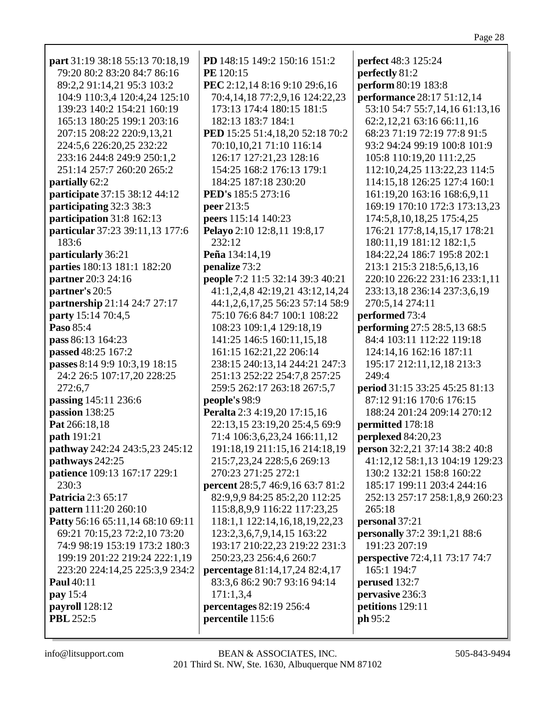| part 31:19 38:18 55:13 70:18,19  | PD 148:15 149:2 150:16 151:2     | <b>perfect</b> 48:3 125:24            |
|----------------------------------|----------------------------------|---------------------------------------|
| 79:20 80:2 83:20 84:7 86:16      | PE 120:15                        | perfectly 81:2                        |
| 89:2,2 91:14,21 95:3 103:2       | PEC 2:12,14 8:16 9:10 29:6,16    | perform 80:19 183:8                   |
| 104:9 110:3,4 120:4,24 125:10    | 70:4,14,18 77:2,9,16 124:22,23   | <b>performance</b> 28:17 51:12,14     |
| 139:23 140:2 154:21 160:19       | 173:13 174:4 180:15 181:5        | 53:10 54:7 55:7,14,16 61:13,16        |
| 165:13 180:25 199:1 203:16       | 182:13 183:7 184:1               | 62:2,12,21 63:16 66:11,16             |
| 207:15 208:22 220:9,13,21        | PED 15:25 51:4,18,20 52:18 70:2  | 68:23 71:19 72:19 77:8 91:5           |
| 224:5,6 226:20,25 232:22         | 70:10,10,21 71:10 116:14         | 93:2 94:24 99:19 100:8 101:9          |
| 233:16 244:8 249:9 250:1,2       | 126:17 127:21,23 128:16          | 105:8 110:19,20 111:2,25              |
| 251:14 257:7 260:20 265:2        | 154:25 168:2 176:13 179:1        | 112:10,24,25 113:22,23 114:5          |
| partially 62:2                   | 184:25 187:18 230:20             | 114:15,18 126:25 127:4 160:1          |
| participate 37:15 38:12 44:12    | PED's 185:5 273:16               | 161:19,20 163:16 168:6,9,11           |
| participating 32:3 38:3          | peer 213:5                       | 169:19 170:10 172:3 173:13,23         |
| participation 31:8 162:13        | peers 115:14 140:23              | 174:5,8,10,18,25 175:4,25             |
| particular 37:23 39:11,13 177:6  | Pelayo 2:10 12:8,11 19:8,17      | 176:21 177:8,14,15,17 178:21          |
| 183:6                            | 232:12                           | 180:11,19 181:12 182:1,5              |
| particularly 36:21               | Peña 134:14,19                   | 184:22,24 186:7 195:8 202:1           |
| parties 180:13 181:1 182:20      | penalize 73:2                    | 213:1 215:3 218:5,6,13,16             |
| partner 20:3 24:16               | people 7:2 11:5 32:14 39:3 40:21 | 220:10 226:22 231:16 233:1,11         |
| partner's 20:5                   | 41:1,2,4,8 42:19,21 43:12,14,24  | 233:13,18 236:14 237:3,6,19           |
| partnership 21:14 24:7 27:17     | 44:1,2,6,17,25 56:23 57:14 58:9  | 270:5,14 274:11                       |
| party 15:14 70:4,5               | 75:10 76:6 84:7 100:1 108:22     | performed 73:4                        |
| Paso 85:4                        | 108:23 109:1,4 129:18,19         | performing 27:5 28:5,13 68:5          |
| pass 86:13 164:23                | 141:25 146:5 160:11,15,18        | 84:4 103:11 112:22 119:18             |
| passed 48:25 167:2               | 161:15 162:21,22 206:14          | 124:14,16 162:16 187:11               |
| passes 8:14 9:9 10:3,19 18:15    | 238:15 240:13,14 244:21 247:3    | 195:17 212:11,12,18 213:3             |
| 24:2 26:5 107:17,20 228:25       | 251:13 252:22 254:7,8 257:25     | 249:4                                 |
| 272:6,7                          | 259:5 262:17 263:18 267:5,7      | period 31:15 33:25 45:25 81:13        |
| passing 145:11 236:6             | people's 98:9                    | 87:12 91:16 170:6 176:15              |
| passion 138:25                   | Peralta 2:3 4:19,20 17:15,16     | 188:24 201:24 209:14 270:12           |
| Pat 266:18,18                    | 22:13,15 23:19,20 25:4,5 69:9    | permitted 178:18                      |
| path 191:21                      | 71:4 106:3,6,23,24 166:11,12     | perplexed 84:20,23                    |
| pathway 242:24 243:5,23 245:12   | 191:18,19 211:15,16 214:18,19    | person 32:2,21 37:14 38:2 40:8        |
| pathways 242:25                  | 215:7,23,24 228:5,6 269:13       | 41:12,12 58:1,13 104:19 129:23        |
| patience 109:13 167:17 229:1     | 270:23 271:25 272:1              | 130:2 132:21 158:8 160:22             |
| 230:3                            | percent 28:5,7 46:9,16 63:7 81:2 | 185:17 199:11 203:4 244:16            |
| <b>Patricia</b> 2:3 65:17        | 82:9,9,9 84:25 85:2,20 112:25    | 252:13 257:17 258:1,8,9 260:23        |
| pattern 111:20 260:10            | 115:8,8,9,9 116:22 117:23,25     | 265:18                                |
| Patty 56:16 65:11,14 68:10 69:11 | 118:1,1 122:14,16,18,19,22,23    | personal 37:21                        |
| 69:21 70:15,23 72:2,10 73:20     | 123:2,3,6,7,9,14,15 163:22       | <b>personally</b> 37:2 39:1,21 88:6   |
| 74:9 98:19 153:19 173:2 180:3    | 193:17 210:22,23 219:22 231:3    | 191:23 207:19                         |
| 199:19 201:22 219:24 222:1,19    | 250:23,23 256:4,6 260:7          | <b>perspective</b> 72:4,11 73:17 74:7 |
| 223:20 224:14,25 225:3,9 234:2   | percentage 81:14,17,24 82:4,17   | 165:1 194:7                           |
| <b>Paul</b> 40:11                | 83:3,6 86:2 90:7 93:16 94:14     | perused 132:7                         |
| pay 15:4                         | 171:1,3,4                        | pervasive 236:3                       |
| payroll 128:12                   | percentages 82:19 256:4          | petitions 129:11                      |
| <b>PBL</b> 252:5                 | percentile 115:6                 | ph 95:2                               |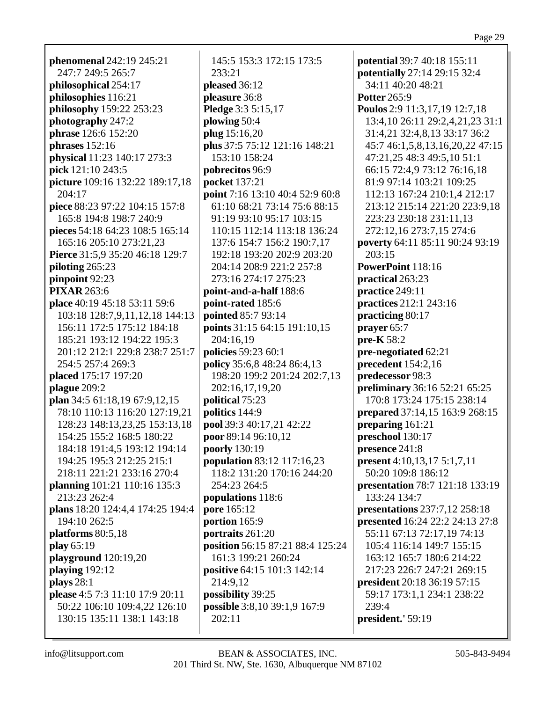**phenomenal** 242:19 245:21 247:7 249:5 265:7 **philosophical** 254:17 **philosophies** 116:21 **philosophy** 159:22 253:23 **photography** 247:2 **phrase** 126:6 152:20 **phrases** 152:16 **physical** 11:23 140:17 273:3 **pick** 121:10 243:5 **picture** 109:16 132:22 189:17,18 204:17 **piece** 88:23 97:22 104:15 157:8 165:8 194:8 198:7 240:9 **pieces** 54:18 64:23 108:5 165:14 165:16 205:10 273:21,23 **Pierce** 31:5,9 35:20 46:18 129:7 **piloting** 265:23 **pinpoint** 92:23 **PIXAR** 263:6 **place** 40:19 45:18 53:11 59:6 103:18 128:7,9,11,12,18 144:13 156:11 172:5 175:12 184:18 185:21 193:12 194:22 195:3 201:12 212:1 229:8 238:7 251:7 254:5 257:4 269:3 **placed** 175:17 197:20 **plague** 209:2 **plan** 34:5 61:18,19 67:9,12,15 78:10 110:13 116:20 127:19,21 128:23 148:13,23,25 153:13,18 154:25 155:2 168:5 180:22 184:18 191:4,5 193:12 194:14 194:25 195:3 212:25 215:1 218:11 221:21 233:16 270:4 **planning** 101:21 110:16 135:3 213:23 262:4 **plans** 18:20 124:4,4 174:25 194:4 194:10 262:5 **platforms** 80:5,18 **play** 65:19 **playground** 120:19,20 **playing** 192:12 **plays** 28:1 **please** 4:5 7:3 11:10 17:9 20:11 50:22 106:10 109:4,22 126:10 130:15 135:11 138:1 143:18

145:5 153:3 172:15 173:5 233:21 **pleased** 36:12 **pleasure** 36:8 **Pledge** 3:3 5:15,17 **plowing** 50:4 **plug** 15:16,20 **plus** 37:5 75:12 121:16 148:21 153:10 158:24 **pobrecitos** 96:9 **pocket** 137:21 **point** 7:16 13:10 40:4 52:9 60:8 61:10 68:21 73:14 75:6 88:15 91:19 93:10 95:17 103:15 110:15 112:14 113:18 136:24 137:6 154:7 156:2 190:7,17 192:18 193:20 202:9 203:20 204:14 208:9 221:2 257:8 273:16 274:17 275:23 **point-and-a-half** 188:6 **point-rated** 185:6 **pointed** 85:7 93:14 **points** 31:15 64:15 191:10,15 204:16,19 **policies** 59:23 60:1 **policy** 35:6,8 48:24 86:4,13 198:20 199:2 201:24 202:7,13 202:16,17,19,20 **political** 75:23 **politics** 144:9 **pool** 39:3 40:17,21 42:22 **poor** 89:14 96:10,12 **poorly** 130:19 **population** 83:12 117:16,23 118:2 131:20 170:16 244:20 254:23 264:5 **populations** 118:6 **pore** 165:12 **portion** 165:9 **portraits** 261:20 **position** 56:15 87:21 88:4 125:24 161:3 199:21 260:24 **positive** 64:15 101:3 142:14 214:9,12 **possibility** 39:25 **possible** 3:8,10 39:1,9 167:9 202:11

**potential** 39:7 40:18 155:11 **potentially** 27:14 29:15 32:4 34:11 40:20 48:21 **Potter** 265:9 **Poulos** 2:9 11:3,17,19 12:7,18 13:4,10 26:11 29:2,4,21,23 31:1 31:4,21 32:4,8,13 33:17 36:2 45:7 46:1,5,8,13,16,20,22 47:15 47:21,25 48:3 49:5,10 51:1 66:15 72:4,9 73:12 76:16,18 81:9 97:14 103:21 109:25 112:13 167:24 210:1,4 212:17 213:12 215:14 221:20 223:9,18 223:23 230:18 231:11,13 272:12,16 273:7,15 274:6 **poverty** 64:11 85:11 90:24 93:19 203:15 **PowerPoint** 118:16 **practical** 263:23 **practice** 249:11 **practices** 212:1 243:16 **practicing** 80:17 **prayer** 65:7 **pre-K** 58:2 **pre-negotiated** 62:21 **precedent** 154:2,16 **predecessor** 98:3 **preliminary** 36:16 52:21 65:25 170:8 173:24 175:15 238:14 **prepared** 37:14,15 163:9 268:15 **preparing** 161:21 **preschool** 130:17 **presence** 241:8 **present** 4:10,13,17 5:1,7,11 50:20 109:8 186:12 **presentation** 78:7 121:18 133:19 133:24 134:7 **presentations** 237:7,12 258:18 **presented** 16:24 22:2 24:13 27:8 55:11 67:13 72:17,19 74:13 105:4 116:14 149:7 155:15 163:12 165:7 180:6 214:22 217:23 226:7 247:21 269:15 **president** 20:18 36:19 57:15 59:17 173:1,1 234:1 238:22 239:4 **president.'** 59:19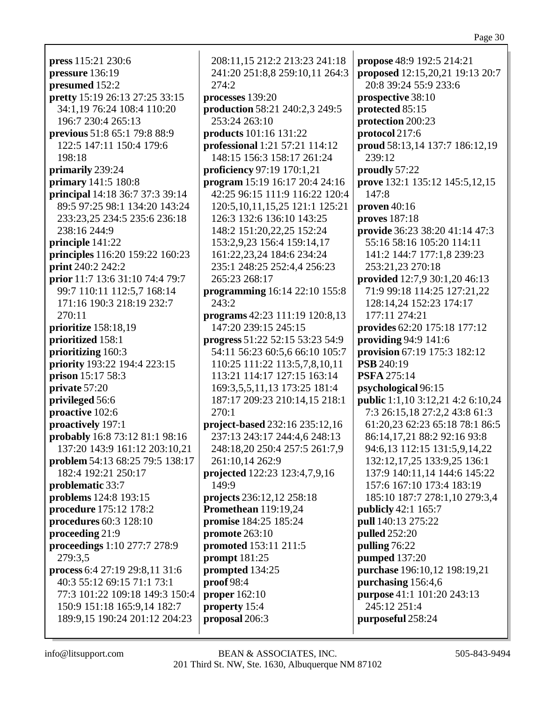**press** 115:21 230:6 **pressure** 136:19 **presumed** 152:2 **pretty** 15:19 26:13 27:25 33:15 34:1,19 76:24 108:4 110:20 196:7 230:4 265:13 **previous** 51:8 65:1 79:8 88:9 122:5 147:11 150:4 179:6 198:18 **primarily** 239:24 **primary** 141:5 180:8 **principal** 14:18 36:7 37:3 39:14 89:5 97:25 98:1 134:20 143:24 233:23,25 234:5 235:6 236:18 238:16 244:9 **principle** 141:22 **principles** 116:20 159:22 160:23 **print** 240:2 242:2 **prior** 11:7 13:6 31:10 74:4 79:7 99:7 110:11 112:5,7 168:14 171:16 190:3 218:19 232:7 270:11 **prioritize** 158:18,19 **prioritized** 158:1 **prioritizing** 160:3 **priority** 193:22 194:4 223:15 **prison** 15:17 58:3 **private** 57:20 **privileged** 56:6 **proactive** 102:6 **proactively** 197:1 **probably** 16:8 73:12 81:1 98:16 137:20 143:9 161:12 203:10,21 **problem** 54:13 68:25 79:5 138:17 182:4 192:21 250:17 **problematic** 33:7 **problems** 124:8 193:15 **procedure** 175:12 178:2 **procedures** 60:3 128:10 **proceeding** 21:9 **proceedings** 1:10 277:7 278:9 279:3,5 **process** 6:4 27:19 29:8,11 31:6 40:3 55:12 69:15 71:1 73:1 77:3 101:22 109:18 149:3 150:4 150:9 151:18 165:9,14 182:7 189:9,15 190:24 201:12 204:23

208:11,15 212:2 213:23 241:18 241:20 251:8,8 259:10,11 264:3 274:2 **processes** 139:20 **production** 58:21 240:2,3 249:5 253:24 263:10 **products** 101:16 131:22 **professional** 1:21 57:21 114:12 148:15 156:3 158:17 261:24 **proficiency** 97:19 170:1,21 **program** 15:19 16:17 20:4 24:16 42:25 96:15 111:9 116:22 120:4 120:5,10,11,15,25 121:1 125:21 126:3 132:6 136:10 143:25 148:2 151:20,22,25 152:24 153:2,9,23 156:4 159:14,17 161:22,23,24 184:6 234:24 235:1 248:25 252:4,4 256:23 265:23 268:17 **programming** 16:14 22:10 155:8 243:2 **programs** 42:23 111:19 120:8,13 147:20 239:15 245:15 **progress** 51:22 52:15 53:23 54:9 54:11 56:23 60:5,6 66:10 105:7 110:25 111:22 113:5,7,8,10,11 113:21 114:17 127:15 163:14 169:3,5,5,11,13 173:25 181:4 187:17 209:23 210:14,15 218:1 270:1 **project-based** 232:16 235:12,16 237:13 243:17 244:4,6 248:13 248:18,20 250:4 257:5 261:7,9 261:10,14 262:9 **projected** 122:23 123:4,7,9,16 149:9 **projects** 236:12,12 258:18 **Promethean** 119:19,24 **promise** 184:25 185:24 **promote** 263:10 **promoted** 153:11 211:5 **prompt** 181:25 **prompted** 134:25 **proof** 98:4 **proper** 162:10 **property** 15:4 **proposal** 206:3

**propose** 48:9 192:5 214:21 **proposed** 12:15,20,21 19:13 20:7 20:8 39:24 55:9 233:6 **prospective** 38:10 **protected** 85:15 **protection** 200:23 **protocol** 217:6 **proud** 58:13,14 137:7 186:12,19 239:12 **proudly** 57:22 **prove** 132:1 135:12 145:5,12,15 147:8 **proven** 40:16 **proves** 187:18 **provide** 36:23 38:20 41:14 47:3 55:16 58:16 105:20 114:11 141:2 144:7 177:1,8 239:23 253:21,23 270:18 **provided** 12:7,9 30:1,20 46:13 71:9 99:18 114:25 127:21,22 128:14,24 152:23 174:17 177:11 274:21 **provides** 62:20 175:18 177:12 **providing** 94:9 141:6 **provision** 67:19 175:3 182:12 **PSB** 240:19 **PSFA** 275:14 **psychological** 96:15 **public** 1:1,10 3:12,21 4:2 6:10,24 7:3 26:15,18 27:2,2 43:8 61:3 61:20,23 62:23 65:18 78:1 86:5 86:14,17,21 88:2 92:16 93:8 94:6,13 112:15 131:5,9,14,22 132:12,17,25 133:9,25 136:1 137:9 140:11,14 144:6 145:22 157:6 167:10 173:4 183:19 185:10 187:7 278:1,10 279:3,4 **publicly** 42:1 165:7 **pull** 140:13 275:22 **pulled** 252:20 **pulling** 76:22 **pumped** 137:20 **purchase** 196:10,12 198:19,21 **purchasing** 156:4,6 **purpose** 41:1 101:20 243:13 245:12 251:4 **purposeful** 258:24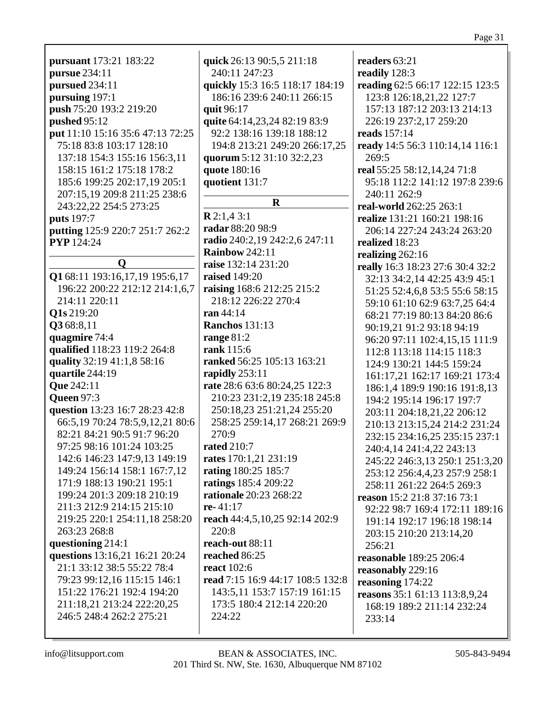| <b>pursuant</b> 173:21 183:22                                | quick         |
|--------------------------------------------------------------|---------------|
| pursue 234:11                                                | 240:          |
|                                                              |               |
| pursued 234:11                                               | quickl        |
| pursuing 197:1                                               | 186:          |
| push 75:20 193:2 219:20                                      | quit 9        |
| pushed 95:12                                                 | quite         |
| put 11:10 15:16 35:6 47:13 72:25                             | 92:2          |
| 75:18 83:8 103:17 128:10                                     | 194:          |
| 137:18 154:3 155:16 156:3,11                                 | quoru         |
| 158:15 161:2 175:18 178:2                                    | quote         |
| 185:6 199:25 202:17,19 205:1                                 | quotie        |
| 207:15,19 209:8 211:25 238:6                                 |               |
| 243:22,22 254:5 273:25                                       |               |
| puts 197:7                                                   | R2:1,         |
| putting 125:9 220:7 251:7 262:2                              | radar         |
| <b>PYP</b> 124:24                                            | radio:        |
|                                                              | Rainb         |
| Q                                                            | raise 1       |
| Q1 68:11 193:16,17,19 195:6,17                               | raised        |
| 196:22 200:22 212:12 214:1,6,7                               | raisin        |
| 214:11 220:11                                                | 218:          |
| Q1s 219:20                                                   | <b>ran</b> 44 |
| Q3 68:8,11                                                   | Ranch         |
| quagmire 74:4                                                |               |
|                                                              | range         |
| qualified 118:23 119:2 264:8                                 | rank 1        |
| quality 32:19 41:1,8 58:16                                   | ranke         |
| quartile 244:19                                              | rapidl        |
| <b>Que 242:11</b>                                            | rate 2        |
| <b>Queen 97:3</b>                                            | 210:          |
| question 13:23 16:7 28:23 42:8                               | 250:          |
| 66:5,19 70:24 78:5,9,12,21 80:6                              | 258:          |
| 82:21 84:21 90:5 91:7 96:20                                  | 270:          |
| 97:25 98:16 101:24 103:25                                    | rated         |
| 142:6 146:23 147:9,13 149:19                                 | rates 1       |
| 149:24 156:14 158:1 167:7,12                                 | rating        |
| 171:9 188:13 190:21 195:1                                    | rating        |
| 199:24 201:3 209:18 210:19                                   | ration        |
| 211:3 212:9 214:15 215:10                                    | re- $41$ :    |
| 219:25 220:1 254:11,18 258:20                                | reach         |
| 263:23 268:8                                                 | 220:          |
| questioning 214:1                                            | reach-        |
|                                                              | reach         |
| questions 13:16,21 16:21 20:24<br>21:1 33:12 38:5 55:22 78:4 |               |
|                                                              | react 1       |
| 79:23 99:12,16 115:15 146:1                                  | read 7        |
| 151:22 176:21 192:4 194:20                                   | 143:          |
| 211:18,21 213:24 222:20,25                                   | 173:          |
| 246:5 248:4 262:2 275:21                                     | 224:          |

| quick 26:13 90:5,5 211:18        |
|----------------------------------|
| 240:11 247:23                    |
| quickly 15:3 16:5 118:17 184:19  |
| 186:16 239:6 240:11 266:15       |
| quit 96:17                       |
| quite 64:14,23,24 82:19 83:9     |
| 92:2 138:16 139:18 188:12        |
| 194:8 213:21 249:20 266:17,25    |
| quorum 5:12 31:10 32:2,23        |
| quote 180:16                     |
| quotient 131:7                   |
|                                  |
| R                                |
| R2:1,43:1                        |
| radar 88:20 98:9                 |
| radio 240:2,19 242:2,6 247:11    |
| <b>Rainbow 242:11</b>            |
| raise 132:14 231:20              |
| <b>raised</b> 149:20             |
| raising 168:6 212:25 215:2       |
| 218:12 226:22 270:4              |
| ran 44:14                        |
| <b>Ranchos</b> 131:13            |
|                                  |
| range 81:2                       |
| rank 115:6                       |
| ranked 56:25 105:13 163:21       |
| rapidly $253:11$                 |
| rate 28:6 63:6 80:24,25 122:3    |
| 210:23 231:2,19 235:18 245:8     |
| 250:18,23 251:21,24 255:20       |
| 258:25 259:14,17 268:21 269:9    |
| 270:9                            |
| rated 210:7                      |
| rates 170:1,21 231:19            |
| rating 180:25 185:7              |
| ratings 185:4 209:22             |
| rationale 20:23 268:22           |
| $re-41:17$                       |
| reach 44:4,5,10,25 92:14 202:9   |
| 220:8                            |
| reach-out 88:11                  |
| reached 86:25                    |
| <b>react</b> 102:6               |
| read 7:15 16:9 44:17 108:5 132:8 |
| 143:5,11 153:7 157:19 161:15     |
| 173:5 180:4 212:14 220:20        |
| 224:22                           |
|                                  |

readers  $63:21$ readily 128:3 reading 62:5 66:17 122:15 123:5 123:8 126:18,21,22 127:7 157:13 187:12 203:13 214:13 226:19 237:2,17 259:20 reads  $157:14$ ready 14:5 56:3 110:14,14 116:1 269:5 real 55:25 58:12,14,24 71:8 95:18 112:2 141:12 197:8 239:6 240:11 262:9 real-world 262:25 263:1 **realize** 131:21 160:21 198:16 206:14 227:24 243:24 263:20 realized 18:23 realizing  $262:16$ really 16:3 18:23 27:6 30:4 32:2 32:13 34:2,14 42:25 43:9 45:1 51:25 52:4,6,8 53:5 55:6 58:15 59:10 61:10 62:9 63:7,25 64:4 68:21 77:19 80:13 84:20 86:6 90:19.21 91:2 93:18 94:19 96:20 97:11 102:4,15,15 111:9 112:8 113:18 114:15 118:3 124:9 130:21 144:5 159:24 161:17.21 162:17 169:21 173:4 186:1,4 189:9 190:16 191:8,13 194:2 195:14 196:17 197:7 203:11 204:18,21,22 206:12 210:13 213:15,24 214:2 231:24 232:15 234:16,25 235:15 237:1 240:4,14 241:4,22 243:13 245:22 246:3,13 250:1 251:3,20 253:12 256:4,4,23 257:9 258:1 258:11 261:22 264:5 269:3 reason 15:2 21:8 37:16 73:1 92:22 98:7 169:4 172:11 189:16 191:14 192:17 196:18 198:14 203:15 210:20 213:14.20 256:21 reasonable 189:25 206:4 reasonably 229:16 reasoning  $174:22$ reasons 35:1 61:13 113:8,9,24 168:19 189:2 211:14 232:24 233:14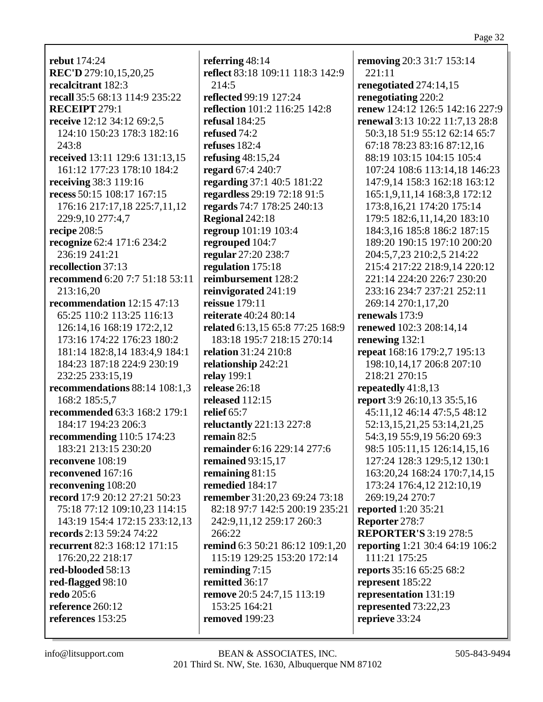rebut  $174:24$ REC'D 279:10,15,20,25 recalcitrant 182:3 recall 35:5 68:13 114:9 235:22 RECEIPT 279:1 receive 12:12 34:12 69:2.5 124:10 150:23 178:3 182:16  $243:8$ received 13:11 129:6 131:13,15 161:12 177:23 178:10 184:2 receiving 38:3 119:16 recess 50:15 108:17 167:15 176:16 217:17,18 225:7,11,12 229:9,10 277:4,7 recipe 208:5 recognize 62:4 171:6 234:2 236:19 241:21 recollection 37:13 recommend 6:20 7:7 51:18 53:11  $213:16.20$ recommendation  $12:15\,47:13$ 65:25 110:2 113:25 116:13 126:14.16 168:19 172:2.12 173:16 174:22 176:23 180:2 181:14 182:8,14 183:4,9 184:1 184:23 187:18 224:9 230:19 232:25 233:15,19 recommendations  $88:14$  108:1,3 168:2 185:5.7 **recommended** 63:3 168:2 179:1 184:17 194:23 206:3 recommending  $110:5$  174:23 183:21 213:15 230:20 reconvene  $108:19$ reconvened 167:16 reconvening 108:20 record 17:9 20:12 27:21 50:23 75:18 77:12 109:10.23 114:15 143:19 154:4 172:15 233:12,13 records 2:13 59:24 74:22 recurrent 82:3 168:12 171:15 176:20.22 218:17 red-blooded 58:13 red-flagged 98:10 **redo** 205:6 reference  $260:12$ references 153:25

referring  $48:14$ reflect 83:18 109:11 118:3 142:9  $214:5$ reflected 99:19 127:24 **reflection** 101:2 116:25 142:8 refusal  $184:25$ refused  $74:2$ refuses  $182:4$ refusing  $48:15,24$ regard 67:4 240:7 regarding 37:1 40:5 181:22 regardless 29:19 72:18 91:5 regards 74:7 178:25 240:13 Regional 242:18 regroup 101:19 103:4 regrouped 104:7 regular 27:20 238:7 regulation 175:18 reimbursement 128:2 reinvigorated 241:19 reissue 179:11 **reiterate** 40:24 80:14 related 6:13.15 65:8 77:25 168:9 183:18 195:7 218:15 270:14 **relation** 31:24 210:8 relationship 242:21 **relay** 199:1 release  $26:18$ released  $112:15$ relief  $65:7$ reluctantly 221:13 227:8 remain  $82:5$ remainder 6:16 229:14 277:6 **remained** 93:15,17 remaining  $81:15$ remedied 184:17 remember 31:20,23 69:24 73:18 82:18 97:7 142:5 200:19 235:21 242:9,11,12 259:17 260:3 266:22 remind 6:3 50:21 86:12 109:1.20 115:19 129:25 153:20 172:14 reminding  $7:15$ remitted 36:17 remove 20:5 24:7,15 113:19  $153:25$   $164:21$ removed 199:23

**removing 20:3 31:7 153:14**  $221:11$ renegotiated 274:14.15 renegotiating 220:2 renew 124:12 126:5 142:16 227:9 **renewal** 3:13 10:22 11:7.13 28:8 50:3.18 51:9 55:12 62:14 65:7 67:18 78:23 83:16 87:12,16 88:19 103:15 104:15 105:4 107:24 108:6 113:14,18 146:23 147:9.14 158:3 162:18 163:12 165:1,9,11,14 168:3,8 172:12 173:8, 16, 21 174: 20 175: 14 179:5 182:6,11,14,20 183:10 184:3.16 185:8 186:2 187:15 189:20 190:15 197:10 200:20 204:5.7.23 210:2.5 214:22 215:4 217:22 218:9,14 220:12 221:14 224:20 226:7 230:20 233:16 234:7 237:21 252:11 269:14 270:1,17,20 **renewals** 173:9 renewed 102:3 208:14.14 renewing  $132:1$ repeat 168:16 179:2,7 195:13 198:10,14,17 206:8 207:10 218:21 270:15 repeatedly  $41:8,13$ report 3:9 26:10,13 35:5,16 45:11,12 46:14 47:5,5 48:12 52:13, 15, 21, 25 53:14, 21, 25 54:3,19 55:9,19 56:20 69:3 98:5 105:11,15 126:14,15,16 127:24 128:3 129:5,12 130:1 163:20,24 168:24 170:7,14,15 173:24 176:4,12 212:10,19 269:19,24 270:7 reported 1:20 35:21 Reporter 278:7 **REPORTER'S 3:19 278:5 reporting** 1:21 30:4 64:19 106:2 111:21 175:25 reports 35:16 65:25 68:2 represent 185:22 representation 131:19 represented 73:22,23 reprieve 33:24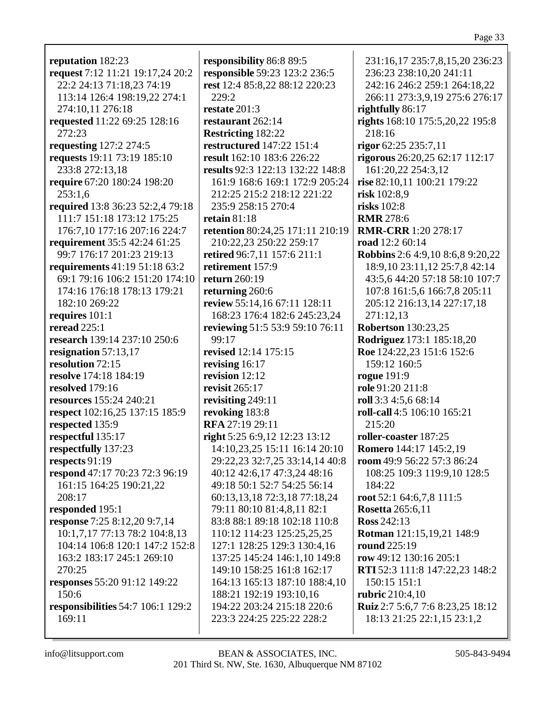**reputation** 182:23 **request** 7:12 11:21 19:17,24 20:2 22:2 24:13 71:18,23 74:19 113:14 126:4 198:19,22 274:1 274:10,11 276:18 **requested** 11:22 69:25 128:16 272:23 **requesting** 127:2 274:5 **requests** 19:11 73:19 185:10 233:8 272:13,18 **require** 67:20 180:24 198:20  $253:1.6$ **required** 13:8 36:23 52:2,4 79:18 111:7 151:18 173:12 175:25 176:7,10 177:16 207:16 224:7 **requirement** 35:5 42:24 61:25 99:7 176:17 201:23 219:13 **requirements** 41:19 51:18 63:2 69:1 79:16 106:2 151:20 174:10 174:16 176:18 178:13 179:21 182:10 269:22 **requires** 101:1 **reread** 225:1 **research** 139:14 237:10 250:6 **resignation** 57:13,17 **resolution** 72:15 **resolve** 174:18 184:19 **resolved** 179:16 **resources** 155:24 240:21 **respect** 102:16,25 137:15 185:9 **respected** 135:9 **respectful** 135:17 **respectfully** 137:23 **respects** 91:19 **respond** 47:17 70:23 72:3 96:19 161:15 164:25 190:21,22 208:17 **responded** 195:1 **response** 7:25 8:12,20 9:7,14 10:1,7,17 77:13 78:2 104:8,13 104:14 106:8 120:1 147:2 152:8 163:2 183:17 245:1 269:10 270:25 **responses** 55:20 91:12 149:22 150:6 **responsibilities** 54:7 106:1 129:2 169:11

**responsibility** 86:8 89:5 **responsible** 59:23 123:2 236:5 **rest** 12:4 85:8,22 88:12 220:23  $229:2$ **restate** 201:3 **restaurant** 262:14 **Restricting** 182:22 **restructured** 147:22 151:4 **result** 162:10 183:6 226:22 **results** 92:3 122:13 132:22 148:8 161:9 168:6 169:1 172:9 205:24 212:25 215:2 218:12 221:22 235:9 258:15 270:4 **retain** 81:18 **retention** 80:24,25 171:11 210:19 210:22,23 250:22 259:17 **retired** 96:7,11 157:6 211:1 **retirement** 157:9 **return** 260:19 **returning** 260:6 **review** 55:14,16 67:11 128:11 168:23 176:4 182:6 245:23,24 **reviewing** 51:5 53:9 59:10 76:11 99:17 **revised** 12:14 175:15 **revising** 16:17 **revision** 12:12 **revisit** 265:17 **revisiting** 249:11 **revoking** 183:8 **RFA** 27:19 29:11 **right** 5:25 6:9,12 12:23 13:12 14:10,23,25 15:11 16:14 20:10 29:22,23 32:7,25 33:14,14 40:8 40:12 42:6,17 47:3,24 48:16 49:18 50:1 52:7 54:25 56:14 60:13,13,18 72:3,18 77:18,24 79:11 80:10 81:4,8,11 82:1 83:8 88:1 89:18 102:18 110:8 110:12 114:23 125:25,25,25 127:1 128:25 129:3 130:4,16 137:25 145:24 146:1,10 149:8 149:10 158:25 161:8 162:17 164:13 165:13 187:10 188:4,10 188:21 192:19 193:10,16 194:22 203:24 215:18 220:6 223:3 224:25 225:22 228:2

231:16,17 235:7,8,15,20 236:23 236:23 238:10,20 241:11 242:16 246:2 259:1 264:18,22 266:11 273:3,9,19 275:6 276:17 **rightfully** 86:17 **rights** 168:10 175:5,20,22 195:8 218:16 **rigor** 62:25 235:7,11 **rigorous** 26:20,25 62:17 112:17 161:20,22 254:3,12 **rise** 82:10,11 100:21 179:22 **risk** 102:8,9 **risks** 102:8 **RMR** 278:6 **RMR-CRR** 1:20 278:17 **road** 12:2 60:14 **Robbins** 2:6 4:9,10 8:6,8 9:20,22 18:9,10 23:11,12 25:7,8 42:14 43:5,6 44:20 57:18 58:10 107:7 107:8 161:5,6 166:7,8 205:11 205:12 216:13,14 227:17,18 271:12,13 **Robertson** 130:23,25 **Rodriguez** 173:1 185:18,20 **Roe** 124:22,23 151:6 152:6 159:12 160:5 **rogue** 191:9 **role** 91:20 211:8 **roll** 3:3 4:5,6 68:14 **roll-call** 4:5 106:10 165:21 215:20 **roller-coaster** 187:25 **Romero** 144:17 145:2,19 **room** 49:9 56:22 57:3 86:24 108:25 109:3 119:9,10 128:5 184:22 **root** 52:1 64:6,7,8 111:5 **Rosetta** 265:6,11 **Ross** 242:13 **Rotman** 121:15,19,21 148:9 **round** 225:19 **row** 49:12 130:16 205:1 **RTI** 52:3 111:8 147:22,23 148:2 150:15 151:1 **rubric** 210:4,10 **Ruiz** 2:7 5:6,7 7:6 8:23,25 18:12 18:13 21:25 22:1,15 23:1,2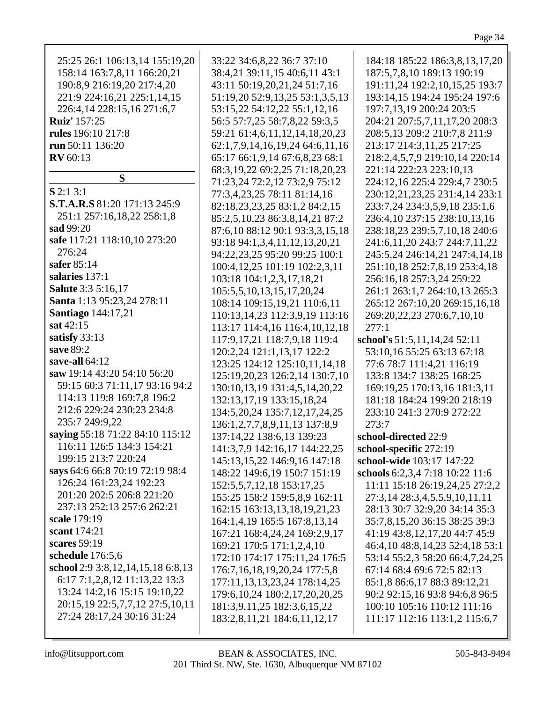| 25:25 26:1 106:13,14 155:19,20                                | 33:22 34:6,8,22 36:7 37:10                                                                          | 184:18 185:22 186:3,8,13,17,20                                                                 |
|---------------------------------------------------------------|-----------------------------------------------------------------------------------------------------|------------------------------------------------------------------------------------------------|
| 158:14 163:7,8,11 166:20,21                                   | 38:4,21 39:11,15 40:6,11 43:1                                                                       | 187:5,7,8,10 189:13 190:19                                                                     |
| 190:8,9 216:19,20 217:4,20                                    | 43:11 50:19,20,21,24 51:7,16                                                                        | 191:11,24 192:2,10,15,25 193:7                                                                 |
| 221:9 224:16,21 225:1,14,15                                   | 51:19,20 52:9,13,25 53:1,3,5,13                                                                     | 193:14,15 194:24 195:24 197:6                                                                  |
| 226:4,14 228:15,16 271:6,7                                    | 53:15,22 54:12,22 55:1,12,16                                                                        | 197:7,13,19 200:24 203:5                                                                       |
| <b>Ruiz'</b> 157:25                                           | 56:5 57:7,25 58:7,8,22 59:3,5                                                                       | 204:21 207:5,7,11,17,20 208:3                                                                  |
| rules 196:10 217:8                                            | 59:21 61:4,6,11,12,14,18,20,23                                                                      | 208:5,13 209:2 210:7,8 211:9                                                                   |
| run 50:11 136:20                                              | 62:1,7,9,14,16,19,24 64:6,11,16                                                                     | 213:17 214:3,11,25 217:25                                                                      |
| <b>RV</b> 60:13                                               | 65:17 66:1,9,14 67:6,8,23 68:1                                                                      | 218:2,4,5,7,9 219:10,14 220:14                                                                 |
| S                                                             | 68:3, 19, 22 69: 2, 25 71: 18, 20, 23                                                               | 221:14 222:23 223:10,13                                                                        |
| $S$ 2:1 3:1                                                   | 71:23,24 72:2,12 73:2,9 75:12                                                                       | 224:12,16 225:4 229:4,7 230:5                                                                  |
| <b>S.T.A.R.S</b> 81:20 171:13 245:9                           | 77:3,4,23,25 78:11 81:14,16                                                                         | 230:12,21,23,25 231:4,14 233:1                                                                 |
| 251:1 257:16,18,22 258:1,8                                    | 82:18,23,23,25 83:1,2 84:2,15                                                                       | 233:7,24 234:3,5,9,18 235:1,6                                                                  |
| sad 99:20                                                     | 85:2,5,10,23 86:3,8,14,21 87:2                                                                      | 236:4,10 237:15 238:10,13,16                                                                   |
| safe 117:21 118:10,10 273:20                                  | 87:6,10 88:12 90:1 93:3,3,15,18                                                                     | 238:18,23 239:5,7,10,18 240:6                                                                  |
| 276:24                                                        | 93:18 94:1,3,4,11,12,13,20,21                                                                       | 241:6, 11, 20 243: 7 244: 7, 11, 22                                                            |
| safer 85:14                                                   | 94:22,23,25 95:20 99:25 100:1                                                                       | 245:5,24 246:14,21 247:4,14,18                                                                 |
| salaries 137:1                                                | 100:4, 12, 25 101:19 102:2, 3, 11                                                                   | 251:10,18 252:7,8,19 253:4,18                                                                  |
| <b>Salute</b> 3:3 5:16,17                                     | 103:18 104:1,2,3,17,18,21                                                                           | 256:16,18 257:3,24 259:22                                                                      |
| Santa 1:13 95:23,24 278:11                                    | 105:5,5,10,13,15,17,20,24                                                                           | 261:1 263:1,7 264:10,13 265:3                                                                  |
| <b>Santiago</b> 144:17,21                                     | 108:14 109:15,19,21 110:6,11                                                                        | 265:12 267:10,20 269:15,16,18                                                                  |
| sat 42:15                                                     | 110:13, 14, 23 112: 3, 9, 19 113:16                                                                 | 269:20,22,23 270:6,7,10,10                                                                     |
| satisfy 33:13                                                 | 113:17 114:4,16 116:4,10,12,18                                                                      | 277:1                                                                                          |
| save 89:2                                                     | 117:9,17,21 118:7,9,18 119:4                                                                        | school's 51:5,11,14,24 52:11                                                                   |
| save-all 64:12                                                | 120:2,24 121:1,13,17 122:2                                                                          | 53:10,16 55:25 63:13 67:18                                                                     |
| saw 19:14 43:20 54:10 56:20                                   | 123:25 124:12 125:10,11,14,18                                                                       | 77:6 78:7 111:4,21 116:19                                                                      |
| 59:15 60:3 71:11,17 93:16 94:2                                | 125:19,20,23 126:2,14 130:7,10                                                                      | 133:8 134:7 138:25 168:25                                                                      |
| 114:13 119:8 169:7,8 196:2                                    | 130:10,13,19 131:4,5,14,20,22                                                                       | 169:19,25 170:13,16 181:3,11                                                                   |
| 212:6 229:24 230:23 234:8                                     | 132:13,17,19 133:15,18,24                                                                           | 181:18 184:24 199:20 218:19                                                                    |
| 235:7 249:9,22                                                | 134:5, 20, 24 135: 7, 12, 17, 24, 25                                                                | 233:10 241:3 270:9 272:22                                                                      |
| saying 55:18 71:22 84:10 115:12                               | 136:1,2,7,7,8,9,11,13 137:8,9                                                                       | 273:7                                                                                          |
| 116:11 126:5 134:3 154:21                                     | 137:14,22 138:6,13 139:23                                                                           | school-directed 22:9                                                                           |
| 199:15 213:7 220:24                                           | 141:3,7,9 142:16,17 144:22,25                                                                       | school-specific 272:19                                                                         |
| says 64:6 66:8 70:19 72:19 98:4                               | 145:13,15,22 146:9,16 147:18                                                                        | school-wide 103:17 147:22                                                                      |
| 126:24 161:23,24 192:23                                       | 148:22 149:6,19 150:7 151:19                                                                        | schools 6:2,3,4 7:18 10:22 11:6                                                                |
| 201:20 202:5 206:8 221:20                                     | 152:5,5,7,12,18 153:17,25                                                                           | 11:11 15:18 26:19,24,25 27:2,2                                                                 |
| 237:13 252:13 257:6 262:21                                    | 155:25 158:2 159:5,8,9 162:11                                                                       | 27:3,14 28:3,4,5,5,9,10,11,11                                                                  |
| scale 179:19                                                  | 162:15 163:13,13,18,19,21,23                                                                        | 28:13 30:7 32:9,20 34:14 35:3                                                                  |
| scant 174:21                                                  | 164:1,4,19 165:5 167:8,13,14                                                                        | 35:7,8,15,20 36:15 38:25 39:3                                                                  |
| scares 59:19                                                  | 167:21 168:4,24,24 169:2,9,17                                                                       | 41:19 43:8,12,17,20 44:7 45:9                                                                  |
| schedule 176:5,6                                              | 169:21 170:5 171:1,2,4,10                                                                           | 46:4,10 48:8,14,23 52:4,18 53:1                                                                |
| school 2:9 3:8, 12, 14, 15, 18 6:8, 13                        | 172:10 174:17 175:11,24 176:5                                                                       | 53:14 55:2,3 58:20 66:4,7,24,25                                                                |
| 6:17 7:1,2,8,12 11:13,22 13:3                                 | 176:7, 16, 18, 19, 20, 24 177: 5, 8                                                                 | 67:14 68:4 69:6 72:5 82:13                                                                     |
| 13:24 14:2,16 15:15 19:10,22                                  | 177:11,13,13,23,24 178:14,25                                                                        | 85:1,8 86:6,17 88:3 89:12,21                                                                   |
| 20:15,19 22:5,7,7,12 27:5,10,11<br>27:24 28:17,24 30:16 31:24 | 179:6, 10, 24 180: 2, 17, 20, 20, 25<br>181:3,9,11,25 182:3,6,15,22<br>183:2,8,11,21 184:6,11,12,17 | 90:2 92:15,16 93:8 94:6,8 96:5<br>100:10 105:16 110:12 111:16<br>111:17 112:16 113:1,2 115:6,7 |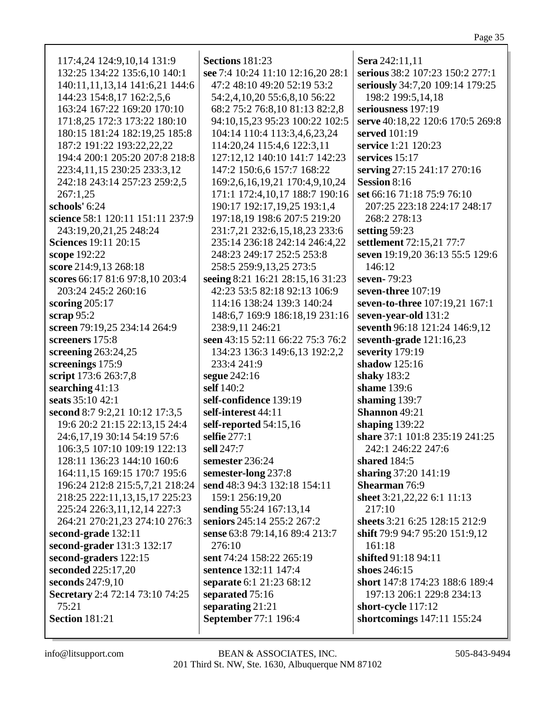| 117:4,24 124:9,10,14 131:9       | <b>Sections 181:23</b>            | Sera 242:11,11                   |
|----------------------------------|-----------------------------------|----------------------------------|
| 132:25 134:22 135:6,10 140:1     | see 7:4 10:24 11:10 12:16,20 28:1 | serious 38:2 107:23 150:2 277:1  |
| 140:11,11,13,14 141:6,21 144:6   | 47:2 48:10 49:20 52:19 53:2       | seriously 34:7,20 109:14 179:25  |
| 144:23 154:8,17 162:2,5,6        | 54:2,4,10,20 55:6,8,10 56:22      | 198:2 199:5,14,18                |
| 163:24 167:22 169:20 170:10      |                                   | seriousness 197:19               |
|                                  | 68:2 75:2 76:8,10 81:13 82:2,8    |                                  |
| 171:8,25 172:3 173:22 180:10     | 94:10,15,23 95:23 100:22 102:5    | serve 40:18,22 120:6 170:5 269:8 |
| 180:15 181:24 182:19,25 185:8    | 104:14 110:4 113:3,4,6,23,24      | served 101:19                    |
| 187:2 191:22 193:22,22,22        | 114:20,24 115:4,6 122:3,11        | service 1:21 120:23              |
| 194:4 200:1 205:20 207:8 218:8   | 127:12,12 140:10 141:7 142:23     | services $15:17$                 |
| 223:4,11,15 230:25 233:3,12      | 147:2 150:6,6 157:7 168:22        | serving 27:15 241:17 270:16      |
| 242:18 243:14 257:23 259:2,5     | 169:2,6,16,19,21 170:4,9,10,24    | <b>Session 8:16</b>              |
| 267:1,25                         | 171:1 172:4,10,17 188:7 190:16    | set 66:16 71:18 75:9 76:10       |
| schools' 6:24                    | 190:17 192:17,19,25 193:1,4       | 207:25 223:18 224:17 248:17      |
| science 58:1 120:11 151:11 237:9 | 197:18,19 198:6 207:5 219:20      | 268:2 278:13                     |
| 243:19,20,21,25 248:24           | 231:7,21 232:6,15,18,23 233:6     | setting 59:23                    |
| <b>Sciences</b> 19:11 20:15      | 235:14 236:18 242:14 246:4,22     | settlement 72:15,21 77:7         |
| scope 192:22                     | 248:23 249:17 252:5 253:8         | seven 19:19,20 36:13 55:5 129:6  |
| score 214:9,13 268:18            | 258:5 259:9,13,25 273:5           | 146:12                           |
| scores 66:17 81:6 97:8,10 203:4  | seeing 8:21 16:21 28:15,16 31:23  | seven-79:23                      |
| 203:24 245:2 260:16              | 42:23 53:5 82:18 92:13 106:9      | seven-three 107:19               |
| scoring $205:17$                 | 114:16 138:24 139:3 140:24        | seven-to-three 107:19,21 167:1   |
| scrap $95:2$                     | 148:6,7 169:9 186:18,19 231:16    | seven-year-old 131:2             |
| screen 79:19,25 234:14 264:9     | 238:9,11 246:21                   | seventh 96:18 121:24 146:9,12    |
| screeners 175:8                  | seen 43:15 52:11 66:22 75:3 76:2  | seventh-grade 121:16,23          |
|                                  |                                   | severity 179:19                  |
| screening $263:24,25$            | 134:23 136:3 149:6,13 192:2,2     |                                  |
| screenings 175:9                 | 233:4 241:9                       | shadow 125:16                    |
| script 173:6 263:7,8             | segue 242:16                      | shaky 183:2                      |
| searching 41:13                  | self 140:2                        | shame 139:6                      |
| seats 35:10 42:1                 | self-confidence 139:19            | shaming 139:7                    |
| second 8:7 9:2,21 10:12 17:3,5   | self-interest 44:11               | Shannon 49:21                    |
| 19:6 20:2 21:15 22:13,15 24:4    | self-reported 54:15,16            | shaping $139:22$                 |
| 24:6,17,19 30:14 54:19 57:6      | selfie 277:1                      | share 37:1 101:8 235:19 241:25   |
| 106:3,5 107:10 109:19 122:13     | sell 247:7                        | 242:1 246:22 247:6               |
| 128:11 136:23 144:10 160:6       | semester 236:24                   | shared 184:5                     |
| 164:11,15 169:15 170:7 195:6     | semester-long 237:8               | sharing 37:20 141:19             |
| 196:24 212:8 215:5,7,21 218:24   | send 48:3 94:3 132:18 154:11      | Shearman 76:9                    |
| 218:25 222:11,13,15,17 225:23    | 159:1 256:19,20                   | sheet 3:21, 22, 22 6:1 11:13     |
| 225:24 226:3,11,12,14 227:3      | sending 55:24 167:13,14           | 217:10                           |
| 264:21 270:21,23 274:10 276:3    | seniors 245:14 255:2 267:2        | sheets 3:21 6:25 128:15 212:9    |
| second-grade 132:11              | sense 63:8 79:14,16 89:4 213:7    | shift 79:9 94:7 95:20 151:9,12   |
| second-grader 131:3 132:17       | 276:10                            | 161:18                           |
| second-graders 122:15            | sent 74:24 158:22 265:19          | shifted 91:18 94:11              |
| seconded 225:17,20               | sentence 132:11 147:4             | shoes 246:15                     |
| seconds 247:9,10                 | separate 6:1 21:23 68:12          | short 147:8 174:23 188:6 189:4   |
| Secretary 2:4 72:14 73:10 74:25  | separated 75:16                   | 197:13 206:1 229:8 234:13        |
| 75:21                            | separating 21:21                  | short-cycle 117:12               |
| <b>Section 181:21</b>            | September 77:1 196:4              | shortcomings 147:11 155:24       |
|                                  |                                   |                                  |
|                                  |                                   |                                  |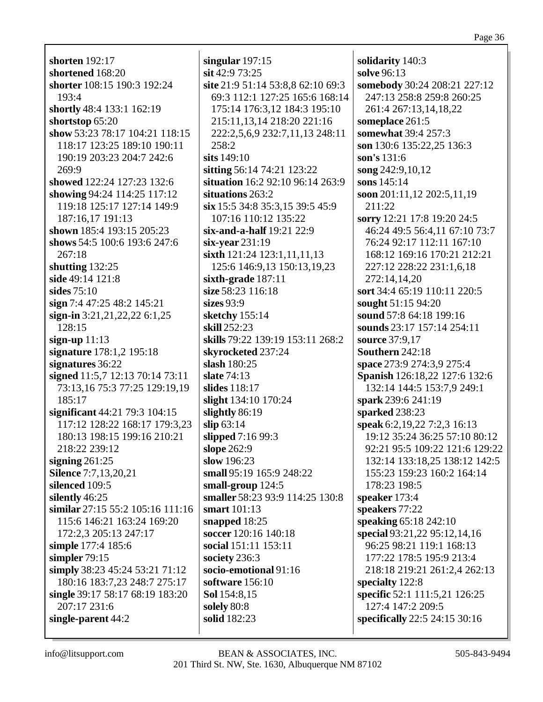**shorten** 192:17 **shortened** 168:20 **shorter** 108:15 190:3 192:24 193:4 **shortly** 48:4 133:1 162:19 **shortstop** 65:20 **show** 53:23 78:17 104:21 118:15 118:17 123:25 189:10 190:11 190:19 203:23 204:7 242:6 269:9 **showed** 122:24 127:23 132:6 **showing** 94:24 114:25 117:12 119:18 125:17 127:14 149:9 187:16,17 191:13 **shown** 185:4 193:15 205:23 **shows** 54:5 100:6 193:6 247:6 267:18 **shutting** 132:25 **side** 49:14 121:8 **sides** 75:10 **sign** 7:4 47:25 48:2 145:21 **sign-in** 3:21,21,22,22 6:1,25 128:15 **sign-up** 11:13 **signature** 178:1,2 195:18 **signatures** 36:22 **signed** 11:5,7 12:13 70:14 73:11 73:13,16 75:3 77:25 129:19,19 185:17 **significant** 44:21 79:3 104:15 117:12 128:22 168:17 179:3,23 180:13 198:15 199:16 210:21 218:22 239:12 **signing** 261:25 **Silence** 7:7,13,20,21 **silenced** 109:5 **silently** 46:25 **similar** 27:15 55:2 105:16 111:16 115:6 146:21 163:24 169:20 172:2,3 205:13 247:17 **simple** 177:4 185:6 **simpler** 79:15 **simply** 38:23 45:24 53:21 71:12 180:16 183:7,23 248:7 275:17 **single** 39:17 58:17 68:19 183:20 207:17 231:6 **single-parent** 44:2

**singular** 197:15 **sit** 42:9 73:25 **site** 21:9 51:14 53:8,8 62:10 69:3 69:3 112:1 127:25 165:6 168:14 175:14 176:3,12 184:3 195:10 215:11,13,14 218:20 221:16 222:2,5,6,9 232:7,11,13 248:11  $258:2$ **sits** 149:10 **sitting** 56:14 74:21 123:22 **situation** 16:2 92:10 96:14 263:9 **situations** 263:2 **six** 15:5 34:8 35:3,15 39:5 45:9 107:16 110:12 135:22 **six-and-a-half** 19:21 22:9 **six-year** 231:19 **sixth** 121:24 123:1,11,11,13 125:6 146:9,13 150:13,19,23 **sixth-grade** 187:11 **size** 58:23 116:18 **sizes** 93:9 **sketchy** 155:14 **skill** 252:23 **skills** 79:22 139:19 153:11 268:2 **skyrocketed** 237:24 **slash** 180:25 **slate** 74:13 **slides** 118:17 **slight** 134:10 170:24 **slightly** 86:19 **slip** 63:14 **slipped** 7:16 99:3 **slope** 262:9 **slow** 196:23 **small** 95:19 165:9 248:22 **small-group** 124:5 **smaller** 58:23 93:9 114:25 130:8 **smart** 101:13 **snapped** 18:25 **soccer** 120:16 140:18 **social** 151:11 153:11 **society** 236:3 **socio-emotional** 91:16 **software** 156:10 **Sol** 154:8,15 **solely** 80:8 **solid** 182:23

**solidarity** 140:3 **solve** 96:13 **somebody** 30:24 208:21 227:12 247:13 258:8 259:8 260:25 261:4 267:13,14,18,22 **someplace** 261:5 **somewhat** 39:4 257:3 **son** 130:6 135:22,25 136:3 **son's** 131:6 **song** 242:9,10,12 **sons** 145:14 **soon** 201:11,12 202:5,11,19 211:22 **sorry** 12:21 17:8 19:20 24:5 46:24 49:5 56:4,11 67:10 73:7 76:24 92:17 112:11 167:10 168:12 169:16 170:21 212:21 227:12 228:22 231:1,6,18 272:14,14,20 **sort** 34:4 65:19 110:11 220:5 **sought** 51:15 94:20 **sound** 57:8 64:18 199:16 **sounds** 23:17 157:14 254:11 **source** 37:9,17 **Southern** 242:18 **space** 273:9 274:3,9 275:4 **Spanish** 126:18,22 127:6 132:6 132:14 144:5 153:7,9 249:1 **spark** 239:6 241:19 **sparked** 238:23 **speak** 6:2,19,22 7:2,3 16:13 19:12 35:24 36:25 57:10 80:12 92:21 95:5 109:22 121:6 129:22 132:14 133:18,25 138:12 142:5 155:23 159:23 160:2 164:14 178:23 198:5 **speaker** 173:4 **speakers** 77:22 **speaking** 65:18 242:10 **special** 93:21,22 95:12,14,16 96:25 98:21 119:1 168:13 177:22 178:5 195:9 213:4 218:18 219:21 261:2,4 262:13 **specialty** 122:8 **specific** 52:1 111:5,21 126:25 127:4 147:2 209:5 **specifically** 22:5 24:15 30:16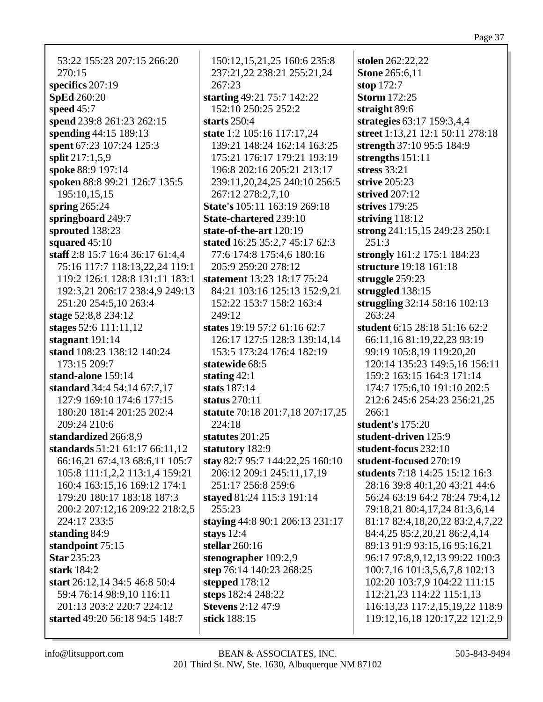53:22 155:23 207:15 266:20 270:15 **specifics** 207:19 **SpEd** 260:20 **speed** 45:7 **spend** 239:8 261:23 262:15 **spending** 44:15 189:13 **spent** 67:23 107:24 125:3 **split** 217:1,5,9 **spoke** 88:9 197:14 **spoken** 88:8 99:21 126:7 135:5 195:10,15,15 **spring** 265:24 **springboard** 249:7 **sprouted** 138:23 **squared** 45:10 **staff** 2:8 15:7 16:4 36:17 61:4,4 75:16 117:7 118:13,22,24 119:1 119:2 126:1 128:8 131:11 183:1 192:3,21 206:17 238:4,9 249:13 251:20 254:5,10 263:4 **stage** 52:8,8 234:12 **stages** 52:6 111:11,12 **stagnant** 191:14 **stand** 108:23 138:12 140:24 173:15 209:7 **stand-alone** 159:14 **standard** 34:4 54:14 67:7,17 127:9 169:10 174:6 177:15 180:20 181:4 201:25 202:4 209:24 210:6 **standardized** 266:8,9 **standards** 51:21 61:17 66:11,12 66:16,21 67:4,13 68:6,11 105:7 105:8 111:1,2,2 113:1,4 159:21 160:4 163:15,16 169:12 174:1 179:20 180:17 183:18 187:3 200:2 207:12,16 209:22 218:2,5 224:17 233:5 **standing** 84:9 **standpoint** 75:15 **Star** 235:23 **stark** 184:2 **start** 26:12,14 34:5 46:8 50:4 59:4 76:14 98:9,10 116:11 201:13 203:2 220:7 224:12 **started** 49:20 56:18 94:5 148:7

150:12,15,21,25 160:6 235:8 237:21,22 238:21 255:21,24 267:23 **starting** 49:21 75:7 142:22 152:10 250:25 252:2 **starts** 250:4 **state** 1:2 105:16 117:17,24 139:21 148:24 162:14 163:25 175:21 176:17 179:21 193:19 196:8 202:16 205:21 213:17 239:11,20,24,25 240:10 256:5 267:12 278:2,7,10 **State's** 105:11 163:19 269:18 **State-chartered** 239:10 **state-of-the-art** 120:19 **stated** 16:25 35:2,7 45:17 62:3 77:6 174:8 175:4,6 180:16 205:9 259:20 278:12 **statement** 13:23 18:17 75:24 84:21 103:16 125:13 152:9,21 152:22 153:7 158:2 163:4 249:12 **states** 19:19 57:2 61:16 62:7 126:17 127:5 128:3 139:14,14 153:5 173:24 176:4 182:19 **statewide** 68:5 **stating** 42:1 **stats** 187:14 **status** 270:11 **statute** 70:18 201:7,18 207:17,25 224:18 **statutes** 201:25 **statutory** 182:9 **stay** 82:7 95:7 144:22,25 160:10 206:12 209:1 245:11,17,19 251:17 256:8 259:6 **stayed** 81:24 115:3 191:14 255:23 **staying** 44:8 90:1 206:13 231:17 **stays** 12:4 **stellar** 260:16 **stenographer** 109:2,9 **step** 76:14 140:23 268:25 **stepped** 178:12 **steps** 182:4 248:22 **Stevens** 2:12 47:9 **stick** 188:15

**stolen** 262:22,22 **Stone** 265:6,11 **stop** 172:7 **Storm** 172:25 **straight** 89:6 **strategies** 63:17 159:3,4,4 **street** 1:13,21 12:1 50:11 278:18 **strength** 37:10 95:5 184:9 **strengths** 151:11 **stress** 33:21 **strive** 205:23 **strived** 207:12 **strives** 179:25 **striving** 118:12 **strong** 241:15,15 249:23 250:1 251:3 **strongly** 161:2 175:1 184:23 **structure** 19:18 161:18 **struggle** 259:23 **struggled** 138:15 **struggling** 32:14 58:16 102:13 263:24 **student** 6:15 28:18 51:16 62:2 66:11,16 81:19,22,23 93:19 99:19 105:8,19 119:20,20 120:14 135:23 149:5,16 156:11 159:2 163:15 164:3 171:14 174:7 175:6,10 191:10 202:5 212:6 245:6 254:23 256:21,25 266:1 **student's** 175:20 **student-driven** 125:9 **student-focus** 232:10 **student-focused** 270:19 **students** 7:18 14:25 15:12 16:3 28:16 39:8 40:1,20 43:21 44:6 56:24 63:19 64:2 78:24 79:4,12 79:18,21 80:4,17,24 81:3,6,14 81:17 82:4,18,20,22 83:2,4,7,22 84:4,25 85:2,20,21 86:2,4,14 89:13 91:9 93:15,16 95:16,21 96:17 97:8,9,12,13 99:22 100:3 100:7,16 101:3,5,6,7,8 102:13 102:20 103:7,9 104:22 111:15 112:21,23 114:22 115:1,13 116:13,23 117:2,15,19,22 118:9 119:12,16,18 120:17,22 121:2,9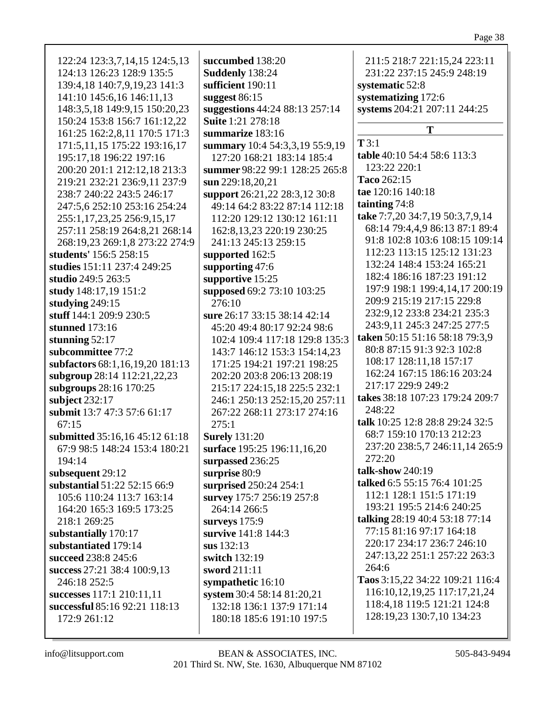| 122:24 123:3,7,14,15 124:5,13<br>124:13 126:23 128:9 135:5<br>139:4,18 140:7,9,19,23 141:3<br>141:10 145:6,16 146:11,13<br>148:3,5,18 149:9,15 150:20,23<br>150:24 153:8 156:7 161:12,22<br>161:25 162:2,8,11 170:5 171:3<br>171:5,11,15 175:22 193:16,17<br>195:17,18 196:22 197:16<br>200:20 201:1 212:12,18 213:3<br>219:21 232:21 236:9,11 237:9<br>238:7 240:22 243:5 246:17<br>247:5,6 252:10 253:16 254:24<br>255:1,17,23,25 256:9,15,17<br>257:11 258:19 264:8,21 268:14<br>268:19,23 269:1,8 273:22 274:9<br>students' 156:5 258:15<br>studies 151:11 237:4 249:25<br>studio 249:5 263:5<br>study 148:17,19 151:2<br>studying 249:15<br>stuff 144:1 209:9 230:5<br>stunned 173:16<br>stunning $52:17$<br>subcommittee 77:2<br>subfactors 68:1,16,19,20 181:13<br>subgroup 28:14 112:21,22,23<br>subgroups 28:16 170:25<br>subject 232:17<br>submit 13:7 47:3 57:6 61:17<br>67:15<br>submitted 35:16,16 45:12 61:18<br>67:9 98:5 148:24 153:4 180:21<br>194:14<br>subsequent 29:12<br>substantial 51:22 52:15 66:9<br>105:6 110:24 113:7 163:14<br>164:20 165:3 169:5 173:25<br>218:1 269:25<br>substantially 170:17<br>substantiated 179:14<br>succeed 238:8 245:6<br>success 27:21 38:4 100:9,13<br>246:18 252:5<br>successes 117:1 210:11,11 | succumbed 138:20<br>Suddenly 138:24<br>sufficient 190:11<br>suggest $86:15$<br>suggestions 44:24 88:13 257:14<br><b>Suite 1:21 278:18</b><br>summarize 183:16<br>summary 10:4 54:3,3,19 55:9,19<br>127:20 168:21 183:14 185:4<br>summer 98:22 99:1 128:25 265:8<br>sun 229:18,20,21<br>support 26:21,22 28:3,12 30:8<br>49:14 64:2 83:22 87:14 112:18<br>112:20 129:12 130:12 161:11<br>162:8, 13, 23 220:19 230:25<br>241:13 245:13 259:15<br>supported 162:5<br>supporting 47:6<br>supportive 15:25<br>supposed 69:2 73:10 103:25<br>276:10<br>sure 26:17 33:15 38:14 42:14<br>45:20 49:4 80:17 92:24 98:6<br>102:4 109:4 117:18 129:8 135:3<br>143:7 146:12 153:3 154:14,23<br>171:25 194:21 197:21 198:25<br>202:20 203:8 206:13 208:19<br>215:17 224:15,18 225:5 232:1<br>246:1 250:13 252:15,20 257:11<br>267:22 268:11 273:17 274:16<br>275:1<br><b>Surely</b> 131:20<br>surface 195:25 196:11,16,20<br>surpassed 236:25<br>surprise 80:9<br>surprised 250:24 254:1<br>survey 175:7 256:19 257:8<br>264:14 266:5<br>surveys 175:9<br>survive 141:8 144:3<br>sus 132:13<br>switch 132:19<br>sword 211:11<br>sympathetic 16:10<br>system 30:4 58:14 81:20,21 | 211:5 218:7 221:15,24 223:11<br>231:22 237:15 245:9 248:19<br>systematic 52:8<br>systematizing 172:6<br>systems 204:21 207:11 244:25<br>T<br>T3:1<br>table 40:10 54:4 58:6 113:3<br>123:22 220:1<br>Taco 262:15<br>tae 120:16 140:18<br>tainting 74:8<br>take 7:7,20 34:7,19 50:3,7,9,14<br>68:14 79:4,4,9 86:13 87:1 89:4<br>91:8 102:8 103:6 108:15 109:14<br>112:23 113:15 125:12 131:23<br>132:24 148:4 153:24 165:21<br>182:4 186:16 187:23 191:12<br>197:9 198:1 199:4,14,17 200:19<br>209:9 215:19 217:15 229:8<br>232:9,12 233:8 234:21 235:3<br>243:9,11 245:3 247:25 277:5<br>taken 50:15 51:16 58:18 79:3,9<br>80:8 87:15 91:3 92:3 102:8<br>108:17 128:11,18 157:17<br>162:24 167:15 186:16 203:24<br>217:17 229:9 249:2<br>takes 38:18 107:23 179:24 209:7<br>248:22<br>talk 10:25 12:8 28:8 29:24 32:5<br>68:7 159:10 170:13 212:23<br>237:20 238:5,7 246:11,14 265:9<br>272:20<br>talk-show $240:19$<br>talked 6:5 55:15 76:4 101:25<br>112:1 128:1 151:5 171:19<br>193:21 195:5 214:6 240:25<br>talking 28:19 40:4 53:18 77:14<br>77:15 81:16 97:17 164:18<br>220:17 234:17 236:7 246:10<br>247:13,22 251:1 257:22 263:3<br>264:6<br>Taos 3:15,22 34:22 109:21 116:4<br>116:10, 12, 19, 25 117: 17, 21, 24 |
|---------------------------------------------------------------------------------------------------------------------------------------------------------------------------------------------------------------------------------------------------------------------------------------------------------------------------------------------------------------------------------------------------------------------------------------------------------------------------------------------------------------------------------------------------------------------------------------------------------------------------------------------------------------------------------------------------------------------------------------------------------------------------------------------------------------------------------------------------------------------------------------------------------------------------------------------------------------------------------------------------------------------------------------------------------------------------------------------------------------------------------------------------------------------------------------------------------------------------------------------------------|-------------------------------------------------------------------------------------------------------------------------------------------------------------------------------------------------------------------------------------------------------------------------------------------------------------------------------------------------------------------------------------------------------------------------------------------------------------------------------------------------------------------------------------------------------------------------------------------------------------------------------------------------------------------------------------------------------------------------------------------------------------------------------------------------------------------------------------------------------------------------------------------------------------------------------------------------------------------------------------------------------------------------------------------------------------------------------------------------------------------------------------------------------------------|----------------------------------------------------------------------------------------------------------------------------------------------------------------------------------------------------------------------------------------------------------------------------------------------------------------------------------------------------------------------------------------------------------------------------------------------------------------------------------------------------------------------------------------------------------------------------------------------------------------------------------------------------------------------------------------------------------------------------------------------------------------------------------------------------------------------------------------------------------------------------------------------------------------------------------------------------------------------------------------------------------------------------------------------------------------------------------------------------------------------------------------------------------------------------------------------------------------------------|
| successful 85:16 92:21 118:13                                                                                                                                                                                                                                                                                                                                                                                                                                                                                                                                                                                                                                                                                                                                                                                                                                                                                                                                                                                                                                                                                                                                                                                                                           | 132:18 136:1 137:9 171:14                                                                                                                                                                                                                                                                                                                                                                                                                                                                                                                                                                                                                                                                                                                                                                                                                                                                                                                                                                                                                                                                                                                                         | 118:4,18 119:5 121:21 124:8                                                                                                                                                                                                                                                                                                                                                                                                                                                                                                                                                                                                                                                                                                                                                                                                                                                                                                                                                                                                                                                                                                                                                                                                |
| 172:9 261:12                                                                                                                                                                                                                                                                                                                                                                                                                                                                                                                                                                                                                                                                                                                                                                                                                                                                                                                                                                                                                                                                                                                                                                                                                                            | 180:18 185:6 191:10 197:5                                                                                                                                                                                                                                                                                                                                                                                                                                                                                                                                                                                                                                                                                                                                                                                                                                                                                                                                                                                                                                                                                                                                         | 128:19,23 130:7,10 134:23                                                                                                                                                                                                                                                                                                                                                                                                                                                                                                                                                                                                                                                                                                                                                                                                                                                                                                                                                                                                                                                                                                                                                                                                  |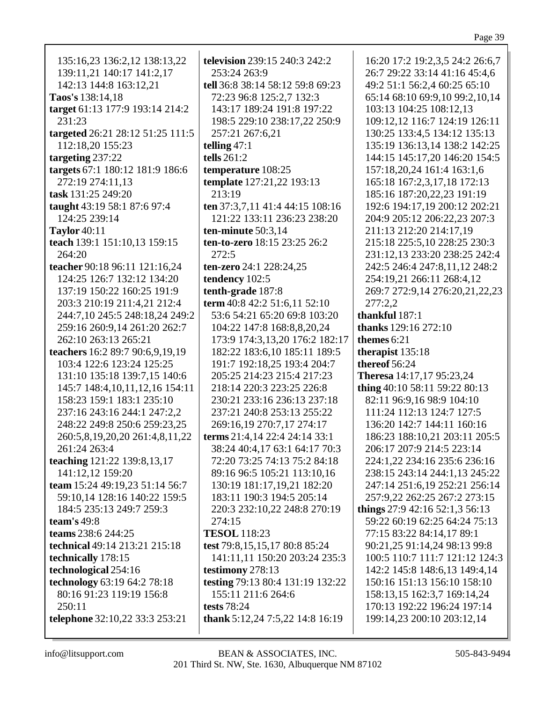| 135:16,23 136:2,12 138:13,22                             | television 239:15 240:3 242:2    |
|----------------------------------------------------------|----------------------------------|
| 139:11,21 140:17 141:2,17                                | 253:24 263:9                     |
| 142:13 144:8 163:12,21                                   | tell 36:8 38:14 58:12 59:8 69:23 |
| Taos's 138:14,18                                         | 72:23 96:8 125:2,7 132:3         |
| target 61:13 177:9 193:14 214:2                          | 143:17 189:24 191:8 197:22       |
| 231:23                                                   | 198:5 229:10 238:17,22 250:9     |
| targeted 26:21 28:12 51:25 111:5                         | 257:21 267:6,21                  |
| 112:18,20 155:23                                         | telling $47:1$                   |
| targeting 237:22                                         | tells 261:2                      |
| targets 67:1 180:12 181:9 186:6                          | temperature 108:25               |
| 272:19 274:11,13                                         | template 127:21,22 193:13        |
| task 131:25 249:20                                       | 213:19                           |
| taught 43:19 58:1 87:6 97:4                              | ten 37:3,7,11 41:4 44:15 108:16  |
| 124:25 239:14                                            | 121:22 133:11 236:23 238:20      |
| <b>Taylor</b> 40:11                                      | ten-minute 50:3,14               |
| teach 139:1 151:10,13 159:15                             | ten-to-zero 18:15 23:25 26:2     |
| 264:20                                                   | 272:5                            |
| teacher 90:18 96:11 121:16,24                            | ten-zero 24:1 228:24,25          |
| 124:25 126:7 132:12 134:20                               | tendency 102:5                   |
| 137:19 150:22 160:25 191:9                               | tenth-grade 187:8                |
| 203:3 210:19 211:4,21 212:4                              | term 40:8 42:2 51:6,11 52:10     |
| 244:7,10 245:5 248:18,24 249:2                           | 53:6 54:21 65:20 69:8 103:20     |
| 259:16 260:9,14 261:20 262:7                             | 104:22 147:8 168:8,8,20,24       |
| 262:10 263:13 265:21                                     | 173:9 174:3,13,20 176:2 182:1    |
| teachers 16:2 89:7 90:6,9,19,19                          | 182:22 183:6,10 185:11 189:5     |
| 103:4 122:6 123:24 125:25                                | 191:7 192:18,25 193:4 204:7      |
| 131:10 135:18 139:7,15 140:6                             | 205:25 214:23 215:4 217:23       |
| 145:7 148:4,10,11,12,16 154:11                           | 218:14 220:3 223:25 226:8        |
| 158:23 159:1 183:1 235:10                                | 230:21 233:16 236:13 237:18      |
| 237:16 243:16 244:1 247:2,2                              | 237:21 240:8 253:13 255:22       |
| 248:22 249:8 250:6 259:23,25                             | 269:16,19 270:7,17 274:17        |
| 260:5,8,19,20,20 261:4,8,11,22                           | terms 21:4,14 22:4 24:14 33:1    |
| 261:24 263:4                                             | 38:24 40:4,17 63:1 64:17 70:3    |
| teaching 121:22 139:8,13,17                              | 72:20 73:25 74:13 75:2 84:18     |
| 141:12,12 159:20<br>team 15:24 49:19,23 51:14 56:7       | 89:16 96:5 105:21 113:10,16      |
|                                                          | 130:19 181:17,19,21 182:20       |
| 59:10,14 128:16 140:22 159:5<br>184:5 235:13 249:7 259:3 | 183:11 190:3 194:5 205:14        |
|                                                          | 220:3 232:10,22 248:8 270:19     |
| team's $49:8$<br>teams 238:6 244:25                      | 274:15<br><b>TESOL</b> 118:23    |
| technical 49:14 213:21 215:18                            | test 79:8, 15, 15, 17 80:8 85:24 |
| technically 178:15                                       | 141:11,11 150:20 203:24 235:3    |
| technological 254:16                                     | testimony 278:13                 |
| technology 63:19 64:2 78:18                              | testing 79:13 80:4 131:19 132:22 |
| 80:16 91:23 119:19 156:8                                 | 155:11 211:6 264:6               |
| 250:11                                                   | tests 78:24                      |
| telephone 32:10,22 33:3 253:21                           | thank 5:12,24 7:5,22 14:8 16:19  |
|                                                          |                                  |

26:7 29:22 33:14 41:16 45:4,6 49:2 51:1 56:2,4 60:25 65:10 65:14 68:10 69:9,10 99:2,10,14 103:13 104:25 108:12,13 109:12,12 116:7 124:19 126:11 130:25 133:4,5 134:12 135:13 135:19 136:13,14 138:2 142:25 144:15 145:17,20 146:20 154:5 157:18,20,24 161:4 163:1,6 165:18 167:2,3,17,18 172:13 185:16 187:20,22,23 191:19 192:6 194:17,19 200:12 202:21 204:9 205:12 206:22,23 207:3 211:13 212:20 214:17,19 215:18 225:5,10 228:25 230:3 231:12,13 233:20 238:25 242:4 242:5 246:4 247:8,11,12 248:2 254:19,21 266:11 268:4,12 269:7 272:9,14 276:20,21,22,23 277:2,2 **thankful** 187:1 **thanks** 129:16 272:10 **themes** 6:21 **therapist** 135:18 **thereof** 56:24 **Theresa** 14:17,17 95:23,24 **thing** 40:10 58:11 59:22 80:13 82:11 96:9,16 98:9 104:10 111:24 112:13 124:7 127:5 136:20 142:7 144:11 160:16 186:23 188:10,21 203:11 205:5 206:17 207:9 214:5 223:14 224:1,22 234:16 235:6 236:16 238:15 243:14 244:1,13 245:22 247:14 251:6,19 252:21 256:14 257:9,22 262:25 267:2 273:15 **things** 27:9 42:16 52:1,3 56:13 59:22 60:19 62:25 64:24 75:13 77:15 83:22 84:14,17 89:1 90:21,25 91:14,24 98:13 99:8 100:5 110:7 111:7 121:12 124:3 142:2 145:8 148:6,13 149:4,14 150:16 151:13 156:10 158:10 158:13,15 162:3,7 169:14,24 170:13 192:22 196:24 197:14

199:14,23 200:10 203:12,14

16:20 17:2 19:2,3,5 24:2 26:6,7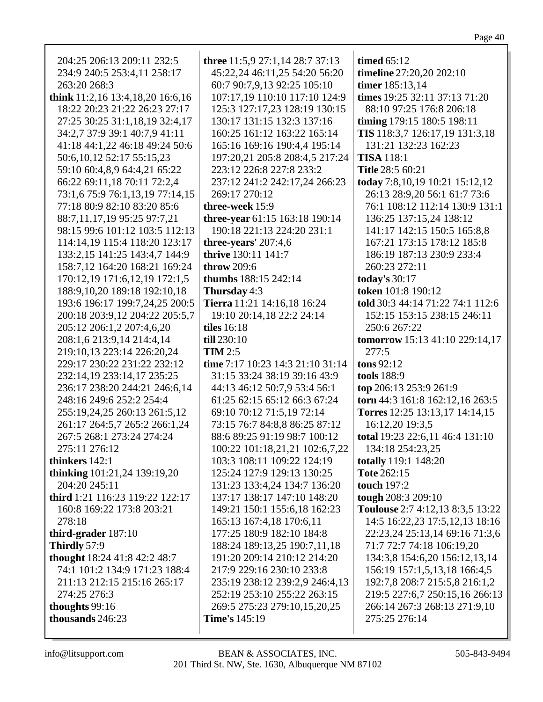| 204:25 206:13 209:11 232:5          | three 11:5,9 27:1,14 28:7 37:13  | timed $65:12$                     |
|-------------------------------------|----------------------------------|-----------------------------------|
| 234:9 240:5 253:4,11 258:17         | 45:22,24 46:11,25 54:20 56:20    | timeline 27:20,20 202:10          |
| 263:20 268:3                        | 60:7 90:7,9,13 92:25 105:10      | timer 185:13,14                   |
| think 11:2,16 13:4,18,20 16:6,16    | 107:17,19 110:10 117:10 124:9    | times 19:25 32:11 37:13 71:20     |
| 18:22 20:23 21:22 26:23 27:17       | 125:3 127:17,23 128:19 130:15    | 88:10 97:25 176:8 206:18          |
| 27:25 30:25 31:1,18,19 32:4,17      | 130:17 131:15 132:3 137:16       | timing 179:15 180:5 198:11        |
| 34:2,7 37:9 39:1 40:7,9 41:11       | 160:25 161:12 163:22 165:14      | TIS 118:3,7 126:17,19 131:3,18    |
| 41:18 44:1,22 46:18 49:24 50:6      | 165:16 169:16 190:4,4 195:14     | 131:21 132:23 162:23              |
| 50:6, 10, 12 52:17 55:15, 23        | 197:20,21 205:8 208:4,5 217:24   | <b>TISA</b> 118:1                 |
| 59:10 60:4,8,9 64:4,21 65:22        | 223:12 226:8 227:8 233:2         | <b>Title 28:5 60:21</b>           |
| 66:22 69:11,18 70:11 72:2,4         | 237:12 241:2 242:17,24 266:23    | today 7:8, 10, 19 10:21 15:12, 12 |
| 73:1,6 75:9 76:1,13,19 77:14,15     | 269:17 270:12                    | 26:13 28:9,20 56:1 61:7 73:6      |
| 77:18 80:9 82:10 83:20 85:6         | three-week 15:9                  | 76:1 108:12 112:14 130:9 131:1    |
| 88:7,11,17,19 95:25 97:7,21         | three-year 61:15 163:18 190:14   | 136:25 137:15,24 138:12           |
| 98:15 99:6 101:12 103:5 112:13      | 190:18 221:13 224:20 231:1       | 141:17 142:15 150:5 165:8,8       |
| 114:14,19 115:4 118:20 123:17       | three-years' 207:4,6             | 167:21 173:15 178:12 185:8        |
| 133:2,15 141:25 143:4,7 144:9       | thrive 130:11 141:7              | 186:19 187:13 230:9 233:4         |
| 158:7,12 164:20 168:21 169:24       | throw 209:6                      | 260:23 272:11                     |
| 170:12,19 171:6,12,19 172:1,5       | thumbs 188:15 242:14             | today's 30:17                     |
| 188:9,10,20 189:18 192:10,18        | Thursday 4:3                     | token 101:8 190:12                |
| 193:6 196:17 199:7,24,25 200:5      | Tierra 11:21 14:16,18 16:24      | told 30:3 44:14 71:22 74:1 112:6  |
| 200:18 203:9,12 204:22 205:5,7      | 19:10 20:14,18 22:2 24:14        | 152:15 153:15 238:15 246:11       |
| 205:12 206:1,2 207:4,6,20           | <b>tiles</b> 16:18               | 250:6 267:22                      |
| 208:1,6 213:9,14 214:4,14           | till 230:10                      | tomorrow 15:13 41:10 229:14,17    |
| 219:10,13 223:14 226:20,24          | <b>TIM 2:5</b>                   | 277:5                             |
| 229:17 230:22 231:22 232:12         | time 7:17 10:23 14:3 21:10 31:14 | tons 92:12                        |
| 232:14,19 233:14,17 235:25          | 31:15 33:24 38:19 39:16 43:9     | tools 188:9                       |
| 236:17 238:20 244:21 246:6,14       | 44:13 46:12 50:7,9 53:4 56:1     | top 206:13 253:9 261:9            |
| 248:16 249:6 252:2 254:4            | 61:25 62:15 65:12 66:3 67:24     | torn 44:3 161:8 162:12,16 263:5   |
| 255:19,24,25 260:13 261:5,12        | 69:10 70:12 71:5,19 72:14        | Torres 12:25 13:13,17 14:14,15    |
| 261:17 264:5,7 265:2 266:1,24       | 73:15 76:7 84:8,8 86:25 87:12    | 16:12,20 19:3,5                   |
| 267:5 268:1 273:24 274:24           | 88:6 89:25 91:19 98:7 100:12     | total 19:23 22:6,11 46:4 131:10   |
| 275:11 276:12                       | 100:22 101:18,21,21 102:6,7,22   | 134:18 254:23,25                  |
| thinkers 142:1                      | 103:3 108:11 109:22 124:19       | totally 119:1 148:20              |
| <b>thinking</b> 101:21,24 139:19,20 | 125:24 127:9 129:13 130:25       | Tote 262:15                       |
| 204:20 245:11                       | 131:23 133:4,24 134:7 136:20     | touch 197:2                       |
| third 1:21 116:23 119:22 122:17     | 137:17 138:17 147:10 148:20      | tough 208:3 209:10                |
| 160:8 169:22 173:8 203:21           | 149:21 150:1 155:6,18 162:23     | Toulouse 2:7 4:12,13 8:3,5 13:22  |
| 278:18                              | 165:13 167:4,18 170:6,11         | 14:5 16:22,23 17:5,12,13 18:16    |
| third-grader $187:10$               | 177:25 180:9 182:10 184:8        | 22:23,24 25:13,14 69:16 71:3,6    |
| Thirdly 57:9                        | 188:24 189:13,25 190:7,11,18     | 71:7 72:7 74:18 106:19,20         |
| thought 18:24 41:8 42:2 48:7        | 191:20 209:14 210:12 214:20      | 134:3,8 154:6,20 156:12,13,14     |
| 74:1 101:2 134:9 171:23 188:4       | 217:9 229:16 230:10 233:8        | 156:19 157:1,5,13,18 166:4,5      |
| 211:13 212:15 215:16 265:17         | 235:19 238:12 239:2,9 246:4,13   | 192:7,8 208:7 215:5,8 216:1,2     |
| 274:25 276:3                        | 252:19 253:10 255:22 263:15      | 219:5 227:6,7 250:15,16 266:13    |
| thoughts 99:16                      | 269:5 275:23 279:10,15,20,25     | 266:14 267:3 268:13 271:9,10      |
| thousands 246:23                    | <b>Time's</b> 145:19             | 275:25 276:14                     |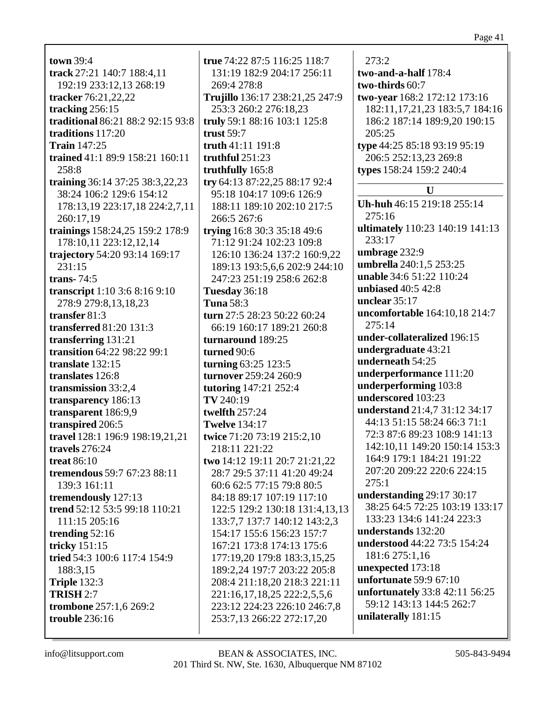**town** 39:4 **track** 27:21 140:7 188:4,11 192:19 233:12,13 268:19 **tracker** 76:21,22,22 **tracking** 256:15 **traditional** 86:21 88:2 92:15 93:8 **traditions** 117:20 **Train** 147:25 **trained** 41:1 89:9 158:21 160:11 258:8 **training** 36:14 37:25 38:3,22,23 38:24 106:2 129:6 154:12 178:13,19 223:17,18 224:2,7,11 260:17,19 **trainings** 158:24,25 159:2 178:9 178:10,11 223:12,12,14 **trajectory** 54:20 93:14 169:17 231:15 **trans-** 74:5 **transcript** 1:10 3:6 8:16 9:10 278:9 279:8,13,18,23 **transfer** 81:3 **transferred** 81:20 131:3 **transferring** 131:21 **transition** 64:22 98:22 99:1 **translate** 132:15 **translates** 126:8 **transmission** 33:2,4 **transparency** 186:13 **transparent** 186:9,9 **transpired** 206:5 **travel** 128:1 196:9 198:19,21,21 **travels** 276:24 **treat** 86:10 **tremendous** 59:7 67:23 88:11 139:3 161:11 **tremendously** 127:13 **trend** 52:12 53:5 99:18 110:21 111:15 205:16 **trending** 52:16 **tricky** 151:15 **tried** 54:3 100:6 117:4 154:9 188:3,15 **Triple** 132:3 **TRISH** 2:7 **trombone** 257:1,6 269:2 **trouble** 236:16

**true** 74:22 87:5 116:25 118:7 131:19 182:9 204:17 256:11 269:4 278:8 **Trujillo** 136:17 238:21,25 247:9 253:3 260:2 276:18,23 **truly** 59:1 88:16 103:1 125:8 **trust** 59:7 **truth** 41:11 191:8 **truthful** 251:23 **truthfully** 165:8 **try** 64:13 87:22,25 88:17 92:4 95:18 104:17 109:6 126:9 188:11 189:10 202:10 217:5 266:5 267:6 **trying** 16:8 30:3 35:18 49:6 71:12 91:24 102:23 109:8 126:10 136:24 137:2 160:9,22 189:13 193:5,6,6 202:9 244:10 247:23 251:19 258:6 262:8 **Tuesday** 36:18 **Tuna** 58:3 **turn** 27:5 28:23 50:22 60:24 66:19 160:17 189:21 260:8 **turnaround** 189:25 **turned** 90:6 **turning** 63:25 123:5 **turnover** 259:24 260:9 **tutoring** 147:21 252:4 **TV** 240:19 **twelfth** 257:24 **Twelve** 134:17 **twice** 71:20 73:19 215:2,10 218:11 221:22 **two** 14:12 19:11 20:7 21:21,22 28:7 29:5 37:11 41:20 49:24 60:6 62:5 77:15 79:8 80:5 84:18 89:17 107:19 117:10 122:5 129:2 130:18 131:4,13,13 133:7,7 137:7 140:12 143:2,3 154:17 155:6 156:23 157:7 167:21 173:8 174:13 175:6 177:19,20 179:8 183:3,15,25 189:2,24 197:7 203:22 205:8 208:4 211:18,20 218:3 221:11 221:16,17,18,25 222:2,5,5,6 223:12 224:23 226:10 246:7,8 253:7,13 266:22 272:17,20

273:2 **two-and-a-half** 178:4 **two-thirds** 60:7 **two-year** 168:2 172:12 173:16 182:11,17,21,23 183:5,7 184:16 186:2 187:14 189:9,20 190:15 205:25 **type** 44:25 85:18 93:19 95:19 206:5 252:13,23 269:8 **types** 158:24 159:2 240:4 **U Uh-huh** 46:15 219:18 255:14 275:16 **ultimately** 110:23 140:19 141:13 233:17 **umbrage** 232:9 **umbrella** 240:1,5 253:25 **unable** 34:6 51:22 110:24 **unbiased** 40:5 42:8 **unclear** 35:17 **uncomfortable** 164:10,18 214:7  $275:14$ **under-collateralized** 196:15 **undergraduate** 43:21 **underneath** 54:25 **underperformance** 111:20 **underperforming** 103:8 **underscored** 103:23 **understand** 21:4,7 31:12 34:17 44:13 51:15 58:24 66:3 71:1 72:3 87:6 89:23 108:9 141:13 142:10,11 149:20 150:14 153:3 164:9 179:1 184:21 191:22 207:20 209:22 220:6 224:15 275:1 **understanding** 29:17 30:17 38:25 64:5 72:25 103:19 133:17 133:23 134:6 141:24 223:3 **understands** 132:20 **understood** 44:22 73:5 154:24 181:6 275:1,16 **unexpected** 173:18 **unfortunate** 59:9 67:10 **unfortunately** 33:8 42:11 56:25 59:12 143:13 144:5 262:7 **unilaterally** 181:15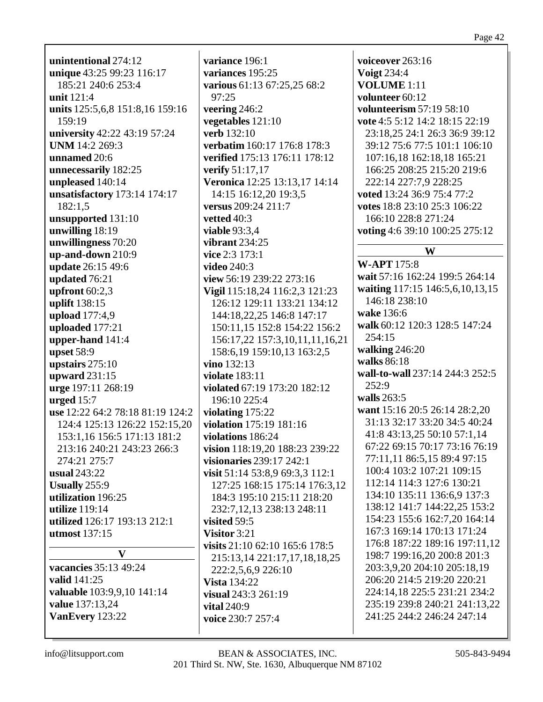unintentional 274:12 unique 43:25 99:23 116:17 185:21 240:6 253:4 unit 121:4 units 125:5,6,8 151:8,16 159:16 159:19 university 42:22 43:19 57:24 **UNM** 14:2 269:3 unnamed 20:6 unnecessarily 182:25 unpleased 140:14 unsatisfactory 173:14 174:17  $182:1.5$ unsupported 131:10 unwilling  $18:19$ unwillingness 70:20  $\mu$ p-and-down 210:9 update 26:15 49:6 updated 76:21 upfront  $60:2,3$ uplift 138:15 upload  $177:4,9$ uploaded 177:21 upper-hand  $141:4$ upset  $58:9$ upstairs  $275:10$ upward 231:15 urge 197:11 268:19 urged  $15:7$ use 12:22 64:2 78:18 81:19 124:2 124:4 125:13 126:22 152:15,20 153:1,16 156:5 171:13 181:2 213:16 240:21 243:23 266:3 274:21 275:7 usual  $243:22$ Usually  $255:9$ utilization 196:25 utilize  $119:14$ utilized 126:17 193:13 212:1 utmost  $137:15$  $\mathbf{V}$ vacancies 35:13 49:24

 $97:25$ 

**verb** 132:10

vetted  $40:3$ 

video  $240:3$ 

vino 132:13

visited  $59:5$ 

Visitor  $3:21$ 

valid 141:25 **valuable** 103:9,9,10 141:14 value 137:13,24 VanEvery 123:22

info@litsupport.com

variance 196:1 voiceover  $263:16$ variances 195:25 **Voigt 234:4** various 61:13 67:25,25 68:2 **VOLUME** 1:11 volunteer 60:12 volunteerism 57:19 58:10 veering  $246:2$ vegetables 121:10 vote 4:5 5:12 14:2 18:15 22:19 23:18.25 24:1 26:3 36:9 39:12 verbatim 160:17 176:8 178:3 39:12 75:6 77:5 101:1 106:10 verified 175:13 176:11 178:12 107:16.18 162:18.18 165:21 **verify** 51:17,17 166:25 208:25 215:20 219:6 Veronica 12:25 13:13,17 14:14 222:14 227:7.9 228:25 14:15 16:12,20 19:3.5 voted 13:24 36:9 75:4 77:2 versus 209:24 211:7 votes 18:8 23:10 25:3 106:22 166:10 228:8 271:24 **viable 93:3.4** voting 4:6 39:10 100:25 275:12 vibrant  $234:25$ W vice  $2:3$  173:1 **W-APT** 175:8 wait 57:16 162:24 199:5 264:14 view 56:19 239:22 273:16 waiting 117:15 146:5,6,10,13,15 Vigil 115:18,24 116:2,3 121:23 146:18 238:10 126:12 129:11 133:21 134:12 wake 136:6 144:18,22,25 146:8 147:17 walk 60:12 120:3 128:5 147:24 150:11.15 152:8 154:22 156:2 254:15 156:17,22 157:3,10,11,11,16,21 walking  $246:20$ 158:6, 19 159: 10, 13 163: 2, 5 walks 86:18 wall-to-wall 237:14 244:3 252:5 **violate** 183:11  $252:9$ violated 67:19 173:20 182:12 walls  $263:5$ 196:10 225:4 want 15:16 20:5 26:14 28:2,20 violating  $175:22$ 31:13 32:17 33:20 34:5 40:24 violation 175:19 181:16 41:8 43:13,25 50:10 57:1,14 violations 186:24 67:22 69:15 70:17 73:16 76:19 vision 118:19,20 188:23 239:22 77:11,11 86:5,15 89:4 97:15 visionaries  $239:17$   $242:1$ 100:4 103:2 107:21 109:15 visit 51:14 53:8,9 69:3,3 112:1 112:14 114:3 127:6 130:21 127:25 168:15 175:14 176:3,12 134:10 135:11 136:6,9 137:3 184:3 195:10 215:11 218:20 138:12 141:7 144:22,25 153:2 232:7, 12, 13 238: 13 248: 11 154:23 155:6 162:7.20 164:14 167:3 169:14 170:13 171:24 176:8 187:22 189:16 197:11,12 visits  $21:10\,62:10\,165:6\,178:5$ 198:7 199:16,20 200:8 201:3 215:13,14 221:17,17,18,18,25 203:3,9,20 204:10 205:18,19 222:2,5,6,9 226:10 206:20 214:5 219:20 220:21 224:14,18 225:5 231:21 234:2 235:19 239:8 240:21 241:13.22 241:25 244:2 246:24 247:14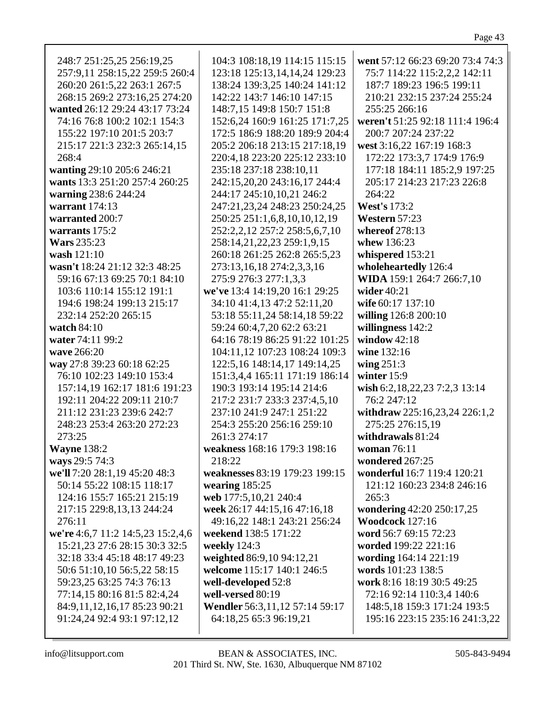| 248:7 251:25,25 256:19,25         | 104:3 108:18,19 114:15 115:15   | went 57:12 66:23 69:20 73:4 74:3 |
|-----------------------------------|---------------------------------|----------------------------------|
| 257:9,11 258:15,22 259:5 260:4    | 123:18 125:13,14,14,24 129:23   | 75:7 114:22 115:2,2,2 142:11     |
|                                   |                                 | 187:7 189:23 196:5 199:11        |
| 260:20 261:5,22 263:1 267:5       | 138:24 139:3,25 140:24 141:12   |                                  |
| 268:15 269:2 273:16,25 274:20     | 142:22 143:7 146:10 147:15      | 210:21 232:15 237:24 255:24      |
| wanted 26:12 29:24 43:17 73:24    | 148:7,15 149:8 150:7 151:8      | 255:25 266:16                    |
| 74:16 76:8 100:2 102:1 154:3      | 152:6,24 160:9 161:25 171:7,25  | weren't 51:25 92:18 111:4 196:4  |
| 155:22 197:10 201:5 203:7         | 172:5 186:9 188:20 189:9 204:4  | 200:7 207:24 237:22              |
| 215:17 221:3 232:3 265:14,15      | 205:2 206:18 213:15 217:18,19   | west 3:16,22 167:19 168:3        |
| 268:4                             | 220:4,18 223:20 225:12 233:10   | 172:22 173:3,7 174:9 176:9       |
| wanting 29:10 205:6 246:21        | 235:18 237:18 238:10,11         | 177:18 184:11 185:2,9 197:25     |
| wants 13:3 251:20 257:4 260:25    | 242:15,20,20 243:16,17 244:4    | 205:17 214:23 217:23 226:8       |
| warning 238:6 244:24              | 244:17 245:10,10,21 246:2       | 264:22                           |
| warrant $174:13$                  | 247:21,23,24 248:23 250:24,25   | <b>West's 173:2</b>              |
|                                   |                                 |                                  |
| warranted 200:7                   | 250:25 251:1,6,8,10,10,12,19    | Western 57:23                    |
| warrants $175:2$                  | 252:2,2,12 257:2 258:5,6,7,10   | whereof 278:13                   |
| <b>Wars</b> 235:23                | 258:14,21,22,23 259:1,9,15      | whew 136:23                      |
| wash 121:10                       | 260:18 261:25 262:8 265:5,23    | whispered 153:21                 |
| wasn't 18:24 21:12 32:3 48:25     | 273:13,16,18 274:2,3,3,16       | wholeheartedly 126:4             |
| 59:16 67:13 69:25 70:1 84:10      | 275:9 276:3 277:1,3,3           | WIDA 159:1 264:7 266:7,10        |
| 103:6 110:14 155:12 191:1         | we've 13:4 14:19,20 16:1 29:25  | wider $40:21$                    |
| 194:6 198:24 199:13 215:17        | 34:10 41:4,13 47:2 52:11,20     | wife 60:17 137:10                |
| 232:14 252:20 265:15              | 53:18 55:11,24 58:14,18 59:22   | willing 126:8 200:10             |
| watch 84:10                       | 59:24 60:4,7,20 62:2 63:21      | willingness 142:2                |
| water 74:11 99:2                  | 64:16 78:19 86:25 91:22 101:25  | window $42:18$                   |
| wave 266:20                       | 104:11,12 107:23 108:24 109:3   | wine 132:16                      |
|                                   |                                 |                                  |
| way 27:8 39:23 60:18 62:25        | 122:5, 16 148:14, 17 149:14, 25 | wing $251:3$                     |
| 76:10 102:23 149:10 153:4         | 151:3,4,4 165:11 171:19 186:14  | winter $15:9$                    |
| 157:14,19 162:17 181:6 191:23     | 190:3 193:14 195:14 214:6       | wish 6:2,18,22,23 7:2,3 13:14    |
| 192:11 204:22 209:11 210:7        | 217:2 231:7 233:3 237:4,5,10    | 76:2 247:12                      |
| 211:12 231:23 239:6 242:7         | 237:10 241:9 247:1 251:22       | withdraw 225:16,23,24 226:1,2    |
| 248:23 253:4 263:20 272:23        | 254:3 255:20 256:16 259:10      | 275:25 276:15,19                 |
| 273:25                            | 261:3 274:17                    | withdrawals 81:24                |
| <b>Wayne 138:2</b>                | weakness 168:16 179:3 198:16    | woman 76:11                      |
| ways 29:5 74:3                    | 218:22                          | wondered 267:25                  |
| we'll 7:20 28:1,19 45:20 48:3     | weaknesses 83:19 179:23 199:15  | wonderful 16:7 119:4 120:21      |
| 50:14 55:22 108:15 118:17         | wearing $185:25$                | 121:12 160:23 234:8 246:16       |
| 124:16 155:7 165:21 215:19        | web 177:5,10,21 240:4           | 265:3                            |
| 217:15 229:8,13,13 244:24         | week 26:17 44:15,16 47:16,18    | wondering 42:20 250:17,25        |
| 276:11                            | 49:16,22 148:1 243:21 256:24    | <b>Woodcock</b> 127:16           |
| we're 4:6,7 11:2 14:5,23 15:2,4,6 | weekend 138:5 171:22            | word 56:7 69:15 72:23            |
|                                   |                                 |                                  |
| 15:21,23 27:6 28:15 30:3 32:5     | weekly 124:3                    | worded 199:22 221:16             |
| 32:18 33:4 45:18 48:17 49:23      | weighted 86:9,10 94:12,21       | wording 164:14 221:19            |
| 50:6 51:10,10 56:5,22 58:15       | welcome 115:17 140:1 246:5      | words 101:23 138:5               |
| 59:23,25 63:25 74:3 76:13         | well-developed 52:8             | work 8:16 18:19 30:5 49:25       |
| 77:14,15 80:16 81:5 82:4,24       | well-versed 80:19               | 72:16 92:14 110:3,4 140:6        |
| 84:9,11,12,16,17 85:23 90:21      | Wendler 56:3,11,12 57:14 59:17  | 148:5,18 159:3 171:24 193:5      |
| 91:24,24 92:4 93:1 97:12,12       | 64:18,25 65:3 96:19,21          | 195:16 223:15 235:16 241:3,22    |
|                                   |                                 |                                  |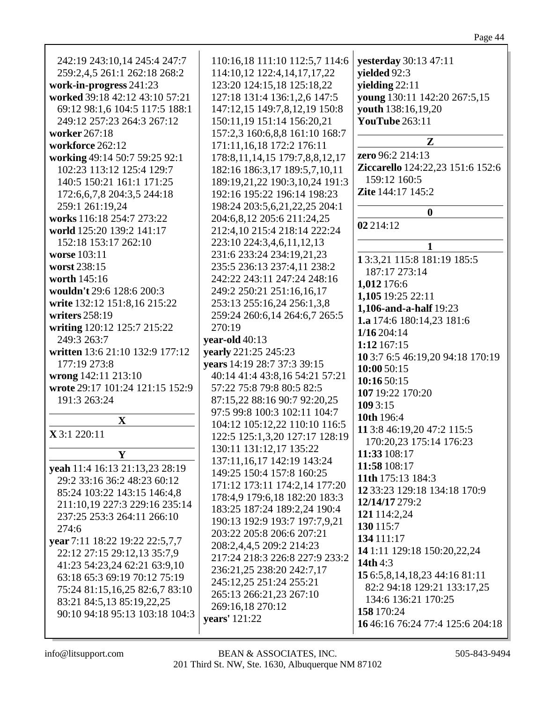| <b>yesterday</b> 30:13 47:11     |  |
|----------------------------------|--|
| yielded 92:3                     |  |
| yielding $22:11$                 |  |
| young 130:11 142:20 267:5,15     |  |
| youth 138:16,19,20               |  |
| <b>YouTube</b> 263:11            |  |
|                                  |  |
| $\mathbf{Z}$                     |  |
| <b>zero</b> 96:2 214:13          |  |
| Ziccarello 124:22,23 151:6 152:6 |  |
| 159:12 160:5                     |  |
| <b>Zite</b> 144:17 145:2         |  |
|                                  |  |
| 0                                |  |
| 02 214:12                        |  |
|                                  |  |
| 1                                |  |
| 13:3,21 115:8 181:19 185:5       |  |
| 187:17 273:14                    |  |
| 1,012 176:6                      |  |
| 1,105 19:25 22:11                |  |
| <b>1,106-and-a-half</b> 19:23    |  |
| 1 $\alpha$ 171.6 100.11 02 101.6 |  |
|                                  |  |

Page 44

| worked 39:18 42:12 43:10 57:21                                | 127:18 131:4 136:1,2,6 147:5          | <b>young</b> 130:11 142:20 267:5,15     |
|---------------------------------------------------------------|---------------------------------------|-----------------------------------------|
| 69:12 98:1,6 104:5 117:5 188:1                                | 147:12,15 149:7,8,12,19 150:8         | youth 138:16,19,20                      |
| 249:12 257:23 264:3 267:12                                    | 150:11,19 151:14 156:20,21            | <b>YouTube</b> 263:11                   |
| worker 267:18                                                 | 157:2,3 160:6,8,8 161:10 168:7        |                                         |
| workforce 262:12                                              | 171:11,16,18 172:2 176:11             | Z                                       |
| working 49:14 50:7 59:25 92:1                                 | 178:8, 11, 14, 15 179:7, 8, 8, 12, 17 | zero 96:2 214:13                        |
| 102:23 113:12 125:4 129:7                                     | 182:16 186:3,17 189:5,7,10,11         | <b>Ziccarello</b> 124:22,23 151:6 152:6 |
| 140:5 150:21 161:1 171:25                                     | 189:19,21,22 190:3,10,24 191:3        | 159:12 160:5                            |
| 172:6,6,7,8 204:3,5 244:18                                    | 192:16 195:22 196:14 198:23           | Zite 144:17 145:2                       |
| 259:1 261:19,24                                               | 198:24 203:5,6,21,22,25 204:1         |                                         |
| works 116:18 254:7 273:22                                     | 204:6,8,12 205:6 211:24,25            | $\boldsymbol{0}$                        |
| world 125:20 139:2 141:17                                     | 212:4,10 215:4 218:14 222:24          | 02 214:12                               |
| 152:18 153:17 262:10                                          | 223:10 224:3,4,6,11,12,13             | 1                                       |
| worse 103:11                                                  | 231:6 233:24 234:19,21,23             | 13:3,21 115:8 181:19 185:5              |
| worst 238:15                                                  | 235:5 236:13 237:4,11 238:2           | 187:17 273:14                           |
| worth 145:16                                                  | 242:22 243:11 247:24 248:16           | 1,012 176:6                             |
| wouldn't 29:6 128:6 200:3                                     | 249:2 250:21 251:16,16,17             | 1,105 19:25 22:11                       |
| write 132:12 151:8,16 215:22                                  | 253:13 255:16,24 256:1,3,8            | 1,106-and-a-half 19:23                  |
| writers 258:19                                                | 259:24 260:6,14 264:6,7 265:5         | 1.a 174:6 180:14,23 181:6               |
| writing 120:12 125:7 215:22                                   | 270:19                                | 1/16204:14                              |
| 249:3 263:7                                                   | year-old 40:13                        | 1:12 167:15                             |
| written 13:6 21:10 132:9 177:12                               | yearly 221:25 245:23                  | 10 3:7 6:5 46:19,20 94:18 170:19        |
| 177:19 273:8                                                  | years 14:19 28:7 37:3 39:15           | 10:00 50:15                             |
| wrong 142:11 213:10                                           | 40:14 41:4 43:8,16 54:21 57:21        | 10:16 50:15                             |
| wrote 29:17 101:24 121:15 152:9                               | 57:22 75:8 79:8 80:5 82:5             | 107 19:22 170:20                        |
| 191:3 263:24                                                  | 87:15,22 88:16 90:7 92:20,25          | 109 3:15                                |
|                                                               | 97:5 99:8 100:3 102:11 104:7          | 10th 196:4                              |
| $\mathbf{X}$                                                  | 104:12 105:12,22 110:10 116:5         | 11 3:8 46:19,20 47:2 115:5              |
| X 3:1 220:11                                                  | 122:5 125:1,3,20 127:17 128:19        | 170:20,23 175:14 176:23                 |
| Y                                                             | 130:11 131:12,17 135:22               | 11:33 108:17                            |
|                                                               | 137:11,16,17 142:19 143:24            | 11:58 108:17                            |
| yeah 11:4 16:13 21:13,23 28:19<br>29:2 33:16 36:2 48:23 60:12 | 149:25 150:4 157:8 160:25             | 11th 175:13 184:3                       |
| 85:24 103:22 143:15 146:4,8                                   | 171:12 173:11 174:2,14 177:20         | 12 33:23 129:18 134:18 170:9            |
| 211:10,19 227:3 229:16 235:14                                 | 178:4,9 179:6,18 182:20 183:3         | 12/14/17 279:2                          |
| 237:25 253:3 264:11 266:10                                    | 183:25 187:24 189:2,24 190:4          | 121 114:2,24                            |
| 274:6                                                         | 190:13 192:9 193:7 197:7,9,21         | 130 115:7                               |
| year 7:11 18:22 19:22 22:5,7,7                                | 203:22 205:8 206:6 207:21             | 134 111:17                              |
| 22:12 27:15 29:12,13 35:7,9                                   | 208:2,4,4,5 209:2 214:23              | 14 1:11 129:18 150:20,22,24             |
| 41:23 54:23,24 62:21 63:9,10                                  | 217:24 218:3 226:8 227:9 233:2        | 14th 4:3                                |
| 63:18 65:3 69:19 70:12 75:19                                  | 236:21,25 238:20 242:7,17             | 15 6:5,8,14,18,23 44:16 81:11           |
| 75:24 81:15,16,25 82:6,7 83:10                                | 245:12,25 251:24 255:21               | 82:2 94:18 129:21 133:17,25             |
| 83:21 84:5,13 85:19,22,25                                     | 265:13 266:21,23 267:10               | 134:6 136:21 170:25                     |
| 90:10 94:18 95:13 103:18 104:3                                | 269:16,18 270:12                      | 158 170:24                              |
|                                                               | years' 121:22                         | 16 46:16 76:24 77:4 125:6 204:18        |
|                                                               |                                       |                                         |

110:16,18 111:10 112:5,7 114:6

114:10,12 122:4,14,17,17,22

123:20 124:15,18 125:18,22

242:19 243:10,14 245:4 247:7

259:2,4,5 261:1 262:18 268:2

work-in-progress 241:23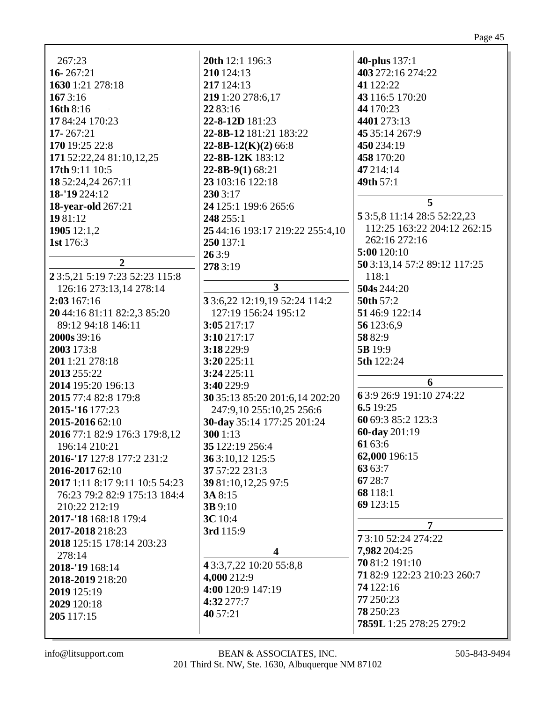|                                | 20th 12:1 196:3                 |                                |
|--------------------------------|---------------------------------|--------------------------------|
| 267:23                         |                                 | <b>40-plus</b> 137:1           |
| $16 - 267:21$                  | 210 124:13<br>217 124:13        | 403 272:16 274:22<br>41 122:22 |
| 1630 1:21 278:18               |                                 |                                |
| 1673:16                        | 219 1:20 278:6,17               | 43 116:5 170:20                |
| <b>16th 8:16</b>               | 22 83:16                        | 44 170:23                      |
| 17 84:24 170:23                | 22-8-12D 181:23                 | 4401 273:13                    |
| $17 - 267:21$                  | 22-8B-12 181:21 183:22          | 45 35:14 267:9                 |
| 170 19:25 22:8                 | $22-8B-12(K)(2)$ 66:8           | 450 234:19                     |
| 171 52:22,24 81:10,12,25       | 22-8B-12K 183:12                | 458 170:20                     |
| 17th 9:11 10:5                 | $22 - 8B - 9(1) 68:21$          | 47 214:14                      |
| 18 52:24,24 267:11             | 23 103:16 122:18                | 49th 57:1                      |
| 18-'19 224:12                  | 230 3:17                        |                                |
| <b>18-year-old</b> 267:21      | 24 125:1 199:6 265:6            | 5                              |
| 1981:12                        | 248 255:1                       | 5 3:5,8 11:14 28:5 52:22,23    |
| 1905 12:1,2                    | 25 44:16 193:17 219:22 255:4,10 | 112:25 163:22 204:12 262:15    |
| 1st 176:3                      | 250 137:1                       | 262:16 272:16                  |
|                                | 263:9                           | 5:00 120:10                    |
| $\overline{2}$                 | 278 3:19                        | 50 3:13, 14 57:2 89:12 117:25  |
| 23:5,21 5:19 7:23 52:23 115:8  |                                 | 118:1                          |
| 126:16 273:13,14 278:14        | $\mathbf{3}$                    | 504s 244:20                    |
| 2:03 167:16                    | 33:6,22 12:19,19 52:24 114:2    | 50th 57:2                      |
| 20 44:16 81:11 82:2,3 85:20    | 127:19 156:24 195:12            | 51 46:9 122:14                 |
| 89:12 94:18 146:11             | 3:05217:17                      | 56 123:6,9                     |
| 2000s 39:16                    | 3:10 217:17                     | 58 82:9                        |
| 2003 173:8                     | 3:18 229:9                      | 5B 19:9                        |
| 2011:21 278:18                 | 3:20 225:11                     | 5th 122:24                     |
| 2013 255:22                    | 3:24225:11                      |                                |
| 2014 195:20 196:13             | 3:40 229:9                      | 6                              |
| 2015 77:4 82:8 179:8           | 30 35:13 85:20 201:6,14 202:20  | 6 3:9 26:9 191:10 274:22       |
| 2015-'16 177:23                | 247:9,10 255:10,25 256:6        | 6.5 19:25                      |
| 2015-2016 62:10                | 30-day 35:14 177:25 201:24      | 60 69:3 85:2 123:3             |
| 2016 77:1 82:9 176:3 179:8,12  | 300 1:13                        | 60-day 201:19                  |
| 196:14 210:21                  | 35 122:19 256:4                 | 61 63:6                        |
| 2016-'17 127:8 177:2 231:2     | 36 3:10,12 125:5                | 62,000 196:15                  |
| 2016-2017 62:10                | 37 57:22 231:3                  | 6363:7                         |
| 2017 1:11 8:17 9:11 10:5 54:23 | 39 81:10,12,25 97:5             | 67 28:7                        |
| 76:23 79:2 82:9 175:13 184:4   | 3A 8:15                         | 68 118:1                       |
| 210:22 212:19                  | <b>3B</b> 9:10                  | 69 123:15                      |
| 2017-'18 168:18 179:4          | <b>3C</b> 10:4                  |                                |
| 2017-2018 218:23               | 3rd 115:9                       | $\overline{7}$                 |
| 2018 125:15 178:14 203:23      |                                 | 73:10 52:24 274:22             |
| 278:14                         | $\overline{\mathbf{4}}$         | 7,982 204:25                   |
| 2018-'19 168:14                | 4 3:3, 7, 22 10: 20 55: 8, 8    | 70 81:2 191:10                 |
| 2018-2019 218:20               | 4,000 212:9                     | 71 82:9 122:23 210:23 260:7    |
| 2019 125:19                    | 4:00 120:9 147:19               | 74 122:16                      |
| 2029 120:18                    | 4:32 277:7                      | 77 250:23                      |
| 205 117:15                     | 40 57:21                        | 78 250:23                      |
|                                |                                 | 7859L 1:25 278:25 279:2        |
|                                |                                 |                                |

Page 45